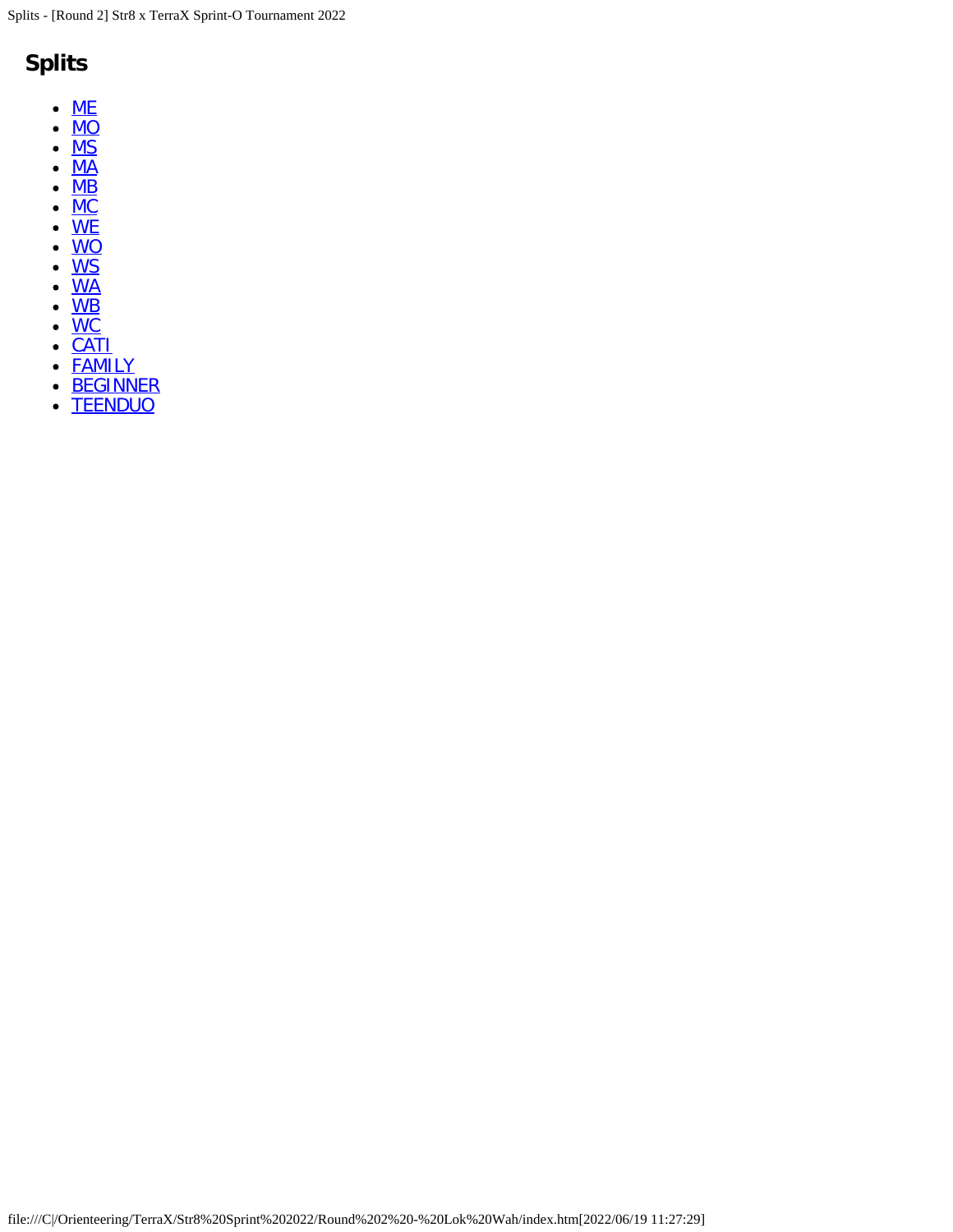# **Splits**

- $\bullet$  [ME](#page-1-0)
- $\bullet$  [MO](#page-6-0)
- $\cdot$  [MS](#page-10-0)
- $\cdot \overline{\text{MA}}$  $\cdot \overline{\text{MA}}$  $\cdot \overline{\text{MA}}$
- <u>[MB](#page-15-0)</u>
- <u>[MC](#page-29-0)</u>
- <u>[WE](#page-3-0)</u>
- <u>[WO](#page-8-0)</u>
- <u>[WS](#page-21-0)</u>
- <u>[WA](#page-17-0)</u>
- <u>[WB](#page-23-0)</u>
- <u>[WC](#page-31-0)</u>
- <u>[CATI](#page-33-0)</u>
- [FAMILY](#page-35-0)
- **[BEGINNER](#page-37-0)**  $\bullet$
- **[TEENDUO](#page-25-0)**  $\bullet$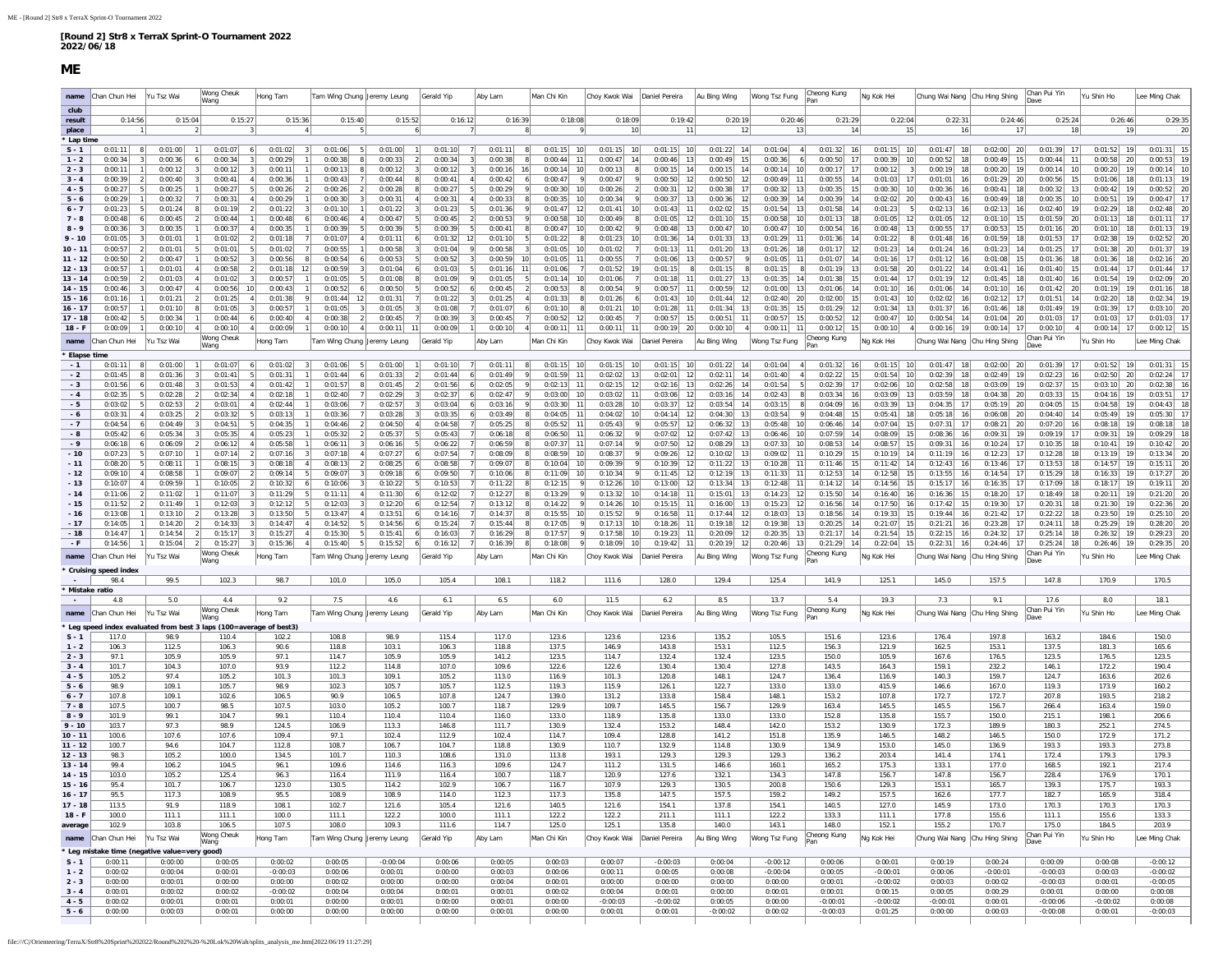#### **ME**

<span id="page-1-0"></span>

|                            | name Chan Chun Hei           |                                  | Yu Tsz Wai                                               | Wong Cheuk<br>Wang                                                | Hong Tam              | Tam Wing Chung Jeremy Leung  |                                      | Gerald Yip                           | Aby Lam            | Man Chi Kin                     | Chov Kwok Wai Daniel Pereira                          |                                | Au Bing Wing                    | Wong Tsz Fung                               | Cheong Kung                    | Ng Kok Hei                     | Chung Wai Nang Chu Hing Shing  |                                             | Chan Pui Yin                              | Yu Shin Ho                       | Lee Ming Chak              |
|----------------------------|------------------------------|----------------------------------|----------------------------------------------------------|-------------------------------------------------------------------|-----------------------|------------------------------|--------------------------------------|--------------------------------------|--------------------|---------------------------------|-------------------------------------------------------|--------------------------------|---------------------------------|---------------------------------------------|--------------------------------|--------------------------------|--------------------------------|---------------------------------------------|-------------------------------------------|----------------------------------|----------------------------|
| club                       |                              |                                  |                                                          |                                                                   |                       |                              |                                      |                                      |                    |                                 |                                                       |                                |                                 |                                             |                                |                                |                                |                                             |                                           |                                  |                            |
| result                     |                              | 0:14:56                          | 0:15:04                                                  | 0:15:27                                                           | 0:15:36               | 0:15:40                      | 0:15:52                              | 0:16:12                              | 0:16:39            | 0:18:08                         | 0:18:09<br>10                                         | 0:19:42<br>11                  | 0:20:19<br>12                   | 0:20:46<br>13                               | 0:21:29<br>14                  | 0:22:04<br>15                  | 0:22:31                        | 0:24:46<br>17                               | 0:25:24<br>18                             | 0:26:46<br>19                    | 0:29:35<br>20              |
| place<br>Lap time          |                              |                                  |                                                          |                                                                   |                       |                              |                                      |                                      |                    |                                 |                                                       |                                |                                 |                                             |                                |                                |                                |                                             |                                           |                                  |                            |
| $S - 1$                    | 0:01:11                      | 8                                | 0:01:00                                                  | 0:01:07<br>6 <sup>1</sup>                                         | 0:01:02<br>3          | 0:01:06                      | 0:01:00                              | 0:01:10<br>7                         | 0:01:11<br>- 8     | 0:01:15<br>10                   | 0:01:15<br>10                                         | 0:01:15<br>10                  | $0:01:22$ 14                    | 0:01:04<br>4                                | 0:01:32<br>16                  | $0:01:15$ 10                   | 0:01:47<br>18                  | 0:02:00<br>20                               | 0:01:39<br>17                             | 0:01:52<br>19                    | $0:01:31$ 15               |
| $1 - 2$                    | 0:00:34                      | $\vert$ 3<br>-11                 | 0:00:36<br>0:00:12                                       | 0:00:34<br>6<br>$\vert$ 3<br>0:00:12                              | 0:00:29               | 0:00:38                      | 0:00:33<br>$\overline{2}$<br>0:00:12 | 0:00:34<br>$\vert$ 3<br>$\vert$ 3    | 0:00:38            | 0:00:44<br>11<br>10             | 0:00:47<br>14<br>0:00:13<br>8                         | 0:00:46<br>13<br>14            | 0:00:49<br>15<br>0:00:15<br>14  | 0:00:36<br>6<br>10                          | 0:00:50<br>17<br>17            | 0:00:39<br>10 <sup>1</sup>     | 0:00:52<br>18<br>0:00:19<br>18 | 0:00:49<br>15 <sup>1</sup><br>0:00:20<br>19 | 0:00:44<br>11<br>10                       | 0:00:58<br>-20<br>0:00:20<br>19  | 0:00:53<br>0:00:14         |
| $2 - 3$<br>$3 - 4$         | 0:00:11<br>0:00:39           | $\overline{2}$                   | 0:00:40                                                  | 31<br>0:00:41                                                     | 0:00:11<br>0:00:36    | 0:00:13<br>0:00:43           | 0:00:44                              | 0:00:12<br>0:00:41<br>4 <sup>1</sup> | 0:00:16<br>0:00:42 | 0:00:14<br>0:00:47<br>- 9       | 0:00:47<br>-91                                        | 0:00:15<br>0:00:50<br>12       | 0:00:50<br>-12                  | 0:00:14<br>0:00:49<br>11                    | 0:00:17<br>0:00:55<br>14       | 0:00:12<br>0:01:03<br>17       | 0:01:01                        | 0:01:29<br>20                               | 0:00:14<br>0:00:56<br>15                  | 0:01:06<br>-18                   | 0:01:13                    |
| $4 - 5$                    | 0:00:27                      |                                  | 0:00:25                                                  | 0:00:27                                                           | 0:00:26               | 0:00:26                      | 0:00:28                              | 0:00:27                              | 0:00:29            | 0:00:30<br>10                   | 0:00:26                                               | 0:00:31<br>12                  | 0:00:38                         | 0:00:32                                     | 0:00:35                        | 0:00:30                        | 0:00:36                        | 0:00:41<br>18                               | 0:00:32<br>13                             | 0:00:42                          | 0:00:52                    |
| $5 - 6$                    | 0:00:29                      |                                  | 0:00:32                                                  | 0:00:31                                                           | 0:00:29               | 0:00:30                      | 0:00:31                              | 0:00:31                              | 0:00:33            | 0:00:35                         | 0:00:34                                               | 0:00:37<br>13                  | 0:00:36<br>12                   | 0:00:39                                     | 0:00:39<br>14                  | 0:02:02<br>20                  | 0:00:43                        | 0:00:49<br>18                               | 0:00:35<br>10                             | 0:00:51                          | 0:00:47                    |
| $6 - 7$<br>$7 - 8$         | 0:01:23<br>0:00:48           | 6                                | 0:01:24<br>0:00:45                                       | 0:01:19<br>0:00:44                                                | 0:01:22<br>0:00:48    | 0:01:10<br>0:00:46           | 0:01:22<br>0:00:47<br>5              | 0:01:23<br>0:00:45<br>$\overline{2}$ | 0:01:36<br>0:00:53 | 0:01:47<br>12<br>0:00:58<br>10  | 0:01:41<br>10 <sup>1</sup><br>0:00:49<br>$\mathbf{8}$ | 0:01:43<br>11<br>0:01:05<br>12 | 0:02:02<br>-15<br>0:01:10<br>15 | 0:01:54<br>13<br>0:00:58<br>10              | 0:01:58<br>14<br>0:01:13<br>18 | 0:01:23<br>0:01:05<br>12       | 0:02:13<br>0:01:05<br>12       | 0:02:13<br>16<br>0:01:10<br>15 <sup>1</sup> | 0:02:40<br>19<br>0:01:59<br>20            | 0:02:29<br>-18<br>0:01:13<br>-18 | 0:02:48<br>- 20<br>0:01:11 |
| $8 - 9$                    | 0:00:36                      | $\vert$ 3                        | 0:00:35                                                  | 0:00:37<br>$\left 4\right $                                       | 0:00:35               | 0:00:39                      | 0:00:39                              | 0:00:39<br>5 <sub>l</sub>            | 0:00:41            | 0:00:47<br>10                   | 0:00:42<br>9                                          | 0:00:48<br>13                  | 0:00:47<br>10                   | 0:00:47<br>10                               | 0:00:54<br>16                  | 0:00:48<br>13                  | 0:00:55<br>17                  | 0:00:53<br>15                               | 0:01:16<br>20                             | 0:01:10<br>18                    | 0:01:13                    |
| $9 - 10$                   | 0:01:05                      | $\overline{\mathbf{3}}$          | 0:01:01                                                  | 0:01:02<br>$\overline{2}$                                         | 0:01:18               | 0:01:07                      | 0:01:11<br>-6                        | 0:01:32<br>12                        | 0:01:10            | 0:01:22<br>8                    | 0:01:23<br>10 <sub>1</sub>                            | 0:01:36<br>14                  | 0:01:33<br>13                   | 0:01:29<br>11                               | 0:01:36<br>14                  | 0:01:22<br>8                   | 0:01:48<br>16                  | 0:01:59<br>18                               | 0:01:53<br>17                             | 0:02:38<br>19                    | 0:02:52                    |
| $10 - 11$<br>$11 - 12$     | 0:00:57<br>0:00:50           | $\overline{2}$<br>$\overline{2}$ | 0:01:01<br>0:00:47                                       | 0:01:01<br>51<br>0:00:52                                          | 0:01:02<br>0:00:56    | 0:00:55<br>0:00:54           | 0:00:58<br>0:00:53                   | 0:01:04<br>-9<br>0:00:52             | 0:00:58<br>0:00:59 | 0:01:05<br>10<br>0:01:05<br>-11 | 0:01:02<br>-71<br>0:00:55                             | 0:01:13<br>11<br>0:01:06<br>13 | 0:01:20<br>-13<br>0:00:57       | 0:01:26<br>18<br>0:01:05<br>11              | 0:01:17<br>12<br>0:01:07       | 0:01:23<br>14<br>0:01:16<br>17 | 0:01:24<br>16<br>0:01:12       | 0:01:23<br>14<br>0:01:08<br>15              | 0:01:25<br>17<br>0:01:36<br>18            | 0:01:38<br>- 20<br>0:01:36       | 0:01:37<br>0:02:16         |
| $12 - 13$                  | 0:00:57                      |                                  | 0:01:01                                                  | 0:00:58                                                           | 0:01:18<br>12         | 0:00:59                      | 0:01:04                              | 0:01:03                              | 0:01:16            | 0:01:06                         | 0:01:52<br>19                                         | 0:01:15                        | 0:01:15                         | 0:01:15                                     | 0:01:19                        | 0:01:58<br>20                  | 0:01:22                        | 0:01:41<br>16                               | 0:01:40                                   | 0:01:44                          | 0:01:44                    |
| $13 - 14$                  | 0:00:59                      | $\overline{2}$                   | 0:01:03                                                  | 0:01:02                                                           | 0:00:57               | 0:01:05                      | 0:01:08                              | 0:01:09                              | 0:01:05            | 0:01:14                         | 0:01:06                                               | 0:01:18                        | 0:01:27<br>13                   | 0:01:35<br>14                               | 0:01:38                        | 0:01:44<br>17                  | 0:01:19                        | 0:01:45<br>18                               | 0:01:40<br>16                             | 0:01:54                          | 0:02:09                    |
| $14 - 15$<br>$15 - 16$     | 0:00:46<br>0:01:16           | -31                              | 0:00:47<br>0:01:21                                       | 0:00:56<br>4 <sup>1</sup><br>10<br>0:01:25                        | 0:00:43<br>0:01:38    | 0:00:52<br>0:01:44           | 0:00:50<br>0:01:31                   | 0:00:52<br>6<br>0:01:22              | 0:00:45<br>0:01:25 | 0:00:53<br>0:01:33              | 0:00:54<br>-91<br>0:01:26<br>6                        | 0:00:57<br>11<br>0:01:43<br>10 | 0:00:59<br>12<br>0:01:44<br>12  | 0:01:00<br>13<br>0:02:40<br>20              | 0:01:06<br>14<br>0:02:00<br>15 | 0:01:10<br>16<br>0:01:43<br>10 | 0:01:06<br>14<br>0:02:02<br>16 | 0:01:10<br>16<br>0:02:12<br>17              | 0:01:42<br>20<br>0:01:51<br>14            | 0:01:19<br>0:02:20<br>18         | 0:01:16<br>0:02:34         |
| $16 - 17$                  | 0:00:57                      |                                  | 0:01:10                                                  | 0:01:05<br>8                                                      | 0:00:57               | 0:01:05                      | 0:01:05                              | 0:01:08                              | 0:01:07            | 0:01:10                         | 0:01:21<br>10                                         | 0:01:28<br>11                  | 0:01:34<br>13                   | 0:01:35<br>15                               | 0:01:29<br>12                  | 0:01:34<br>13                  | 0:01:37<br>16                  | 0:01:46<br>18                               | 0:01:49<br>19                             | 0:01:39<br>17                    | 0:03:10<br>20              |
| $17 - 18$                  | 0:00:42                      | - 5                              | 0:00:34                                                  | 0:00:44                                                           | 0:00:40               | 0:00:38                      | 0:00:45                              | 0:00:39                              | 0:00:45            | 0:00:52<br>-12                  | 0:00:45<br>7                                          | 0:00:57<br>15                  | 0:00:51<br>11                   | 0:00:57<br>15                               | 0:00:52<br>12                  | 0:00:47<br>10                  | 0:00:54<br>14                  | 0:01:04<br>20                               | 0:01:03<br>17                             | 0:01:03<br>17                    | 0:01:03                    |
| $18 - F$                   | 0:00:09                      |                                  | 0:00:10                                                  | 0:00:10<br>4 <sup>1</sup><br>Wong Cheuk                           | 0:00:09               | 0:00:10                      | $0:00:11$ 11                         | 0:00:09                              | 0:00:10            | 0:00:11<br>11                   | 0:00:11<br>-111                                       | $0:00:19$ 20                   | 0:00:10                         | $0:00:11$ 11                                | 0:00:12<br>15<br>Cheong Kung   | 0:00:10<br>4 <sup>1</sup>      | $0:00:16$ 19                   | 0:00:14<br>17                               | 0:00:10<br>$\overline{4}$<br>Chan Pui Yin | $0:00:14$ 17<br>Yu Shin Ho       | 0:00:12                    |
| name                       | Chan Chun Hei                |                                  | Yu Tsz Wai                                               | Wang                                                              | Hong Tam              | am Wing Chung                | Jeremy Leung                         | Gerald Yip                           | Aby Lam            | Man Chi Kin                     | Choy Kwok Wai                                         | Daniel Pereira                 | Au Bing Wing                    | Wong Tsz Fung                               |                                | Ng Kok Hei                     | Chung Wai Nang Chu Hing Shing  |                                             |                                           |                                  | ee Ming Chak               |
| <b>Elapse time</b><br>$-1$ | 0:01:11                      | 8 <sup>1</sup>                   | 0:01:00                                                  | 0:01:07<br>-61                                                    | 0:01:02               | 0:01:06                      | 0:01:00                              | 0:01:10<br>7                         | 0:01:11            | 0:01:15<br>- 10                 | 0:01:15<br>10 <sup>1</sup>                            | 0:01:15<br>10                  | $0:01:22$ 14                    | 0:01:04<br>-41                              | 0:01:32<br><b>16</b>           | $0:01:15$ 10                   | 0:01:47<br>18                  | 0:02:00<br>-20                              | 0:01:39<br>17                             | 0:01:52<br>19                    | 0:01:31                    |
| $-2$                       | 0:01:45                      | $\mathbf{R}$                     | 0:01:36                                                  | 0:01:41                                                           | 0:01:31               | 0:01:44                      | 0:01:33                              | 0:01:44<br>6                         | 0:01:49            | 0:01:59<br>11                   | 0:02:02<br>13 <sup>1</sup>                            | 0:02:01<br>12                  | 0:02:11<br>14                   | 0:01:40<br>$\vert$                          | 0:02:22<br>15                  | 0:01:54<br>10                  | 0:02:39<br>18                  | 0:02:49<br>19                               | 0:02:23<br>16                             | 0:02:50<br>20                    | 0:02:24                    |
| $-3$                       | 0:01:56                      | 6                                | 0:01:48                                                  | 0:01:53                                                           | 0:01:42               | 0:01:57                      | 0:01:45                              | 0:01:56                              | 0:02:05            | 0:02:13                         | 0:02:15<br>12 <sub>1</sub>                            | 0:02:16<br>13                  | 0:02:26<br>-14                  | 0:01:54<br>-51                              | 0:02:39<br>17                  | 0:02:06<br>10                  | 0:02:58<br>18                  | 0:03:09<br>19                               | 0:02:37<br>15                             | 0:03:10<br>-20                   | 0:02:38                    |
| $-4$<br>$-5$               | 0:02:35<br>0:03:02           | -51                              | 0:02:28<br>0:02:53                                       | 0:02:34<br>0:03:01                                                | 0:02:18<br>0:02:44    | 0:02:40<br>0:03:06           | 0:02:29<br>0:02:57                   | 0:02:37<br>0:03:04                   | 0:02:47<br>0:03:16 | 0:03:00<br>0:03:30<br>11        | 0:03:02<br>0:03:28<br>10 <sup>1</sup>                 | 0:03:06<br>0:03:37<br>12       | 0:03:16<br>0:03:54<br>14        | 0:02:43<br>0:03:15                          | 0:03:34<br>0:04:09<br>16       | 0:03:09<br>0:03:39<br>13       | 0:03:59<br>0:04:35             | 0:04:38<br>20<br>0:05:19<br>20              | 0:03:33<br>0:04:05<br>15                  | 0:04:16<br>0:04:58               | 0:03:51<br>0:04:43         |
| $-6$                       | 0:03:31                      |                                  | 0:03:25                                                  | 0:03:32                                                           | 0:03:13               | 0:03:36                      | 0:03:28                              | 0:03:35                              | 0:03:49            | 0:04:05                         | 0:04:02<br>10 <sub>1</sub>                            | 0:04:14<br>-12                 | 0:04:30<br>-13                  | 0:03:54                                     | 0:04:48<br>15                  | 0:05:41                        | 0:05:18                        | 0:06:08<br>20                               | 0:04:40<br>14                             | 0:05:49                          | 0:05:30                    |
| $-7$                       | 0:04:54                      |                                  | 0:04:49                                                  | 0:04:51                                                           | 0:04:35               | 0:04:46                      | 0:04:50                              | 0:04:58                              | 0:05:25            | 0:05:52<br>-11                  | 0:05:43<br>-9                                         | 0:05:57<br>12                  | 0:06:32<br>13                   | 0:05:48<br>10                               | 0:06:46<br>14                  | 0:07:04<br>15                  | 0:07:31                        | 0:08:21<br>20                               | 0:07:20<br>16                             | 0:08:18<br>-19                   | 0:08:18                    |
| $-8$<br>$-9$               | 0:05:42<br>0:06:18           | 6<br>6                           | 0:05:34<br>0:06:09                                       | 0:05:35<br>0:06:12<br>-41                                         | 0:05:23<br>0:05:58    | 0:05:32<br>0:06:11           | 0:05:37<br>0:06:16<br>-5             | 0:05:43<br>0:06:22<br>7              | 0:06:18<br>0:06:59 | 0:06:50<br>11<br>0:07:37<br>11  | 0:06:32<br>9<br>0:07:14<br>9                          | 0:07:02<br>12<br>0:07:50<br>12 | 0:07:42<br>13<br>0:08:29<br>13  | 0:06:46<br>10<br>0:07:33<br>10 <sup>1</sup> | 0:07:59<br>14<br>0:08:53<br>14 | 0:08:09<br>15<br>0:08:57<br>15 | 0:08:36<br>0:09:31<br>16       | 0:09:31<br>19<br>0:10:24<br>17              | 0:09:19<br>17<br>0:10:35<br>18            | 0:09:31<br>-19<br>0:10:41<br>-19 | 0:09:29<br>0:10:42         |
| $-10$                      | 0:07:23                      | - 5                              | 0:07:10                                                  | 0:07:14                                                           | 0:07:16               | 0:07:18                      | 0:07:27<br>-6                        | 0:07:54                              | 0:08:09            | 0:08:59<br>10                   | 0:08:37<br>-91                                        | 0:09:26<br>12                  | 0:10:02<br>-13                  | 0:09:02<br>11                               | 0:10:29<br>15                  | 0:10:19<br>14                  | 0:11:19<br>16                  | 0:12:23<br>17                               | 0:12:28<br>18                             | 0:13:19<br>-19                   | 0:13:34                    |
| $-11$                      | 0:08:20                      | - 5                              | 0:08:11                                                  | 0:08:15                                                           | 0:08:18               | 0:08:13                      | 0:08:25                              | 0:08:58                              | 0:09:07            | 0:10:04<br>10                   | 0:09:39<br>-91                                        | 0:10:39<br>12                  | 0:11:22<br>13                   | 0:10:28                                     | 0:11:46<br>15                  | 0:11:42<br>14                  | 0:12:43                        | 0:13:46<br>17                               | 0:13:53<br>18                             | 0:14:57                          | 0:15:11                    |
| $-12$<br>$-13$             | 0:09:10<br>0:10:07           |                                  | 0:08:58<br>0:09:59                                       | 0:09:07<br>0:10:05                                                | 0:09:14<br>0:10:32    | 0:09:07<br>0:10:06           | 0:09:18<br>0:10:22                   | 0:09:50<br>0:10:53                   | 0:10:06<br>0:11:22 | 0:11:09<br>10<br>0:12:15        | 0:10:34<br>0:12:26<br>10                              | 0:11:45<br>0:13:00<br>12       | 0:12:19<br>-13<br>0:13:34<br>13 | 0:11:33<br>0:12:48                          | 0:12:53<br>0:14:12             | 0:12:58<br>0:14:56<br>15       | 0:13:55<br>0:15:17             | 0:14:54<br>0:16:35<br>17                    | 0:15:29<br>18<br>0:17:09<br>18            | 0:16:33<br>0:18:17               | 0:19:11                    |
| $-14$                      | 0:11:06                      | $\overline{2}$                   | 0:11:02                                                  | 0:11:07                                                           | 0:11:29               | 0:11:11                      | 0:11:30<br>6                         | 0:12:02                              | 0:12:27            | 0:13:29                         | 0:13:32<br>10 <sup>1</sup>                            | 0:14:18<br>11                  | 0:15:01<br>13                   | 0:14:23<br>12                               | 0:15:50<br>14                  | 0:16:40<br>16                  | 0:16:36<br>15                  | 0:18:20<br>17                               | 0:18:49<br>18                             | 0:20:11                          | 0:21:20                    |
| $-15$                      | 0:11:52                      |                                  | 0:11:49                                                  | 0:12:03                                                           | 0:12:12               | 0:12:03                      | 0:12:20                              | 0:12:54                              | 0:13:12            | 0:14:22                         | 0:14:26<br>10 <sup>1</sup>                            | 0:15:15<br>-11                 | 0:16:00<br>13                   | 0:15:23<br> 12                              | 0:16:56<br>14                  | 0:17:50<br>16                  | 0:17:42<br>15                  | 0:19:30<br>17                               | 0:20:31<br>18                             | 0:21:30                          | 0:22:36                    |
| $-16$<br>$-17$             | 0:13:08<br>0:14:05           |                                  | 0:13:10<br>0:14:20                                       | 0:13:28<br>0:14:33                                                | 0:13:50<br>0:14:47    | 0:13:47<br>0:14:52           | 0:13:51<br>0:14:56<br>6              | 0:14:16<br>0:15:24                   | 0:14:37<br>0:15:44 | 0:15:55<br>0:17:05              | 0:15:52<br>-91<br>0:17:13<br>10                       | 0:16:58<br>11<br>0:18:26<br>11 | 0:17:44<br>12<br>0:19:18<br>12  | 0:18:03<br>13<br>0:19:38<br>13              | 0:18:56<br>14<br>0:20:25<br>14 | 0:19:33<br>15<br>0:21:07<br>15 | 0:19:44<br>16<br>0:21:21<br>16 | 0:21:42<br>17<br>0:23:28<br>17              | 0:22:22<br>18<br>0:24:11<br>18            | 0:23:50<br>0:25:29<br>19         | 0:25:10<br>- 20<br>0:28:20 |
| $-18$                      | 0:14:47                      |                                  | 0:14:54                                                  | 0:15:17<br>21                                                     | 0:15:27               | 0:15:30                      | 0:15:41<br>6                         | 0:16:03                              | 0:16:29            | 0:17:57                         | 0:17:58<br>10 <sup>1</sup>                            | 0:19:23<br>11                  | 0:20:09<br>12                   | 0:20:35<br>13                               | 0:21:17<br>14                  | 0:21:54<br>15                  | 0:22:15<br>16                  | 0:24:32<br>17                               | 0:25:14<br>18                             | 0:26:32<br>19                    | 0:29:23                    |
| $-F$                       | 0:14:56                      |                                  | 0:15:04                                                  | 0:15:27                                                           | 0:15:36               | 0:15:40                      | 0:15:52                              | 0:16:12                              | 0:16:39            | 0:18:08                         | 0:18:09<br>10 <sub>1</sub>                            | 0:19:42<br>11                  | $0:20:19$ 12                    | $0:20:46$ 13                                | 0:21:29<br><b>14</b>           | $0:22:04$ 15                   | 0:22:31<br>16                  | 0:24:46<br>17                               | 0:25:24<br>18                             | 0:26:46<br>- 19                  | 0:29:35                    |
|                            | name Chan Chun Hei           |                                  | Yu Tsz Wai                                               | Wong Cheuk<br>Wang                                                | Hong Tam              | Tam Wing Chung Jeremy Leung  |                                      | Gerald Yip                           | Aby Lam            | Man Chi Kin                     | Choy Kwok Wai                                         | Daniel Pereira                 | Au Bing Wing                    | Wong Tsz Fung                               | Cheong Kung<br>Pan             | Ng Kok Hei                     | Chung Wai Nang Chu Hing Shing  |                                             | Chan Pui Yin                              | Yu Shin Ho                       | ee Ming Chak               |
|                            | Cruising speed index<br>98.4 |                                  | 99.5                                                     | 102.3                                                             | 98.7                  | 101.0                        | 105.0                                | 105.4                                | 108.1              | 118.2                           | 111.6                                                 | 128.0                          | 129.4                           | 125.4                                       | 141.9                          | 125.1                          | 145.0                          | 157.5                                       | 147.8                                     | 170.9                            | 170.5                      |
| <b>Mistake ratio</b>       |                              |                                  |                                                          |                                                                   |                       |                              |                                      |                                      |                    |                                 |                                                       |                                |                                 |                                             |                                |                                |                                |                                             |                                           |                                  |                            |
|                            | 4.8                          |                                  | 5.0                                                      | 4.4                                                               | 9.2                   | 7.5                          | 4.6                                  | 6.1                                  | 6.5                | 6.0                             | 11.5                                                  | 6.2                            | 8.5                             | 13.7                                        | 5.4                            | 19.3                           | 7.3                            | 9.1                                         | 17.6                                      | 8.0                              | 18.1                       |
|                            | name Chan Chun Hei           |                                  | Yu Tsz Wai                                               | Wong Cheuk<br>Wang                                                | Hong Tam              | Tam Wing Chung  Jeremy Leung |                                      | Gerald Yip                           | Aby Lam            | Man Chi Kin                     | Choy Kwok Wai                                         | Daniel Pereira                 | Au Bing Wing                    | Wong Tsz Fung                               | Cheong Kung<br>Pan             | Ng Kok Hei                     | Chung Wai Nang Chu Hing Shing  |                                             | Chan Pui Yin                              | Yu Shin Ho                       | Lee Ming Chak              |
|                            | 117.0                        |                                  |                                                          | Leg speed index evaluated from best 3 laps (100=average of best3) |                       | 108.8                        | 98.9                                 |                                      | 117.0              |                                 |                                                       | 123.6                          |                                 |                                             |                                |                                |                                | 197.8                                       |                                           | 184.6                            | 150.0                      |
| $S - 1$<br>$1 - 2$         | 106.3                        |                                  | 98.9<br>112.5                                            | 110.4<br>106.3                                                    | 102.2<br>90.6         | 118.8                        | 103.1                                | 115.4<br>106.3                       | 118.8              | 123.6<br>137.5                  | 123.6<br>146.9                                        | 143.8                          | 135.2<br>153.1                  | 105.5<br>112.5                              | 151.6<br>156.3                 | 123.6<br>121.9                 | 176.4<br>162.5                 | 153.1                                       | 163.2<br>137.5                            | 181.3                            | 165.6                      |
| $2 - 3$                    | 97.1                         |                                  | 105.9                                                    | 105.9                                                             | 97.1                  | 114.7                        | 105.9                                | 105.9                                | 141.2              | 123.5                           | 114.7                                                 | 132.4                          | 132.4                           | 123.5                                       | 150.0                          | 105.9                          | 167.6                          | 176.5                                       | 123.5                                     | 176.5                            | 123.5                      |
| $3 - 4$<br>$4 - 5$         | 101.7<br>105.2               |                                  | 104.3<br>97.4                                            | 107.0<br>105.2                                                    | 93.9<br>101.3         | 112.2<br>101.3               | 114.8<br>109.1                       | 107.0<br>105.2                       | 109.6<br>113.0     | 122.6<br>116.9                  | 122.6<br>101.3                                        | 130.4<br>120.8                 | 130.4<br>148.1                  | 127.8<br>124.7                              | 143.5<br>136.4                 | 164.3<br>116.9                 | 159.1<br>140.3                 | 232.2<br>159.7                              | 146.1<br>124.7                            | 172.2<br>163.6                   | 190.4<br>202.6             |
| $5 - 6$                    | 98.9                         |                                  | 109.1                                                    | 105.7                                                             | 98.9                  | 102.3                        | 105.7                                | 105.7                                | 112.5              | 119.3                           | 115.9                                                 | 126.1                          | 122.7                           | 133.0                                       | 133.0                          | 415.9                          | 146.6                          | 167.0                                       | 119.3                                     | 173.9                            | 160.2                      |
| $6 - 7$                    | 107.8                        |                                  | 109.1                                                    | 102.6                                                             | 106.5                 | 90.9                         | 106.5                                | 107.8                                | 124.7              | 139.0                           | 131.2                                                 | 133.8                          | 158.4                           | 148.1                                       | 153.2                          | 107.8                          | 172.7                          | 172.7                                       | 207.8                                     | 193.5                            | 218.2                      |
| $7 - 8$<br>$8 - 9$         | 107.5<br>101.9               |                                  | 100.7<br>99.1                                            | 98.5<br>104.7                                                     | 107.5<br>99.1         | 103.0<br>110.4               | 105.2<br>110.4                       | 100.7<br>110.4                       | 118.7<br>116.0     | 129.9<br>133.0                  | 109.7<br>118.9                                        | 145.5<br>135.8                 | 156.7<br>133.0                  | 129.9<br>133.0                              | 163.4<br>152.8                 | 145.5<br>135.8                 | 145.5<br>155.7                 | 156.7<br>150.0                              | 266.4<br>215.1                            | 163.4<br>198.1                   | 159.0<br>206.6             |
| $9 - 10$                   | 103.7                        |                                  | 97.3                                                     | 98.9                                                              | 124.5                 | 106.9                        | 113.3                                | 146.8                                | 111.7              | 130.9                           | 132.4                                                 | 153.2                          | 148.4                           | 142.0                                       | 153.2                          | 130.9                          | 172.3                          | 189.9                                       | 180.3                                     | 252.1                            | 274.5                      |
| $10 - 11$                  | 100.6                        |                                  | 107.6                                                    | 107.6                                                             | 109.4                 | 97.1                         | 102.4                                | 112.9                                | 102.4              | 114.7                           | 109.4                                                 | 128.8                          | 141.2                           | 151.8                                       | 135.9                          | 146.5                          | 148.2                          | 146.5                                       | 150.0                                     | 172.9                            | 171.2                      |
| $11 - 12$<br>12 - 13       | 100.7<br>98.3                |                                  | 94.6<br>105.2                                            | 104.7<br>100.0                                                    | 112.8<br>134.5        | 108.7<br>101.7               | 106.7<br>110.3                       | 104.7<br>108.6                       | 118.8<br>131.0     | 130.9<br>113.8                  | 110.7<br>193.1                                        | 132.9<br>129.3                 | 114.8<br>129.3                  | 130.9<br>129.3                              | 134.9<br>136.2                 | 153.0<br>203.4                 | 145.0<br>141.4                 | 136.9<br>174.1                              | 193.3<br>172.4                            | 193.3<br>179.3                   | 273.8<br>179.3             |
| 13 - 14                    | 99.4                         |                                  | 106.2                                                    | 104.5                                                             | 96.1                  | 109.6                        | 114.6                                | 116.3                                | 109.6              | 124.7                           | 111.2                                                 | 131.5                          | 146.6                           | 160.1                                       | 165.2                          | 175.3                          | 133.1                          | 177.0                                       | 168.5                                     | 192.1                            | 217.4                      |
| 14 - 15                    | 103.0                        |                                  | 105.2                                                    | 125.4                                                             | 96.3                  | 116.4                        | 111.9                                | 116.4                                | 100.7              | 118.7                           | 120.9                                                 | 127.6                          | 132.1                           | 134.3                                       | 147.8                          | 156.7                          | 147.8                          | 156.7                                       | 228.4                                     | 176.9                            | 170.1                      |
| 15 - 16<br>$16 - 17$       | 95.4<br>95.5                 |                                  | 101.7<br>117.3                                           | 106.7<br>108.9                                                    | 123.0<br>95.5         | 130.5<br>108.9               | 114.2<br>108.9                       | 102.9<br>114.0                       | 106.7<br>112.3     | 116.7<br>117.3                  | 107.9<br>135.8                                        | 129.3<br>147.5                 | 130.5<br>157.5                  | 200.8<br>159.2                              | 150.6<br>149.2                 | 129.3<br>157.5                 | 153.1<br>162.6                 | 165.7<br>177.7                              | 139.3<br>182.7                            | 1/5.7<br>165.9                   | 193.3<br>318.4             |
| $17 - 18$                  | 113.5                        |                                  | 91.9                                                     | 118.9                                                             | 108.1                 | 102.7                        | 121.6                                | 105.4                                | 121.6              | 140.5                           | 121.6                                                 | 154.1                          | 137.8                           | 154.1                                       | 140.5                          | 127.0                          | 145.9                          | 173.0                                       | 170.3                                     | 170.3                            | 170.3                      |
| $18 - F$                   | 100.0                        |                                  | 111.1                                                    | 111.1                                                             | 100.0                 | 111.1                        | 122.2                                | 100.0                                | 111.1              | 122.2                           | 122.2                                                 | 211.1                          | 111.1                           | 122.2                                       | 133.3                          | 111.1                          | 177.8                          | 155.6                                       | 111.1                                     | 155.6                            | 133.3                      |
| average                    | 102.9                        |                                  | 103.8                                                    | 106.5<br>Wong Cheuk                                               | 107.5                 | 108.0                        | 109.3                                | 111.6                                | 114.7              | 125.0                           | 125.1                                                 | 135.8                          | 140.0                           | 143.1                                       | 148.0                          | 152.1                          | 155.2                          | 170.7                                       | 175.0<br>Chan Pui Yin                     | 184.5                            | 203.9                      |
|                            | name Chan Chun Hei           |                                  | Yu Tsz Wai                                               | Wang                                                              | Hong Tam              | Tam Wing Chung Jeremy Leung  |                                      | Gerald Yip                           | Aby Lam            | Man Chi Kin                     | Choy Kwok Wai                                         | Daniel Pereira                 | Au Bing Wing                    | Wong Tsz Fung                               | Cheong Kung<br>Pan             | Ng Kok Hei                     | Chung Wai Nang Chu Hing Shing  |                                             | Dave                                      | Yu Shin Ho                       | Lee Ming Chak              |
| $S - 1$                    | 0:00:11                      |                                  | * Leg mistake time (negative value=very good)<br>0:00:00 | 0:00:05                                                           | 0:00:02               | 0:00:05                      | $-0:00:04$                           | 0:00:06                              | 0:00:05            | 0:00:03                         | 0:00:07                                               | $-0:00:03$                     | 0:00:04                         | $-0:00:12$                                  | 0:00:06                        | 0:00:01                        | 0:00:19                        | 0:00:24                                     | 0:00:09                                   | 0:00:08                          | $-0:00:12$                 |
| $1 - 2$                    | 0:00:02                      |                                  | 0:00:04                                                  | 0:00:01                                                           | $-0:00:03$            | 0:00:06                      | 0:00:01                              | 0:00:00                              | 0:00:03            | 0:00:06                         | 0:00:11                                               | 0:00:05                        | 0:00:08                         | $-0:00:04$                                  | 0:00:05                        | $-0:00:01$                     | 0:00:06                        | $-0:00:01$                                  | $-0:00:03$                                | 0:00:03                          | $-0:00:02$                 |
| $2 - 3$                    | 0:00:00                      |                                  | 0:00:01                                                  | 0:00:00                                                           | 0:00:00               | 0:00:02                      | 0:00:00                              | 0:00:00                              | 0:00:04            | 0:00:01                         | 0:00:00                                               | 0:00:00                        | 0:00:00                         | 0:00:00                                     | 0:00:01                        | $-0:00:02$                     | 0:00:03                        | 0:00:02                                     | $-0:00:03$                                | 0:00:01                          | $-0:00:05$                 |
| $3 - 4$<br>$4 - 5$         | 0:00:01<br>0:00:02           |                                  | 0:00:02<br>0:00:01                                       | 0:00:02<br>0:00:01                                                | $-0:00:02$<br>0:00:01 | 0:00:04<br>0:00:00           | 0:00:04<br>0:00:01                   | 0:00:01<br>0:00:00                   | 0:00:01<br>0:00:01 | 0:00:02<br>0:00:00              | 0:00:04<br>$-0:00:03$                                 | 0:00:01<br>$-0:00:02$          | 0:00:00<br>0:00:05              | 0:00:01<br>0:00:00                          | 0:00:01<br>$-0:00:01$          | 0:00:15<br>$-0:00:02$          | 0:00:05<br>$-0:00:01$          | 0:00:29<br>0:00:01                          | 0:00:01<br>$-0:00:06$                     | 0:00:00<br>$-0:00:02$            | 0:00:08<br>0:00:08         |
| $5 - 6$                    | 0:00:00                      |                                  | 0:00:03                                                  | 0:00:01                                                           | 0:00:00               | 0:00:00                      | 0:00:00                              | 0:00:00                              | 0:00:01            | 0:00:00                         | 0:00:01                                               | 0:00:01                        | $-0:00:02$                      | 0:00:02                                     | $-0:00:03$                     | 0:01:25                        | 0:00:00                        | 0:00:03                                     | $-0:00:08$                                | 0:00:01                          | $-0:00:03$                 |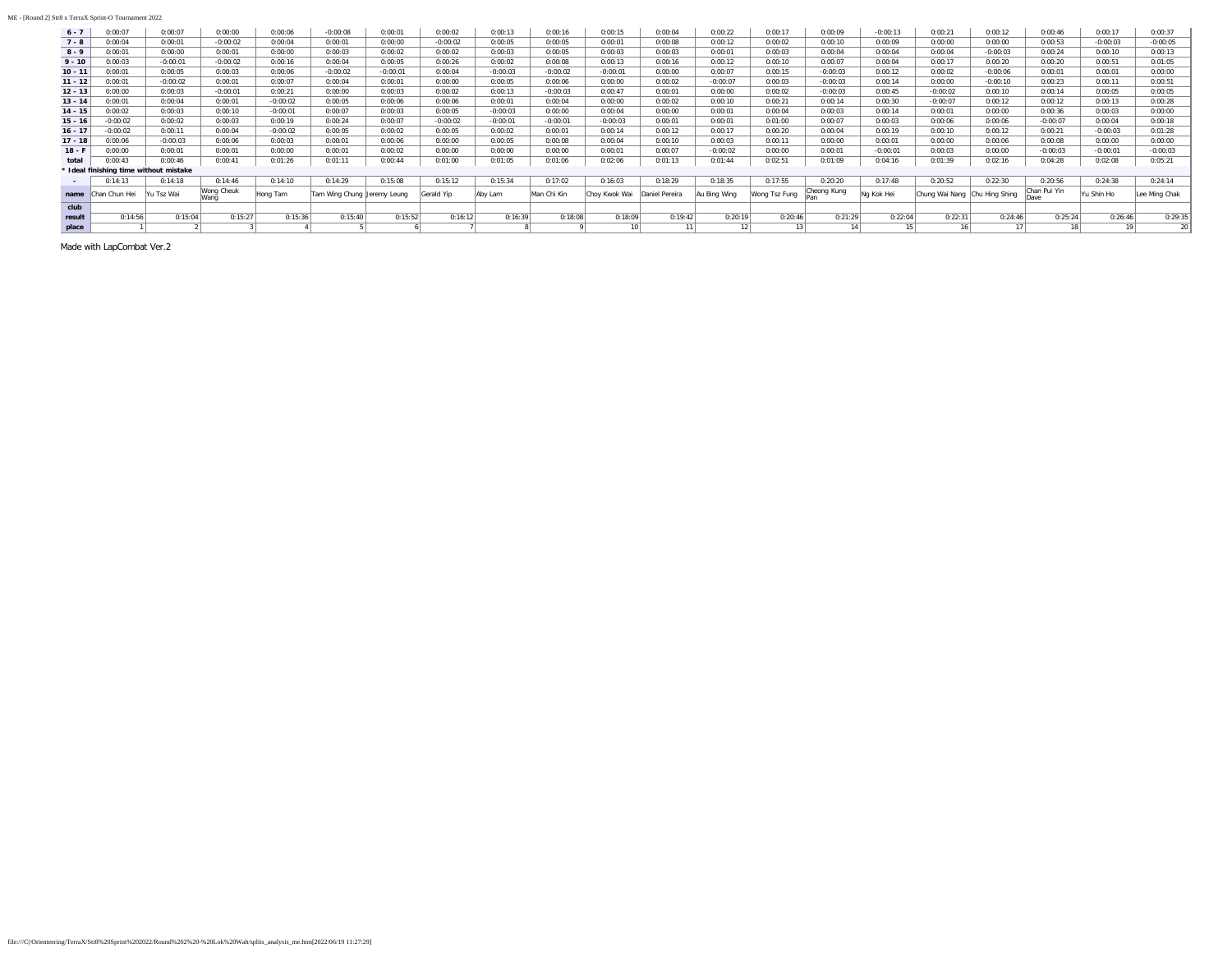| $6 - 7$   | 0:00:07                                | 0:00:07    | 0:00:00            | 0:00:06    | $-0:00:08$                   | 0:00:01    | 0:00:02    | 0:00:13    | 0:00:16     | 0:00:15         | 0:00:04        | 0:00:22      | 0:00:17       | 0:00:09     | $-0:00:13$      | 0:00:21                       | 0:00:12    | 0:00:46      | 0:00:17    | 0:00:37       |
|-----------|----------------------------------------|------------|--------------------|------------|------------------------------|------------|------------|------------|-------------|-----------------|----------------|--------------|---------------|-------------|-----------------|-------------------------------|------------|--------------|------------|---------------|
| $7 - 8$   | 0:00:04                                | 0:00:01    | $-0:00:02$         | 0:00:04    | 0:00:01                      | 0:00:00    | $-0:00:02$ | 0:00:05    | 0:00:05     | 0:00:01         | 0:00:08        | 0:00:12      | 0:00:02       | 0:00:10     | 0:00:09         | 0:00:00                       | 0:00:00    | 0:00:53      | $-0:00:03$ | $-0:00:05$    |
| $8 - 9$   | 0:00:01                                | 0:00:00    | 0:00:01            | 0:00:00    | 0:00:03                      | 0:00:02    | 0:00:02    | 0:00:03    | 0:00:05     | 0:00:03         | 0:00:03        | 0:00:01      | 0:00:03       | 0:00:04     | 0:00:04         | 0:00:04                       | $-0:00:03$ | 0:00:24      | 0:00:10    | 0:00:13       |
| $9 - 10$  | 0:00:03                                | $-0:00:01$ | $-0:00:02$         | 0:00:16    | 0:00:04                      | 0:00:05    | 0:00:26    | 0:00:02    | 0:00:08     | 0:00:13         | 0:00:16        | 0:00:12      | 0:00:10       | 0:00:07     | 0:00:04         | 0:00:17                       | 0:00:20    | 0:00:20      | 0:00:51    | 0:01:05       |
| $10 - 11$ | 0:00:01                                | 0:00:05    | 0:00:03            | 0:00:06    | $-0:00:02$                   | $-0:00:01$ | 0:00:04    | $-0:00:03$ | $-0:00:02$  | $-0:00:01$      | 0:00:00        | 0:00:07      | 0:00:15       | $-0:00:03$  | 0:00:12         | 0:00:02                       | $-0:00:06$ | 0:00:01      | 0:00:01    | 0:00:00       |
| $11 - 12$ | 0:00:01                                | $-0:00:02$ | 0:00:01            | 0:00:07    | 0:00:04                      | 0:00:01    | 0:00:00    | 0:00:05    | 0:00:06     | 0:00:00         | 0:00:02        | $-0:00:07$   | 0:00:03       | $-0:00:03$  | 0:00:14         | 0:00:00                       | $-0:00:10$ | 0:00:23      | 0:00:11    | 0:00:51       |
| $12 - 13$ | 0:00:00                                | 0:00:03    | $-0:00:01$         | 0:00:21    | 0:00:00                      | 0:00:03    | 0:00:02    | 0:00:13    | $-0:00:03$  | 0:00:47         | 0:00:01        | 0:00:00      | 0:00:02       | $-0:00:03$  | 0:00:45         | $-0:00:02$                    | 0:00:10    | 0:00:14      | 0:00:05    | 0:00:05       |
| $13 - 14$ | 0:00:01                                | 0:00:04    | 0:00:01            | $-0:00:02$ | 0:00:05                      | 0:00:06    | 0:00:06    | 0:00:01    | 0:00:04     | 0:00:00         | 0:00:02        | 0:00:10      | 0:00:21       | 0:00:14     | 0:00:30         | $-0:00:07$                    | 0:00:12    | 0:00:12      | 0:00:13    | 0:00:28       |
| $14 - 15$ | 0:00:02                                | 0:00:03    | 0:00:10            | $-0:00:01$ | 0:00:07                      | 0:00:03    | 0:00:05    | $-0:00:03$ | 0:00:00     | 0:00:04         | 0:00:00        | 0:00:01      | 0:00:04       | 0:00:03     | 0:00:14         | 0:00:01                       | 0:00:00    | 0:00:36      | 0:00:03    | 0:00:00       |
| $15 - 16$ | $-0:00:02$                             | 0:00:02    | 0:00:03            | 0:00:19    | 0:00:24                      | 0:00:07    | $-0:00:02$ | $-0:00:01$ | $-0:00:01$  | $-0:00:03$      | 0:00:01        | 0:00:01      | 0:01:00       | 0:00:07     | 0:00:03         | 0:00:06                       | 0:00:06    | $-0:00:07$   | 0:00:04    | 0:00:18       |
| $16 - 17$ | $-0:00:02$                             | 0:00:11    | 0:00:04            | $-0:00:02$ | 0:00:05                      | 0:00:02    | 0:00:05    | 0:00:02    | 0:00:01     | 0:00:14         | 0:00:12        | 0:00:17      | 0:00:20       | 0:00:04     | 0:00:19         | 0:00:10                       | 0:00:12    | 0:00:21      | $-0:00:03$ | 0:01:28       |
| $17 - 18$ | 0:00:06                                | $-0:00:03$ | 0:00:06            | 0:00:03    | 0:00:01                      | 0:00:06    | 0:00:00    | 0:00:05    | 0:00:08     | 0:00:04         | 0:00:10        | 0:00:03      | 0:00:11       | 0:00:00     | 0:00:01         | 0:00:00                       | 0:00:06    | 0:00:08      | 0:00:00    | 0:00:00       |
| $18 - F$  | 0:00:00                                | 0:00:01    | 0:00:01            | 0:00:00    | 0:00:01                      | 0:00:02    | 0:00:00    | 0:00:00    | 0:00:00     | 0:00:01         | 0:00:07        | $-0:00:02$   | 0:00:00       | 0:00:01     | $-0:00:01$      | 0:00:03                       | 0:00:00    | $-0:00:03$   | $-0:00:01$ | $-0:00:03$    |
| total     | 0:00:43                                | 0:00:46    | 0:00:41            | 0:01:26    | 0:01:11                      | 0:00:44    | 0:01:00    | 0:01:05    | 0:01:06     | 0:02:06         | 0:01:13        | 0:01:44      | 0:02:51       | 0:01:09     | 0:04:16         | 0:01:39                       | 0:02:16    | 0:04:28      | 0:02:08    | 0:05:21       |
|           | * Ideal finishing time without mistake |            |                    |            |                              |            |            |            |             |                 |                |              |               |             |                 |                               |            |              |            |               |
| $\sim$    | 0:14:13                                | 0:14:18    | 0:14:46            | 0:14:10    | 0:14:29                      | 0:15:08    | 0:15:12    | 0:15:34    | 0:17:02     | 0:16:03         | 0:18:29        | 0:18:35      | 0:17:55       | 0:20:20     | 0:17:48         | 0:20:52                       | 0:22:30    | 0:20:56      | 0:24:38    | 0:24:14       |
| name      | Chan Chun Hei                          | Yu Tsz Wai | Wong Cheuk<br>Wang | Hong Tam   | Tam Wing Chung  Jeremy Leung |            | Gerald Yip | Aby Lam    | Man Chi Kin | Choy Kwok Wai   | Daniel Pereira | Au Bing Wing | Wong Tsz Fung | Cheong Kung | Ng Kok Hei      | Chung Wai Nang Chu Hing Shing |            | Chan Pui Yin | Yu Shin Ho | Lee Ming Chak |
| club      |                                        |            |                    |            |                              |            |            |            |             |                 |                |              |               |             |                 |                               |            |              |            |               |
| result    | 0:14:56                                | 0:15:04    | 0:15:27            | 0:15:36    | 0:15:40                      | 0:15:52    | 0:16:12    | 0:16:39    | 0:18:08     | 0:18:09         | 0:19:42        | 0:20:19      | 0:20:46       | 0:21:29     | 0:22:04         | 0:22:31                       | 0:24:46    | 0:25:24      | 0:26:46    | 0:29:35       |
| place     |                                        |            |                    |            |                              |            |            |            |             | 10 <sup>1</sup> |                | 12           |               | 141         | 15 <sub>1</sub> | 16                            | 17         | 18           | 19         | 20            |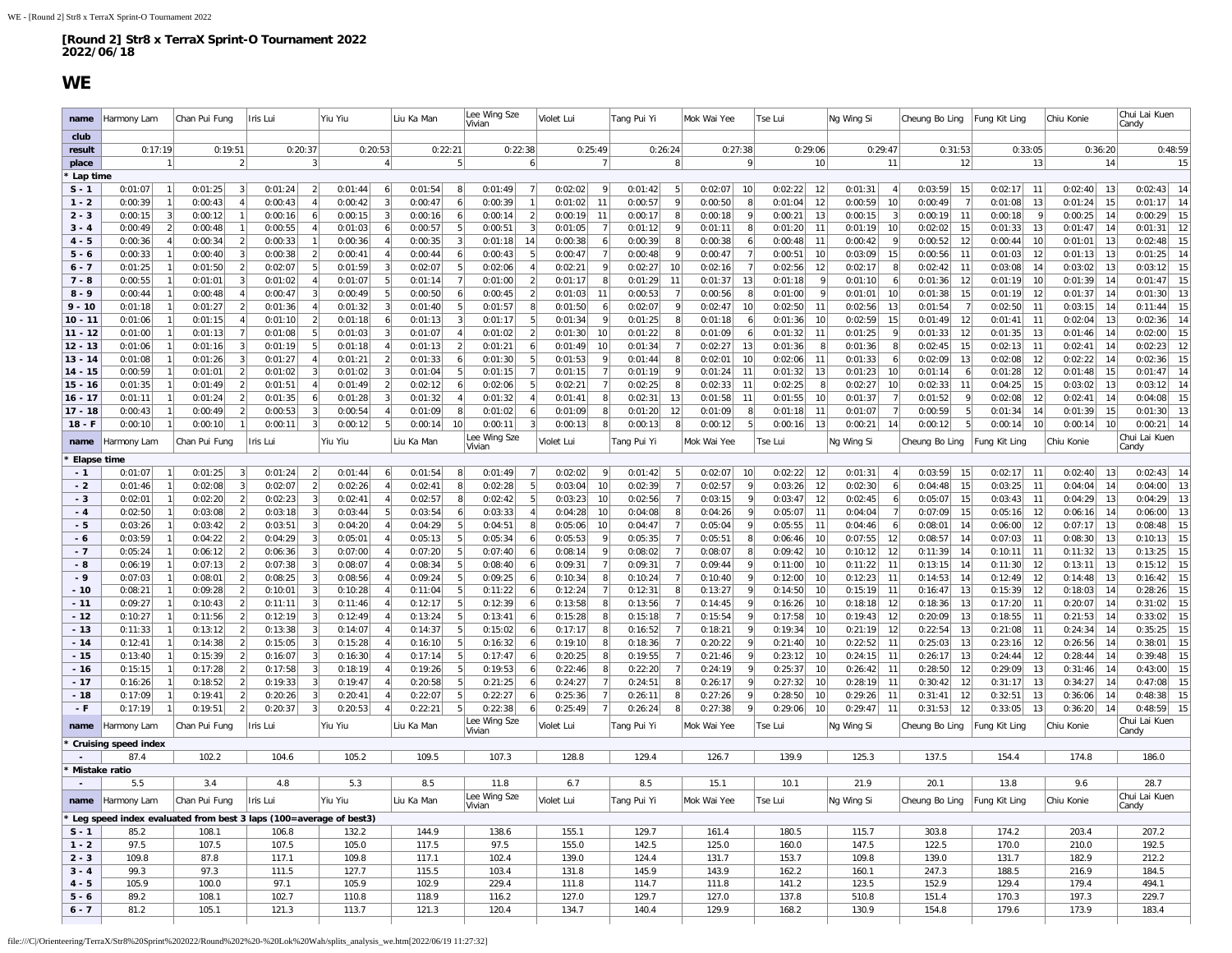### **WE**

<span id="page-3-0"></span>

| name                     | Harmony Lam                                                       | Chan Pui Fung             | Iris Lui                                | Yiu Yiu                                     | Liu Ka Man                                  | Lee Wing Sze<br>Vivian      | Violet Lui                     | Tang Pui Yi             | Mok Wai Yee               | Tse Lui                        | Ng Wing Si                           | Cheung Bo Ling                 | Fung Kit Ling                  | Chiu Konie                     | Chui Lai Kuen<br>Candy           |
|--------------------------|-------------------------------------------------------------------|---------------------------|-----------------------------------------|---------------------------------------------|---------------------------------------------|-----------------------------|--------------------------------|-------------------------|---------------------------|--------------------------------|--------------------------------------|--------------------------------|--------------------------------|--------------------------------|----------------------------------|
| club                     |                                                                   |                           |                                         |                                             |                                             |                             |                                |                         |                           |                                |                                      |                                |                                |                                |                                  |
| result                   | 0:17:19                                                           | 0:19:51                   | 0:20:37                                 | 0:20:53                                     | 0:22:21                                     | 0:22:38                     | 0:25:49                        | 0:26:24                 | 0:27:38                   | 0:29:06                        | 0:29:47                              | 0:31:53                        | 0:33:05                        | 0:36:20                        | 0:48:59                          |
| place                    |                                                                   |                           | 3                                       |                                             | 5                                           | 6                           |                                | 8                       | 9                         | 10                             | 11                                   | 12                             | 13                             | 14                             | 15                               |
| Lap time<br>$S - 1$      | 0:01:07                                                           | 0:01:25                   | 0:01:24<br>$\vert$ 2                    | 6<br>0:01:44                                | 8<br>0:01:54                                | 0:01:49<br>7                | 0:02:02<br>-9                  | 0:01:42<br>5            | 0:02:07<br>10             | 12<br>0:02:22                  | 0:01:31<br>4                         | 0:03:59<br>15                  | 11<br>0:02:17                  | 13<br>0:02:40                  | 0:02:43<br>14                    |
| $1 - 2$                  | 0:00:39<br>$\mathbf{1}$                                           | 0:00:43<br>$\mathbf{A}$   | 0:00:43<br>$\overline{4}$               | 0:00:42<br>3                                | 0:00:47<br>6 <sup>1</sup>                   | 0:00:39<br>1                | 0:01:02<br>11                  | 0:00:57<br>9            | 0:00:50<br>8 <sup>1</sup> | 0:01:04<br>12                  | 0:00:59<br>10 <sup>1</sup>           | 0:00:49<br>$\overline{7}$      | 13<br>0:01:08                  | 15<br>0:01:24                  | 0:01:17<br>14                    |
| $2 - 3$                  | 0:00:15<br>3                                                      | 0:00:12                   | 0:00:16<br>6                            | 0:00:15<br>3                                | 0:00:16<br>6                                | 0:00:14<br>$\overline{2}$   | 0:00:19<br>11                  | 0:00:17<br>8            | 0:00:18<br>$\vert$        | 0:00:21<br>13                  | 0:00:15<br>3                         | 0:00:19<br>11                  | 0:00:18<br>9                   | 0:00:25<br>14                  | 0:00:29<br>15                    |
| $3 - 4$                  | 0:00:49<br>2                                                      | 0:00:48                   | 0:00:55<br>$\overline{4}$               | 0:01:03<br>6                                | 0:00:57<br>5                                | 0:00:51<br>3                | 0:01:05                        | 0:01:12<br>9            | 0:01:11<br>8 <sup>1</sup> | 0:01:20<br>11                  | 0:01:19<br>10                        | 0:02:02<br>15                  | 13<br>0:01:33                  | 0:01:47<br>14                  | 12<br>0:01:31                    |
| $4 - 5$                  | 0:00:36<br>$\overline{4}$                                         | 0:00:34                   | 0:00:33                                 | 0:00:36<br>$\overline{4}$                   | 0:00:35<br>3                                | 0:01:18<br>14               | 0:00:38                        | 0:00:39<br>8            | 0:00:38<br>$6 \mid$       | 0:00:48<br>11                  | 0:00:42<br>9                         | 0:00:52<br>12                  | 0:00:44<br>10                  | 0:01:01<br>13                  | 15<br>0:02:48                    |
| $5 - 6$                  | 0:00:33                                                           | 0:00:40                   | 0:00:38<br>$\overline{2}$               | 0:00:41<br>$\overline{4}$                   | 0:00:44                                     | 5<br>0:00:43                | 0:00:47                        | 0:00:48                 | 7<br>0:00:47              | 10<br>0:00:51                  | 0:03:09<br>15                        | 0:00:56<br>11                  | 0:01:03<br>12                  | 13<br>0:01:13                  | $14\,$<br>0:01:25                |
| $6 - 7$                  | 0:01:25                                                           | 0:01:50<br>$\mathcal{P}$  | 0:02:07<br>5                            | 0:01:59<br>3                                | 0:02:07<br>5                                | 0:02:06<br>$\vert$          | 0:02:21<br>9                   | 0:02:27<br>10           | 7<br>0:02:16              | 12<br>0:02:56                  | 0:02:17<br>$\mathbf{8}$              | 0:02:42<br>11                  | 0:03:08<br>14                  | 0:03:02<br>13                  | 15<br>0:03:12                    |
| $7 - 8$                  | 0:00:55                                                           | 0:01:01                   | 0:01:02<br>$\boldsymbol{\Lambda}$       | 0:01:07                                     | 5 <sup>2</sup><br>0:01:14<br>$\overline{7}$ | 0:01:00<br>$\mathcal{D}$    | 0:01:17                        | 0:01:29<br>11           | 0:01:37<br>13             | 0:01:18<br>9                   | 0:01:10<br>6 <sup>1</sup>            | 0:01:36<br>12                  | 0:01:19<br>10                  | 0:01:39<br>14                  | 0:01:47<br>15                    |
| $8 - 9$                  | 0:00:44                                                           | 0:00:48                   | 0:00:47<br>3                            | 0:00:49<br>5                                | 0:00:50<br>6                                | 0:00:45<br>$\overline{2}$   | 0:01:03<br>11                  | 0:00:53                 | 0:00:56<br>8              | 0:01:00<br>9                   | 0:01:01<br>10                        | 0:01:38<br>15                  | 0:01:19<br>12                  | 0:01:37<br>14                  | 13<br>0:01:30                    |
| $9 - 10$                 | 0:01:18                                                           | 0:01:27                   | 0:01:36<br>$\overline{4}$               | 0:01:32<br>$\vert$ 3                        | 0:01:40<br>5                                | 0:01:57<br>8                | 0:01:50                        | 0:02:07<br>-9           | 0:02:47<br>10             | 0:02:50<br>11                  | 0:02:56<br>13                        | 0:01:54                        | 0:02:50<br>11                  | 0:03:15<br>14                  | 15<br>0:11:44                    |
| $10 - 11$                | 0:01:06                                                           | 0:01:15                   | 0:01:10<br>$\overline{2}$               | 0:01:18<br>6                                | 3<br>0:01:13                                | 5<br>0:01:17                | 0:01:34                        | 0:01:25                 | 0:01:18<br>6              | 10 <sup>1</sup><br>0:01:36     | 0:02:59<br>15                        | 0:01:49<br>12                  | 11<br>0:01:41                  | 0:02:04<br>13                  | $14\,$<br>0:02:36                |
| $11 - 12$                | 0:01:00                                                           | 0:01:13                   | 0:01:08<br>5                            | 0:01:03<br>$\vert$ 3                        | 0:01:07<br>$\overline{4}$                   | 0:01:02<br>$\left  \right $ | 0:01:30<br>10                  | 0:01:22<br>8            | 0:01:09<br>6 <sup>1</sup> | 0:01:32<br>11                  | 0:01:25<br>9                         | 0:01:33<br>12                  | 0:01:35<br>13                  | 0:01:46<br>14                  | 0:02:00<br>15                    |
| $12 - 13$                | 0:01:06                                                           | 0:01:16                   | 0:01:19<br>5                            | 0:01:18<br>$\Delta$                         | 0:01:13<br>$\overline{2}$                   | 0:01:21<br>6                | 0:01:49<br>10                  | 0:01:34                 | 0:02:27<br>13             | 0:01:36<br>8                   | 0:01:36<br>8                         | 0:02:45<br>15                  | 0:02:13<br>11                  | 0:02:41<br>14                  | 0:02:23<br>12                    |
| $13 - 14$                | 0:01:08                                                           | 0:01:26                   | 0:01:27<br>$\overline{4}$               | 0:01:21<br>$\overline{2}$                   | 0:01:33<br>6                                | 0:01:30<br>5                | 0:01:53                        | 0:01:44<br>8            | 0:02:01<br>10             | 0:02:06<br>11                  | 0:01:33<br>6                         | 0:02:09<br>13                  | 0:02:08<br>12                  | 0:02:22<br>14                  | 15<br>0:02:36                    |
| $14 - 15$                | 0:00:59                                                           | 0:01:01<br>$\overline{2}$ | 0:01:02<br>-3                           | 0:01:02<br>$\vert$ 3                        | 0:01:04<br>5                                | 0:01:15<br>$\overline{7}$   | 0:01:15                        | 0:01:19<br>9            | 11<br>0:01:24             | 0:01:32<br>13                  | 0:01:23<br>10                        | 0:01:14                        | 0:01:28<br>12                  | 0:01:48<br>15                  | 14<br>0:01:47                    |
| $15 - 16$                | 0:01:35                                                           | 0:01:49                   | 0:01:51                                 | $\mathfrak{p}$<br>0:01:49                   | 0:02:12                                     | 0:02:06<br>5                | 0:02:21                        | 0:02:25                 | 0:02:33<br>11             | 0:02:25<br>8                   | 0:02:27<br>10                        | 0:02:33<br>11                  | 15<br>0:04:25                  | 13<br>0:03:02                  | $14$<br>0:03:12                  |
| $16 - 17$                | 0:01:11                                                           | 0:01:24<br>$\overline{2}$ | 0:01:35<br>6                            | 0:01:28<br>$\lceil$                         | 0:01:32<br>$\overline{4}$                   | 0:01:32<br>$\vert$          | 0:01:41<br>8                   | 0:02:31<br>13           | 0:01:58<br>11             | 0:01:55<br>10                  | 0:01:37                              | 0:01:52<br>q                   | 0:02:08<br>12                  | 0:02:41<br>14                  | 0:04:08<br>15                    |
| $17 - 18$                | 0:00:43                                                           | 0:00:49                   | 0:00:53<br>3                            | 0:00:54<br>$\Delta$                         | 0:01:09<br>8                                | 0:01:02<br>6                | 0:01:09                        | 12<br>0:01:20           | 0:01:09<br>8              | 0:01:18<br>11                  | 0:01:07<br>7                         | 0:00:59                        | 0:01:34<br>14                  | 0:01:39<br>15                  | 13<br>0:01:30                    |
| $18 - F$                 | 0:00:10                                                           | 0:00:10                   | 0:00:11<br>$\vert$ 3                    | 0:00:12<br>5                                | 10<br>0:00:14                               | 0:00:11<br>3<br>ee Wing Sze | 0:00:13                        | 0:00:13<br>8            | 5<br>0:00:12              | 0:00:16<br>13                  | 0:00:21<br>14                        | 0:00:12<br>5                   | 0:00:14<br>10 <sup>1</sup>     | 10<br>0:00:14                  | 14<br>0:00:21<br>Chui Lai Kuen   |
| name                     | Harmony Lam                                                       | Chan Pui Fung             | Iris Lui                                | Yiu Yiu                                     | Liu Ka Man                                  | Vivian                      | Violet Lui                     | Tang Pui Yi             | Mok Wai Yee               | Tse Lui                        | Ng Wing Si                           | Cheung Bo Ling                 | ung Kit Ling                   | Chiu Konie                     | Candy                            |
| Elapse time              |                                                                   |                           |                                         |                                             |                                             |                             |                                |                         |                           |                                |                                      |                                |                                |                                |                                  |
| $-1$                     | 0:01:07                                                           | 0:01:25                   | 0:01:24<br>$\vert$ 2                    | 0:01:44<br>6                                | 0:01:54<br>8                                | 0:01:49                     | 0:02:02                        | 0:01:42<br>5            | 0:02:07<br>10             | 0:02:22<br>12                  | 0:01:31                              | 0:03:59<br>15                  | 0:02:17<br>11                  | 0:02:40<br>13                  | 0:02:43<br>14                    |
| - 2                      | 0:01:46                                                           | 0:02:08<br>3              | 0:02:07<br>$\overline{2}$               | 0:02:26<br>$\overline{4}$<br>$\overline{4}$ | 0:02:41<br>8                                | 0:02:28<br>5                | 0:03:04<br>10                  | 0:02:39                 | 0:02:57<br>9<br>9         | 0:03:26<br>12                  | 0:02:30<br>6 <sup>1</sup>            | 0:04:48<br>15                  | 0:03:25<br>11                  | 0:04:04<br>14                  | 0:04:00<br>13                    |
| $-3$<br>$-4$             | 0:02:01<br>0:02:50                                                | 0:02:20<br>0:03:08        | 0:02:23<br>3<br>0:03:18<br>$\mathbf{3}$ | 0:02:41<br>0:03:44<br>5                     | 0:02:57<br>8<br>0:03:54<br>6                | 0:02:42<br>5<br>0:03:33     | 0:03:23<br>10<br>0:04:28<br>10 | 0:02:56<br>0:04:08<br>8 | 0:03:15<br>0:04:26<br>9   | 0:03:47<br>12<br>0:05:07<br>11 | 0:02:45<br>6 <sup>1</sup><br>0:04:04 | 0:05:07<br>15<br>0:07:09<br>15 | 0:03:43<br>11<br>0:05:16<br>12 | 0:04:29<br>13<br>0:06:16<br>14 | 13<br>0:04:29<br>$13$<br>0:06:00 |
| $-5$                     | 0:03:26                                                           | 0:03:42                   | 0:03:51<br>3                            | 0:04:20<br>$\Delta$                         | 0:04:29<br>5                                | 0:04:51<br>$\mathsf{R}$     | 0:05:06<br>10                  | 0:04:47                 | 0:05:04<br>9              | 0:05:55<br>11                  | 0:04:46<br>6                         | 0:08:01<br>14                  | 12<br>0:06:00                  | 0:07:17<br>13                  | 0:08:48<br>15                    |
| - 6                      | 0:03:59                                                           | 0:04:22<br>$\overline{2}$ | 0:04:29<br>3                            | 0:05:01<br>$\Delta$                         | 5<br>0:05:13                                | 0:05:34<br>6                | 0:05:53                        | 0:05:35                 | 8<br>0:05:51              | 10<br>0:06:46                  | 0:07:55<br>12                        | 0:08:57<br>14                  | 0:07:03<br>11                  | 0:08:30<br>13                  | 15<br>0:10:13                    |
| $-7$                     | 0:05:24                                                           | 0:06:12<br>$\mathcal{P}$  | 0:06:36<br>3                            | 0:07:00<br>$\overline{4}$                   | 0:07:20<br>5                                | 0:07:40<br>6                | 0:08:14                        | 0:08:02                 | 0:08:07<br>8              | 0:09:42<br>10 <sup>1</sup>     | 0:10:12<br>12                        | 0:11:39<br>14                  | 0:10:11<br>11                  | 13<br>0:11:32                  | 15<br>0:13:25                    |
| $-8$                     | 0:06:19                                                           | 0:07:13                   | 0:07:38<br>3                            | 0:08:07<br>$\overline{4}$                   | 5<br>0:08:34                                | 0:08:40<br>6                | 0:09:31                        | 0:09:31                 | 0:09:44<br>$\vert$        | 0:11:00<br>10                  | 0:11:22<br>11                        | 0:13:15<br>14                  | 0:11:30<br>12                  | 0:13:11<br>13                  | 15<br>0:15:12                    |
| $-9$                     | 0:07:03                                                           | 0:08:01                   | 0:08:25<br>3                            | 0:08:56<br>$\overline{4}$                   | 0:09:24<br>5                                | 0:09:25<br>6                | 0:10:34                        | 0:10:24                 | 0:10:40<br>9              | 0:12:00<br>10 <sup>1</sup>     | 0:12:23<br>11                        | 0:14:53<br>14                  | 0:12:49<br>12                  | 0:14:48<br>13                  | 15<br>0:16:42                    |
| - 10                     | 0:08:21                                                           | 0:09:28                   | 0:10:01<br>$\mathbf{3}$                 | 0:10:28<br>$\overline{4}$                   | 0:11:04<br>5                                | 0:11:22<br>6                | 0:12:24                        | 0:12:31<br>8            | 0:13:27<br>9              | 0:14:50<br>10                  | 0:15:19<br>11                        | 0:16:47<br>13                  | 0:15:39<br>12                  | 14<br>0:18:03                  | 15<br>0:28:26                    |
| $-11$                    | 0:09:27                                                           | 0:10:43                   | 0:11:11<br>3                            | 0:11:46<br>$\Delta$                         | 5<br>0:12:17                                | 0:12:39                     | 0:13:58                        | 0:13:56                 | 9<br>0:14:45              | 0:16:26<br>10                  | 0:18:18<br>12                        | 0:18:36<br>13                  | 0:17:20<br>11                  | 0:20:07<br>14                  | 15<br>0:31:02                    |
| $-12$                    | 0:10:27                                                           | 0:11:56<br>$\mathcal{P}$  | 0:12:19<br>3                            | 0:12:49<br>$\overline{4}$                   | 0:13:24<br>5                                | 0:13:41<br>6                | 0:15:28                        | 0:15:18                 | 0:15:54<br>9              | 0:17:58<br>10 <sup>1</sup>     | 0:19:43<br>12                        | 0:20:09<br>13                  | 0:18:55<br>11                  | 0:21:53<br>14                  | 15<br>0:33:02                    |
| $-13$                    | 0:11:33                                                           | 0:13:12                   | 0:13:38<br>3                            | 0:14:07<br>$\overline{4}$                   | 5<br>0:14:37                                | 0:15:02<br>6                | 0:17:17                        | 0:16:52                 | 0:18:21<br>9              | 10<br>0:19:34                  | 0:21:19<br>12                        | 0:22:54<br>13                  | 0:21:08<br>11                  | 0:24:34<br>14                  | 15<br>0:35:25                    |
| $-14$                    | 0:12:41                                                           | 0:14:38                   | 0:15:05<br>-3                           | 0:15:28<br>$\overline{4}$                   | 0:16:10<br>5                                | 0:16:32<br>6                | 0:19:10                        | 0:18:36                 | 0:20:22<br>9              | 0:21:40<br>10 <sup>1</sup>     | 0:22:52<br>11                        | 0:25:03<br>13                  | 0:23:16<br>12                  | 0:26:56<br>14                  | 15<br>0:38:01                    |
| $-15$                    | 0:13:40                                                           | 0:15:39                   | 0:16:07<br>3                            | 0:16:30<br>$\overline{4}$                   | 0:17:14<br>5                                | 0:17:47<br>$\overline{6}$   | 0:20:25                        | 0:19:55                 | 0:21:46<br>9              | 0:23:12<br>10                  | 0:24:15<br>11                        | 0:26:17<br>13                  | 0:24:44<br>12                  | 0:28:44<br>14                  | 15<br>0:39:48                    |
| - 16                     | 0:15:15                                                           | 0:17:28                   | 0:17:58<br>3                            | 0:18:19<br>$\Delta$                         | 5<br>0:19:26                                | 0:19:53                     | 0:22:46                        | 0:22:20                 | 9<br>0:24:19              | 10<br>0:25:37                  | 0:26:42<br>11                        | 0:28:50<br>12                  | 13<br>0:29:09                  | 0:31:46<br>14                  | 15<br>0:43:00                    |
| - 17                     | 0:16:26                                                           | 0:18:52<br>$\mathcal{P}$  | 0:19:33<br>3                            | 0:19:47<br>$\overline{4}$                   | 0:20:58<br>5                                | 0:21:25<br>6                | 0:24:27                        | 0:24:51<br>8            | 0:26:17<br>9              | 0:27:32<br>10 <sup>1</sup>     | 0:28:19<br>11                        | 0:30:42<br>12                  | 0:31:17<br>13                  | 14<br>0:34:27                  | 15<br>0:47:08                    |
| - 18                     | 0:17:09                                                           | 0:19:41                   | 0:20:26<br>3                            | 0:20:41<br>$\overline{4}$                   | 0:22:07<br>5                                | 0:22:27<br>6                | 0:25:36                        | 0:26:11                 | 0:27:26<br>$\vert$        | 10<br>0:28:50                  | 0:29:26<br>11                        | 0:31:41<br>12                  | 0:32:51<br>13                  | 14<br>0:36:06                  | 15<br>0:48:38                    |
| - F                      | 0:17:19                                                           | 0:19:51<br>$\overline{2}$ | 0:20:37<br>3                            | 0:20:53<br>4                                | 0:22:21<br>5                                | 0:22:38<br>6                | 0:25:49                        | 0:26:24<br>8            | 0:27:38<br>9              | 10<br>0:29:06                  | 0:29:47<br>11                        | 0:31:53<br>12                  | 0:33:05<br>13                  | 0:36:20<br>14                  | 15<br>0:48:59                    |
| name                     | Harmony Lam                                                       | Chan Pui Fung             | Iris Lui                                | Yiu Yiu                                     | Liu Ka Man                                  | Lee Wing Sze<br>Vivian      | Violet Lui                     | Tang Pui Yi             | Mok Wai Yee               | Tse Lui                        | Ng Wing Si                           | Cheung Bo Ling                 | ung Kit Ling                   | Chiu Konie                     | Chui Lai Kuen<br>Candy           |
|                          | <b>Cruising speed index</b>                                       |                           |                                         |                                             |                                             |                             |                                |                         |                           |                                |                                      |                                |                                |                                |                                  |
| $\overline{\phantom{a}}$ | 87.4                                                              | 102.2                     | 104.6                                   | 105.2                                       | 109.5                                       | 107.3                       | 128.8                          | 129.4                   | 126.7                     | 139.9                          | 125.3                                | 137.5                          | 154.4                          | 174.8                          | 186.0                            |
| Mistake ratio            |                                                                   |                           |                                         |                                             |                                             |                             |                                |                         |                           |                                |                                      |                                |                                |                                |                                  |
|                          | 5.5                                                               | 3.4                       | 4.8                                     | 5.3                                         | 8.5                                         | 11.8                        | 6.7                            | 8.5                     | 15.1                      | 10.1                           | 21.9                                 | 20.1                           | 13.8                           | 9.6                            | 28.7                             |
| name                     | Harmony Lam                                                       | Chan Pui Fung             | Iris Lui                                | Yiu Yiu                                     | Liu Ka Man                                  | Lee Wing Sze<br>Vivian      | Violet Lui                     | Tang Pui Yi             | Mok Wai Yee               | Tse Lui                        | Ng Wing Si                           | Cheung Bo Ling                 | Fung Kit Ling                  | Chiu Konie                     | Chui Lai Kuen<br>Candy           |
|                          | Leg speed index evaluated from best 3 laps (100=average of best3) |                           |                                         |                                             |                                             |                             |                                |                         |                           |                                |                                      |                                |                                |                                |                                  |
| $S - 1$                  | 85.2                                                              | 108.1                     | 106.8                                   | 132.2                                       | 144.9                                       | 138.6                       | 155.1                          | 129.7                   | 161.4                     | 180.5                          | 115.7                                | 303.8                          | 174.2                          | 203.4                          | 207.2                            |
| $1 - 2$                  | 97.5                                                              | 107.5                     | 107.5                                   | 105.0                                       | 117.5                                       | 97.5                        | 155.0                          | 142.5                   | 125.0                     | 160.0                          | 147.5                                | 122.5                          | 170.0                          | 210.0                          | 192.5                            |
| $2 - 3$                  | 109.8                                                             | 87.8                      | 117.1                                   | 109.8                                       | 117.1                                       | 102.4                       | 139.0                          | 124.4                   | 131.7                     | 153.7                          | 109.8                                | 139.0                          | 131.7                          | 182.9                          | 212.2                            |
| $3 - 4$                  | 99.3                                                              | 97.3                      | 111.5                                   | 127.7                                       | 115.5                                       | 103.4                       | 131.8                          | 145.9                   | 143.9                     | 162.2                          | 160.1                                | 247.3                          | 188.5                          | 216.9                          | 184.5                            |
| $4 - 5$                  | 105.9                                                             | 100.0                     | 97.1                                    | 105.9                                       | 102.9                                       | 229.4                       | 111.8                          | 114.7                   | 111.8                     | 141.2                          | 123.5                                | 152.9                          | 129.4                          | 179.4                          | 494.1                            |
| $5 - 6$                  | 89.2                                                              | 108.1                     | 102.7                                   | 110.8                                       | 118.9                                       | 116.2                       | 127.0                          | 129.7                   | 127.0                     | 137.8                          | 510.8                                | 151.4                          | 170.3                          | 197.3                          | 229.7                            |
| $6 - 7$                  | 81.2                                                              | 105.1                     | 121.3                                   | 113.7                                       | 121.3                                       | 120.4                       | 134.7                          | 140.4                   | 129.9                     | 168.2                          | 130.9                                | 154.8                          | 179.6                          | 173.9                          | 183.4                            |
|                          |                                                                   |                           |                                         |                                             |                                             |                             |                                |                         |                           |                                |                                      |                                |                                |                                |                                  |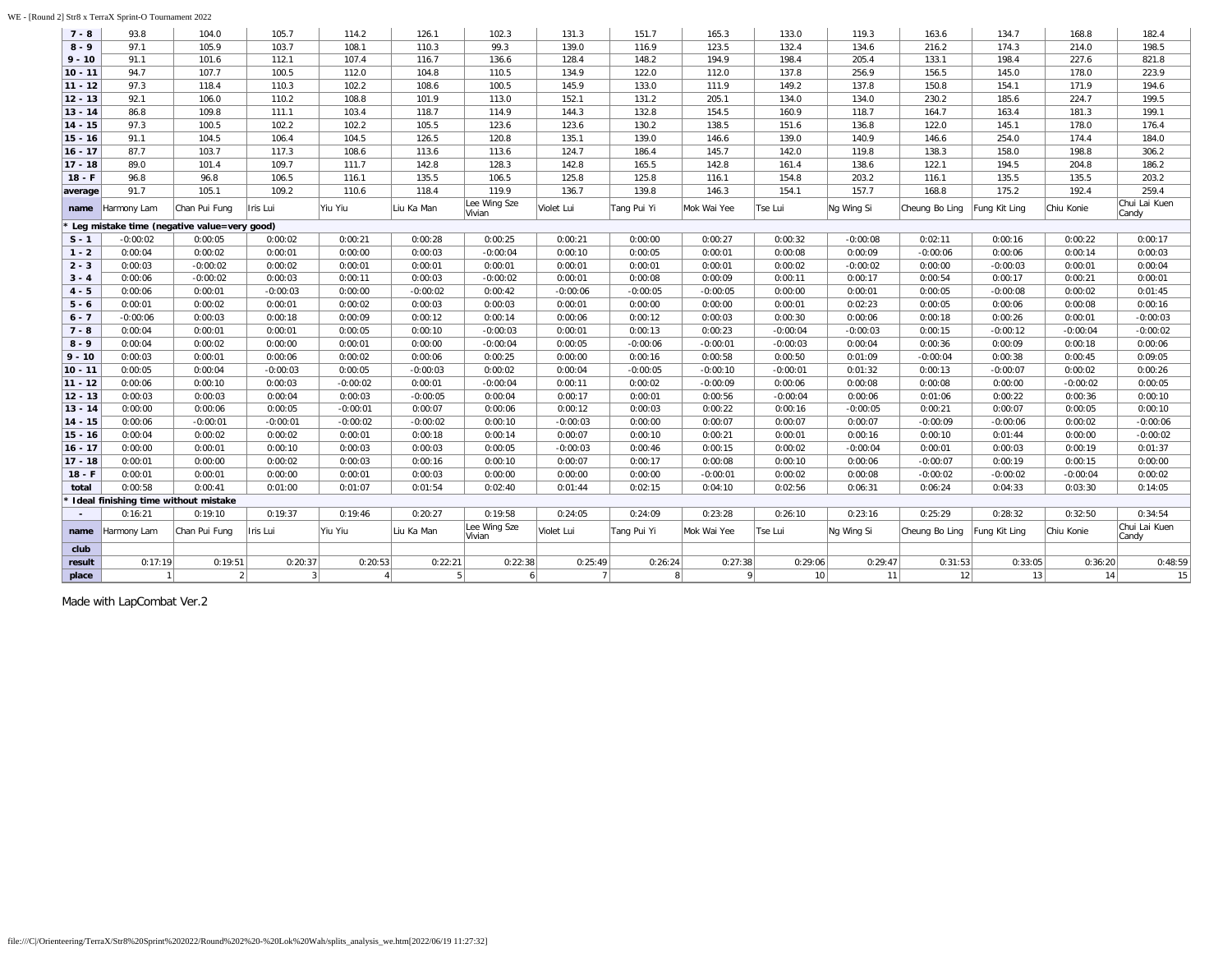| WE - [Round 2] Str8 x TerraX Sprint-O Tournament 2022 |
|-------------------------------------------------------|
|-------------------------------------------------------|

| $7 - 8$   | 93.8                                          | 104.0          | 105.7        | 114.2      | 126.1      | 102.3                  | 131.3          | 151.7        | 165.3        | 133.0      | 119.3      | 163.6          | 134.7         | 168.8      | 182.4                  |
|-----------|-----------------------------------------------|----------------|--------------|------------|------------|------------------------|----------------|--------------|--------------|------------|------------|----------------|---------------|------------|------------------------|
| $8 - 9$   | 97.1                                          | 105.9          | 103.7        | 108.1      | 110.3      | 99.3                   | 139.0          | 116.9        | 123.5        | 132.4      | 134.6      | 216.2          | 174.3         | 214.0      | 198.5                  |
| $9 - 10$  | 91.1                                          | 101.6          | 112.1        | 107.4      | 116.7      | 136.6                  | 128.4          | 148.2        | 194.9        | 198.4      | 205.4      | 133.1          | 198.4         | 227.6      | 821.8                  |
| $10 - 11$ | 94.7                                          | 107.7          | 100.5        | 112.0      | 104.8      | 110.5                  | 134.9          | 122.0        | 112.0        | 137.8      | 256.9      | 156.5          | 145.0         | 178.0      | 223.9                  |
| $11 - 12$ | 97.3                                          | 118.4          | 110.3        | 102.2      | 108.6      | 100.5                  | 145.9          | 133.0        | 111.9        | 149.2      | 137.8      | 150.8          | 154.1         | 171.9      | 194.6                  |
| $12 - 13$ | 92.1                                          | 106.0          | 110.2        | 108.8      | 101.9      | 113.0                  | 152.1          | 131.2        | 205.1        | 134.0      | 134.0      | 230.2          | 185.6         | 224.7      | 199.5                  |
| $13 - 14$ | 86.8                                          | 109.8          | 111.1        | 103.4      | 118.7      | 114.9                  | 144.3          | 132.8        | 154.5        | 160.9      | 118.7      | 164.7          | 163.4         | 181.3      | 199.1                  |
| $14 - 15$ | 97.3                                          | 100.5          | 102.2        | 102.2      | 105.5      | 123.6                  | 123.6          | 130.2        | 138.5        | 151.6      | 136.8      | 122.0          | 145.1         | 178.0      | 176.4                  |
| $15 - 16$ | 91.1                                          | 104.5          | 106.4        | 104.5      | 126.5      | 120.8                  | 135.1          | 139.0        | 146.6        | 139.0      | 140.9      | 146.6          | 254.0         | 174.4      | 184.0                  |
| $16 - 17$ | 87.7                                          | 103.7          | 117.3        | 108.6      | 113.6      | 113.6                  | 124.7          | 186.4        | 145.7        | 142.0      | 119.8      | 138.3          | 158.0         | 198.8      | 306.2                  |
| $17 - 18$ | 89.0                                          | 101.4          | 109.7        | 111.7      | 142.8      | 128.3                  | 142.8          | 165.5        | 142.8        | 161.4      | 138.6      | 122.1          | 194.5         | 204.8      | 186.2                  |
| $18 - F$  | 96.8                                          | 96.8           | 106.5        | 116.1      | 135.5      | 106.5                  | 125.8          | 125.8        | 116.1        | 154.8      | 203.2      | 116.1          | 135.5         | 135.5      | 203.2                  |
| average   | 91.7                                          | 105.1          | 109.2        | 110.6      | 118.4      | 119.9                  | 136.7          | 139.8        | 146.3        | 154.1      | 157.7      | 168.8          | 175.2         | 192.4      | 259.4                  |
| name      | Harmony Lam                                   | Chan Pui Fung  | Iris Lui     | Yiu Yiu    | Liu Ka Man | Lee Wing Sze<br>Vivian | Violet Lui     | Tang Pui Yi  | Mok Wai Yee  | Tse Lui    | Ng Wing Si | Cheung Bo Ling | Fung Kit Ling | Chiu Konie | Chui Lai Kuen<br>Candy |
|           | * Leg mistake time (negative value=very good) |                |              |            |            |                        |                |              |              |            |            |                |               |            |                        |
| $S - 1$   | $-0:00:02$                                    | 0:00:05        | 0:00:02      | 0:00:21    | 0:00:28    | 0:00:25                | 0:00:21        | 0:00:00      | 0:00:27      | 0:00:32    | $-0:00:08$ | 0:02:11        | 0:00:16       | 0:00:22    | 0:00:17                |
| $1 - 2$   | 0:00:04                                       | 0:00:02        | 0:00:01      | 0:00:00    | 0:00:03    | $-0:00:04$             | 0:00:10        | 0:00:05      | 0:00:01      | 0:00:08    | 0:00:09    | $-0:00:06$     | 0:00:06       | 0:00:14    | 0:00:03                |
| $2 - 3$   | 0:00:03                                       | $-0:00:02$     | 0:00:02      | 0:00:01    | 0:00:01    | 0:00:01                | 0:00:01        | 0:00:01      | 0:00:01      | 0:00:02    | $-0:00:02$ | 0:00:00        | $-0:00:03$    | 0:00:01    | 0:00:04                |
| $3 - 4$   | 0:00:06                                       | $-0:00:02$     | 0:00:03      | 0:00:11    | 0:00:03    | $-0:00:02$             | 0:00:01        | 0:00:08      | 0:00:09      | 0:00:11    | 0:00:17    | 0:00:54        | 0:00:17       | 0:00:21    | 0:00:01                |
| $4 - 5$   | 0:00:06                                       | 0:00:01        | $-0:00:03$   | 0:00:00    | $-0:00:02$ | 0:00:42                | $-0:00:06$     | $-0:00:05$   | $-0:00:05$   | 0:00:00    | 0:00:01    | 0:00:05        | $-0:00:08$    | 0:00:02    | 0:01:45                |
| $5 - 6$   | 0:00:01                                       | 0:00:02        | 0:00:01      | 0:00:02    | 0:00:03    | 0:00:03                | 0:00:01        | 0:00:00      | 0:00:00      | 0:00:01    | 0:02:23    | 0:00:05        | 0:00:06       | 0:00:08    | 0:00:16                |
| $6 - 7$   | $-0:00:06$                                    | 0:00:03        | 0:00:18      | 0:00:09    | 0:00:12    | 0:00:14                | 0:00:06        | 0:00:12      | 0:00:03      | 0:00:30    | 0:00:06    | 0:00:18        | 0:00:26       | 0:00:01    | $-0:00:03$             |
| $7 - 8$   | 0:00:04                                       | 0:00:01        | 0:00:01      | 0:00:05    | 0:00:10    | $-0:00:03$             | 0:00:01        | 0:00:13      | 0:00:23      | $-0:00:04$ | $-0:00:03$ | 0:00:15        | $-0:00:12$    | $-0:00:04$ | $-0:00:02$             |
| $8 - 9$   | 0:00:04                                       | 0:00:02        | 0:00:00      | 0:00:01    | 0:00:00    | $-0:00:04$             | 0:00:05        | $-0:00:06$   | $-0:00:01$   | $-0:00:03$ | 0:00:04    | 0:00:36        | 0:00:09       | 0:00:18    | 0:00:06                |
| $9 - 10$  | 0:00:03                                       | 0:00:01        | 0:00:06      | 0:00:02    | 0:00:06    | 0:00:25                | 0:00:00        | 0:00:16      | 0:00:58      | 0:00:50    | 0:01:09    | $-0:00:04$     | 0:00:38       | 0:00:45    | 0:09:05                |
| 10 - 11   | 0:00:05                                       | 0:00:04        | $-0:00:03$   | 0:00:05    | $-0:00:03$ | 0:00:02                | 0:00:04        | $-0:00:05$   | $-0:00:10$   | $-0:00:01$ | 0:01:32    | 0:00:13        | $-0:00:07$    | 0:00:02    | 0:00:26                |
| $11 - 12$ | 0:00:06                                       | 0:00:10        | 0:00:03      | $-0:00:02$ | 0:00:01    | $-0:00:04$             | 0:00:11        | 0:00:02      | $-0:00:09$   | 0:00:06    | 0:00:08    | 0:00:08        | 0:00:00       | $-0:00:02$ | 0:00:05                |
| $12 - 13$ | 0:00:03                                       | 0:00:03        | 0:00:04      | 0:00:03    | $-0:00:05$ | 0:00:04                | 0:00:17        | 0:00:01      | 0:00:56      | $-0:00:04$ | 0:00:06    | 0:01:06        | 0:00:22       | 0:00:36    | 0:00:10                |
| $13 - 14$ | 0:00:00                                       | 0:00:06        | 0:00:05      | $-0:00:01$ | 0:00:07    | 0:00:06                | 0:00:12        | 0:00:03      | 0:00:22      | 0:00:16    | $-0:00:05$ | 0:00:21        | 0:00:07       | 0:00:05    | 0:00:10                |
| $14 - 15$ | 0:00:06                                       | $-0:00:01$     | $-0:00:01$   | $-0:00:02$ | $-0:00:02$ | 0:00:10                | $-0:00:03$     | 0:00:00      | 0:00:07      | 0:00:07    | 0:00:07    | $-0:00:09$     | $-0:00:06$    | 0:00:02    | $-0:00:06$             |
| $15 - 16$ | 0:00:04                                       | 0:00:02        | 0:00:02      | 0:00:01    | 0:00:18    | 0:00:14                | 0:00:07        | 0:00:10      | 0:00:21      | 0:00:01    | 0:00:16    | 0:00:10        | 0:01:44       | 0:00:00    | $-0:00:02$             |
| $16 - 17$ | 0:00:00                                       | 0:00:01        | 0:00:10      | 0:00:03    | 0:00:03    | 0:00:05                | $-0:00:03$     | 0:00:46      | 0:00:15      | 0:00:02    | $-0:00:04$ | 0:00:01        | 0:00:03       | 0:00:19    | 0:01:37                |
| $17 - 18$ | 0:00:01                                       | 0:00:00        | 0:00:02      | 0:00:03    | 0:00:16    | 0:00:10                | 0:00:07        | 0:00:17      | 0:00:08      | 0:00:10    | 0:00:06    | $-0:00:07$     | 0:00:19       | 0:00:15    | 0:00:00                |
| $18 - F$  | 0:00:01                                       | 0:00:01        | 0:00:00      | 0:00:01    | 0:00:03    | 0:00:00                | 0:00:00        | 0:00:00      | $-0:00:01$   | 0:00:02    | 0:00:08    | $-0:00:02$     | $-0:00:02$    | $-0:00:04$ | 0:00:02                |
| total     | 0:00:58                                       | 0:00:41        | 0:01:00      | 0:01:07    | 0:01:54    | 0:02:40                | 0:01:44        | 0:02:15      | 0:04:10      | 0:02:56    | 0:06:31    | 0:06:24        | 0:04:33       | 0:03:30    | 0:14:05                |
|           | I deal finishing time without mistake         |                |              |            |            |                        |                |              |              |            |            |                |               |            |                        |
| $\sim$    | 0:16:21                                       | 0:19:10        | 0:19:37      | 0:19:46    | 0:20:27    | 0:19:58                | 0:24:05        | 0:24:09      | 0:23:28      | 0:26:10    | 0:23:16    | 0:25:29        | 0:28:32       | 0:32:50    | 0:34:54                |
| name      | Harmony Lam                                   | Chan Pui Fung  | Iris Lui     | Yiu Yiu    | Liu Ka Man | Lee Wing Sze<br>Vivian | Violet Lui     | Tang Pui Yi  | Mok Wai Yee  | Tse Lui    | Ng Wing Si | Cheung Bo Ling | Fung Kit Ling | Chiu Konie | Chui Lai Kuen<br>Candy |
| club      |                                               |                |              |            |            |                        |                |              |              |            |            |                |               |            |                        |
| result    | 0:17:19                                       | 0:19:51        | 0:20:37      | 0:20:53    | 0:22:21    | 0:22:38                | 0:25:49        | 0:26:24      | 0:27:38      | 0:29:06    | 0:29:47    | 0:31:53        | 0:33:05       | 0:36:20    | 0:48:59                |
| place     |                                               | $\overline{2}$ | $\mathbf{3}$ |            | 5          | $\overline{a}$         | $\overline{7}$ | $\mathbf{R}$ | $\mathsf{Q}$ | 10         | 11         | 12             | 13            | 14         | 15                     |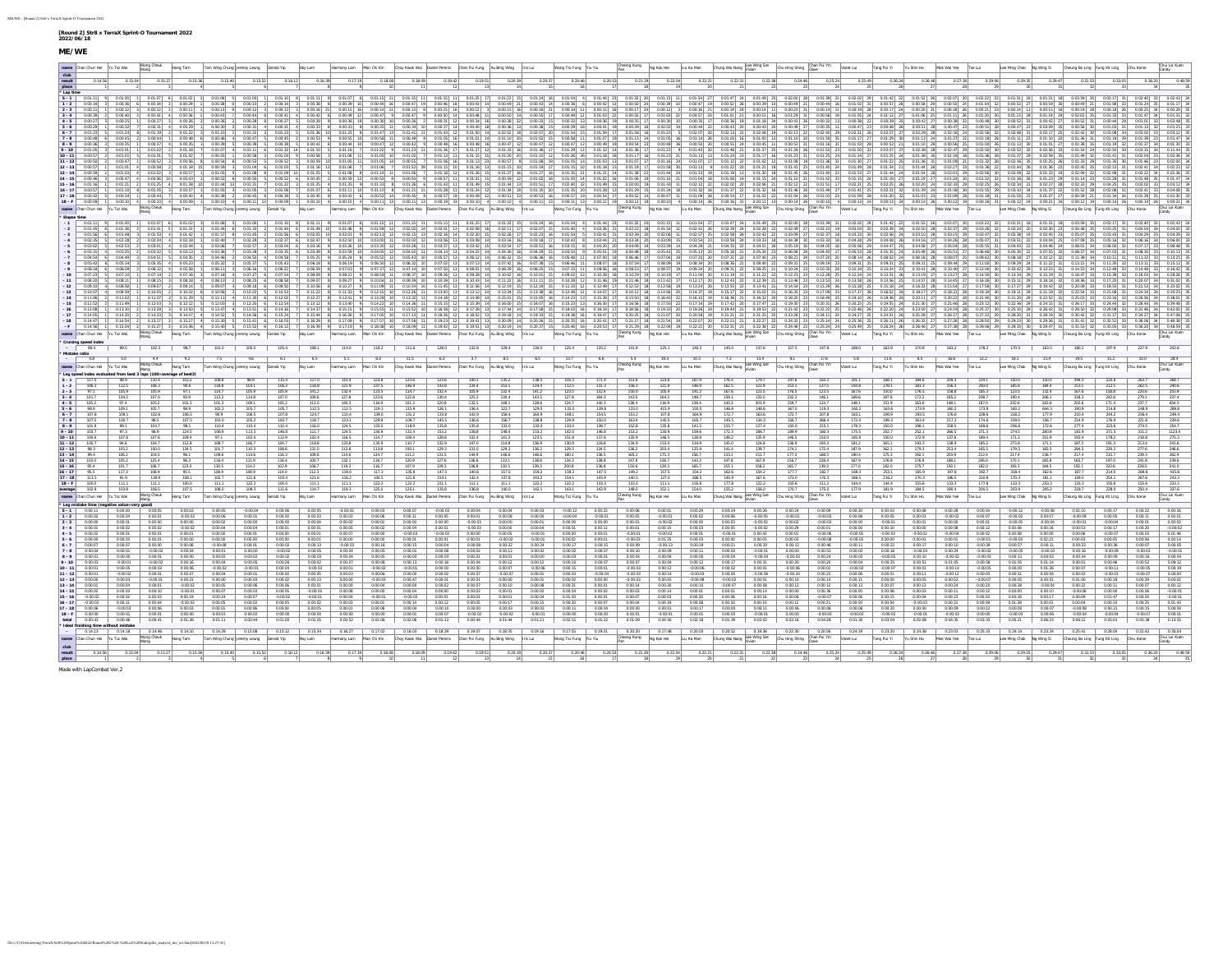| name Chan Chun Hei Yu Tsz Wai Wong Cheuk Hong Tam                                                                                                                                                                                                                                                                          |                     |                     | Tam Wing Chung Jeremy Leung Gerald Yip Aby Lam                                                                                                                                                                                       |                                              |                                |                           | Harmony Lam Man Chi Kin Choy Kwok Wai Daniel Pereira Chan Pui Fung Au Bing Wing Iris Lui                                                                                                                                        |                |                                       |                                                                  | Wong Tsz Fung Yiu Yiu            |                       |                                |                                                                                   | Phong Kung Ng Kok Hoi Liu Ka Man Chung Wai Nang Lee Wing Sze Chu Hing Shing Chan Pui Yin Wolet Lui                                                    |                                                              |                                  |                           |                             | Tang Pui Yi Yu Shin Ho Mok Wai Yee Tse Lui |                          |                              |                         | Lee Ming Chak Ng Wing Si Cheung Bo Ling Fung Kit Ling Chiu Konie |               |            | Chui Lai Kuen<br>Candy |
|----------------------------------------------------------------------------------------------------------------------------------------------------------------------------------------------------------------------------------------------------------------------------------------------------------------------------|---------------------|---------------------|--------------------------------------------------------------------------------------------------------------------------------------------------------------------------------------------------------------------------------------|----------------------------------------------|--------------------------------|---------------------------|---------------------------------------------------------------------------------------------------------------------------------------------------------------------------------------------------------------------------------|----------------|---------------------------------------|------------------------------------------------------------------|----------------------------------|-----------------------|--------------------------------|-----------------------------------------------------------------------------------|-------------------------------------------------------------------------------------------------------------------------------------------------------|--------------------------------------------------------------|----------------------------------|---------------------------|-----------------------------|--------------------------------------------|--------------------------|------------------------------|-------------------------|------------------------------------------------------------------|---------------|------------|------------------------|
|                                                                                                                                                                                                                                                                                                                            |                     | 0.15:36             | 0:15:40<br>0.15:52                                                                                                                                                                                                                   | 0:16:12                                      | $\frac{0.17:19}{9}$<br>0.16:39 | 0.18.08                   | $\begin{array}{ c c } \hline 0.19.42 & \\ \hline 12 & \\ \hline \end{array}$                                                                                                                                                    |                |                                       | $\begin{array}{r c} \hline 0.20:37 & \\ \hline 15 & \end{array}$ |                                  | $\frac{0.20.53}{17}$  | 0.21:29                        | 0.22:04<br>$\begin{array}{r c} \hline 0.22:21 \\ \hline 20 \\ \hline \end{array}$ | $\begin{array}{ c c }\hline 0.22:31\\ \hline 21\\ \hline \end{array}.$                                                                                | $\begin{array}{r l} \hline 0:22:38 \\ \hline 22 \end{array}$ |                                  | 0.25:49                   | $\frac{-0.26 \cdot 24}{26}$ | 0:26:46<br>0.27:38                         | 0.29.06                  | 0.29.35                      |                         |                                                                  |               |            |                        |
|                                                                                                                                                                                                                                                                                                                            |                     |                     |                                                                                                                                                                                                                                      |                                              |                                |                           | 0.18:09                                                                                                                                                                                                                         | 0.19:51        | 0.20:19                               |                                                                  | 0.20:46                          |                       |                                |                                                                                   |                                                                                                                                                       |                                                              |                                  |                           |                             |                                            |                          |                              |                         |                                                                  |               |            |                        |
| $-2$ 0:00:34                                                                                                                                                                                                                                                                                                               |                     |                     |                                                                                                                                                                                                                                      |                                              |                                |                           |                                                                                                                                                                                                                                 |                |                                       |                                                                  |                                  |                       |                                |                                                                                   |                                                                                                                                                       |                                                              |                                  |                           |                             |                                            |                          |                              |                         |                                                                  |               |            |                        |
|                                                                                                                                                                                                                                                                                                                            |                     |                     |                                                                                                                                                                                                                                      |                                              |                                |                           |                                                                                                                                                                                                                                 |                |                                       |                                                                  |                                  |                       |                                |                                                                                   |                                                                                                                                                       |                                                              |                                  |                           |                             |                                            |                          |                              |                         |                                                                  |               |            |                        |
|                                                                                                                                                                                                                                                                                                                            | 0:00:41             |                     |                                                                                                                                                                                                                                      |                                              |                                |                           |                                                                                                                                                                                                                                 |                |                                       |                                                                  |                                  |                       |                                |                                                                                   |                                                                                                                                                       |                                                              |                                  |                           |                             |                                            |                          |                              |                         |                                                                  |               |            |                        |
|                                                                                                                                                                                                                                                                                                                            |                     |                     |                                                                                                                                                                                                                                      |                                              |                                |                           |                                                                                                                                                                                                                                 |                |                                       |                                                                  |                                  |                       |                                |                                                                                   |                                                                                                                                                       |                                                              |                                  |                           |                             |                                            |                          |                              |                         |                                                                  |               |            |                        |
|                                                                                                                                                                                                                                                                                                                            |                     |                     |                                                                                                                                                                                                                                      |                                              |                                |                           |                                                                                                                                                                                                                                 |                |                                       |                                                                  |                                  |                       |                                |                                                                                   |                                                                                                                                                       |                                                              |                                  |                           |                             |                                            |                          |                              |                         |                                                                  |               |            |                        |
|                                                                                                                                                                                                                                                                                                                            |                     |                     |                                                                                                                                                                                                                                      |                                              |                                |                           |                                                                                                                                                                                                                                 |                |                                       |                                                                  |                                  |                       |                                |                                                                                   |                                                                                                                                                       |                                                              |                                  |                           |                             |                                            |                          |                              |                         |                                                                  |               |            |                        |
|                                                                                                                                                                                                                                                                                                                            |                     |                     |                                                                                                                                                                                                                                      |                                              |                                |                           |                                                                                                                                                                                                                                 |                |                                       |                                                                  |                                  |                       |                                |                                                                                   |                                                                                                                                                       |                                                              |                                  |                           |                             |                                            |                          |                              |                         |                                                                  |               |            |                        |
|                                                                                                                                                                                                                                                                                                                            |                     |                     |                                                                                                                                                                                                                                      |                                              |                                |                           |                                                                                                                                                                                                                                 |                |                                       |                                                                  |                                  |                       |                                |                                                                                   |                                                                                                                                                       |                                                              |                                  |                           |                             |                                            |                          |                              |                         |                                                                  |               |            |                        |
|                                                                                                                                                                                                                                                                                                                            |                     |                     |                                                                                                                                                                                                                                      |                                              |                                |                           |                                                                                                                                                                                                                                 |                |                                       |                                                                  |                                  |                       |                                |                                                                                   |                                                                                                                                                       |                                                              |                                  |                           |                             |                                            |                          |                              |                         |                                                                  |               |            |                        |
|                                                                                                                                                                                                                                                                                                                            |                     |                     |                                                                                                                                                                                                                                      |                                              |                                |                           |                                                                                                                                                                                                                                 |                |                                       |                                                                  |                                  |                       |                                |                                                                                   |                                                                                                                                                       |                                                              |                                  |                           |                             |                                            |                          |                              |                         |                                                                  |               |            |                        |
|                                                                                                                                                                                                                                                                                                                            |                     |                     |                                                                                                                                                                                                                                      |                                              |                                |                           |                                                                                                                                                                                                                                 |                |                                       |                                                                  |                                  |                       |                                |                                                                                   |                                                                                                                                                       |                                                              |                                  |                           |                             |                                            |                          |                              |                         |                                                                  |               |            |                        |
| 198-F  0.00-09  1  0.00-10  4  0.00-09  1  0.00-19  4  0.00-11  31  0.00-10  1  0.00-10  4  0.00-11  13  0.00-11  13  0.00-10  4  0.00-10  1  0.00-11  13  0.00-11  13  0.00-11  13  0.00-11  13  0.00-11  13  0.00-11  13  0.<br>name Chan Chun Hol Yu Tsz Wai Wang Chouk Hong Tam Tam Wing Chung Jaromy Loung Garald Yip |                     |                     |                                                                                                                                                                                                                                      | Aby Lam                                      |                                |                           | Harmony Lam Man Chi Kin Choy Kwok Wai Daniel Pereira Chan Pui Fung Au Bing Wing Iris Lui                                                                                                                                        |                |                                       |                                                                  | Wong Tsz Fung Yiu Yiu            |                       |                                |                                                                                   | Choong Kung Ng Kok Hoi Liu Ka Man Chung Wai Nang Libis Wing Sto Chu Hing Shing Chan Pui Vin Wolst Lui Tang Pui Vi Vin Wolshin Ho Muck Wai Voe Tse Lui |                                                              |                                  |                           |                             |                                            |                          | Lee Ming Chak Ng Wing Si     |                         | Cheung Bo Ling Fung Kit Ling Chiu Konie                          |               |            |                        |
| * Elapse tim                                                                                                                                                                                                                                                                                                               |                     |                     |                                                                                                                                                                                                                                      |                                              |                                |                           |                                                                                                                                                                                                                                 |                |                                       |                                                                  |                                  |                       |                                |                                                                                   |                                                                                                                                                       |                                                              |                                  |                           |                             |                                            |                          |                              |                         |                                                                  |               |            |                        |
| -2   001:45   8   001:36   3   001:41   5   01:41   01:44   01:33   2   02:44   001:44   01:39   2   02:39   12   02:32   14   02:20   14   02:30   16   02:30   16   02:30   16   02:30   16   02:30   16   02:30   16   02:30                                                                                            |                     |                     |                                                                                                                                                                                                                                      |                                              |                                |                           |                                                                                                                                                                                                                                 |                |                                       |                                                                  |                                  |                       |                                |                                                                                   |                                                                                                                                                       |                                                              |                                  |                           |                             |                                            |                          |                              |                         |                                                                  |               |            |                        |
|                                                                                                                                                                                                                                                                                                                            |                     |                     |                                                                                                                                                                                                                                      |                                              |                                |                           |                                                                                                                                                                                                                                 |                |                                       |                                                                  |                                  |                       |                                |                                                                                   |                                                                                                                                                       |                                                              |                                  |                           |                             |                                            |                          |                              |                         |                                                                  |               |            |                        |
|                                                                                                                                                                                                                                                                                                                            |                     |                     |                                                                                                                                                                                                                                      |                                              |                                |                           |                                                                                                                                                                                                                                 |                |                                       |                                                                  |                                  |                       |                                |                                                                                   |                                                                                                                                                       |                                                              |                                  |                           |                             |                                            |                          |                              |                         |                                                                  |               |            |                        |
| $-7$ 0.04.54<br>s lesson a                                                                                                                                                                                                                                                                                                 |                     |                     | $0.0135 - 1 - 0.0145 - 2 - 0.0150 - 4 - 0.0158$                                                                                                                                                                                      | 0.05-25                                      |                                | $0.05 - 24$ 8 $0.05 - 52$ |                                                                                                                                                                                                                                 |                |                                       |                                                                  | 0.06-32 15 0.06-36 16 0.05-48 11 |                       | 0.04.44 17                     | $0.07.04$ 10                                                                      |                                                                                                                                                       |                                                              |                                  |                           |                             |                                            |                          |                              |                         |                                                                  |               |            |                        |
|                                                                                                                                                                                                                                                                                                                            |                     |                     |                                                                                                                                                                                                                                      |                                              |                                |                           |                                                                                                                                                                                                                                 |                |                                       |                                                                  |                                  |                       |                                |                                                                                   |                                                                                                                                                       |                                                              |                                  |                           |                             |                                            |                          |                              |                         |                                                                  |               |            |                        |
|                                                                                                                                                                                                                                                                                                                            |                     |                     |                                                                                                                                                                                                                                      |                                              |                                |                           |                                                                                                                                                                                                                                 |                |                                       |                                                                  |                                  |                       |                                |                                                                                   |                                                                                                                                                       |                                                              |                                  |                           |                             |                                            |                          |                              |                         |                                                                  |               |            |                        |
|                                                                                                                                                                                                                                                                                                                            |                     |                     |                                                                                                                                                                                                                                      |                                              |                                |                           |                                                                                                                                                                                                                                 |                |                                       |                                                                  |                                  |                       |                                |                                                                                   |                                                                                                                                                       |                                                              |                                  |                           |                             |                                            |                          |                              |                         |                                                                  |               |            |                        |
|                                                                                                                                                                                                                                                                                                                            |                     |                     |                                                                                                                                                                                                                                      |                                              |                                |                           |                                                                                                                                                                                                                                 |                |                                       |                                                                  |                                  |                       |                                |                                                                                   |                                                                                                                                                       |                                                              |                                  |                           |                             |                                            |                          |                              |                         |                                                                  |               |            |                        |
|                                                                                                                                                                                                                                                                                                                            |                     |                     |                                                                                                                                                                                                                                      |                                              |                                |                           |                                                                                                                                                                                                                                 |                |                                       |                                                                  |                                  |                       |                                |                                                                                   |                                                                                                                                                       |                                                              |                                  |                           |                             |                                            |                          |                              |                         |                                                                  |               |            |                        |
|                                                                                                                                                                                                                                                                                                                            |                     |                     |                                                                                                                                                                                                                                      |                                              |                                |                           |                                                                                                                                                                                                                                 |                |                                       |                                                                  |                                  |                       |                                |                                                                                   |                                                                                                                                                       |                                                              |                                  |                           |                             |                                            |                          |                              |                         |                                                                  |               |            |                        |
|                                                                                                                                                                                                                                                                                                                            |                     |                     |                                                                                                                                                                                                                                      |                                              |                                |                           |                                                                                                                                                                                                                                 |                |                                       |                                                                  |                                  |                       |                                |                                                                                   |                                                                                                                                                       |                                                              |                                  |                           |                             |                                            |                          |                              |                         |                                                                  |               |            |                        |
| www.Duncan-ki hurana hing.Dunca hing hing buy buy buy the man be a hing the proposition of Daysout David David David David David David David David David David David David David David David David David David David David Dav                                                                                             |                     |                     | <u>  015-26  4  015-20  5  01552  6  016:12  1  016-29  9  018-20  1  018-09 11  019-01  11  02-01 11  02-03  16  02-02  11  02-20  18  02-21  02  021  021  021  02  021  21  022-21  21  022-21  21  023-4  29  026-29  28  02</u> |                                              |                                |                           |                                                                                                                                                                                                                                 |                |                                       |                                                                  |                                  |                       |                                |                                                                                   |                                                                                                                                                       |                                                              |                                  |                           |                             |                                            |                          |                              |                         |                                                                  |               |            |                        |
| * Cruising speed index<br>- $\sqrt{8.4}$                                                                                                                                                                                                                                                                                   |                     |                     |                                                                                                                                                                                                                                      |                                              |                                |                           |                                                                                                                                                                                                                                 |                |                                       |                                                                  |                                  |                       |                                |                                                                                   |                                                                                                                                                       |                                                              |                                  |                           |                             |                                            |                          |                              |                         |                                                                  |               |            |                        |
| * Mistake ratio                                                                                                                                                                                                                                                                                                            |                     |                     | 995   1023   987   1010   1050   1054   1081   1140   1182   1116   1280   1278   1294   1340   1254   1352   1402   1402   1450   1375   1478   1490   1499   1709   1632   1705   1632   1705   1632   1705   1635                 |                                              |                                |                           |                                                                                                                                                                                                                                 |                |                                       |                                                                  |                                  |                       |                                |                                                                                   |                                                                                                                                                       |                                                              |                                  |                           |                             |                                            |                          |                              |                         |                                                                  |               |            |                        |
| 4.8                                                                                                                                                                                                                                                                                                                        |                     |                     |                                                                                                                                                                                                                                      |                                              |                                | 6.0                       |                                                                                                                                                                                                                                 |                |                                       |                                                                  | $13.7$ 6.6                       |                       |                                | 5.4 19.3 10.3                                                                     | Cheeng Kung Ng Kok Hei Liu Ka Man Chung Wai Nang Lee Wing Sze Chu Hing Shing Chan Pul Yin                                                             |                                                              |                                  | 5.8<br>Violet Lui         |                             | 16.6<br>Mok Wai Yee Tse Lui                |                          | Lee Ming Chak Ng Wing Si     |                         | Cheung Bo Ling Fung Kit Ling                                     |               |            |                        |
|                                                                                                                                                                                                                                                                                                                            |                     |                     |                                                                                                                                                                                                                                      |                                              |                                |                           |                                                                                                                                                                                                                                 |                |                                       |                                                                  |                                  |                       |                                |                                                                                   |                                                                                                                                                       |                                                              |                                  |                           |                             |                                            |                          |                              |                         |                                                                  |               |            |                        |
| name Chan Chun Hei Yu Tsz Wai                                                                                                                                                                                                                                                                                              | Wong Chouk Hong Tam |                     | Tam Wing Chung Jeremy Leung Gerald Yip                                                                                                                                                                                               | Aby Lam                                      |                                |                           | Harmony Lam Man Chi Kin Choy Kwok Wai Daniel Pereira Chan Pui Fung Au Bing Wing Iris Lui                                                                                                                                        |                |                                       |                                                                  | Wong Tsz Fung Yiu Yiu            |                       |                                |                                                                                   |                                                                                                                                                       |                                                              |                                  |                           | Tang Pui Yi Yu Shin Ho      |                                            |                          |                              |                         |                                                                  |               |            |                        |
| * Leg speed index evaluated from best 3 laps (100-average of best3)<br>$S - 1$ 117.0 98.9 110.4 102.2                                                                                                                                                                                                                      |                     |                     | 108.8                                                                                                                                                                                                                                | 117.0<br>115.4                               | 110.4                          | 123.6                     | 123.6                                                                                                                                                                                                                           |                |                                       |                                                                  |                                  | 171.4                 | 151.6                          | 123.6 187.9                                                                       | 176.4<br>179.7                                                                                                                                        |                                                              |                                  |                           | 184.6                       | 209.3                                      | 234.1                    | 150.0                        |                         |                                                                  |               |            |                        |
| $\begin{array}{c cc} 1 & 2 & 106.3 \\ \hline 2 & 3 & 97.1 \end{array}$<br>112.5                                                                                                                                                                                                                                            | 106.3               | $\frac{90.6}{97.1}$ | 118.8<br>103.1                                                                                                                                                                                                                       | 118.8<br>106.3                               | 121.9<br>132.4                 | 137.5<br>123.5            | 146.9<br>143.8<br>114.7                                                                                                                                                                                                         | 134.4          |                                       | 134.4                                                            | 112.5                            | 131.3                 | $\frac{156.3}{150.0}$          | 121.9 146.9                                                                       | 162.5<br>121.9<br>167.6                                                                                                                               |                                                              | 153.1<br>137.5                   | 193.8<br>178.1            | $\frac{181.3}{176.5}$       | 156.3                                      | 200.0                    | 165.6                        | 184.4                   |                                                                  |               |            |                        |
| $3 - 4$ 101.7<br>104.3<br>97.4                                                                                                                                                                                                                                                                                             | 107.0<br>105.2      | 93.9<br>1013        | 112.2<br>114.8<br>1013<br>109.1                                                                                                                                                                                                      | 107.0<br>109.6<br>105.2<br>113.0             | 127.8<br>1403                  | 122.6<br>116.9            | 122.6<br>130.4<br>101.3<br>120.8                                                                                                                                                                                                | 125.2<br>1325  | 1481                                  | 128.6                                                            | 127.8<br>124.7                   | 164.3<br>140.3        | 143.5<br>136.4                 | 164.3<br>148.7<br>116.9<br>136.4                                                  | 159.1<br>133.0<br>1403<br>$-9039$                                                                                                                     |                                                              | 232.2<br>159.7<br>124.7          | 148.1<br>151.9            | 172.2<br>163.6              | 185.2<br>1481                              | 208.7<br>187.0           | 190.4<br>202.6               | 206.1<br>163.6          | 202.6                                                            | 171.4         |            |                        |
| $4 - 5$ 105.2<br>$5 - 6$ 98.9<br>109.1                                                                                                                                                                                                                                                                                     | 105.7               | 98.9                | 102.3<br>105.7                                                                                                                                                                                                                       | 105.7<br>112.5                               | 112.5                          | 119.3                     | 115.9<br>126.1                                                                                                                                                                                                                  | 136.4          | 122.7                                 | 129.5                                                            | 133.0                            | 139.8                 | 133.0                          | 415.9<br>150.0                                                                    | 146.6<br>146.6                                                                                                                                        |                                                              | 167.0<br>110x                    | 163.6<br>160.2            | 173.9                       | 160.2                                      | 173.9                    | 160.2                        | 644.3                   | 1909                                                             |               |            |                        |
| 107.8<br>109.1<br>107.5<br>100.7                                                                                                                                                                                                                                                                                           | 102.6               | 107.5               | 90.9<br>1065<br>103.0<br>106.2                                                                                                                                                                                                       | 107.8<br>124.7<br>118.7<br>100.7             | 110.4<br>123.1                 | 139.0<br>129.9            | 131.2<br>133.8<br>109.7<br>145.5                                                                                                                                                                                                | 142.9          | 156.7                                 | 1649<br>138.8                                                    | 148.1<br>129.9                   | 154.5<br>150.0        | 153.2<br>163.4                 | 107.8<br>164.9<br>145.5<br>165.7                                                  | 172.7<br>163.6<br>145.5<br>134.3                                                                                                                      |                                                              | 172.7<br>156.7                   | 199.3                     | 1935<br>163.4               | 176.6<br>217.2                             | 228.6<br>174.6           | 218.2<br>159.0               | 1779<br>156.7           |                                                                  |               |            |                        |
| $8 - 9$<br>101.9<br>99.1<br>$9 - 10$ 103.7<br>97.3                                                                                                                                                                                                                                                                         | 104.7<br>98.9       | 99.1<br>124.5       | 110.4<br>106.9<br>113.3                                                                                                                                                                                                              | 110.4<br>116.0<br>146.8<br>1117              | 124.5<br>124.5                 | 133.0<br>130.9            | 118.9<br>135.8<br>132.4<br>153.2                                                                                                                                                                                                | 135.8<br>138.8 | 148.4                                 | 153.2                                                            | 133.0<br>142.0                   | 138.7<br>146.8        | 152.8<br>153.2                 | 135.8<br>141.5<br>130.9<br>159.6                                                  | 155.7<br>127.4<br>172.3<br>186.7                                                                                                                      |                                                              | 150.0<br>1899<br>180.3           | 202.7                     | 198.1<br>252.1              | 158.5<br>266.5                             | 169.8<br>271.3           | 206.6<br>274.5               | 172.6<br>280.9          | 277.4<br>1819                                                    |               |            |                        |
| $10 - 11$<br>100.6<br>107.6                                                                                                                                                                                                                                                                                                | 107.6<br>104.7      |                     | 102.4                                                                                                                                                                                                                                | 112.9<br>102.4                               | 116.5                          | 114.7                     | 109.4<br>128.8                                                                                                                                                                                                                  | 132.4          |                                       | 123.5                                                            | 151.8                            | 1376                  | 135.9                          | 128.8<br>146.5                                                                    | 148.2<br>135.9                                                                                                                                        |                                                              | 1.465<br>136.9                   | 1500                      | 172.9                       | 137.6                                      | 169.4                    | 171.2                        | 315.9                   | 1924                                                             |               |            |                        |
| $11 - 12$ 100.7<br>94.6<br>$12 - 13$<br>98.3<br>105.2                                                                                                                                                                                                                                                                      |                     | 112.8               |                                                                                                                                                                                                                                      | 104.7<br>118.8<br>131.0<br>108.6             | 120.8<br>113.8                 | 130.9<br>113.8            | 110.7<br>132.9<br>193.1<br>129.3                                                                                                                                                                                                | 147.0          | 114.8                                 | 136.9                                                            | 130.9<br>129.3                   | 126.8<br>134.5        | 134.9                          | 153.0<br>134.9<br>125.9<br>203.4                                                  | 145.0<br>124.8<br>141.4                                                                                                                               |                                                              |                                  |                           | 193.3<br>179.3              | 138.9<br>253.4                             | 185.2<br>165.5           | 273.8<br>179 3               | 171.1<br>165.5          | 187.2                                                            |               |            |                        |
| 99.4<br>$14 - 15$ 103.0<br>105.2                                                                                                                                                                                                                                                                                           | 125.4               |                     | 1119                                                                                                                                                                                                                                 | 109.6<br>100.7<br>116.4                      | 114.6<br>132.1                 | 124.7<br>118.7            | 111.2<br>120.9<br>127.6                                                                                                                                                                                                         | 136.6          |                                       |                                                                  | 134.3                            | 136.5<br>138.8        | $\frac{136.2}{165.2}$<br>147.8 | 175.3<br>156.7<br>156.7<br>143.3                                                  | 133.1<br>151.7<br>147.8<br>167.9                                                                                                                      |                                                              | 156.7                            | 1769                      | 176.9                       | 203.9<br>188.1                             | 212.4<br>206.0           | 217.4<br>170.1               | 156.7<br>185.8          | 165.7                                                            |               |            |                        |
| 95.4<br>101.7<br>$15 - 16$<br>16.17<br>950<br>117.3                                                                                                                                                                                                                                                                        | 106.7<br>108.9      | 95.5                | 114.2<br>108.9                                                                                                                                                                                                                       | 102.9<br>106.7<br>114.0                      | 119.2<br>119.0                 | 116.7<br>1173             | 107.9<br>129.3<br>135.8<br>1475                                                                                                                                                                                                 | 136.8<br>140.8 |                                       |                                                                  | 200.8<br>159.2                   | 136.8<br>1475         | 150.6<br>149.2                 | 165.7<br>129.3<br>157.5<br>154.2                                                  | 153.1<br>158.2<br>162.6<br>154.2                                                                                                                      |                                                              | 177.7                            | 182.0                     | 175.7<br>165.9              | 192.1<br>197.8                             | 182.0<br>192.7           | 193.3<br>318.4               | 184.5<br>162.6          |                                                                  |               |            |                        |
| 113.5<br>91.9<br>$17 - 18$                                                                                                                                                                                                                                                                                                 | 118.9               | 108.1               | 102.7<br>121.6                                                                                                                                                                                                                       | 1123<br>105.4<br>121.6                       | 116.2                          | 140.5                     | 121.6<br>154.1                                                                                                                                                                                                                  | 132.4          | 137.8                                 | 143.2                                                            | 154.1                            | 145.9                 | 140.5                          | 127.0<br>186.5                                                                    | 145.9<br>167.6                                                                                                                                        |                                                              | 173.0<br>170.3                   | 216.2                     | 170.3                       | 186.5                                      | 210.8                    | 170.3                        | 181.1                   | 159.5                                                            | 254.1         |            |                        |
| $18 - F$ 100.0<br>111.1<br>102.9<br>103.8<br>average                                                                                                                                                                                                                                                                       | 111.1<br>106.5      | 100.0               | 1111<br>122.2<br>109.3                                                                                                                                                                                                               | 100.0<br>111.1<br>114.7<br>111.6             | 111.1<br>119.3                 | 122.2<br>125.0            | 122.2<br>211.1<br>125.1<br>135.8                                                                                                                                                                                                | 111.1<br>136.8 | 140.0                                 | 122.2                                                            | 122.2<br>143.1                   | 133.3<br>143.9        | 133.3<br>148.0                 | 111.1<br>155.6<br>154.0<br>152.1                                                  | 177.8<br>122.2<br>156.0<br>155.2                                                                                                                      |                                                              | 155.6<br>111.1<br>170.7<br>175.0 | 1444<br>144.4             | 155.6<br>181.9<br>184.5     | 133.3<br>190.4                             | 177.8<br>200.5           | 133.3<br>203.9               | 233.3<br>205.2          | 133.3<br>219.7                                                   | 155.6         |            |                        |
| name Chan Chun Hei<br>Yu Tsz Wai                                                                                                                                                                                                                                                                                           | Wong Chouk<br>Wang  | Hong Tam            | Tam Wing Chung Jeremy Leung                                                                                                                                                                                                          | Gerald Yip<br>Aby Lam                        | larmony Lam                    | Man Chi Kin               | Choy Kwok Wai Daniel Pereira                                                                                                                                                                                                    |                | Chan Pui Fung Au Bing Wing   Iris Lui |                                                                  | Wong Tsz Fung Yiu Yiu            |                       | Choong Kung<br>Pan             | Ng Kok Hei<br>Liu Ka Man                                                          | Chung Wai Nang Loe Wing Sze                                                                                                                           |                                                              | Chu Hing Shing Chan Pui Yin      | Violet Lui<br>Tang Pui Yi | Yu Shin Ho                  | Mok Wai Yee                                |                          | Lee Ming Chak                | Ng Wing Si              | pril of prush!                                                   | Fung Kit Ling |            |                        |
| * Leg mistake time (negative value<br>S - 1 0.00:11 0.00:00<br>0:00:00                                                                                                                                                                                                                                                     | -very good          | $0.00:05$ $0.00:02$ | 0.00.05<br>-0.00.04                                                                                                                                                                                                                  | 0:00:06<br>0.0005                            |                                | $0.0000$ 0.0003 0.0002    |                                                                                                                                                                                                                                 |                |                                       |                                                                  |                                  |                       |                                |                                                                                   | $-0.00.03$ $-0.00.04$ $-0.00.04$ $-0.00.03$ $-0.00.12$ $-0.00.22$ $-0.00.06$ $-0.00.01$ $-0.00.29$ $-0.00.19$ $-0.00.26$                              |                                                              | $0.0024$ $0.0009$ $0.0020$       |                           | $0.00.03$ $0.00.08$         |                                            |                          | $0.00.28$ $0.00.34$ $0.0013$ |                         | $0.00008$ 0.02:10                                                |               |            |                        |
| $1 - 2$ 0:00:02<br>0:00:04                                                                                                                                                                                                                                                                                                 | 0.00:01             | $-0.00.03$          | $0.00.06$ 0.00:01                                                                                                                                                                                                                    | $0.00.00$ $0.00.03$                          |                                |                           | 0.00.03   0.00.06   0.00.11   0.00.05   0.00.08   0.00.00   0.00.04   0.00.01   0.00.05   0.00.02   0.00.05   0.00.05   0.00.05   0.00.05   0.00.05   0.00.05   0.00.05   0.00.05   0.00.05   0.00.05   0.00.05   0.00.05   0.0 |                |                                       |                                                                  |                                  |                       |                                |                                                                                   |                                                                                                                                                       |                                                              |                                  |                           |                             |                                            | $-0.00.02$ 0.00.07       | $-0.00:02$                   | 0.00:07                 | $-0.00:09$                                                       | 0.00:05       |            |                        |
| 0:00:00<br>0:00:01<br>0:00:02                                                                                                                                                                                                                                                                                              | 0.00:02             | $-0.00.02$          | 0.00.04                                                                                                                                                                                                                              | $0.00 - 01$<br>0.00:01                       | 0.00.06                        | 0.00:02                   | 0:00:04<br>0:00:0                                                                                                                                                                                                               | co con.        |                                       |                                                                  | 0:00:01                          | 0:00:11               | 0.00:01                        | $-0.00-02$<br>0.00.00<br>0:00:15<br>0.00.03                                       | 0.00.05<br>0.00:02                                                                                                                                    |                                                              |                                  |                           |                             | 0.00:08                                    | 0:00:12                  | 0.00.08                      | 0.001                   |                                                                  |               |            |                        |
| $4 - 5$ 0:00:02<br>$0.00-01$<br>0.00.00<br>0.00.03                                                                                                                                                                                                                                                                         | 0.00:01             | 0.00.01             | 0.00.01<br>0.00.00                                                                                                                                                                                                                   | $0.00 - 00$<br>0.00:01<br>0.00:00<br>0.00:01 | 0.00.07<br>0.00.00             | 0.00.00<br>0.00.00        | 0.0003<br>$-0.00:02$<br>0.00.01<br>0.00-0                                                                                                                                                                                       | 0.00:00        | 0:00:05                               | 0.0001                                                           | 0.00.00<br>0.00.02               | $0.00-01$<br>0.00:01  | 0.0001<br>0.0003               | $-0.00.02$<br>0.00.01<br>0:01:25<br>0.00-03                                       | $-0.0001$<br>0:00:43<br>0.00.00<br>0:00:03                                                                                                            |                                                              | $0.00 - 0.1$<br>$-0.00006$       | 50.00.03                  | $-0.00:02$<br>0:00:01       | 0.0091<br>0.00:01                          | 0:00:02<br>0.0001        | 0.00.08<br>0.0003            | 0.00.00<br>0:02:21      | 0:00:06                                                          |               |            |                        |
| 0.00.07<br>0.00.07                                                                                                                                                                                                                                                                                                         |                     |                     |                                                                                                                                                                                                                                      | 0:00:12<br>0:00:02                           | o oo oa                        |                           | $0.00 - 0.4$                                                                                                                                                                                                                    |                |                                       |                                                                  |                                  | 0:00:15               | 0.00.09                        | $.0.00 - 13$<br>$0.00 - 19$                                                       | 0.00-21<br>0:00:20                                                                                                                                    |                                                              |                                  |                           | 0:00:17                     | 0:00:10                                    | 0.00.39                  | 0.00:37                      | $0.00 - 11$             |                                                                  |               |            |                        |
| 0.00:04<br>0:00:01<br>0.00:01<br>0.00.00                                                                                                                                                                                                                                                                                   | 0:00:01             |                     |                                                                                                                                                                                                                                      | 0:00:05<br>0:00.02<br>0.00.02<br>0:00:03     | 0.00:04<br>0.00:04             | 0:00:05                   | 0.00.06                                                                                                                                                                                                                         |                |                                       |                                                                  |                                  | 0.00.07<br>0.00.01    | 0:00:10<br>0:00:04             | 0.00:09<br>0:00:11<br>0.00:04<br>0:00:00                                          | 0.00:00<br>0.00:04<br>$-0.0004$                                                                                                                       |                                                              |                                  | $-0.0005$                 | $-0:00:03$<br>0:00:10       | 0:00:24<br>$-0.00:02$                      | $-0.00.02$<br>$-0.00.03$ | $-0.00.05$<br>0:00:13        | $-0.00 - 03$<br>0.00.03 |                                                                  |               |            |                        |
| 0.00.03<br>0.00.0<br>0.00:01                                                                                                                                                                                                                                                                                               |                     |                     |                                                                                                                                                                                                                                      | 0.00.26<br>0.00.02                           | 0.00.07                        |                           | $0.00-1$                                                                                                                                                                                                                        |                |                                       |                                                                  |                                  | 0.00.07               | 0.00.07<br>0.00:03             | 0.00:04<br>0:00:12                                                                | 0.0017                                                                                                                                                |                                                              |                                  |                           | 0.00.51                     | 0.01.05<br>0.00:14                         | 0.00:58<br>$-0:00:06$    | 0.01.00                      | 0.01:14                 |                                                                  |               |            |                        |
| 0.00:01<br>$-0.00.02$<br>$12 - 13$ 0.00.00                                                                                                                                                                                                                                                                                 |                     |                     |                                                                                                                                                                                                                                      | 0:00:00<br>0.00.05<br>00.00.0<br>0.00:13     |                                |                           |                                                                                                                                                                                                                                 |                |                                       |                                                                  |                                  | $-0.00.04$<br>0:00:00 | $-0:00:03$<br>$50:00:0$ .      | 0:00:14<br>$-0.00:03$<br>$0.00 - 0.8$                                             | 0.00:00                                                                                                                                               |                                                              |                                  |                           | $0.00 - 11$                 | 0.00:12                                    | 0:00:03<br>$-0.0007$     | 0:00.5<br>0:00:05            | 0.00:04<br>0.00:01      |                                                                  |               |            |                        |
| $3 - 14$ 0.00:01<br>0:00:04                                                                                                                                                                                                                                                                                                | 0.00:01             | $-0.00-02$          | 0.00:06                                                                                                                                                                                                                              | 0:00:06<br>0.00:01                           | 0.00.00                        | 0:00:04                   | 0.00:00<br>0:00:02                                                                                                                                                                                                              |                |                                       | $0.00-0.8$                                                       | 0.00:21                          | 0:00:01               | 0.00:14                        | 0.00:30<br>0:00:10                                                                | $-0.00.07$<br>0:00:08                                                                                                                                 |                                                              |                                  | $0.00 - 13$<br>0.00:07    | 0:00:13                     | 0.00:24                                    | 0.00:20                  | 0:00:28                      | $-0.00.04$              | 0:00:22                                                          |               |            |                        |
| $4 - 15$ 0.00.02<br>0:00:03                                                                                                                                                                                                                                                                                                |                     |                     |                                                                                                                                                                                                                                      | 0:00:05<br>.00003<br>$-0.00.01$              | 0.00.08                        | 0.00:00                   |                                                                                                                                                                                                                                 |                |                                       |                                                                  | $0.00 - 0.4$                     | 0:00:02               | 0.00.03<br>0.00:07             | 0.00:14<br>0.00:01<br>0.00:20                                                     | 0:00:00                                                                                                                                               |                                                              |                                  |                           | 0:00:03                     |                                            | 0.00:12                  | 0.00:00<br>0.00:18           | 0.0011<br>0:00:17       |                                                                  |               |            |                        |
| $-0.0002$<br>0:00:11<br>$17 - 18$ 0.00.06<br>$-0.00:03$                                                                                                                                                                                                                                                                    |                     |                     | 0.00.06                                                                                                                                                                                                                              | 0:00:05<br>0.00:02<br>$0.00-00$<br>0.00:05   | 0.00.01                        | 0.00.01<br>0.00.08        | 0:00:14<br>0:00:1<br>0.00.04<br>0.0010                                                                                                                                                                                          | 0:00:00        | 0.00.03                               | 0.00.03                                                          | 0.00:20<br>0.00:11               | 0:00:07<br>0:00:04    | 0.00:04<br>0:00:00             | 0:00:19<br>0.00.08<br>0.00:01<br>0:00:17                                          | 0:00:10<br>0.00.00<br>0.00:11                                                                                                                         |                                                              |                                  | 0.00.54<br>0.00-20        | $-0.00:03$<br>0.00:00       | 0.00:21<br>0:00:09                         | 0:00.09<br>0.00:12       | 0.01:28<br>0.00.00           | 0:00:01<br>0.00:07      | $-0.00.08$                                                       |               |            |                        |
| $18 - F$ 0.00.00<br>0.00.01                                                                                                                                                                                                                                                                                                | 0:00:01             | 0.00:00             | 0.00.02<br>0:00:01                                                                                                                                                                                                                   | 0.00.00<br>0:00:00                           | 0.00:00                        |                           | $0:00:00$ 0.00:01<br>0.00.07                                                                                                                                                                                                    | $-0.00:02$     | $-0.00.02$                            | $-0.00.01$                                                       | $0.00.00$ $0.00.00$ $0.00.01$    |                       |                                | $-0.00.01$<br>0:00.01                                                             | 0.00.03<br>$-0.00.01$                                                                                                                                 |                                                              | 0:00:00<br>$-0.00.03$            | $-0.00.02$<br>$-0.00:02$  | $-0.00.01$                  | $-0.00:03$                                 | 0.00:00                  | $-0.00.03$                   | 0.00.06                 | $-0.00.04$                                                       | $-0.00:04$    | $-0.00.07$ |                        |
| otal 0.00:43<br>0:00:46                                                                                                                                                                                                                                                                                                    | 0:00:41             | 0.01:26             | 0:01:11<br>0.00:44                                                                                                                                                                                                                   | 0.01:00<br>0:01:05                           | 0.00:52                        | 0:01:06                   | 0.02:06<br>0:01:13                                                                                                                                                                                                              | 0:00:44        | 0.01:44                               | 0:01:21                                                          | 0.02:51                          | 0:01:22               | 0:01:09                        | 0.04:16<br>0:02:18                                                                | 0.01:39<br>0.03.02                                                                                                                                    |                                                              | 0.04:28<br>0:02:16               | 0:01:30<br>0.03:04        | 0.02.08                     | 0:04:35                                    | 0.03:33                  | 0:05:21                      | 0.06:23                 | 0:06:12                                                          |               |            |                        |
|                                                                                                                                                                                                                                                                                                                            | 0:14:46             | 0:14:10             | $0:14:29$ $0:15:08$                                                                                                                                                                                                                  | 0:15:12<br>0:15:34                           | 0:16:27                        | 0:17:02                   | $0.16:03$ $0.18:29$                                                                                                                                                                                                             | 0:19:07        | 0:18:35                               | 0:19:16                                                          | $0.17:55$ 0:19:31                |                       |                                | $0.20.20$ 0.17:48 0.20.03                                                         | 0:20:52 0:19:36                                                                                                                                       |                                                              | $0:20:56$ $0:24:19$              |                           | 0.23:20<br>0:24:38          | 0.23:03                                    | 0:25:33                  | 0:24:14                      | 0:23:24                 | 0.25:41                                                          |               |            |                        |
| name Chan Chun Hei Yu Tsz Wai                                                                                                                                                                                                                                                                                              | Wong Cheuk          | Hong Tam            | Tam Wing Chung Jeremy Leung                                                                                                                                                                                                          | Gerald Yip<br>Aby Lam                        | Harmony Lam                    | Man Chi Kin               | Choy Kwok Wai Daniel Pereira Chan Pui Fung Au Bing Wing Iris Lui                                                                                                                                                                |                |                                       |                                                                  | Wong Tsz Fung Yiu Yiu            |                       | Choong Kung<br>Pan             | Liu Ka Man                                                                        | Chung Wai Nang Loe Wing Ste Chu Hing Shing Chan Pui Yin Molet Lui                                                                                     |                                                              |                                  | Tang Pul Yi               | Yu Shin Ho                  | Mok Wai Yee                                |                          | Lee Ming Chak Ng Wing Si     |                         | Cheung Bo Ling Fung Kit Ling                                     |               |            |                        |
| 0:14:56                                                                                                                                                                                                                                                                                                                    |                     |                     |                                                                                                                                                                                                                                      |                                              |                                |                           |                                                                                                                                                                                                                                 |                | 0:20:19                               | 0:20:37                                                          | 0.20:46                          | 0.20.53               | 0.21:29                        | 0:22:04                                                                           |                                                                                                                                                       |                                                              |                                  |                           |                             |                                            |                          |                              |                         |                                                                  |               |            |                        |

Made with LapCombat Ver.2

file:///C|/Orienteering/TerraX/Str8%20Sprint%202022/Round%202%20-%20Lok%20Wah/splits\_analysis\_me\_we.htm[2022/06/19 11:27:35]

**[Round 2] Str8 x TerraX Sprint-O Tournament 2022 2022/06/18**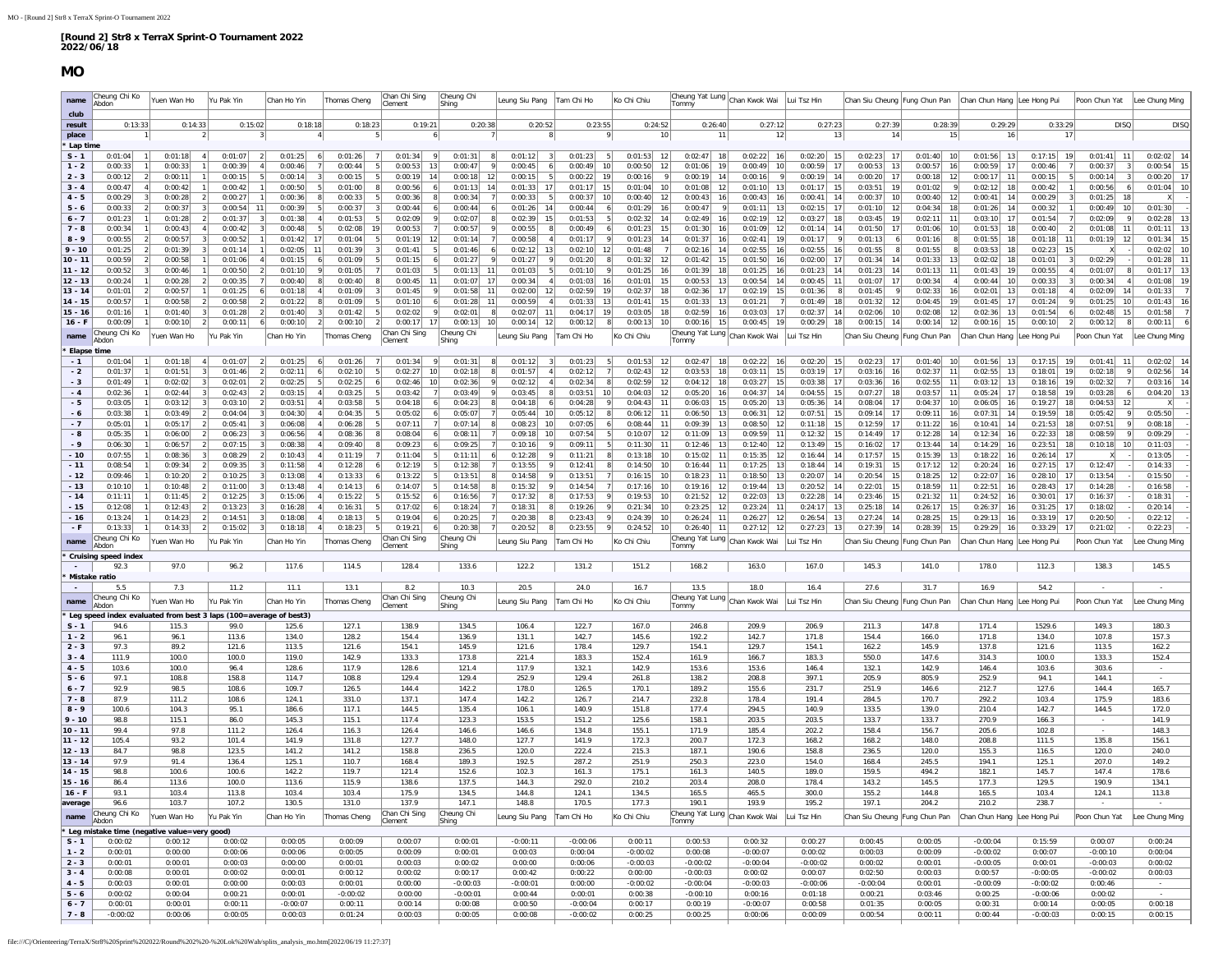## **MO**

<span id="page-6-0"></span>

| name                   | Cheung Chi Ko<br>Abdon                      | Yuen Wan Ho        | Yu Pak Yin                                                                | Chan Ho Yin                                                                   |                | Thomas Cheng             | Chan Chi Sing<br>Clement  | Cheung Chi<br>Shing              | Leung Siu Pang                  | Tam Chi Ho                            | Ko Chi Chiu                     | Tommy                                 | Cheung Yat Lung Chan Kwok Wai  | Lui Tsz Hin                      | Chan Siu Cheung Fung Chun Pan  |                                                       | Chan Chun Hang Lee Hong Pui    |                                           | Poon Chun Yat                    | Lee Chung Ming     |
|------------------------|---------------------------------------------|--------------------|---------------------------------------------------------------------------|-------------------------------------------------------------------------------|----------------|--------------------------|---------------------------|----------------------------------|---------------------------------|---------------------------------------|---------------------------------|---------------------------------------|--------------------------------|----------------------------------|--------------------------------|-------------------------------------------------------|--------------------------------|-------------------------------------------|----------------------------------|--------------------|
| club                   |                                             |                    |                                                                           |                                                                               |                |                          |                           |                                  |                                 |                                       |                                 |                                       |                                |                                  |                                |                                                       |                                |                                           |                                  |                    |
| result<br>place        | 0:13:33                                     | 0:14:33            | 0:15:02                                                                   |                                                                               | 0:18:18        | 0:18:23                  | 0:19:21                   | 0:20:38                          | 0:20:52                         | 0:23:55                               | 0:24:52<br>10                   | 0:26:40<br>11                         | 0:27:12<br>12                  | 0:27:23<br>13                    | 0:27:39<br>14                  | 0:28:39<br>15                                         | 0:29:29<br>16                  | 0:33:29<br>17                             | <b>DISO</b>                      | DISO               |
| Lap time               |                                             |                    |                                                                           |                                                                               |                |                          |                           |                                  |                                 |                                       |                                 |                                       |                                |                                  |                                |                                                       |                                |                                           |                                  |                    |
| $S - 1$                | 0:01:04                                     | 0:01:18            | 4 <sup>1</sup><br>0:01:07                                                 | 0:01:25<br>$\overline{2}$                                                     |                | 0:01:26                  | 0:01:34                   | 0:01:31<br>9                     | 0:01:12<br>8<br>$\vert$ 3       | 0:01:23                               | 0:01:53<br>12                   | $0:02:47$ 18                          | 0:02:22<br>16                  | 0:02:20<br>15                    | 0:02:23<br>17                  | 0:01:40<br>10                                         | 0:01:56<br>13                  | 0:17:15<br>19                             | 0:01:41                          | 0:02:02            |
| $1 - 2$                | 0:00:33                                     | 0:00:33            | 0:00:39                                                                   | 4<br>0:00:46                                                                  | $\overline{7}$ | 0:00:44                  | 5 <sup>1</sup><br>0:00:53 | 13<br>0:00:47                    | $\mathsf{q}$<br>0:00:45<br>6    | 0:00:49<br>10                         | 0:00:50<br>12                   | 0:01:06<br>19                         | 0:00:49<br>10 <sup>1</sup>     | 0:00:59<br>17                    | 0:00:53<br>13                  | 0:00:57<br>16                                         | 0:00:59<br>17                  | 0:00:46                                   | 0:00:37                          | 0:00:54            |
| $2 - 3$<br>$3 - 4$     | 0:00:12<br>0:00:47                          | 0:00:11<br>0:00:42 | 0:00:15<br>0:00:42                                                        | 5 <sup>1</sup><br>0:00:14<br>1                                                | 0:00:50        | 0:00:15<br>0:01:00       | 0:00:19<br>0:00:56        | 14<br>0:00:18<br>12<br>0:01:13   | 0:00:15<br>-51<br>0:01:33<br>17 | 0:00:22<br>19<br>0:01:17<br>15        | 0:00:16<br>9<br>0:01:04<br>10   | 0:00:19<br>14<br>0:01:08<br>12        | 0:00:16<br>0:01:10<br>13       | 0:00:19<br>14<br>0:01:17         | 0:00:20<br>17<br>0:03:51<br>19 | 0:00:18<br>12<br>0:01:02                              | 0:00:17<br>11<br>0:02:12<br>18 | 0:00:15<br>0:00:42                        | 0:00:14<br>0:00:56               | 0:00:20<br>0:01:04 |
| $4 - 5$                | 0:00:29                                     | 0:00:28            | $\overline{2}$<br>0:00:27                                                 | 0:00:36<br>$\left  \right $                                                   | $\mathbf{a}$   | 0:00:33                  | 0:00:36                   | 0:00:34                          | 0:00:33<br>-51                  | 0:00:37<br>10 <sup>1</sup>            | 0:00:40<br>12                   | 0:00:43<br>16                         | 0:00:43<br>16                  | 0:00:41<br>14                    | 0:00:37<br>10                  | 0:00:40<br>12                                         | 0:00:41<br>14                  | 0:00:29                                   | 0:01:25<br>18                    |                    |
| $5 - 6$                | 0:00:33                                     | 0:00:37            | 0:00:54<br>3                                                              | 11<br>0:00:39                                                                 | 5              | 0:00:37                  | 0:00:44                   | 0:00:44                          | 0:01:26<br>14                   | 0:00:44<br>$\overline{6}$             | 0:01:29<br>16                   | 0:00:47<br>$\mathbf Q$                | 0:01:11<br>13                  | 0:02:15<br>17                    | 0:01:10<br>12                  | 0:04:34<br>18                                         | 0:01:26<br>14                  | 0:00:32                                   | 0:00:49<br>10                    | 0:01:30            |
| $6 - 7$                | 0:01:23                                     | 0:01:28            | 0:01:37<br>$\overline{2}$                                                 | 0:01:38<br>$\vert$ 3                                                          | $\Delta$       | 0:01:53                  | 0:02:09                   | 0:02:07                          | 0:02:39<br>15                   | 0:01:53<br>-5                         | 0:02:32<br>14                   | 0:02:49<br><b>16</b>                  | 0:02:19<br>12                  | 0:03:27<br>18                    | 0:03:45<br>19                  | 0:02:11<br>11                                         | 0:03:10<br>17                  | 0:01:54                                   | 0:02:09                          | 0:02:28            |
| $7 - 8$<br>$8 - 9$     | 0:00:34<br>0:00:55                          | 0:00:43<br>0:00:57 | 0:00:42<br>$\overline{4}$<br>0:00:52                                      | 0:00:48<br>$\vert$ 3<br>0:01:42<br>$\overline{1}$                             | 17             | 0:02:08<br>19<br>0:01:04 | 0:00:53<br>0:01:19        | 0:00:57<br>0:01:14<br>12         | 0:00:55<br>0:00:58              | 0:00:49<br>0:01:17                    | 0:01:23<br>15<br>0:01:23<br>14  | 0:01:30<br>16<br>0:01:37<br><b>16</b> | 0:01:09<br>12<br>0:02:41<br>19 | 0:01:14<br>14<br>0:01:17         | 0:01:50<br>17<br>0:01:13<br>6  | 0:01:06<br>10 <sup>1</sup><br>0:01:16<br>$\mathbf{g}$ | 0:01:53<br>18<br>0:01:55<br>18 | 0:00:40<br>$\mathcal{P}$<br>0:01:18<br>11 | 0:01:08<br>0:01:19<br>12         | 0:01:11<br>0:01:34 |
| $9 - 10$               | 0:01:25                                     | 0:01:39            | 0:01:14                                                                   | 1                                                                             | 0:02:05<br>-11 | 0:01:39                  | 0:01:41                   | 0:01:46                          | 0:02:12<br>13                   | 0:02:10<br>12                         | 0:01:48                         | 0:02:16<br>14                         | 0:02:55<br>16                  | 0:02:55<br>16                    | 0:01:55<br>8                   | 0:01:55                                               | 0:03:53<br>18                  | 0:02:23<br>15                             |                                  | 0:02:02            |
| 10 - 11                | 0:00:59                                     | 0:00:58            | 0:01:06                                                                   | $\vert$ 4<br>0:01:15                                                          |                | 0:01:09                  | 0:01:15                   | 0:01:27                          | 0:01:27                         | 0:01:20                               | 0:01:32                         | 0:01:42<br>15                         | 0:01:50<br>16                  | 0:02:00<br>17                    | 0:01:34<br>14                  | 0:01:33<br>13                                         | 0:02:02<br>18                  | 0:01:01<br>$\mathcal{R}$                  | 0:02:29                          | 0:01:28            |
| $11 - 12$              | 0:00:52                                     | 0:00:46            | 0:00:50                                                                   | $\overline{2}$<br>0:01:10                                                     |                | 0:01:05                  | 0:01:03                   | 0:01:13                          | 0:01:03                         | 0:01:10                               | 0:01:25                         | 0:01:39<br><b>18</b>                  | 0:01:25<br>16                  | 0:01:23<br>14                    | 0:01:23<br>14                  | 0:01:13<br>11                                         | 0:01:43<br>19                  | 0:00:55                                   | 0:01:07                          | 0:01:17            |
| $12 - 13$<br>$13 - 14$ | 0:00:24                                     | 0:00:28<br>0:00:57 | 0:00:35<br>0:01:25                                                        | 7<br>0:00:40<br>6<br>0:01:18                                                  |                | 0:00:40<br>0:01:09       | 0:00:45<br>0:01:45        | 11<br>0:01:07<br>0:01:58         | 0:00:34<br>0:02:00<br>12        | 0:01:03<br>16<br>0:02:59<br>19        | 0:01:01<br>0:02:37              | 0:00:53<br>13<br>0:02:36              | 0:00:54<br>14<br>0:02:19<br>15 | 0:00:45<br>0:01:36               | 0:01:07<br>17<br>0:01:45       | 0:00:34<br>0:02:33<br>16                              | 0:00:44<br>0:02:01<br>13       | 0:00:33<br>0:01:18                        | 0:00:34<br>0:02:09               | 0:01:08<br>0:01:33 |
| $14 - 15$              | 0:01:01<br>0:00:57                          | 0:00:58            | 0:00:58                                                                   | $\overline{2}$<br>0:01:22                                                     |                | 0:01:09                  | 0:01:10                   | 0:01:28                          | 0:00:59                         | 0:01:33<br>13                         | 0:01:41                         | 0:01:33<br>13                         | 0:01:21                        | 0:01:49                          | 0:01:32<br>12                  | 19<br>0:04:45                                         | 0:01:45<br>17                  | 0:01:24                                   | 0:01:25<br>10                    | 0:01:43            |
| $15 - 16$              | 0:01:16                                     | 0:01:40            | 0:01:28                                                                   | $\overline{2}$<br>0:01:40                                                     |                | 0:01:42                  | 0:02:02                   | 9<br>0:02:01                     | 0:02:07<br>11                   | 0:04:17<br>19                         | 0:03:05                         | 0:02:59<br>16                         | 0:03:03<br>17                  | 0:02:37<br>14                    | 0:02:06<br>10                  | 0:02:08<br>12                                         | 0:02:36<br>13                  | 0:01:54                                   | 0:02:48<br>15                    | 0:01:58            |
| $16 - F$               | 0:00:09                                     | 0:00:10            | 0:00:11<br>$\overline{2}$                                                 | 0:00:10<br>$6 \mid$                                                           |                | 0:00:10                  | 0:00:17                   | 0:00:13<br>17 <sup>1</sup><br>10 | 0:00:14<br>12                   | 0:00:12                               | 0:00:13<br>10                   | 0:00:16<br>15                         | 0:00:45<br>19                  | 0:00:29<br>18                    | 0:00:15<br>14                  | 0:00:14<br>12                                         | $0:00:16$ 15                   | 0:00:10                                   | 0:00:12<br>$\overline{2}$<br>- 8 | 0:00:11            |
| name                   | Cheung Chi Ko<br>Abdon                      | Yuen Wan Ho        | Yu Pak Yin                                                                | Chan Ho Yin                                                                   |                | homas Cheng              | Chan Chi Sing<br>Clement  | Cheung Chi<br>  Shina            | eung Siu Pang                   | Tam Chi Ho                            | Ko Chi Chiu                     | Tommy                                 | Cheung Yat Lung Chan Kwok Wai  | Lui Tsz Hin                      | Chan Siu Cheung Fung Chun Pan  |                                                       | Chan Chun Hang Lee Hong Pui    |                                           | Poon Chun Yat                    | ee Chung Min       |
| Elapse time            |                                             |                    |                                                                           |                                                                               |                |                          |                           |                                  |                                 |                                       |                                 |                                       |                                |                                  |                                |                                                       |                                |                                           |                                  |                    |
| $-1$                   | 0:01:04                                     | 0:01:18            | 0:01:07                                                                   | 0:01:25                                                                       |                | 0:01:26                  | 0:01:34                   | 0:01:31                          | 0:01:12                         | 0:01:23                               | 0:01:53                         | 0:02:47                               | 0:02:22                        | 0:02:20                          | 0:02:23                        | 0:01:40                                               | 0:01:56                        | 0:17:15                                   | 0:01:41                          | 0:02:02            |
| $-2$                   | 0:01:37                                     | 0:01:51            | 0:01:46                                                                   | 0:02:11<br>$\overline{2}$                                                     |                | 0:02:10                  | 0:02:27                   | 0:02:18<br>10<br>10 <sup>1</sup> | 0:01:57                         | 0:02:12                               | 0:02:43<br>12                   | 0:03:53<br>18                         | 0:03:11<br>15                  | 0:03:19<br>17                    | 0:03:16<br>16                  | 0:02:37<br>11                                         | 0:02:55<br>13                  | 0:18:01<br>19                             | 0:02:18                          | 0:02:56            |
| $-3$<br>$-4$           | 0:01:49<br>0:02:36                          | 0:02:02<br>0:02:44 | 0:02:01<br>$\overline{3}$<br>0:02:43<br>3                                 | $\left  \right $<br>0:02:25<br>0:03:15<br>$\vert$ 2                           | -5             | 0:02:25<br>0:03:25       | 0:02:46<br>0:03:42        | 0:02:36<br>0:03:49               | 0:02:12<br>$\Delta$<br>0:03:45  | 0:02:34<br>0:03:51<br>10 <sup>1</sup> | 0:02:59<br>12<br>0:04:03<br>-12 | 0:04:12<br>18<br>0:05:20<br><b>16</b> | 0:03:27<br>15<br>0:04:37<br>14 | 0:03:38<br>17<br>0:04:55<br>- 15 | 0:03:36<br>16<br>0:07:27<br>18 | 0:02:55<br>11<br>0:03:57<br>11                        | 0:03:12<br>13<br>0:05:24<br>17 | 0:18:16<br>19<br>0:18:58<br>19            | 0:02:32<br>0:03:28               | 0:03:16<br>0:04:20 |
| $-5$                   | 0:03:05                                     | 0:03:12            | 0:03:10<br>3                                                              | 0:03:51<br>$\overline{2}$                                                     |                | 0:03:58                  | 0:04:18                   | 0:04:23                          | 0:04:18                         | 0:04:28                               | 0:04:43<br>11                   | 0:06:03<br>15                         | 0:05:20<br>13                  | 0:05:36<br>14                    | 0:08:04<br>17                  | 0:04:37<br>10 <sup>1</sup>                            | 0:06:05<br><b>16</b>           | 0:19:27<br>18                             | 0:04:53<br>12                    |                    |
| $-6$                   | 0:03:38                                     | 0:03:49            | 0:04:04                                                                   | 3<br>0:04:30                                                                  |                | 0:04:35                  | 0:05:02                   | 0:05:07                          | 0:05:44<br>10                   | 0:05:12                               | 0:06:12<br>11                   | 0:06:50<br>13                         | 0:06:31<br>12                  | 0:07:51<br>15                    | 0:09:14<br>17                  | 0:09:11<br>16                                         | 0:07:31<br>14                  | 0:19:59<br>18                             | 0:05:42                          | 0:05:50            |
| $-7$                   | 0:05:01                                     | 0:05:17            | 0:05:41                                                                   | $\mathbf{3}$<br>0:06:08                                                       |                | 0:06:28                  | 0:07:11                   | 0:07:14                          | 0:08:23<br>10                   | 0:07:05                               | 0:08:44                         | 0:09:39<br>13                         | 0:08:50<br>12                  | 0:11:18<br>15                    | 0:12:59<br>17                  | 0:11:22<br>16                                         | 0:10:41<br>14                  | 0:21:53<br>18                             | 0:07:51                          | 0:08:18            |
| $-8$<br>$-9$           | 0:05:35<br>0:06:30                          | 0:06:00<br>0:06:57 | 0:06:23<br>2 <sup>1</sup><br>0:07:15                                      | $\overline{\mathbf{3}}$<br>0:06:56<br>$\overline{\mathbf{3}}$<br>0:08:38      |                | 0:08:36<br>0:09:40       | 0:08:04<br>0:09:23        | 0:08:11<br>0:09:25               | 0:09:18<br>10<br>0:10:16        | 0:07:54<br>0:09:11                    | 0:10:07<br>0:11:30              | 0:11:09<br>13<br>0:12:46<br>13        | 0:09:59<br>11<br>0:12:40<br>12 | 0:12:32<br>15<br>0:13:49<br>15   | 0:14:49<br>17<br>0:16:02<br>17 | 0:12:28<br>14<br>0:13:44<br>14                        | 0:12:34<br>16<br>0:14:29<br>16 | 0:22:33<br>18<br>0:23:51<br>18            | 0:08:59<br>0:10:18<br>10         | 0:09:29<br>0:11:03 |
| $-10$                  | 0:07:55                                     | 0:08:36            | 0:08:29                                                                   | $\vert$ 2<br>0:10:43                                                          |                | 0:11:19                  | 0:11:04                   | 0:11:11                          | 0:12:28                         | 0:11:21                               | 0:13:18                         | 0:15:02                               | 0:15:35<br>12                  | 0:16:44                          | 0:17:57<br>15                  | 0:15:39<br>13                                         | 0:18:22<br>16                  | 0:26:14<br>17                             |                                  | 0:13:05            |
| $-11$                  | 0:08:54                                     | 0:09:34            | 0:09:35                                                                   | 0:11:58<br>$\overline{3}$                                                     |                | 0:12:28                  | 0:12:19                   | 0:12:38                          | 0:13:55                         | 0:12:41                               | 0:14:50                         | 0:16:44                               | 0:17:25<br>13                  | 0:18:44                          | 0:19:31<br>15                  | 0:17:12<br>12                                         | 0:20:24                        | 0:27:15<br>17                             | 0:12:47                          | 0:14:33            |
| $-12$                  | 0:09:46                                     | 0:10:20            | 0:10:25                                                                   | 0:13:08                                                                       |                | 0:13:33                  | 0:13:22                   | 0:13:51                          | 0:14:58                         | 0:13:51                               | 0:16:15                         | 0:18:23                               | 0:18:50<br>13                  | 0:20:07                          | 0:20:54<br>15                  | 0:18:25<br>12                                         | 0:22:07                        | 0:28:10<br>17                             | 0:13:54                          | 0:15:50            |
| $-13$<br>$-14$         | 0:10:10<br>0:11:11                          | 0:10:48<br>0:11:45 | $\overline{2}$<br>0:11:00<br>0:12:25<br>$\overline{2}$                    | $\overline{\mathbf{3}}$<br>0:13:48<br>$\left  \frac{3}{2} \right $<br>0:15:06 |                | 0:14:13<br>0:15:22       | 0:14:07<br>0:15:52        | 0:14:58<br>0:16:56               | 0:15:32<br>0:17:32              | 0:14:54<br>0:17:53                    | 0:17:16<br>0:19:53<br>10        | 0:19:16<br>12<br>0:21:52<br>12        | 0:19:44<br>13<br>0:22:03<br>13 | 0:20:52<br>14<br>0:22:28<br>14   | 0:22:01<br>15<br>0:23:46<br>15 | 0:18:59<br>11<br>0:21:32<br>11                        | 0:22:51<br>16<br>0:24:52<br>16 | 0:28:43<br>17<br>0:30:01<br>17            | 0:14:28<br>0:16:37               | 0:16:58<br>0:18:31 |
| $-15$                  | 0:12:08                                     | 0:12:43            | 0:13:23<br>$\overline{2}$                                                 | 0:16:28<br>$\vert$ 3                                                          |                | 0:16:31                  | 0:17:02                   | 0:18:24<br>6                     | 0:18:31                         | 0:19:26                               | 0:21:34<br>10                   | 0:23:25<br>12                         | 0:23:24<br>11                  | 0:24:17<br>-13                   | 0:25:18<br>14                  | 0:26:17<br>15 <sup>1</sup>                            | 0:26:37<br>16 <sup>1</sup>     | 0:31:25<br>17                             | 0:18:02                          | 0:20:14            |
| $-16$                  | 0:13:24                                     | 0:14:23            | 0:14:51<br>$\overline{2}$                                                 | 0:18:08<br>$\vert$ <sup>3</sup>                                               |                | 0:18:13                  | 0:19:04                   | 0:20:25<br>6                     | 0:20:38                         | 0:23:43                               | 0:24:39<br>10                   | 0:26:24<br>11                         | 0:26:27<br>12                  | 0:26:54<br>13                    | 0:27:24<br>14                  | 0:28:25<br>15                                         | 0:29:13<br>16                  | 0:33:19<br>17                             | 0:20:50                          | 0:22:12            |
| $+$ F                  | 0:13:33                                     | 0:14:33            | 0:15:02                                                                   | 0:18:18<br>$\vert$ 3                                                          |                | 0:18:23                  | 0:19:21                   | 0:20:38<br>6                     | 0:20:52                         | 0:23:55                               | 0:24:52<br>10                   | 0:26:40<br>11                         | 0:27:12<br>12                  | 0:27:23<br>13                    | 0:27:39<br>14                  | 0:28:39<br>15                                         | 0:29:29<br>16                  | 0:33:29<br>17                             | 0:21:02                          | 0:22:23            |
| name                   | Cheung Chi Ko<br>Abdon                      | Yuen Wan Ho        | Yu Pak Yin                                                                | Chan Ho Yir                                                                   |                | homas Cheng              | Chan Chi Sing<br>Clement  | Cheung Chi<br>Shing              | Leung Siu Pang                  | Tam Chi Ho                            | Ko Chi Chiu                     | Tommy                                 | Cheung Yat Lung Chan Kwok Wai  | Lui Tsz Hin                      | Chan Siu Cheung Fung Chun Pan  |                                                       | Chan Chun Hang Lee Hong Pu     |                                           | Poon Chun Yat                    | Lee Chung Min      |
|                        | Cruising speed index                        |                    |                                                                           |                                                                               |                |                          |                           |                                  |                                 |                                       |                                 |                                       |                                |                                  |                                |                                                       |                                |                                           |                                  |                    |
| $\sim$                 | 92.3                                        | 97.0               | 96.2                                                                      | 117.6                                                                         |                | 114.5                    | 128.4                     | 133.6                            | 122.2                           | 131.2                                 | 151.2                           | 168.2                                 | 163.0                          | 167.0                            | 145.3                          | 141.0                                                 | 178.0                          | 112.3                                     | 138.3                            | 145.5              |
|                        | Mistake ratio<br>5.5                        | 7.3                | 11.2                                                                      |                                                                               | 11.1           | 13.1                     | 8.2                       | 10.3                             | 20.5                            | 24.0                                  | 16.7                            | 13.5                                  | 18.0                           | 16.4                             | 27.6                           | 31.7                                                  | 16.9                           | 54.2                                      |                                  |                    |
| name                   | Cheung Chi Ko                               | Yuen Wan Ho        | Yu Pak Yin                                                                | Chan Ho Yir                                                                   |                | Thomas Cheng             | Chan Chi Sing             | Cheung Chi                       | eung Siu Pang                   | Tam Chi Ho                            | Ko Chi Chiu                     |                                       | Cheung Yat Lung Chan Kwok Wai  | Lui Tsz Hin                      | Chan Siu Cheung Fung Chun Pan  |                                                       | Chan Chun Hang Lee Hong Pui    |                                           | Poon Chun Yat                    | Lee Chung Ming     |
|                        | Ahdon                                       |                    |                                                                           |                                                                               |                |                          | Clement                   | Shing                            |                                 |                                       |                                 | Tommy                                 |                                |                                  |                                |                                                       |                                |                                           |                                  |                    |
| $S - 1$                | 94.6                                        | 115.3              | Leg speed index evaluated from best 3 laps (100=average of best3)<br>99.0 |                                                                               | 125.6          | 127.1                    | 138.9                     | 134.5                            | 106.4                           | 122.7                                 | 167.0                           | 246.8                                 | 209.9                          | 206.9                            | 211.3                          | 147.8                                                 | 171.4                          | 1529.6                                    | 149.3                            | 180.3              |
| $1 - 2$                | 96.1                                        | 96.1               | 113.6                                                                     |                                                                               | 134.0          | 128.2                    | 154.4                     | 136.9                            | 131.1                           | 142.7                                 | 145.6                           | 192.2                                 | 142.7                          | 171.8                            | 154.4                          | 166.0                                                 | 171.8                          | 134.0                                     | 107.8                            | 157.3              |
| $2 - 3$                | 97.3                                        | 89.2               | 121.6                                                                     |                                                                               | 113.5          | 121.6                    | 154.1                     | 145.9                            | 121.6                           | 178.4                                 | 129.7                           | 154.1                                 | 129.7                          | 154.1                            | 162.2                          | 145.9                                                 | 137.8                          | 121.6                                     | 113.5                            | 162.2              |
| $3 - 4$<br>$4 - 5$     | 111.9<br>103.6                              | 100.0<br>100.0     | 100.0<br>96.4                                                             |                                                                               | 119.0<br>128.6 | 142.9<br>117.9           | 133.3<br>128.6            | 173.8<br>121.4                   | 221.4<br>117.9                  | 183.3<br>132.1                        | 152.4<br>142.9                  | 161.9<br>153.6                        | 166.7<br>153.6                 | 183.3<br>146.4                   | 550.0<br>132.1                 | 147.6<br>142.9                                        | 314.3<br>146.4                 | 100.0<br>103.6                            | 133.3<br>303.6                   | 152.4              |
| $5 - 6$                | 97.1                                        | 108.8              | 158.8                                                                     |                                                                               | 114.7          | 108.8                    | 129.4                     | 129.4                            | 252.9                           | 129.4                                 | 261.8                           | 138.2                                 | 208.8                          | 397.1                            | 205.9                          | 805.9                                                 | 252.9                          | 94.1                                      | 144.1                            |                    |
| $6 - 7$                | 92.9                                        | 98.5               | 108.6                                                                     |                                                                               | 109.7          | 126.5                    | 144.4                     | 142.2                            | 178.0                           | 126.5                                 | 170.1                           | 189.2                                 | 155.6                          | 231.7                            | 251.9                          | 146.6                                                 | 212.7                          | 127.6                                     | 144.4                            | 165.7              |
| $7 - 8$                | 87.9                                        | 111.2              | 108.6                                                                     |                                                                               | 124.1          | 331.0                    | 137.1                     | 147.4                            | 142.2                           | 126.7                                 | 214.7                           | 232.8                                 | 178.4                          | 191.4                            | 284.5                          | 170.7                                                 | 292.2                          | 103.4                                     | 175.9                            | 183.6              |
| $8 - 9$<br>$9 - 10$    | 100.6<br>98.8                               | 104.3<br>115.1     | 95.1<br>86.0                                                              |                                                                               | 186.6<br>145.3 | 117.1<br>115.1           | 144.5<br>117.4            | 135.4<br>123.3                   | 106.1<br>153.5                  | 140.9<br>151.2                        | 151.8<br>125.6                  | 177.4<br>158.1                        | 294.5<br>203.5                 | 140.9<br>203.5                   | 133.5<br>133.7                 | 139.0<br>133.7                                        | 210.4<br>270.9                 | 142.7<br>166.3                            | 144.5                            | 172.0<br>141.9     |
| $10 - 11$              | 99.4                                        | 97.8               | 111.2                                                                     |                                                                               | 126.4          | 116.3                    | 126.4                     | 146.6                            | 146.6                           | 134.8                                 | 155.1                           | 171.9                                 | 185.4                          | 202.2                            | 158.4                          | 156.7                                                 | 205.6                          | 102.8                                     |                                  | 148.3              |
| $11 - 12$              | 105.4                                       | 93.2               | 101.4                                                                     |                                                                               | 141.9          | 131.8                    | 127.7                     | 148.0                            | 127.7                           | 141.9                                 | 172.3                           | 200.7                                 | 172.3                          | 168.2                            | 168.2                          | 148.0                                                 | 208.8                          | 111.5                                     | 135.8                            | 156.1              |
| $12 - 13$              | 84.7                                        | 98.8               | 123.5                                                                     |                                                                               | 141.2          | 141.2                    | 158.8                     | 236.5                            | 120.0                           | 222.4                                 | 215.3                           | 187.1                                 | 190.6                          | 158.8                            | 236.5                          | 120.0                                                 | 155.3                          | 116.5                                     | 120.0                            | 240.0              |
| $13 - 14$<br>$14 - 15$ | 97.9<br>98.8                                | 91.4<br>100.6      | 136.4<br>100.6                                                            |                                                                               | 125.1<br>142.2 | 110.7<br>119.7           | 168.4<br>121.4            | 189.3<br>152.6                   | 192.5<br>102.3                  | 287.2<br>161.3                        | 251.9<br>175.1                  | 250.3<br>161.3                        | 223.0<br>140.5                 | 154.0<br>189.0                   | 168.4<br>159.5                 | 245.5<br>494.2                                        | 194.1<br>182.1                 | 125.1<br>145.7                            | 207.0<br>147.4                   | 149.2<br>178.6     |
| $15 - 16$              | 86.4                                        | 113.6              | 100.0                                                                     |                                                                               | 113.6          | 115.9                    | 138.6                     | 137.5                            | 144.3                           | 292.0                                 | 210.2                           | 203.4                                 | 208.0                          | 178.4                            | 143.2                          | 145.5                                                 | 177.3                          | 129.5                                     | 190.9                            | 134.1              |
| $16 - F$               | 93.1                                        | 103.4              | 113.8                                                                     |                                                                               | 103.4          | 103.4                    | 175.9                     | 134.5                            | 144.8                           | 124.1                                 | 134.5                           | 165.5                                 | 465.5                          | 300.0                            | 155.2                          | 144.8                                                 | 165.5                          | 103.4                                     | 124.1                            | 113.8              |
| average                | 96.6                                        | 103.7              | 107.2                                                                     |                                                                               | 130.5          | 131.0                    | 137.9                     | 147.1                            | 148.8                           | 170.5                                 | 177.3                           | 190.1                                 | 193.9                          | 195.2                            | 197.1                          | 204.2                                                 | 210.2                          | 238.7                                     |                                  |                    |
| name                   | Cheung Chi Ko<br>Abdor                      | Yuen Wan Ho        | Yu Pak Yin                                                                | Chan Ho Yin                                                                   |                | Thomas Cheng             | Chan Chi Sing<br>lement   | Cheung Chi<br>Shing              | Leung Siu Pang                  | Tam Chi Ho                            | Ko Chi Chiu                     | <b>Tommy</b>                          | Cheung Yat Lung Chan Kwok Wai  | Lui Tsz Hin                      | Chan Siu Cheung Fung Chun Pan  |                                                       | Chan Chun Hang Lee Hong Pui    |                                           | Poon Chun Yat                    | Lee Chung Ming     |
|                        | Leg mistake time (negative value=very good) |                    |                                                                           |                                                                               |                |                          |                           |                                  |                                 |                                       |                                 |                                       |                                |                                  |                                |                                                       |                                |                                           |                                  |                    |
| $S - 1$                | 0:00:02                                     | 0:00:12            | 0:00:02                                                                   | 0:00:05                                                                       |                | 0:00:09                  | 0:00:07                   | 0:00:01                          | $-0:00:11$                      | $-0:00:06$                            | 0:00:11                         | 0:00:53                               | 0:00:32                        | 0:00:27                          | 0:00:45                        | 0:00:05                                               | $-0:00:04$                     | 0:15:59                                   | 0:00:07                          | 0:00:24            |
| $1 - 2$                | 0:00:01                                     | 0:00:00            | 0:00:06                                                                   | 0:00:06                                                                       |                | 0:00:05                  | 0:00:09                   | 0:00:01                          | 0:00:03                         | 0:00:04                               | $-0:00:02$                      | 0:00:08                               | $-0:00:07$                     | 0:00:02                          | 0:00:03                        | 0:00:09                                               | $-0:00:02$                     | 0:00:07                                   | $-0:00:10$                       | 0:00:04            |
| $2 - 3$<br>$3 - 4$     | 0:00:01<br>0:00:08                          | 0:00:01<br>0:00:01 | 0:00:03<br>0:00:02                                                        | 0:00:00<br>0:00:0                                                             |                | 0:00:01<br>0:00:12       | 0:00:03<br>0:00:02        | 0:00:02<br>0:00:17               | 0:00:00<br>0:00:42              | 0:00:06<br>0:00:22                    | $-0:00:03$<br>0:00:00           | $-0:00:02$<br>$-0:00:03$              | $-0:00:04$<br>0:00:02          | $-0:00:02$<br>0:00:07            | 0:00:02<br>0:02:50             | 0:00:01<br>0:00:03                                    | $-0:00:05$<br>0:00:57          | 0:00:01<br>$-0:00:05$                     | $-0:00:03$<br>$-0:00:02$         | 0:00:02<br>0:00:03 |
| $4 - 5$                | 0:00:03                                     | 0:00:01            | 0:00:00                                                                   | 0:00:03                                                                       |                | 0:00:01                  | 0:00:00                   | $-0:00:03$                       | $-0:00:01$                      | 0:00:00                               | $-0:00:02$                      | $-0:00:04$                            | $-0:00:03$                     | $-0:00:06$                       | $-0:00:04$                     | 0:00:01                                               | $-0:00:09$                     | $-0:00:02$                                | 0:00:46                          |                    |
| $5 - 6$                | 0:00:02                                     | 0:00:04            | 0:00:21                                                                   | 0:00:01                                                                       |                | $-0:00:02$               | 0:00:00                   | $-0:00:01$                       | 0:00:44                         | 0:00:01                               | 0:00:38                         | $-0.00:10$                            | 0:00:16                        | 0:01:18                          | 0:00:21                        | 0:03:46                                               | 0:00:25                        | $-0:00:06$                                | 0:00:02                          |                    |
| $6 - 7$                | 0:00:01                                     | 0:00:01            | 0:00:11                                                                   |                                                                               | $-0:00:07$     | 0:00:11                  | 0:00:14                   | 0:00:08                          | 0:00:50                         | $-0:00:04$                            | 0:00:17                         | 0:00:19                               | $-0:00:07$                     | 0:00:58                          | 0:01:35                        | 0:00:05                                               | 0:00:31                        | 0:00:14                                   | 0:00:05                          | 0:00:18            |

**7 - 8** -0:00:02 0:00:06 0:00:05 0:00:03 0:01:24 0:00:03 0:00:05 0:00:08 -0:00:02 0:00:25 0:00:25 0:00:06 0:00:09 0:00:54 0:00:11 0:00:44 -0:00:03 0:00:15 0:00:15

file:///C|/Orienteering/TerraX/Str8%20Sprint%202022/Round%202%20-%20Lok%20Wah/splits\_analysis\_mo.htm[2022/06/19 11:27:37]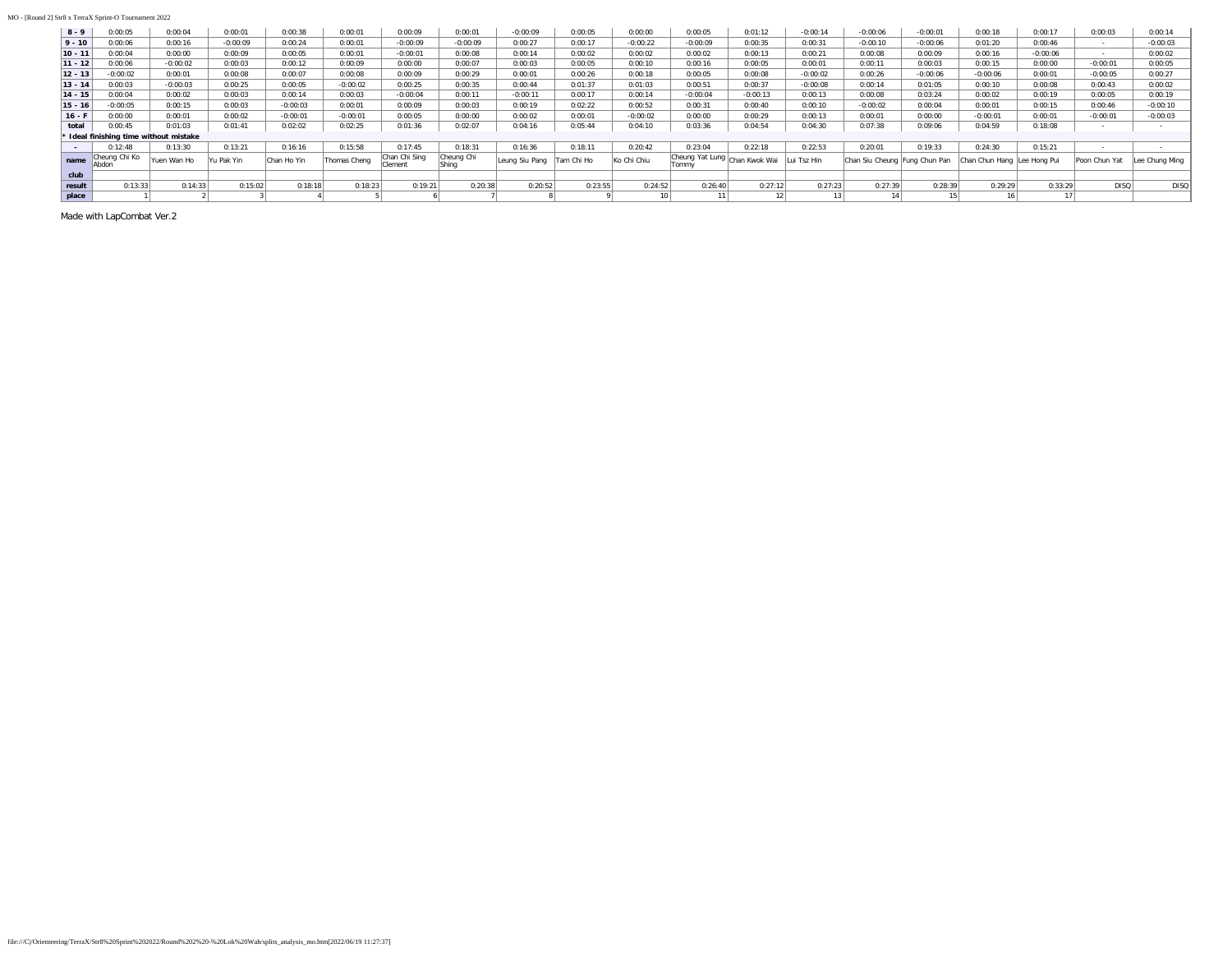#### MO - [Round 2] Str8 x TerraX Sprint-O Tournament 2022

| $8 - 9$   | 0:00:05                                | 0:00:04     | 0:00:01    | 0:00:38     | 0:00:01      | 0:00:09                  | 0:00:01             | $-0:00:09$      | 0:00:05    | 0:00:00     | 0:00:05                                | 0:01:12    | $-0:00:14$  | $-0:00:06$                    | $-0:00:01$ | 0:00:18                     | 0:00:17    | 0:00:03        | 0:00:14       |
|-----------|----------------------------------------|-------------|------------|-------------|--------------|--------------------------|---------------------|-----------------|------------|-------------|----------------------------------------|------------|-------------|-------------------------------|------------|-----------------------------|------------|----------------|---------------|
| $9 - 10$  | 0:00:06                                | 0:00:16     | $-0:00:09$ | 0:00:24     | 0:00:01      | $-0:00:09$               | $-0:00:09$          | 0:00:27         | 0:00:17    | $-0:00:22$  | $-0:00:09$                             | 0:00:35    | 0:00:31     | $-0:00:10$                    | $-0:00:06$ | 0:01:20                     | 0:00:46    |                | $-0:00:03$    |
| $10 - 11$ | 0:00:04                                | 0:00:00     | 0:00:09    | 0:00:05     | 0:00:01      | $-0:00:01$               | 0:00:08             | 0:00:14         | 0:00:02    | 0:00:02     | 0:00:02                                | 0:00:13    | 0:00:21     | 0:00:08                       | 0:00:09    | 0:00:16                     | $-0:00:06$ | <b>Service</b> | 0:00:02       |
| $11 - 12$ | 0:00:06                                | $-0:00:02$  | 0:00:03    | 0:00:12     | 0:00:09      | 0:00:00                  | 0:00:07             | 0:00:03         | 0:00:05    | 0:00:10     | 0:00:16                                | 0:00:05    | 0:00:01     | 0:00:11                       | 0:00:03    | 0:00:15                     | 0:00:00    | $-0:00:01$     | 0:00:05       |
| $12 - 13$ | $-0:00:02$                             | 0:00:01     | 0:00:08    | 0:00:07     | 0:00:08      | 0:00:09                  | 0:00:29             | 0:00:01         | 0:00:26    | 0:00:18     | 0:00:05                                | 0:00:08    | $-0:00:02$  | 0:00:26                       | $-0:00:06$ | $-0:00:06$                  | 0:00:01    | $-0:00:05$     | 0:00:27       |
| $13 - 14$ | 0:00:03                                | $-0:00:03$  | 0:00:25    | 0:00:05     | $-0:00:02$   | 0:00:25                  | 0:00:35             | 0:00:44         | 0:01:37    | 0:01:03     | 0:00:51                                | 0:00:37    | $-0:00:08$  | 0:00:14                       | 0:01:05    | 0:00:10                     | 0:00:08    | 0:00:43        | 0:00:02       |
| $14 - 15$ | 0:00:04                                | 0:00:02     | 0:00:03    | 0:00:14     | 0:00:03      | $-0:00:04$               | 0:00:11             | $-0:00:11$      | 0:00:17    | 0:00:14     | $-0:00:04$                             | $-0:00:13$ | 0:00:13     | 0:00:08                       | 0:03:24    | 0:00:02                     | 0:00:19    | 0:00:05        | 0:00:19       |
| $15 - 16$ | $-0:00:05$                             | 0:00:15     | 0:00:03    | $-0:00:03$  | 0:00:01      | 0:00:09                  | 0:00:03             | 0:00:19         | 0:02:22    | 0:00:52     | 0:00:31                                | 0:00:40    | 0:00:10     | $-0:00:02$                    | 0:00:04    | 0:00:01                     | 0:00:15    | 0:00:46        | $-0:00:10$    |
| $16 - F$  | 0:00:00                                | 0:00:01     | 0:00:02    | $-0:00:01$  | $-0:00:01$   | 0:00:05                  | 0:00:00             | 0:00:02         | 0:00:01    | $-0:00:02$  | 0:00:00                                | 0:00:29    | 0:00:13     | 0:00:01                       | 0:00:00    | $-0:00:01$                  | 0:00:01    | $-0:00:01$     | $-0:00:03$    |
| total     | 0:00:45                                | 0:01:03     | 0:01:41    | 0:02:02     | 0:02:25      | 0:01:36                  | 0:02:07             | 0:04:16         | 0:05:44    | 0:04:10     | 0:03:36                                | 0:04:54    | 0:04:30     | 0:07:38                       | 0:09:06    | 0:04:59                     | 0:18:08    |                |               |
|           | * Ideal finishing time without mistake |             |            |             |              |                          |                     |                 |            |             |                                        |            |             |                               |            |                             |            |                |               |
| $\sim$    | 0:12:48                                | 0:13:30     | 0:13:21    | 0:16:16     | 0:15:58      | 0:17:45                  | 0:18:31             | 0:16:36         | 0:18:11    | 0:20:42     | 0:23:04                                | 0:22:18    | 0:22:53     | 0:20:01                       | 0:19:33    | 0:24:30                     | 0:15:21    |                |               |
| name      | <sup>4</sup> Cheung Chi Ko<br>Abdon    | Yuen Wan Ho | Yu Pak Yin | Chan Ho Yin | Thomas Cheng | Chan Chi Sing<br>Clement | Cheung Chi<br>Shing | 'Leung Siu Pang | Tam Chi Ho | Ko Chi Chiu | Cheung Yat Lung Chan Kwok Wai<br>Tommy |            | Lui Tsz Hin | Chan Siu Cheung Fung Chun Pan |            | Chan Chun Hang Lee Hong Pui |            | Poon Chun Yat  | ee Chung Ming |
| club      |                                        |             |            |             |              |                          |                     |                 |            |             |                                        |            |             |                               |            |                             |            |                |               |
| result    | 0:13:33                                | 0:14:33     | 0:15:02    | 0:18:18     | 0:18:23      | 0:19:21                  | 0:20:38             | 0:20:52         | 0:23:55    | 0:24:52     | 0:26:40                                | 0:27:12    | 0:27:23     | 0:27:39                       | 0:28:39    | 0:29:29                     | 0:33:29    | <b>DISQ</b>    | <b>DISQ</b>   |
| place     |                                        |             |            |             |              |                          |                     |                 |            |             | 10 <sup>1</sup>                        |            |             | 14                            |            | 16                          |            |                |               |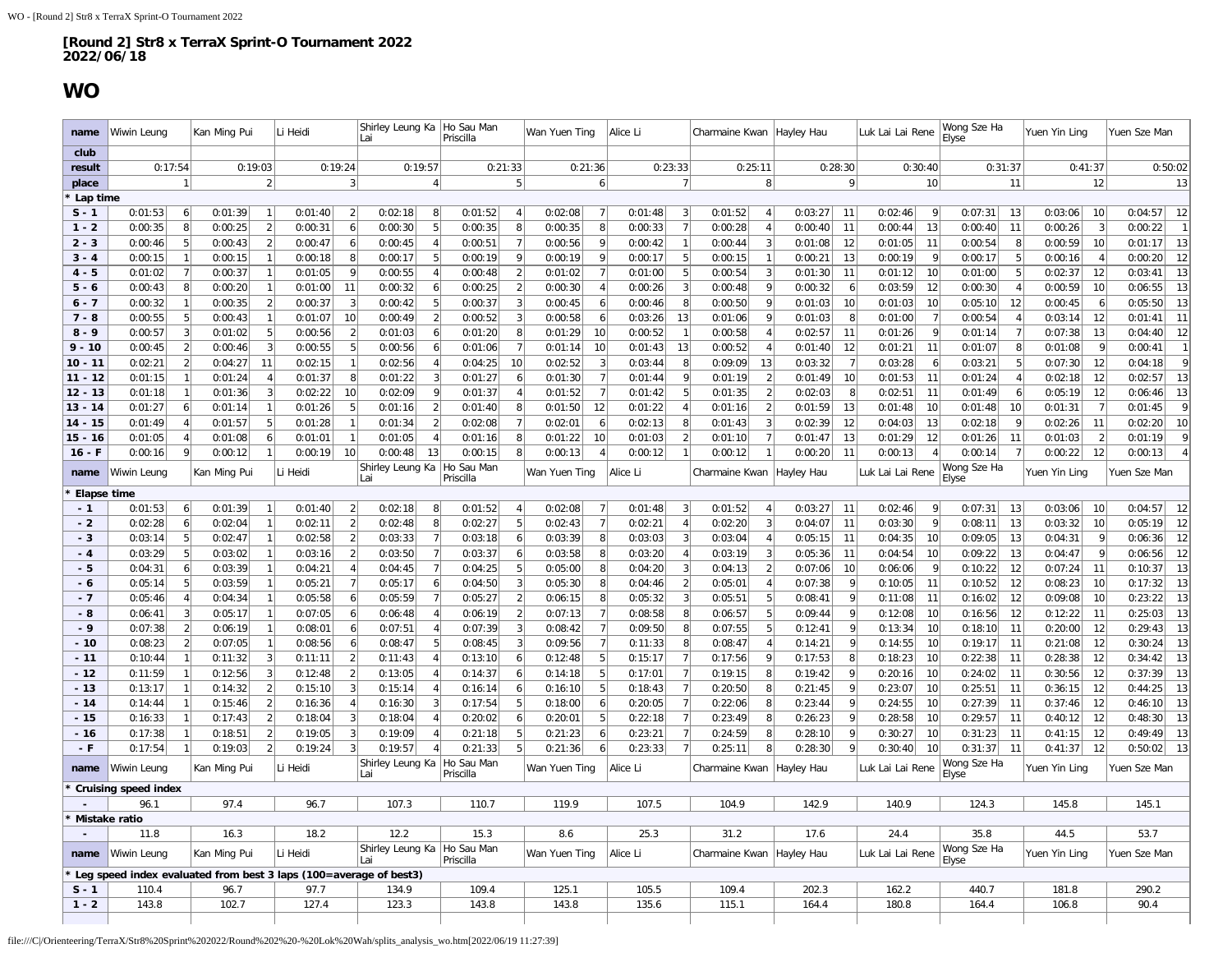### **WO**

<span id="page-8-0"></span>

| name                   | Wiwin Leung                 |                                   | Kan Ming Pui       |                          | Li Heidi            |                       | Shirley Leung Ka   Ho Sau Man<br>Lai                              |                      | Priscilla             |                      | Wan Yuen Ting      |                      | Alice Li            |                                | Charmaine Kwan     |                                  | Hayley Hau         |                      | Luk Lai Lai Rene                | Wong Sze Ha<br>Elyse                        | Yuen Yin Ling                   | Yuen Sze Man                  |
|------------------------|-----------------------------|-----------------------------------|--------------------|--------------------------|---------------------|-----------------------|-------------------------------------------------------------------|----------------------|-----------------------|----------------------|--------------------|----------------------|---------------------|--------------------------------|--------------------|----------------------------------|--------------------|----------------------|---------------------------------|---------------------------------------------|---------------------------------|-------------------------------|
| club                   |                             |                                   |                    |                          |                     |                       |                                                                   |                      |                       |                      |                    |                      |                     |                                |                    |                                  |                    |                      |                                 |                                             |                                 |                               |
| result                 | 0:17:54                     |                                   | 0:19:03            |                          |                     | 0:19:24               | 0:19:57                                                           |                      | 0:21:33               |                      | 0:21:36            |                      |                     | 0:23:33                        |                    | 0:25:11                          | 0:28:30            |                      | 0:30:40                         | 0:31:37                                     | 0:41:37                         | 0:50:02                       |
| place                  |                             | 1                                 |                    | $\overline{2}$           |                     | 3                     |                                                                   | 4 <sup>1</sup>       |                       | 5 <sup>2</sup>       |                    | 6                    |                     | $\overline{7}$                 |                    | 8                                |                    | 9                    | 10                              | 11                                          | 12                              | 13                            |
| Lap time               |                             | $6 \mid$                          |                    | -1                       |                     | 2 <sup>1</sup>        |                                                                   |                      |                       | $\overline{4}$       |                    |                      |                     | 3                              |                    | $\overline{4}$                   |                    | 11                   | 9                               | 13                                          | 10                              | 12                            |
| $S - 1$                | 0:01:53                     | 8 <sup>1</sup>                    | 0:01:39            | $\overline{2}$           | 0:01:40             | 6 <sup>1</sup>        | 0:02:18                                                           | 8<br>.5              | 0:01:52               |                      | 0:02:08            |                      | 0:01:48             | $\overline{7}$                 | 0:01:52            | $\overline{4}$                   | 0:03:27            | 11                   | 0:02:46                         | 0:07:31                                     | 0:03:06<br>3                    | 0:04:57<br>$\overline{1}$     |
| $1 - 2$                | 0:00:35                     |                                   | 0:00:25            |                          | 0:00:31             |                       | 0:00:30                                                           |                      | 0:00:35               | 8                    | 0:00:35            | 8                    | 0:00:33             |                                | 0:00:28            |                                  | 0:00:40            |                      | 0:00:44<br>13                   | 0:00:40<br>11                               | 0:00:26                         | 0:00:22                       |
| $2 - 3$                | 0:00:46                     | 5                                 | 0:00:43            | $\overline{2}$           | 0:00:47             | $6\vert$              | 0:00:45                                                           | $\overline{4}$<br>5  | 0:00:51               | 7                    | 0:00:56            | q<br>9               | 0:00:42             | $\overline{1}$<br>5            | 0:00:44            | 3                                | 0:01:08            | 12                   | 0:01:05<br>11                   | 0:00:54<br>8                                | 0:00:59<br>10                   | 13<br>0:01:17                 |
| $3 - 4$                | 0:00:15                     | $\vert$ 1                         | 0:00:15            | $\overline{1}$           | 0:00:18             | 8 <sup>1</sup>        | 0:00:17                                                           |                      | 0:00:19               | 9                    | 0:00:19            |                      | 0:00:17             |                                | 0:00:15            | $\overline{1}$<br>$\overline{3}$ | 0:00:21            | 13                   | 0:00:19<br>-9                   | 5<br>0:00:17                                | 0:00:16<br>$\overline{4}$       | 12<br>0:00:20<br>13           |
| $4 - 5$                | 0:01:02                     | 7                                 | 0:00:37            | $\overline{1}$           | 0:01:05             | 9                     | 0:00:55                                                           | $\overline{4}$       | 0:00:48               | 2                    | 0:01:02            | -7                   | 0:01:00             | 5                              | 0:00:54            | q                                | 0:01:30            | 11                   | 0:01:12<br>10                   | 5<br>0:01:00                                | 0:02:37<br>12                   | 0:03:41                       |
| $5 - 6$                | 0:00:43                     | 8 <sup>1</sup><br>$\mathbf{1}$    | 0:00:20            | $\overline{\phantom{a}}$ | 0:01:00             | 11<br>3               | 0:00:32                                                           | 6<br>5               | 0:00:25               | $\overline{2}$       | 0:00:30            |                      | 0:00:26             | 3<br>8                         | 0:00:48            | q                                | 0:00:32            | 6                    | 0:03:59<br>12                   | 0:00:30<br>$\overline{A}$                   | 0:00:59<br>10                   | 13<br>0:06:55<br>13           |
| $6 - 7$                | 0:00:32                     | 5 <sup>2</sup>                    | 0:00:35            | $\overline{1}$           | 0:00:37             | 10                    | 0:00:42                                                           | $\overline{2}$       | 0:00:37               | 3<br>$\vert$ 3       | 0:00:45<br>0:00:58 |                      | 0:00:46             |                                | 0:00:50            | <b>g</b>                         | 0:01:03            | 10<br>8              | 0:01:03<br>10<br>$\overline{7}$ | 12<br>0:05:10                               | 0:00:45<br>6                    | 0:05:50<br>11<br>0:01:41      |
| $7 - 8$                | 0:00:55                     |                                   | 0:00:43            |                          | 0:01:07             |                       | 0:00:49                                                           |                      | 0:00:52               |                      |                    | -6                   | 0:03:26             | 13<br>$\overline{1}$           | 0:01:06            | $\overline{4}$                   | 0:01:03            |                      | 0:01:00<br>q                    | 0:00:54<br>$\overline{4}$<br>$\overline{7}$ | 12<br>0:03:14                   |                               |
| $8 - 9$                | 0:00:57                     | $\overline{3}$                    | 0:01:02            | 5<br>3                   | 0:00:56             | 2 <sup>1</sup>        | 0:01:03                                                           | 6                    | 0:01:20               | 8 <sup>2</sup>       | 0:01:29            | 10                   | 0:00:52             |                                | 0:00:58            | $\overline{4}$                   | 0:02:57            | 11                   | 0:01:26                         | 0:01:14                                     | 0:07:38<br>13<br>9              | 12<br>0:04:40<br>$\mathbf{1}$ |
| $9 - 10$               | 0:00:45                     | $\left  \right $                  | 0:00:46            |                          | 0:00:55             | 5<br>$\mathbf{1}$     | 0:00:56                                                           | 6                    | 0:01:06               | 7                    | 0:01:14            | 10<br>3              | 0:01:43             | 13<br>8                        | 0:00:52            |                                  | 0:01:40            | 12<br>$\overline{7}$ | 0:01:21<br>11                   | 8 <sup>1</sup><br>0:01:07<br>5              | 0:01:08                         | 0:00:41<br>$\mathsf{q}$       |
| $10 - 11$              | 0:02:21                     | $\overline{2}$<br>$\overline{1}$  | 0:04:27            | 11                       | 0:02:15<br>0:01:37  | 8 <sup>1</sup>        | 0:02:56<br>0:01:22                                                | 3                    | 0:04:25<br>0:01:27    | 10<br>6 <sup>1</sup> | 0:02:52<br>0:01:30 |                      | 0:03:44             | 9                              | 0:09:09            | 13<br>$\overline{2}$             | 0:03:32            | 10                   | 0:03:28<br>-6<br>0:01:53<br>11  | 0:03:21<br>$\overline{4}$                   | 0:07:30<br>12<br>0:02:18<br>12  | 0:04:18<br>0:02:57            |
| $11 - 12$<br>$12 - 13$ | 0:01:15<br>0:01:18          | $\vert$ 1                         | 0:01:24<br>0:01:36 | 3                        | 0:02:22             | 10                    | 0:02:09                                                           | q                    | 0:01:37               | $\vert$              | 0:01:52            | - 7                  | 0:01:44<br>0:01:42  | 5                              | 0:01:19<br>0:01:35 | $\overline{2}$                   | 0:01:49<br>0:02:03 | 8                    | 0:02:51<br>11                   | 0:01:24<br>0:01:49<br>6                     | 0:05:19<br>12                   | 13<br>$13$<br>0:06:46         |
| $13 - 14$              | 0:01:27                     |                                   | 0:01:14            | $\overline{1}$           | 0:01:26             | 5                     |                                                                   | $\overline{2}$       |                       | 8                    | 0:01:50            | 12                   | 0:01:22             | $\overline{4}$                 |                    | $\overline{2}$                   |                    | 13                   | 0:01:48                         | 0:01:48<br>10                               | 0:01:31<br>$\overline{7}$       | 9<br>0:01:45                  |
|                        |                             | $6 \mid$<br>$\vert$ 4             | 0:01:57            | 5                        | 0:01:28             | 1                     | 0:01:16                                                           | $\overline{2}$       | 0:01:40<br>0:02:08    | 7                    | 0:02:01            |                      | 0:02:13             | 8                              | 0:01:16            | $\overline{3}$                   | 0:01:59<br>0:02:39 | 12                   | 10                              | 9                                           | 0:02:26                         | 10<br>0:02:20                 |
| $14 - 15$              | 0:01:49                     |                                   |                    |                          |                     | $\mathbf{1}$          | 0:01:34                                                           |                      |                       | 8                    |                    | 6                    |                     | $\overline{2}$                 | 0:01:43            | $\overline{7}$                   |                    |                      | 0:04:03<br>13                   | 0:02:18                                     | 11                              | 9                             |
| $15 - 16$<br>$16 - F$  | 0:01:05                     | $\overline{4}$<br>$\mathsf{q}$    | 0:01:08            | 6<br>$\overline{1}$      | 0:01:01             | 10                    | 0:01:05                                                           | $\overline{4}$<br>13 | 0:01:16               | 8 <sup>1</sup>       | 0:01:22            | 10<br>$\overline{4}$ | 0:01:03             |                                | 0:01:10            |                                  | 0:01:47            | 13<br>11             | 0:01:29<br>12<br>$\overline{4}$ | 0:01:26<br>11<br>$\overline{7}$             | 0:01:03<br>$\overline{2}$<br>12 | 0:01:19<br>$\overline{4}$     |
|                        | 0:00:16                     |                                   | 0:00:12            |                          | 0:00:19<br>Li Heidi |                       | 0:00:48<br>Shirley Leung Ka                                       |                      | 0:00:15<br>Ho Sau Man |                      | 0:00:13            |                      | 0:00:12<br>Alice Li |                                | 0:00:12            |                                  | 0:00:20            |                      | 0:00:13<br>Luk Lai Lai Rene     | 0:00:14<br>Wong Sze Ha                      | 0:00:22                         | 0:00:13                       |
| name                   | Wiwin Leung                 |                                   | Kan Ming Pui       |                          |                     |                       | Lai                                                               |                      | Priscilla             |                      | Wan Yuen Ting      |                      |                     |                                | Charmaine Kwan     |                                  | Hayley Hau         |                      |                                 | Elvse                                       | Yuen Yin Ling                   | Yuen Sze Man                  |
| Elapse time            |                             |                                   |                    |                          |                     |                       |                                                                   |                      |                       |                      |                    |                      |                     |                                |                    |                                  |                    |                      |                                 |                                             |                                 |                               |
| $-1$<br>$-2$           | 0:01:53                     | 6 <sup>1</sup>                    | 0:01:39            | $\overline{1}$           | 0:01:40             | $\left 2\right $<br>2 | 0:02:18                                                           | 8<br>8               | 0:01:52<br>0:02:27    | 4<br>5 <sup>2</sup>  | 0:02:08            | $\overline{7}$       | 0:01:48<br>0:02:21  | $\mathbf{3}$<br>$\overline{4}$ | 0:01:52            | $\overline{4}$<br>3              | 0:03:27            | 11<br>11             | 0:02:46<br>9<br>9               | 0:07:31<br>13<br>13                         | 10<br>0:03:06<br>0:03:32<br>10  | 0:04:57<br>12<br>12           |
| $-3$                   | 0:02:28                     | 6 <sup>1</sup><br>5 <sup>1</sup>  | 0:02:04            |                          | 0:02:11<br>0:02:58  | 2                     | 0:02:48                                                           |                      |                       | 6 <sup>1</sup>       | 0:02:43            | 8                    |                     | 3                              | 0:02:20            |                                  | 0:04:07            | 11                   | 0:03:30                         | 0:08:11<br>13                               | 9                               | 0:05:19                       |
|                        | 0:03:14                     | 5 <sup>1</sup>                    | 0:02:47<br>0:03:02 |                          |                     | $\overline{2}$        | 0:03:33<br>0:03:50                                                | $\overline{7}$       | 0:03:18<br>0:03:37    |                      | 0:03:39            | 8                    | 0:03:03             | $\overline{A}$                 | 0:03:04            | 3                                | 0:05:15            | 11                   | 0:04:35<br>10<br>10             | 0:09:05<br>0:09:22                          | 0:04:31<br>9                    | 12<br>0:06:36<br>12           |
| $-4$<br>$-5$           | 0:03:29<br>0:04:31          |                                   | 0:03:39            |                          | 0:03:16<br>0:04:21  | $\overline{4}$        | 0:04:45                                                           | $\overline{7}$       | 0:04:25               | 6 <sup>1</sup><br>5  | 0:03:58<br>0:05:00 | 8                    | 0:03:20<br>0:04:20  | 3                              | 0:03:19<br>0:04:13 | $\overline{\phantom{a}}$         | 0:05:36            | 10                   | 0:04:54<br>0:06:06<br>q         | 13<br>0:10:22<br>12                         | 0:04:47<br>11                   | 0:06:56<br>13<br>0:10:37      |
| $-6$                   | 0:05:14                     | $\vert 6 \vert$<br>5 <sup>2</sup> | 0:03:59            | $\mathbf{1}$             | 0:05:21             | 7                     | 0:05:17                                                           | 6                    | 0:04:50               | $\vert$ 3            | 0:05:30            | 8                    | 0:04:46             | $\overline{2}$                 | 0:05:01            | $\overline{4}$                   | 0:07:06<br>0:07:38 | 9                    | 0:10:05<br>11                   | 0:10:52<br>12                               | 0:07:24<br>0:08:23<br>10        | 13<br>0:17:32                 |
| $-7$                   | 0:05:46                     | $\overline{4}$                    | 0:04:34            |                          | 0:05:58             | 6                     | 0:05:59                                                           |                      | 0:05:27               | 2                    | 0:06:15            | Я                    | 0:05:32             | 3                              | 0:05:51            | 5                                | 0:08:41            | $\vert$              | 0:11:08<br>11                   | 0:16:02<br>12                               | 0:09:08<br>10                   | 13<br>0:23:22                 |
| - 8                    | 0:06:41                     | $\overline{3}$                    | 0:05:17            |                          | 0:07:05             | 6                     | 0:06:48                                                           |                      | 0:06:19               | $\overline{2}$       | 0:07:13            |                      | 0:08:58             | 8                              | 0:06:57            | 5                                | 0:09:44            | 9                    | 0:12:08<br>10                   | 12<br>0:16:56                               | 0:12:22<br>11                   | 13<br>0:25:03                 |
| $-9$                   | 0:07:38                     | $\left 2\right $                  | 0:06:19            |                          | 0:08:01             | 6 <sup>1</sup>        | 0:07:51                                                           | $\overline{\Lambda}$ | 0:07:39               | 3                    | 0:08:42            |                      | 0:09:50             | 8                              | 0:07:55            | 5                                | 0:12:41            | 9                    | 0:13:34<br>10                   | 0:18:10<br>11                               | 12<br>0:20:00                   | 13<br>0:29:43                 |
| $-10$                  | 0:08:23                     | $\overline{2}$                    | 0:07:05            |                          | 0:08:56             | 6 <sup>1</sup>        | 0:08:47                                                           | 5                    | 0:08:45               | 3                    | 0:09:56            |                      | 0:11:33             | 8                              | 0:08:47            | $\overline{4}$                   | 0:14:21            | 9                    | 0:14:55<br>10                   | 0:19:17<br>11                               | 0:21:08<br>12                   | 13<br>0:30:24                 |
| $-11$                  | 0:10:44                     | 1                                 | 0:11:32            | $\overline{3}$           | 0:11:11             | $\left 2\right $      | 0:11:43                                                           | $\overline{4}$       | 0:13:10               | $6\vert$             | 0:12:48            | 5                    | 0:15:17             | $\overline{7}$                 | 0:17:56            | $\overline{g}$                   | 0:17:53            | $\boldsymbol{8}$     | 0:18:23<br>10                   | 0:22:38<br>11                               | 0:28:38<br>12                   | 13<br>0:34:42                 |
| $-12$                  | 0:11:59                     | $\vert$ 1                         | 0:12:56            | 3                        | 0:12:48             | $\overline{2}$        | 0:13:05                                                           | $\Delta$             | 0:14:37               | 6 <sup>1</sup>       | 0:14:18            | 5                    | 0:17:01             | $\overline{7}$                 | 0:19:15            | -8                               | 0:19:42            | 9                    | 0:20:16<br>10                   | 0:24:02<br>11                               | 0:30:56<br>12                   | 13<br>0:37:39                 |
| $-13$                  | 0:13:17                     | 1                                 | 0:14:32            | 2                        | 0:15:10             | 3                     | 0:15:14                                                           | $\overline{4}$       | 0:16:14               | 6                    | 0:16:10            |                      | 0:18:43             | $\overline{7}$                 | 0:20:50            | 8                                | 0:21:45            | 9                    | 0:23:07<br>10                   | 0:25:51<br>11                               | 12<br>0:36:15                   | 13<br>0:44:25                 |
| $-14$                  | 0:14:44                     | 1                                 | 0:15:46            | 2                        | 0:16:36             | 4 <sup>1</sup>        | 0:16:30                                                           | 3                    | 0:17:54               | 5 <sup>1</sup>       | 0:18:00            | -6                   | 0:20:05             | $\overline{7}$                 | 0:22:06            | 8                                | 0:23:44            | 9                    | 0:24:55<br>10                   | 0:27:39<br>11                               | 0:37:46<br>12                   | 13<br>0:46:10                 |
| $-15$                  | 0:16:33                     | $\mathbf{1}$                      | 0:17:43            | 2                        | 0:18:04             | 3 <sup>1</sup>        | 0:18:04                                                           | $\overline{4}$       | 0:20:02               | 6                    | 0:20:01            | 5                    | 0:22:18             | $\overline{7}$                 | 0:23:49            | -8                               | 0:26:23            | 9                    | 0:28:58<br>10                   | 0:29:57<br>11                               | 0:40:12<br>12                   | 13<br>0:48:30                 |
| $-16$                  | 0:17:38                     | 1                                 | 0:18:51            | $\overline{2}$           | 0:19:05             | 3                     | 0:19:09                                                           | $\overline{4}$       | 0:21:18               | 5                    | 0:21:23            | 6                    | 0:23:21             | $\overline{7}$                 | 0:24:59            | 8                                | 0:28:10            | 9                    | 0:30:27<br>10                   | 0:31:23<br>11                               | 0:41:15<br>12                   | 13<br>0:49:49                 |
| $-F$                   | 0:17:54                     |                                   | 0:19:03            |                          | 0:19:24             | 3                     | 0:19:57                                                           | $\overline{4}$       | 0:21:33               | 5 <sup>1</sup>       | 0:21:36            |                      | 0:23:33             | $\overline{7}$                 | 0:25:11            | 8                                | 0:28:30            | $\vert$              | 0:30:40<br>10                   | 0:31:37<br>11                               | 12<br>0:41:37                   | 13<br>0:50:02                 |
| name                   | Wiwin Leung                 |                                   | Kan Ming Pui       |                          | Li Heidi            |                       | Shirley Leung Ka<br>l ai                                          |                      | Ho Sau Man            |                      | Wan Yuen Ting      |                      | Alice Li            |                                | Charmaine Kwan     |                                  | Hayley Hau         |                      | Luk Lai Lai Rene                | Wong Sze Ha                                 | Yuen Yin Ling                   | Yuen Sze Man                  |
|                        | <b>Cruising speed index</b> |                                   |                    |                          |                     |                       |                                                                   |                      | Priscilla             |                      |                    |                      |                     |                                |                    |                                  |                    |                      |                                 | Elyse                                       |                                 |                               |
|                        | 96.1                        |                                   | 97.4               |                          | 96.7                |                       | 107.3                                                             |                      | 110.7                 |                      | 119.9              |                      | 107.5               |                                | 104.9              |                                  | 142.9              |                      | 140.9                           | 124.3                                       | 145.8                           | 145.1                         |
| Mistake ratio          |                             |                                   |                    |                          |                     |                       |                                                                   |                      |                       |                      |                    |                      |                     |                                |                    |                                  |                    |                      |                                 |                                             |                                 |                               |
|                        | 11.8                        |                                   | 16.3               |                          | 18.2                |                       | 12.2                                                              |                      | 15.3                  |                      | 8.6                |                      | 25.3                |                                | 31.2               |                                  | 17.6               |                      | 24.4                            | 35.8                                        | 44.5                            | 53.7                          |
| name                   | Wiwin Leung                 |                                   | Kan Ming Pui       |                          | Li Heidi            |                       | Shirley Leung Ka Ho Sau Man<br>Lai                                |                      | Priscilla             |                      | Wan Yuen Ting      |                      | Alice Li            |                                | Charmaine Kwan     |                                  | Hayley Hau         |                      | Luk Lai Lai Rene                | Wong Sze Ha<br>Elyse                        | Yuen Yin Ling                   | Yuen Sze Man                  |
|                        |                             |                                   |                    |                          |                     |                       | Leg speed index evaluated from best 3 laps (100=average of best3) |                      |                       |                      |                    |                      |                     |                                |                    |                                  |                    |                      |                                 |                                             |                                 |                               |
| $S - 1$                | 110.4                       |                                   | 96.7               |                          | 97.7                |                       | 134.9                                                             |                      | 109.4                 |                      | 125.1              |                      | 105.5               |                                | 109.4              |                                  | 202.3              |                      | 162.2                           | 440.7                                       | 181.8                           | 290.2                         |
| $1 - 2$                | 143.8                       |                                   | 102.7              |                          | 127.4               |                       | 123.3                                                             |                      | 143.8                 |                      | 143.8              |                      | 135.6               |                                | 115.1              |                                  | 164.4              |                      | 180.8                           | 164.4                                       | 106.8                           | 90.4                          |
|                        |                             |                                   |                    |                          |                     |                       |                                                                   |                      |                       |                      |                    |                      |                     |                                |                    |                                  |                    |                      |                                 |                                             |                                 |                               |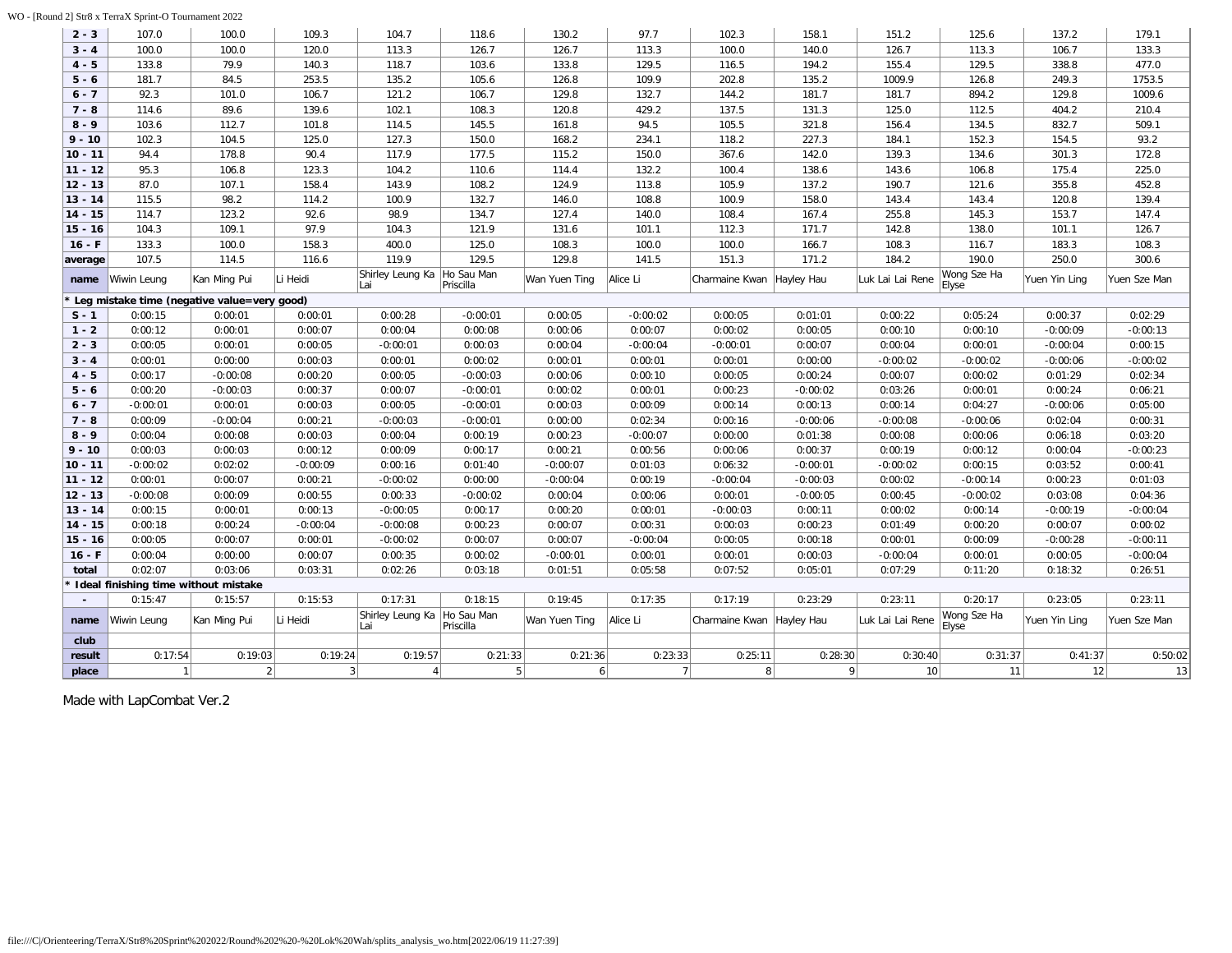### WO - [Round 2] Str8 x TerraX Sprint-O Tournament 2022

| $2 - 3$   | 107.0                                       | 100.0        | 109.3          | 104.7                   | 118.6                   | 130.2          | 97.7           | 102.3                       | 158.1      | 151.2            | 125.6                | 137.2         | 179.1        |
|-----------|---------------------------------------------|--------------|----------------|-------------------------|-------------------------|----------------|----------------|-----------------------------|------------|------------------|----------------------|---------------|--------------|
| $3 - 4$   | 100.0                                       | 100.0        | 120.0          | 113.3                   | 126.7                   | 126.7          | 113.3          | 100.0                       | 140.0      | 126.7            | 113.3                | 106.7         | 133.3        |
| $4 - 5$   | 133.8                                       | 79.9         | 140.3          | 118.7                   | 103.6                   | 133.8          | 129.5          | 116.5                       | 194.2      | 155.4            | 129.5                | 338.8         | 477.0        |
| $5 - 6$   | 181.7                                       | 84.5         | 253.5          | 135.2                   | 105.6                   | 126.8          | 109.9          | 202.8                       | 135.2      | 1009.9           | 126.8                | 249.3         | 1753.5       |
| $6 - 7$   | 92.3                                        | 101.0        | 106.7          | 121.2                   | 106.7                   | 129.8          | 132.7          | 144.2                       | 181.7      | 181.7            | 894.2                | 129.8         | 1009.6       |
| $7 - 8$   | 114.6                                       | 89.6         | 139.6          | 102.1                   | 108.3                   | 120.8          | 429.2          | 137.5                       | 131.3      | 125.0            | 112.5                | 404.2         | 210.4        |
| $8 - 9$   | 103.6                                       | 112.7        | 101.8          | 114.5                   | 145.5                   | 161.8          | 94.5           | 105.5                       | 321.8      | 156.4            | 134.5                | 832.7         | 509.1        |
| $9 - 10$  | 102.3                                       | 104.5        | 125.0          | 127.3                   | 150.0                   | 168.2          | 234.1          | 118.2                       | 227.3      | 184.1            | 152.3                | 154.5         | 93.2         |
| $10 - 11$ | 94.4                                        | 178.8        | 90.4           | 117.9                   | 177.5                   | 115.2          | 150.0          | 367.6                       | 142.0      | 139.3            | 134.6                | 301.3         | 172.8        |
| $11 - 12$ | 95.3                                        | 106.8        | 123.3          | 104.2                   | 110.6                   | 114.4          | 132.2          | 100.4                       | 138.6      | 143.6            | 106.8                | 175.4         | 225.0        |
| $12 - 13$ | 87.0                                        | 107.1        | 158.4          | 143.9                   | 108.2                   | 124.9          | 113.8          | 105.9                       | 137.2      | 190.7            | 121.6                | 355.8         | 452.8        |
| $13 - 14$ | 115.5                                       | 98.2         | 114.2          | 100.9                   | 132.7                   | 146.0          | 108.8          | 100.9                       | 158.0      | 143.4            | 143.4                | 120.8         | 139.4        |
| $14 - 15$ | 114.7                                       | 123.2        | 92.6           | 98.9                    | 134.7                   | 127.4          | 140.0          | 108.4                       | 167.4      | 255.8            | 145.3                | 153.7         | 147.4        |
| $15 - 16$ | 104.3                                       | 109.1        | 97.9           | 104.3                   | 121.9                   | 131.6          | 101.1          | 112.3                       | 171.7      | 142.8            | 138.0                | 101.1         | 126.7        |
| $16 - F$  | 133.3                                       | 100.0        | 158.3          | 400.0                   | 125.0                   | 108.3          | 100.0          | 100.0                       | 166.7      | 108.3            | 116.7                | 183.3         | 108.3        |
| average   | 107.5                                       | 114.5        | 116.6          | 119.9                   | 129.5                   | 129.8          | 141.5          | 151.3                       | 171.2      | 184.2            | 190.0                | 250.0         | 300.6        |
| name      | Wiwin Leung                                 | Kan Ming Pui | Li Heidi       | Shirley Leung Ka<br>Lai | Ho Sau Man<br>Priscilla | Wan Yuen Ting  | Alice Li       | Charmaine Kwan              | Hayley Hau | Luk Lai Lai Rene | Wong Sze Ha<br>Elyse | Yuen Yin Ling | Yuen Sze Man |
|           | Leg mistake time (negative value=very good) |              |                |                         |                         |                |                |                             |            |                  |                      |               |              |
| $S - 1$   | 0:00:15                                     | 0:00:01      | 0:00:01        | 0:00:28                 | $-0:00:01$              | 0:00:05        | $-0:00:02$     | 0:00:05                     | 0:01:01    | 0:00:22          | 0:05:24              | 0:00:37       | 0:02:29      |
| $1 - 2$   | 0:00:12                                     | 0:00:01      | 0:00:07        | 0:00:04                 | 0:00:08                 | 0:00:06        | 0:00:07        | 0:00:02                     | 0:00:05    | 0:00:10          | 0:00:10              | $-0:00:09$    | $-0:00:13$   |
| $2 - 3$   | 0:00:05                                     | 0:00:01      | 0:00:05        | $-0:00:01$              | 0:00:03                 | 0:00:04        | $-0:00:04$     | $-0:00:01$                  | 0:00:07    | 0:00:04          | 0:00:01              | $-0:00:04$    | 0:00:15      |
| $3 - 4$   | 0:00:01                                     | 0:00:00      | 0:00:03        | 0:00:01                 | 0:00:02                 | 0:00:01        | 0:00:01        | 0:00:01                     | 0:00:00    | $-0:00:02$       | $-0:00:02$           | $-0:00:06$    | $-0:00:02$   |
| $4 - 5$   | 0:00:17                                     | $-0:00:08$   | 0:00:20        | 0:00:05                 | $-0:00:03$              | 0:00:06        | 0:00:10        | 0:00:05                     | 0:00:24    | 0:00:07          | 0:00:02              | 0:01:29       | 0:02:34      |
| $5 - 6$   | 0:00:20                                     | $-0:00:03$   | 0:00:37        | 0:00:07                 | $-0:00:01$              | 0:00:02        | 0:00:01        | 0:00:23                     | $-0:00:02$ | 0:03:26          | 0:00:01              | 0:00:24       | 0:06:21      |
| $6 - 7$   | $-0:00:01$                                  | 0:00:01      | 0:00:03        | 0:00:05                 | $-0:00:01$              | 0:00:03        | 0:00:09        | 0:00:14                     | 0:00:13    | 0:00:14          | 0:04:27              | $-0:00:06$    | 0:05:00      |
| $7 - 8$   | 0:00:09                                     | $-0:00:04$   | 0:00:21        | $-0:00:03$              | $-0:00:01$              | 0:00:00        | 0:02:34        | 0:00:16                     | $-0:00:06$ | $-0:00:08$       | $-0:00:06$           | 0:02:04       | 0:00:31      |
| $8 - 9$   | 0:00:04                                     | 0:00:08      | 0:00:03        | 0:00:04                 | 0:00:19                 | 0:00:23        | $-0:00:07$     | 0:00:00                     | 0:01:38    | 0:00:08          | 0:00:06              | 0:06:18       | 0:03:20      |
| $9 - 10$  | 0:00:03                                     | 0:00:03      | 0:00:12        | 0:00:09                 | 0:00:17                 | 0:00:21        | 0:00:56        | 0:00:06                     | 0:00:37    | 0:00:19          | 0:00:12              | 0:00:04       | $-0:00:23$   |
| $10 - 11$ | $-0:00:02$                                  | 0:02:02      | $-0:00:09$     | 0:00:16                 | 0:01:40                 | $-0:00:07$     | 0:01:03        | 0:06:32                     | $-0:00:01$ | $-0:00:02$       | 0:00:15              | 0:03:52       | 0:00:41      |
| $11 - 12$ | 0:00:01                                     | 0:00:07      | 0:00:21        | $-0:00:02$              | 0:00:00                 | $-0:00:04$     | 0:00:19        | $-0:00:04$                  | $-0:00:03$ | 0:00:02          | $-0:00:14$           | 0:00:23       | 0:01:03      |
| $12 - 13$ | $-0:00:08$                                  | 0:00:09      | 0:00:55        | 0:00:33                 | $-0:00:02$              | 0:00:04        | 0:00:06        | 0:00:01                     | $-0:00:05$ | 0:00:45          | $-0:00:02$           | 0:03:08       | 0:04:36      |
| $13 - 14$ | 0:00:15                                     | 0:00:01      | 0:00:13        | $-0:00:05$              | 0:00:17                 | 0:00:20        | 0:00:01        | $-0:00:03$                  | 0:00:11    | 0:00:02          | 0:00:14              | $-0:00:19$    | $-0:00:04$   |
| $14 - 15$ | 0:00:18                                     | 0:00:24      | $-0:00:04$     | $-0:00:08$              | 0:00:23                 | 0:00:07        | 0:00:31        | 0:00:03                     | 0:00:23    | 0:01:49          | 0:00:20              | 0:00:07       | 0:00:02      |
| $15 - 16$ | 0:00:05                                     | 0:00:07      | 0:00:01        | $-0:00:02$              | 0:00:07                 | 0:00:07        | $-0:00:04$     | 0:00:05                     | 0:00:18    | 0:00:01          | 0:00:09              | $-0:00:28$    | $-0:00:11$   |
| $16 - F$  | 0:00:04                                     | 0:00:00      | 0:00:07        | 0:00:35                 | 0:00:02                 | $-0:00:01$     | 0:00:01        | 0:00:01                     | 0:00:03    | $-0:00:04$       | 0:00:01              | 0:00:05       | $-0:00:04$   |
| total     | 0:02:07                                     | 0:03:06      | 0:03:31        | 0:02:26                 | 0:03:18                 | 0:01:51        | 0:05:58        | 0:07:52                     | 0:05:01    | 0:07:29          | 0:11:20              | 0:18:32       | 0:26:51      |
|           | Ideal finishing time without mistake        |              |                |                         |                         |                |                |                             |            |                  |                      |               |              |
|           | 0:15:47                                     | 0:15:57      | 0:15:53        | 0:17:31                 | 0:18:15                 | 0:19:45        | 0:17:35        | 0:17:19                     | 0:23:29    | 0:23:11          | 0:20:17              | 0:23:05       | 0:23:11      |
| name      | Wiwin Leung                                 | Kan Ming Pui | Li Heidi       | Shirley Leung Ka<br>Lai | Ho Sau Man<br>Priscilla | Wan Yuen Ting  | Alice Li       | Charmaine Kwan   Hayley Hau |            | Luk Lai Lai Rene | Wong Sze Ha<br>Elyse | Yuen Yin Ling | Yuen Sze Man |
| club      |                                             |              |                |                         |                         |                |                |                             |            |                  |                      |               |              |
| result    | 0:17:54                                     | 0:19:03      | 0:19:24        | 0:19:57                 | 0:21:33                 | 0:21:36        | 0:23:33        | 0:25:11                     | 0:28:30    | 0:30:40          | 0:31:37              | 0:41:37       | 0:50:02      |
| place     | $\mathbf{1}$                                | 2            | 3 <sup>1</sup> |                         | 5 <sup>2</sup>          | 6 <sup>1</sup> | 7 <sup>1</sup> | 8 <sup>1</sup>              | $\vert$    | 10               | 11                   | 12            | 13           |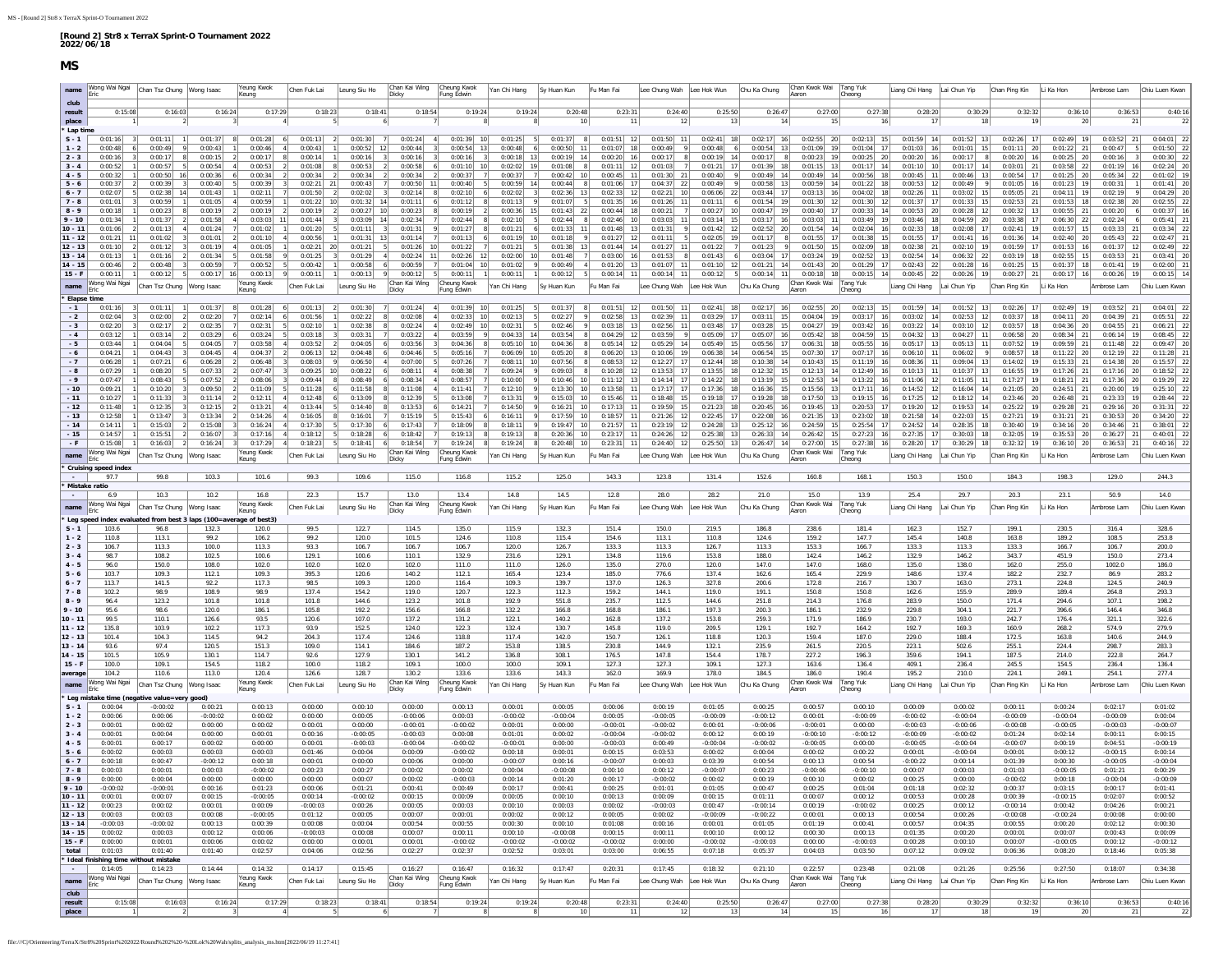<span id="page-10-0"></span>

| $5 - 6$          | 0:00:32                              | 0:00:50                                                                   | 0:00:36       | 0:00:34             | 0:00:34      | 0:00:34              | 0:00:34                  | 2 0:00:37 7                      | $0:00:37$ 7         | $0:00:42$ 10              | $0:00:45$ 11                                                                                 | $0:01:30$ 21              | 0:00:40                   |                                                                                              | $0:00:49$ 14 $0:00:49$ 14              | $0:00:56$ 18                                                                                 | $0:00:45$ 11   | $0:00:46$   13           | $0:00:54$ 17                   | 0:01:25                   | 0:05:34       |                |
|------------------|--------------------------------------|---------------------------------------------------------------------------|---------------|---------------------|--------------|----------------------|--------------------------|----------------------------------|---------------------|---------------------------|----------------------------------------------------------------------------------------------|---------------------------|---------------------------|----------------------------------------------------------------------------------------------|----------------------------------------|----------------------------------------------------------------------------------------------|----------------|--------------------------|--------------------------------|---------------------------|---------------|----------------|
|                  | 0:00:37<br>$\vert$ 2                 | 0:00:39<br>$\overline{\mathbf{3}}$                                        | 0:00:40       | 5<br>0:00:39        | $0:02:21$ 21 | 0:00:43              | 7                        | $0:00:50$ 11 $0:00:40$ 5         |                     | $0:00:59$ 14 $0:00:44$ 8  | $0:01:06$ 17                                                                                 | $0:04:37$ 22              | 0:00:49<br>9 <sup>1</sup> |                                                                                              | $0:00:58$ 13 $0:00:59$ 14              | $0:01:22$ 18                                                                                 |                | $0:00:53$ 12 $0:00:49$ 9 | 0:01:05 16                     | $0:01:23$ 19              | 0:00:31       | $0:01:41$ 20   |
| $6 - 7$          | 0:02:07                              | $0:02:38$ 14                                                              | 0:01:43       | 0:02:11             | 0:01:50      | 0:02:02<br>$\vert$ 2 | $0:02:14$ 8<br>$\vert$ 3 | 0:02:10<br>6                     | $0:02:02$ 3         | $0:02:36$ 13              | $0:02:33$ 12                                                                                 | $0:02:21$ 10              | $0:06:06$ 22              | $0:03:44$ 17                                                                                 | $0:03:13$ 16                           | $0:04:02$ 18                                                                                 | $0:02:26$ 11   | $0:03:02$ 15             | $0:05:05$ 21                   | 0:04:11<br>19             | 0:02:19       | 0:04:29        |
| $7 - 8$          | 0:01:01                              | 0:00:59                                                                   | 0:01:05       | 0:00:59             | 0:01:22      | 10<br>0:01:32        | 14<br>0:01:11            | 0:01:12                          | 8 <br>0:01:13       | 0:01:07                   | $0:01:35$ 16                                                                                 | $0:01:26$ 11              | 0:01:11<br>6              | $0:01:54$ 19                                                                                 | $0:01:30$ 12                           | $0:01:30$ 12                                                                                 | $0:01:37$ 17   | $0:01:33$ 15             | $0:02:53$ 21                   | 0:01:53<br>18             | 0:02:38       | 0:02:55        |
| $8 - 9$          | 0:00:18                              | 0:00:23                                                                   | 0:00:19       | 0:00:19             | 0:00:19      | $0:00:27$ 10         | 0:00:23                  | 8 <br>0:00:19                    | $0:00:36$ 15        | $0:01:43$ 22              | $0:00:44$ 18                                                                                 | 7<br>0:00:21              | $0:00:27$ 10              | $0:00:47$ 19                                                                                 | $0:00:40$ 17                           | $0:00:33$ 14                                                                                 | $0:00:53$ 20   | $0:00:28$ 12             | $0:00:32$ 13                   | 0:00:55                   | 0:00:20       | 0:00:37        |
| $9 - 10$         | 0:01:34                              | 0:01:37                                                                   | 0:01:58       | $0:03:03$ 11        | 0:01:44      | $0:03:09$ 14         | 0:02:34                  | 0:02:44                          | $0:02:10$ 5         | $0:02:44$ 8               | $0:02:46$ 10                                                                                 | $0:03:03$ 11              | $0:03:14$ 15              | $0:03:17$ 16                                                                                 | $0:03:03$ 11                           | $0:03:49$ 19                                                                                 | $0:03:46$ 18   | $0:04:59$ 20             | $0:03:38$ 17                   | 0:06:30                   | 0:02:24       | 0:05:41        |
| $10 - 11$        | 0:01:06                              | 0:01:13                                                                   | 0:01:24       | 0:01:02             | 0:01:20      | 0:01:11              | 0:01:31                  | 0:01:27<br>-91                   | $0:01:21$ 6         | $0:01:33$ 11              | 0:01:48<br>- 13                                                                              | 0:01:31                   | $0:01:42$ 12              | $0:02:52$ 20                                                                                 | $0:01:54$ 14                           | $0:02:04$ 16                                                                                 | $0:02:33$ 18   | $0:02:08$ 17             | 0:02:41<br><b>19</b>           | 0:01:57                   | 0:03:33       | 0:03:34        |
| $11 - 12$        |                                      | 0:01:02                                                                   | 0:01:01       | 0:01:10             | 0:00:56      | 0:01:31              | 13<br>0:01:14            | 0:01:13                          | $0:01:19$ 10        | 0:01:18                   | 0:01:27<br>12                                                                                | 0:01:11                   | 0:02:05                   | 0:01:17                                                                                      | 0:01:55                                | $0:01:38$ 15                                                                                 | $0:01:55$ 17   | 0:01:41<br>16            | 0:01:36<br>14                  | 0:02:40                   | 0:05:43       |                |
| $12 - 13$        | 0:01:10                              | 0:01:12                                                                   | 0:01:19       | 0:01:05             | 0:02:21      | 0:01:21<br>20        | $0:01:26$ 10             | 0:01:22                          | 0:01:21             | $0:01:38$ 13              | 0:01:44                                                                                      | 0:01:27                   | 0:01:22                   | 0:01:23                                                                                      | $0:01:50$ 15                           | $0:02:09$ 18                                                                                 | $0:02:38$ 21   | 19<br>0:02:10            | $0:01:59$ 17                   | 0:01:53                   | 0:01:37       | 0:02:49        |
| $13 - 14$        | 0:01:13                              | 0:01:16                                                                   | 0:01:34       | 0:01:58             | 0:01:25      | 0:01:29              | $0:02:24$ 11             | $0:02:26$ 12                     | $0:02:00$ 10        | 0:01:48                   | $0:03:00$ 16                                                                                 | $0:01:53$ 8               | 0:01:43                   | $0:03:04$ 17                                                                                 | $0:03:24$ 19                           | $0:02:52$ 13                                                                                 | $0:02:54$ 14   | $0:06:32$ 22             | $0:03:19$ 18                   | 0:02:55<br>15             | 0:03:53       | 0:03:41        |
| $14 - 15$        | 0:00:46                              | 0:00:48                                                                   | 0:00:59       | 0:00:52             | 0:00:42      | 0:00:58              | 0:00:59                  | $0:01:04$ 10<br>7                | $0:01:02$ 9         | $0:00:49$ 4               | $0:01:20$ 13                                                                                 | $0:01:07$ 11              | $0:01:10$ 12              |                                                                                              | $0:01:21$ 14 $0:01:43$ 20              | $0:01:29$ 17                                                                                 | $0:02:43$ 22   | $0:01:28$ 16             | $0:01:25$ 15                   | $0:01:37$ 18              | $0:01:41$ 19  | 0:02:00        |
| $15 - F$         | 0:00:11                              | $0:00:12$ 5<br>$\left  \cdot \right $                                     | 0:00:17<br>16 | 0:00:13             | 0:00:11      | 0:00:13              | 0:00:12                  | 5<br>0:00:11<br> 1               | 0:00:11             | 0:00:12<br>5 <sub>1</sub> | $0:00:14$ 11                                                                                 | $0:00:14$ 11              | 0:00:12<br>- 5            | $0:00:14$ 11                                                                                 | $0:00:18$ 18                           | $0:00:15$ 14                                                                                 | $0:00:45$ 22   | $0:00:26$ 19             | $0:00:27$ 21                   | $0:00:17$ 16              | $0:00:26$ 19  | 0:00:15        |
| name             |                                      | /ong Wai Ngai   Chan Tsz Chung   Wong Isaac                               |               | 'eung Kwok          | Chen Fuk Lai | Leung Siu Ho         | Chan Kai Wing<br>Dicky   | Cheung Kwok<br>Fung Edwin        | Yan Chi Hang        | Sy Huan Kun               | Fu Man Fai                                                                                   | Lee Chung Wah Lee Hok Wun |                           | Chu Ka Chung                                                                                 | Chan Kwok Wai Tang Yuk<br>Aaron Cheong |                                                                                              | Liang Chi Hang | Lai Chun Yip             | Chan Ping Kin                  | Li Ka Hon                 | Ambrose Lam   | Chiu Luen Kwar |
|                  |                                      |                                                                           |               |                     |              |                      |                          |                                  |                     |                           |                                                                                              |                           |                           |                                                                                              |                                        |                                                                                              |                |                          |                                |                           |               |                |
| * Elapse time    |                                      |                                                                           |               |                     |              |                      |                          |                                  |                     |                           |                                                                                              |                           |                           |                                                                                              |                                        |                                                                                              |                |                          |                                |                           |               |                |
| $-1$             | $0:01:16$ 3                          | 0:01:11                                                                   | 0:01:37       | 0:01:28             | 0:01:13      | 0:01:30              | $0:01:24$ 4              | $0:01:39$ 10                     | $0:01:25$ 5         | $0:01:37$ 8               | $0:01:51$ 12                                                                                 | $0:01:50$ 11              | $0:02:41$ 18              |                                                                                              | $0:02:17$ 16 $0:02:55$ 20              | $0:02:13$ 15                                                                                 | $0:01:59$ 14   | $0:01:52$ 13             | $0:02:26$ 17                   | $0:02:49$ 19              | $0:03:52$ 21  | 0:04:01        |
| $-2$             | $0:02:04$ 3                          | 0:02:00                                                                   | 0:02:20       | 0:02:14             | 0:01:56      | 0:02:22              | 8<br>$0:02:08$ 4         | $0:02:33$ 10                     | $0:02:13$ 5         | $0:02:27$ 9               | $0:02:58$ 13                                                                                 | $0:02:39$ 11              | $0:03:29$ 17              |                                                                                              | $0:03:11$ 15 $0:04:04$ 19              | $0:03:17$ 16                                                                                 | $0:03:02$ 14   | $0:02:53$ 12             | $0:03:37$ 18                   | $0:04:11$ 20              | $0:04:39$ 21  | 0:05:51        |
| $-3$             | 0:02:20                              | $0:02:17$ 2                                                               | 0:02:35       | 0:02:31             | 0:02:10      | 0:02:38              | 0:02:24                  | $-4$<br>$0:02:49$ 10             | $0:02:31$ 5         | 0:02:46                   | $0:03:18$ 13                                                                                 | $0:02:56$ 11              | $0:03:48$ 17              | $0:03:28$ 15                                                                                 | $0:04:27$ 19                           | $0:03:42$ 16                                                                                 | $0:03:22$ 14   | $0:03:10$ 12             | $0:03:57$ 18                   | $0:04:36$ 20              | $0:04:55$ 21  | 0:06:21        |
| $-4$             | 0:03:12                              | 0:03:14                                                                   | 0:03:29       | 0:03:24             | 0:03:18      | 0:03:31              | 0:03:22                  | 0:03:59<br>9<br>$\left  \right $ | $0:04:33$ 14        | 0:03:54                   | 0:04:29<br>12                                                                                | 0:03:59                   | 0:05:09<br>9<br>17        |                                                                                              | $0:05:07$ 16 $0:05:42$ 18              | $0:04:59$ 15                                                                                 | $0:04:32$ 13   | $0:04:27$ 11             | $0:06:58$ 20                   | 0:08:34<br>21             | 0:06:14<br>19 | 0:08:45        |
| $-5$             | 0:03:44                              | 0:04:04                                                                   | 0:04:05       | 0:03:58             | 0:03:52      | 0:04:05              | 0:03:56                  | 0:04:36                          | $0:05:10$ 10        | 0:04:36                   | $\begin{array}{ c c c c c }\hline 0:05:14 & 12 \\ \hline 0:06:20 & 13 \\ \hline \end{array}$ | $0:05:29$ 14              | $0:05:49$ 15              | $\begin{array}{ c c c c c }\hline 0:05:56 & 17 \\ \hline 0:06:54 & 15 \\ \hline \end{array}$ | $0:06:31$ 18                           | $\begin{array}{ c c c c c }\hline 0:05:55 & 16 \\ \hline 0:07:17 & 16 \\ \hline \end{array}$ | $0:05:17$ 13   | $0:05:13$ 11             | $0:07:52$ 19                   | 0:09:59                   | $0:11:48$ 22  | 0:09:47        |
| $-6$             | 0:04:21                              | 0:04:43                                                                   | 0:04:45       | 0:04:37             | 0:06:13      | 12<br>0:04:48        | 0:04:46                  | 5<br>0:05:16                     | $0:06:09$ 10        | 0:05:20                   |                                                                                              | $0:10:06$ 19              | $0:06:38$ 14              |                                                                                              | $0:07:30$ 17                           |                                                                                              | $0:06:10$ 11   | 0:06:02                  | $\overline{9}$<br>$0:08:57$ 18 | 0:11:22<br>- 20           | 0:12:19<br>22 | 0:11:28        |
| $-7$             | 0:06:28                              | 0:07:21                                                                   | 0:06:28       | 0:06:48             | 0:08:03      | 0:06:50              | 0:07:00                  | 0:07:26                          | $0:08:11$ 10        | $0:07:56$ 8               | $0:08:53$ 12                                                                                 | $0:12:27$ 17              | $0:12:44$ 18              |                                                                                              | $0:10:38$ 14 $0:10:43$ 15              | $0:11:19$ 16                                                                                 | $0:08:36$ 11   | $0:09:04$ 13             | $0:14:02$ 19                   | $0:15:33$ 21              | $0:14:38$ 20  | 0:15:57        |
| $-8$             | 0:07:29                              | 0:08:20                                                                   | 0:07:33       | 0:07:47             | $0:09:25$ 10 | 0:08:22              | 0:08:11                  | 0:08:38<br>$-4$                  | $0:09:24$ 9         | $0:09:03$ 8               | $0:10:28$ 12                                                                                 | $0:13:53$ 17              | $0:13:55$ 18              | $0:12:32$ 15                                                                                 | $0:12:13$ 14                           | $0:12:49$ 16                                                                                 | $0:10:13$ 11   | $0:10:37$ 13             | $0:16:55$ 19                   | $0:17:26$ 21              | $0:17:16$ 20  | 0:18:52        |
| $-9$             | 0:07:47                              | 0:08:43                                                                   | 0:07:52       | 0:08:06             | 0:09:44      | 0:08:49              | 0:08:34                  | 0:08:57                          | 0:10:00             | $0:10:46$ 10              | 0:11:12<br>13                                                                                | $0:14:14$ 17              | $0:14:22$ 18              | $0:13:19$ 15                                                                                 | $0:12:53$ 14                           | $0:13:22$ 16                                                                                 | $0:11:06$ 12   | $0:11:05$ 11             | 0:17:27<br>19                  | 0:18:21<br>21             | 0:17:36<br>20 | 0:19:29        |
| $-10$            | 0:09:21                              | 0:10:20                                                                   | 0:09:50       | 0:11:09             | 0:11:28      | 0:11:58              | 0:11:08                  | 0:11:41                          | 0:12:10             | $0:13:30$ 10              | 0:13:58                                                                                      | 0:17:17                   | 0:17:36<br>18             | 0:16:36<br>15                                                                                | 0:15:56                                | $0:17:11$ 16                                                                                 | $0:14:52$ 12   | 0:16:04<br>14            | 0:21:05<br>20                  | 0:24:51                   | 0:20:00       |                |
| $-11$            | 0:10:27                              | 0:11:33                                                                   | 0:11:14       | 0:12:11             | 0:12:48      | 0:13:09              | 0:12:39                  | 0:13:08                          | 0:13:31             | 0:15:03                   | 0:15:46                                                                                      | 0:18:48                   | $0:19:18$ 17              | $0:19:28$ 18                                                                                 | $0:17:50$ 13                           | $0:19:15$ 16                                                                                 | $0:17:25$ 12   | 14<br>0:18:12            | 0:23:46<br>20                  | 0:26:48                   | 0:23:33       | 0:28:44        |
| $-12$            | 0:11:48                              | 0:12:35                                                                   | 0:12:15       | 0:13:21             | 0:13:44      | 0:14:40              | 0:13:53                  | 0:14:21                          | 0:14:50             | $0:16:21$ 10              | $0:17:13$ 11                                                                                 | $0:19:59$ 15              | $0:21:23$ 18              | $0:20:45$ 16                                                                                 | $0:19:45$ 13                           | $0:20:53$ 17                                                                                 | $0:19:20$ 12   | $0:19:53$ 14             | $0:25:22$ 19                   | 0:29:28                   | 0:29:16       | 0:31:31        |
| $-13$            | 0:12:58<br> 1                        | 0:13:47                                                                   | 0:13:34       | 0:14:26             | 0:16:05      | 0:16:01              | 0:15:19                  | 0:15:43<br>6<br>5                | $0:16:11$ 9         | $0:17:59$ 10              | $0:18:57$ 11                                                                                 | $0:21:26$ 12              | $0:22:45$ 17              |                                                                                              | $0:22:08$ 16 $0:21:35$ 13              | $0:23:02$ 18                                                                                 | $0:21:58$ 14   | $0:22:03$ 15             | $0:27:21$ 19                   | 0:31:21<br>21             | $0:30:53$ 20  | 0:34:20        |
| $-14$            | 0:14:11                              | 0:15:03                                                                   | 0:15:08       | 0:16:24             | 0:17:30      | 0:17:30              | 0:17:43                  | 0:18:09                          | 0:18:11<br>8<br>9   | $0:19:47$ 10              | 0:21:57<br>11                                                                                | $0:23:19$ 12              | $0:24:28$ 13              |                                                                                              | $0:25:12$ 16 $0:24:59$ 15              | $0:25:54$ 17                                                                                 | $0:24:52$ 14   | $0:28:35$ 18             | $0:30:40$ 19                   | 0:34:16<br>20             | $0:34:46$ 21  | 0:38:01        |
| $-15$            | 0:14:57                              | 0:15:51                                                                   | 0:16:07       | 0:17:16             | 0:18:12      | 0:18:28              | 0:18:42                  | 0:19:13                          | 8 <br>0:19:13<br> 8 | $0:20:36$ 10              | 11<br>0:23:17                                                                                | $0:24:26$ 12              | 0:25:38<br>13             | 0:26:33                                                                                      | 14<br>$0:26:42$ 15                     | $0:27:23$ 16                                                                                 | $0:27:35$ 17   | $0:30:03$ 18             | 0:32:05<br>19                  | 0:35:53<br>20             | 0:36:27<br>21 | 0:40:01        |
| $-$ F            | $0:15:08$ 1                          | 0:16:03                                                                   | 0:16:24       | 0:17:29             | 0:18:23      | 0:18:41              | 0:18:54                  | 7<br>0:19:24<br>8 <sup>1</sup>   | $0:19:24$ 8         | $0:20:48$ 10              | $0:23:31$ 11                                                                                 | $0:24:40$ 12              | $0:25:50$ 13              |                                                                                              | $0:26:47$ 14 0:27:00 15                | $0:27:38$ 16                                                                                 | $0:28:20$ 17   | $0:30:29$ 18             |                                | $0:32:32$ 19 $0:36:10$ 20 | $0:36:53$ 21  | $0:40:16$ 2    |
| name <b>Fric</b> |                                      | Wong Wai Ngai $\int_{\text{Chan}}$ Tsz Chung $\int_{\text{Wong Isaac}}$   |               | Yeung Kwok          | Chen Fuk Lai | Leung Siu Ho         | Chan Kai Wing            | Cheung Kwok                      | Yan Chi Hang        | Sy Huan Kun               | Fu Man Fai                                                                                   | Lee Chung Wah             | Lee Hok Wun               | Chu Ka Chung                                                                                 | Chan Kwok Wai Tang Yuk<br>Aaron Cheong |                                                                                              | Liang Chi Hang | Lai Chun Yip             | Chan Ping Kin                  | Li Ka Hon                 | Ambrose Lam   | Chiu Luen Kwa  |
|                  |                                      |                                                                           |               | Keung               |              |                      | Dicky                    | Fung Edwin                       |                     |                           |                                                                                              |                           |                           |                                                                                              |                                        |                                                                                              |                |                          |                                |                           |               |                |
|                  | Cruising speed index                 |                                                                           |               |                     |              |                      |                          |                                  |                     |                           |                                                                                              |                           |                           |                                                                                              |                                        |                                                                                              |                |                          |                                |                           |               |                |
| $\sim$ 100 $\mu$ | 97.7                                 | 99.8                                                                      | 103.3         | 101.6               | 99.3         | 109.6                | 115.0                    | 116.8                            | 115.2               | 125.0                     | 143.3                                                                                        | 123.8                     | 131.4                     | 152.6                                                                                        | 160.8                                  | 168.1                                                                                        | 150.3          | 150.0                    | 184.3                          | 198.3                     | 129.0         | 244.3          |
| Mistake ratio    |                                      |                                                                           |               |                     |              |                      |                          |                                  |                     |                           |                                                                                              |                           |                           |                                                                                              |                                        |                                                                                              |                |                          |                                |                           |               |                |
|                  | 6.9                                  | 10.3                                                                      | 10.2          | 16.8                | 22.3         | 15.7                 | 13.0                     | 13.4                             | 14.8                | 14.5                      | 12.8                                                                                         | 28.0                      | 28.2                      | 21.0                                                                                         | 15.0                                   | 13.9                                                                                         | 25.4           | 29.7                     | 20.3                           | 23.1                      | 50.9          | 14.0           |
| name Eric        | Wong Wai Ngai                        | Chan Tsz Chung   Wong Isaac                                               |               | Yeung Kwok<br>Keung | Chen Fuk Lai | eung Siu Ho.         | Chan Kai Wing            | Cheung Kwok<br>Fung Edwin        | Yan Chi Hang        | Sy Huan Kun               | Fu Man Fai                                                                                   | Lee Chung Wah             | Lee Hok Wun               | Chu Ka Chung                                                                                 | Chan Kwok Wai Tang Yuk                 | Cheong                                                                                       | Liang Chi Hang | Lai Chun Yip             | Chan Ping Kin                  | Li Ka Hon                 | Ambrose Lam   | Chiu Luen Kwan |
|                  |                                      |                                                                           |               |                     |              |                      | Dicky                    |                                  |                     |                           |                                                                                              |                           |                           |                                                                                              |                                        |                                                                                              |                |                          |                                |                           |               |                |
| $S - 1$          | 103.6                                | Leg speed index evaluated from best 3 laps (100=average of best3)<br>96.8 | 132.3         | 120.0               | 99.5         | 122.7                | 114.5                    | 135.0                            | 115.9               | 132.3                     | 151.4                                                                                        | 150.0                     | 219.5                     | 186.8                                                                                        | 238.6                                  | 181.4                                                                                        | 162.3          | 152.7                    | 199.1                          | 230.5                     | 316.4         | 328.6          |
| $1 - 2$          | 110.8                                | 113.1                                                                     | 99.2          | 106.2               | 99.2         | 120.0                | 101.5                    | 124.6                            | 110.8               | 115.4                     | 154.6                                                                                        | 113.1                     | 110.8                     | 124.6                                                                                        | 159.2                                  | 147.7                                                                                        | 145.4          | 140.8                    | 163.8                          | 189.2                     | 108.5         | 253.8          |
| $2 - 3$          | 106.7                                | 113.3                                                                     | 100.0         | 113.3               | 93.3         | 106.7                | 106.7                    | 106.7                            | 120.0               | 126.7                     | 133.3                                                                                        | 113.3                     | 126.7                     | 113.3                                                                                        | 153.3                                  | 166.7                                                                                        | 133.3          | 113.3                    | 133.3                          | 166.7                     | 106.7         | 200.0          |
| $3 - 4$          | 98.7                                 | 108.2                                                                     | 102.5         | 100.6               | 129.1        | 100.6                | 110.1                    | 132.9                            | 231.6               | 129.1                     | 134.8                                                                                        | 119.6                     | 153.8                     | 188.0                                                                                        | 142.4                                  | 146.2                                                                                        | 132.9          | 146.2                    | 343.7                          | 451.9                     | 150.0         | 273.4          |
| $4 - 5$          | 96.0                                 | 150.0                                                                     | 108.0         | 102.0               | 102.0        | 102.0                | 102.0                    | 111.0                            |                     |                           |                                                                                              |                           |                           |                                                                                              |                                        |                                                                                              |                |                          |                                |                           | 1002.0        | 186.0          |
|                  |                                      |                                                                           |               |                     |              |                      |                          |                                  |                     |                           |                                                                                              |                           |                           |                                                                                              |                                        |                                                                                              |                |                          |                                |                           |               |                |
|                  |                                      |                                                                           |               |                     |              |                      |                          |                                  | 111.0               | 126.0                     | 135.0                                                                                        | 270.0                     | 120.0                     | 147.0                                                                                        | 147.0                                  | 168.0                                                                                        | 135.0          | 138.0                    | 162.0                          | 255.0                     |               |                |
| $5 - 6$          | 103.7                                | 109.3                                                                     | 112.1         | 109.3               | 395.3        | 120.6                | 140.2                    | 112.1                            | 165.4               | 123.4                     | 185.0                                                                                        | 776.6                     | 137.4                     | 162.6                                                                                        | 165.4                                  | 229.9                                                                                        | 148.6          | 137.4                    | 182.2                          | 232.7                     | 86.9          | 283.2          |
| $6 - 7$          | 113.7                                | 141.5                                                                     | 92.2          | 117.3               | 98.5         | 109.3                | 120.0                    | 116.4                            | 109.3               | 139.7                     | 137.0                                                                                        | 126.3                     | 327.8                     | 200.6                                                                                        | 172.8                                  | 216.7                                                                                        | 130.7          | 163.0                    | 273.1                          | 224.8                     | 124.5         | 240.9          |
| $7 - 8$          | 102.2                                | 98.9                                                                      | 108.9         | 98.9                | 137.4        | 154.2                | 119.0                    | 120.7                            | 122.3               | 112.3                     | 159.2                                                                                        | 144.1                     | 119.0                     | 191.1                                                                                        | 150.8                                  | 150.8                                                                                        | 162.6          | 155.9                    | 289.9                          | 189.4                     | 264.8         | 293.3          |
| $8 - 9$          | 96.4                                 | 123.2                                                                     | 101.8         | 101.8               | 101.8        | 144.6                | 123.2                    | 101.8                            | 192.9               | 551.8                     | 235.7                                                                                        | 112.5                     | 144.6                     | 251.8                                                                                        | 214.3                                  | 176.8                                                                                        | 283.9          | 150.0                    | 171.4                          | 294.6                     | 107.1         | 198.2          |
| $9 - 10$         | 95.6                                 | 98.6                                                                      | 120.0         | 186.1               | 105.8        | 192.2                | 156.6                    | 166.8                            | 132.2               | 166.8                     | 168.8                                                                                        | 186.1                     | 197.3                     | 200.3                                                                                        | 186.1                                  | 232.9                                                                                        | 229.8          | 304.1                    | 221.7                          | 396.6                     | 146.4         | 346.8          |
| $10 - 11$        | 99.5                                 | 110.1                                                                     | 126.6         | 93.5                | 120.6        | 107.0                | 137.2                    | 131.2                            | 122.1               | 140.2                     | 162.8                                                                                        | 137.2                     | 153.8                     | 259.3                                                                                        | 171.9                                  | 186.9                                                                                        | 230.7          | 193.0                    | 242.7                          | 176.4                     | 321.1         | 322.6          |
| $11 - 12$        | 135.8                                | 103.9                                                                     | 102.2         | 117.3               | 93.9         | 152.5                | 124.0                    | 122.3                            | 132.4               | 130.7                     | 145.8                                                                                        | 119.0                     | 209.5                     | 129.1                                                                                        | 192.7                                  | 164.2                                                                                        | 192.7          | 169.3                    | 160.9                          | 268.2                     | 574.9         | 279.9          |
| $12 - 13$        | 101.4                                | 104.3                                                                     | 114.5         | 94.2                | 204.3        | 117.4                | 124.6                    | 118.8                            | 117.4               | 142.0                     | 150.7                                                                                        | 126.1                     | 118.8                     | 120.3                                                                                        | 159.4                                  | 187.0                                                                                        | 229.0          | 188.4                    | 172.5                          | 163.8                     | 140.6         | 244.9          |
| $13 - 14$        | 93.6                                 | 97.4                                                                      | 120.5         | 151.3               | 109.0        | 114.1                | 184.6                    | 187.2                            | 153.8               | 138.5                     | 230.8                                                                                        | 144.9                     | 132.1                     | 235.9                                                                                        | 261.5                                  | 220.5                                                                                        | 223.1          | 502.6                    | 255.1                          | 224.4                     | 298.7         | 283.3          |
| $14 - 15$        | 101.5                                | 105.9                                                                     | 130.1         | 114.7               | 92.6         | 127.9                | 130.1                    | 141.2                            | 136.8               | 108.1                     | 176.5                                                                                        | 147.8                     | 154.4                     | 178.7                                                                                        | 227.2                                  | 196.3                                                                                        | 359.6          | 194.1                    | 187.5                          | 214.0                     | 222.8         | 264.7          |
| $15 - F$         | 100.0                                | 109.1                                                                     | 154.5         | 118.2               | 100.0        | 118.2                | 109.1                    | 100.0                            | 100.0               | 109.1                     | 127.3                                                                                        | 127.3                     | 109.1                     | 127.3                                                                                        | 163.6                                  | 136.4                                                                                        | 409.1          | 236.4                    | 245.5                          | 154.5                     | 236.4         | 136.4          |
| average          | 104.2                                | 110.6                                                                     | 113.0         | 120.4               | 126.6        | 128.7                | 130.2                    | 133.6                            | 133.6               | 143.3                     | 162.0                                                                                        | 169.9                     | 178.0                     | 184.5                                                                                        | 186.0                                  | 190.4                                                                                        | 195.2          | 210.0                    | 224.1                          | 249.1                     | 254.1         | 277.4          |
| name             | Wong Wai Ngai                        | Chan Tsz Chung                                                            | Wong Isaac    | Yeung Kwok<br>Keung | Chen Fuk Lai | eung Siu Ho          | Chan Kai Wing<br>Dicky   | Cheung Kwok<br>Fung Edwin        | fan Chi Hang        | Sy Huan Kun               | u Man Fai                                                                                    | Lee Chung Wah             | Lee Hok Wun               | Chu Ka Chung                                                                                 | Chan Kwok Wai<br>Aaron                 | Tang Yuk<br>Cheong                                                                           | Liang Chi Hang | Lai Chun Yip             | Chan Ping Kin                  | Li Ka Hon                 | Ambrose Lam   | Chiu Luen Kwa  |
|                  |                                      | * Leg mistake time (negative value=very good)                             |               |                     |              |                      |                          |                                  |                     |                           |                                                                                              |                           |                           |                                                                                              |                                        |                                                                                              |                |                          |                                |                           |               |                |
| $S - 1$          | 0:00:04                              | $-0:00:02$                                                                | 0:00:21       | 0:00:13             | 0:00:00      | 0:00:10              | 0:00:00                  | 0:00:13                          | 0:00:01             | 0:00:05                   | 0:00:06                                                                                      | 0:00:19                   | 0:01:05                   | 0:00:25                                                                                      | 0:00:57                                | 0:00:10                                                                                      | 0:00:09        | 0:00:02                  | 0:00:11                        | 0:00:24                   | 0:02:17       | 0:01:02        |
| $1 - 2$          | 0:00:06                              | 0:00:06                                                                   | $-0:00:02$    | 0:00:02             | 0:00:00      | 0:00:05              | $-0:00:06$               | 0:00:03                          | $-0:00:02$          | $-0:00:04$                | 0:00:05                                                                                      | $-0:00:05$                | $-0:00:09$                | $-0:00:12$                                                                                   | 0:00:01                                | $-0:00:09$                                                                                   | $-0:00:02$     | $-0:00:04$               | $-0:00:09$                     | $-0:00:04$                | $-0:00:09$    | 0:00:04        |
| $2 - 3$          | 0:00:01                              | 0:00:02                                                                   | 0:00:00       | 0:00:02             | 0:00:01      | 0:00:00              | $-0:00:01$               | $-0:00:02$                       | 0:00:01             | 0:00:00                   | $-0:00:01$                                                                                   | $-0:00:02$                | 0:00:01                   | $-0:00:06$                                                                                   | $-0:00:01$                             | 0:00:00                                                                                      | $-0:00:03$     | $-0:00:06$               | $-0:00:08$                     | $-0:00:05$                | $-0:00:03$    | $-0:00:07$     |
| $3 - 4$          | 0:00:01                              | 0:00:04                                                                   | 0:00:00       | 0:00:01             | 0:00:16      | $-0:00:05$           | $-0:00:03$               | 0:00:08                          | 0:01:01             | 0:00:02                   | $-0:00:04$                                                                                   | $-0:00:02$                | 0:00:12                   | 0:00:19                                                                                      | $-0:00:10$                             | $-0:00:12$                                                                                   | $-0:00:09$     | $-0:00:02$               | 0:01:24                        | 0:02:14                   | 0:00:11       | 0:00:15        |
| $4 - 5$          | 0:00:01                              | 0:00:17                                                                   | 0:00:02       | 0:00:00             | 0:00:01      | $-0:00:03$           | 0:00:04                  | $-0:00:02$                       | $-0:00:01$          | 0:00:00                   | $-0:00:03$                                                                                   | 0:00:49                   | $-0:00:0$                 | $-0:00:02$                                                                                   | $-0:00:05$                             | 0:00:00                                                                                      | $-0:00:05$     | $-0:00:04$               | $-0:00:07$                     | 0:00:19                   | 0:04:51       | $-0:00:19$     |
| $5 - 6$          | 0:00:02                              | 0:00:03                                                                   | 0:00:03       | 0:00:03             | 0:01:46      | 0:00:04              | 0:00:09                  | $-0:00:02$                       | 0:00:18             | 0:00:01                   | 0:00:15                                                                                      | 0:03:53                   | 0:00:02                   | 0:00:04                                                                                      | 0:00:02                                | 0:00:22                                                                                      | 0:00:01        | $-0:00:04$               | 0:00:01                        | 0:00:12                   | $-0:00:15$    | 0:00:14        |
| $6 - 7$          | 0:00:18                              | 0:00:47                                                                   | $-0:00:12$    | 0:00:18             | 0:00:01      | 0:00:00              | 0:00:06                  | 0:00:00                          | $-0:00:07$          | 0:00:16                   | $-0:00:07$                                                                                   | 0:00:03                   | 0:03:39                   | 0:00:54                                                                                      | 0:00:13                                | 0:00:54                                                                                      | $-0:00:22$     | 0:00:14                  | 0:01:39                        | 0:00:30                   | $-0:00:05$    | $-0:00:04$     |
| $7 - 8$          | 0:00:03                              | 0:00:01                                                                   | 0:00:03       | $-0:00:02$          | 0:00:23      | 0:00:27              | 0:00:02                  | 0:00:02                          | 0:00:04             | $-0:00:08$                | 0:00:10                                                                                      | 0:00:12                   | $-0:00:07$                | 0:00:23                                                                                      | $-0:00:06$                             | $-0:00:10$                                                                                   | 0:00:07        | 0:00:03                  | 0:01:03                        | $-0:00:05$                | 0:01:21       | 0:00:29        |
| $8 - 9$          | 0:00:00                              | 0:00:04                                                                   | 0:00:00       | 0:00:00             | 0:00:00      | 0:00:07              | 0:00:02                  | $-0:00:03$                       | 0:00:14             | 0:01:20                   | 0:00:17                                                                                      | $-0:00:02$                | 0:00:02                   | 0:00:19                                                                                      | 0:00:10                                | 0:00:02                                                                                      | 0:00:25        | 0:00:00                  | $-0:00:02$                     | 0:00:18                   | $-0:00:04$    | $-0:00:09$     |
| $9 - 10$         | $-0:00:02$                           | $-0:00:01$                                                                | 0:00:16       | 0:01:23             | 0:00:06      | 0:01:21              | 0:00:41                  | 0:00:49                          | 0:00:17             | 0:00:41                   | 0:00:25                                                                                      | 0:01:01                   | 0:01:05                   | 0:00:47                                                                                      | 0:00:25                                | 0:01:04                                                                                      | 0:01:18        | 0:02:32                  | 0:00:37                        | 0:03:15                   | 0:00:17       | 0:01:41        |
| $10 - 11$        | 0:00:01                              | 0:00:07                                                                   | 0:00:15       | $-0:00:05$          | 0:00:14      | $-0:00:02$           | 0:00:15                  | 0:00:09                          | 0:00:05             | 0:00:10                   | 0:00:13                                                                                      | 0:00:09                   | 0:00:15                   | 0:01:11                                                                                      | 0:00:07                                | 0:00:12                                                                                      | 0:00:53        | 0:00:28                  | 0:00:39                        | $-0:00:15$                | 0:02:07       | 0:00:52        |
| $11 - 12$        | 0:00:23                              | 0:00:02                                                                   | 0:00:01       | 0:00:09             | $-0:00:03$   | 0:00:26              | 0:00:05                  | 0:00:03                          | 0:00:10             | 0:00:03                   | 0:00:02                                                                                      | $-0:00:03$                | 0:00:47                   | $-0:00:14$                                                                                   | 0:00:19                                | $-0:00:02$                                                                                   | 0:00:25        | 0:00:12                  | $-0:00:14$                     | 0:00:42                   | 0:04:26       | 0:00:21        |
| $12 - 13$        | 0:00:03                              | 0:00:03                                                                   | 0:00:08       | $-0:00:05$          | 0:01:12      | 0:00:05              | 0:00:07                  | 0:00:01                          | 0:00:02             | 0:00:12                   | 0:00:05                                                                                      | 0:00:02                   | $-0:00:09$                | $-0:00:22$                                                                                   | 0:00:01                                | 0:00:13                                                                                      | 0:00:54        | 0:00:26                  | $-0:00:08$                     | $-0:00:24$                | 0:00:08       | 0:00:00        |
| $13 - 14$        | $-0:00:03$                           | $-0:00:02$                                                                | 0:00:13       | 0:00:39             | 0:00:08      | 0:00:04              | 0:00:54                  | 0:00:55                          | 0:00:30             | 0:00:10                   | 0:01:08                                                                                      | 0:00:16                   | 0:00:01                   | 0:01:05                                                                                      | 0:01:19                                | 0:00:41                                                                                      | 0:00:57        | 0:04:35                  | 0:00:55                        | 0:00:20                   | 0:02:12       | 0:00:30        |
| $14 - 15$        | 0:00:02                              | 0:00:03                                                                   | 0:00:12       | 0:00:06             | $-0:00:03$   | 0:00:08              | 0:00:07                  | 0:00:11                          | 0:00:10             | $-0:00:08$                | 0:00:15                                                                                      | 0:00:11                   | 0:00:10                   | 0:00:12                                                                                      | 0:00:30                                | 0:00:13                                                                                      | 0:01:35        | 0:00:20                  | 0:00:01                        | 0:00:07                   | 0:00:43       | 0:00:09        |
| $15 - F$         | 0:00:00                              | 0:00:01                                                                   | 0:00:06       | 0:00:02             | 0:00:00      | 0:00:01              | 0:00:01                  | $-0:00:02$                       | $-0:00:02$          | $-0:00:02$                | $-0:00:02$                                                                                   | 0:00:00                   | $-0:00:02$                | $-0:00:03$                                                                                   | 0:00:00                                | $-0:00:03$                                                                                   | 0:00:28        | 0:00:10                  | 0:00:07                        | $-0:00:05$                | 0:00:12       | $-0:00:12$     |
| total            | 0:01:03                              | 0:01:40                                                                   | 0:01:40       | 0:02:57             | 0:04:06      | 0:02:56              | 0:02:27                  | 0:02:37                          | 0:02:52             | 0:03:01                   | 0:03:00                                                                                      | 0:06:55                   | 0:07:18                   | 0:05:37                                                                                      | 0:04:03                                | 0:03:50                                                                                      | 0:07:12        | 0:09:02                  | 0:06:36                        | 0:08:20                   | 0:18:46       | 0:05:38        |
|                  | Ideal finishing time without mistake |                                                                           |               |                     |              |                      |                          |                                  |                     |                           |                                                                                              |                           |                           |                                                                                              |                                        |                                                                                              |                |                          |                                |                           |               |                |
|                  | 0:14:05                              | 0:14:23                                                                   | 0:14:44       | 0:14:32             | 0:14:17      | 0:15:45              | 0:16:27                  | 0:16:47                          | 0:16:32             | 0:17:47                   | 0:20:31                                                                                      | 0:17:45                   | 0:18:32                   | 0:21:10                                                                                      | 0:22:57                                | 0:23:48                                                                                      | 0:21:08        | 0:21:26                  | 0:25:56                        | 0:27:50                   | 0:18:07       | 0:34:38        |
| name             | Wong Wai Ngai                        | Chan Tsz Chung                                                            | Wong Isaac    |                     | Chen Fuk Lai | eung Siu Ho          | Chan Kai Wing            |                                  | Yan Chi Hang        | Sy Huan Kun               | Fu Man Fai                                                                                   | Lee Chung Wah             | Lee Hok Wun               | Chu Ka Chung                                                                                 |                                        |                                                                                              | Liang Chi Hang | Lai Chun Yip             | Chan Ping Kin                  | Li Ka Hon                 | Ambrose Lam   | Chiu Luen Kwar |
|                  |                                      |                                                                           |               | Yeung Kwok<br>Keung |              |                      | Dicky                    | Cheung Kwok<br>Fung Edwin        |                     |                           |                                                                                              |                           |                           |                                                                                              | Chan Kwok Wai Tang Yuk<br>Aaron Cheong |                                                                                              |                |                          |                                |                           |               |                |
| club<br>result   | 0:15:08                              |                                                                           |               |                     | 0:18:23      |                      |                          |                                  |                     | 0:20:48                   | 0:23:3                                                                                       |                           | 0:25:50                   |                                                                                              |                                        | 0:27:38                                                                                      | 0:28:20        | 0:30:29                  | 0:32:32                        | 0:36:10                   | 0:36:53       |                |
|                  |                                      | 0:16:03                                                                   | 0:16:24       | 0:17:29             |              | 0:18:41              | 0:18:54                  | 0:19:24                          | 0:19:24             |                           |                                                                                              | 0:24:40                   |                           | 0:26:47                                                                                      | 0:27:00<br>15                          |                                                                                              |                | 18                       |                                |                           |               | 0:40:16        |
|                  |                                      |                                                                           |               |                     |              |                      |                          |                                  |                     |                           |                                                                                              |                           |                           |                                                                                              |                                        |                                                                                              |                |                          |                                |                           |               |                |

Funchi Hang Sy Huan Kun Fu Man Fai Lee Chung Wah Lee Hok Wun Chu Ka Chung

**result** 0:15:08 0:16:03 0:16:24 0:17:29 0:18:23 0:18:41 0:18:54 0:19:24 0:19:24 0:20:48 0:23:31 0:24:40 0:25:50 0:26:47 0:27:00 0:27:38 0:28:20 0:30:29 0:32:32 0:36:10 0:36:53 0:40:16 **place** 1 2 3 4 5 6 7 8 8 10 11 12 13 14 15 16 17 18 19 20 21 22

**S - 1** 0:01:16 3 0:01:11 1 0:01:37 8 0:01:28 6 0:01:13 2 0:01:30 7 0:01:24 4 0:01:39 10 0:01:25 5 0:01:37 8 0:01:51 12 0:01:50 11 0:02:41 18 0:02:17 16 0:02:55 20 0:02:13 15 0:01:59 14 0:01:52 13 0:02:26 17 0:02:49 19 0:03:52 21 0:04:01 22 **1 - 2** 0:00:48 6 0:00:49 9 0:00:43 1 0:00:46 4 0:00:43 1 0:00:52 12 0:00:44 3 0:00:54 13 0:00:48 6 0:00:50 11 0:01:07 18 0:00:49 9 0:00:48 6 0:00:54 13 0:01:09 19 0:01:04 17 0:01:03 16 0:01:01 15 0:01:11 20 0:01:22 21 0:00:47 5 0:01:50 22 **2 - 3** 0:00:16 3 0:00:17 8 0:00:15 2 0:00:17 8 0:00:14 1 0:00:16 3 0:00:16 3 0:00:16 3 0:00:18 13 0:00:19 14 0:00:20 16 0:00:17 8 0:00:19 14 0:00:17 8 0:00:23 19 0:00:25 20 0:00:20 16 0:00:17 8 0:00:20 16 0:00:25 20 0:00:16 3 0:00:30 22 **3 - 4** 0:00:52 1 0:00:57 5 0:00:54 4 0:00:53 2 0:01:08 8 0:00:53 2 0:00:58 6 0:01:10 10 0:02:02 19 0:01:08 8 0:01:11 12 0:01:03 7 0:01:21 17 0:01:39 18 0:01:15 13 0:01:17 14 0:01:10 10 0:01:17 14 0:03:01 21 0:03:58 22 0:01:19 16 0:02:24 20

Chan Kwok Wai | Tang Yuk<br>Aaron | Cheong

Cheong Liang Chi Hang Lai Chun Yip Chan Ping Kin Li Ka Hon Ambrose Lam Chiu Luen Kwan

#### **MS**

club<br>result

**\* Lap time**

**name** Wong Wai Ngai

Chan Tsz Chung Wong Isaac Yeung Kwok

Yeung Kwok (Chen Fuk Lai Leung Siu Ho Chan Kai Wing<br>Keung

Cheung Kwok<br>Euna Edwin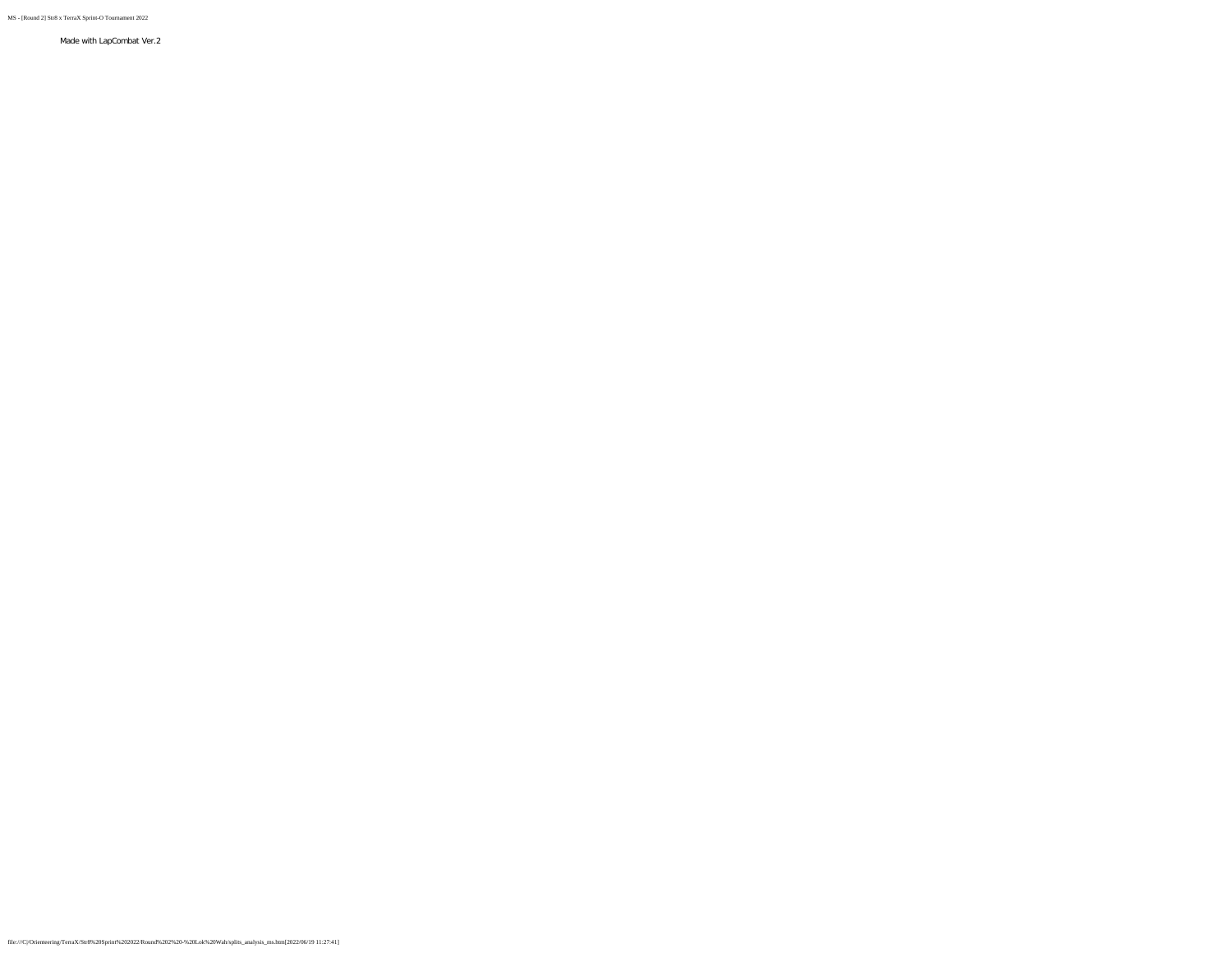MS - [Round 2] Str8 x TerraX Sprint-O Tournament 2022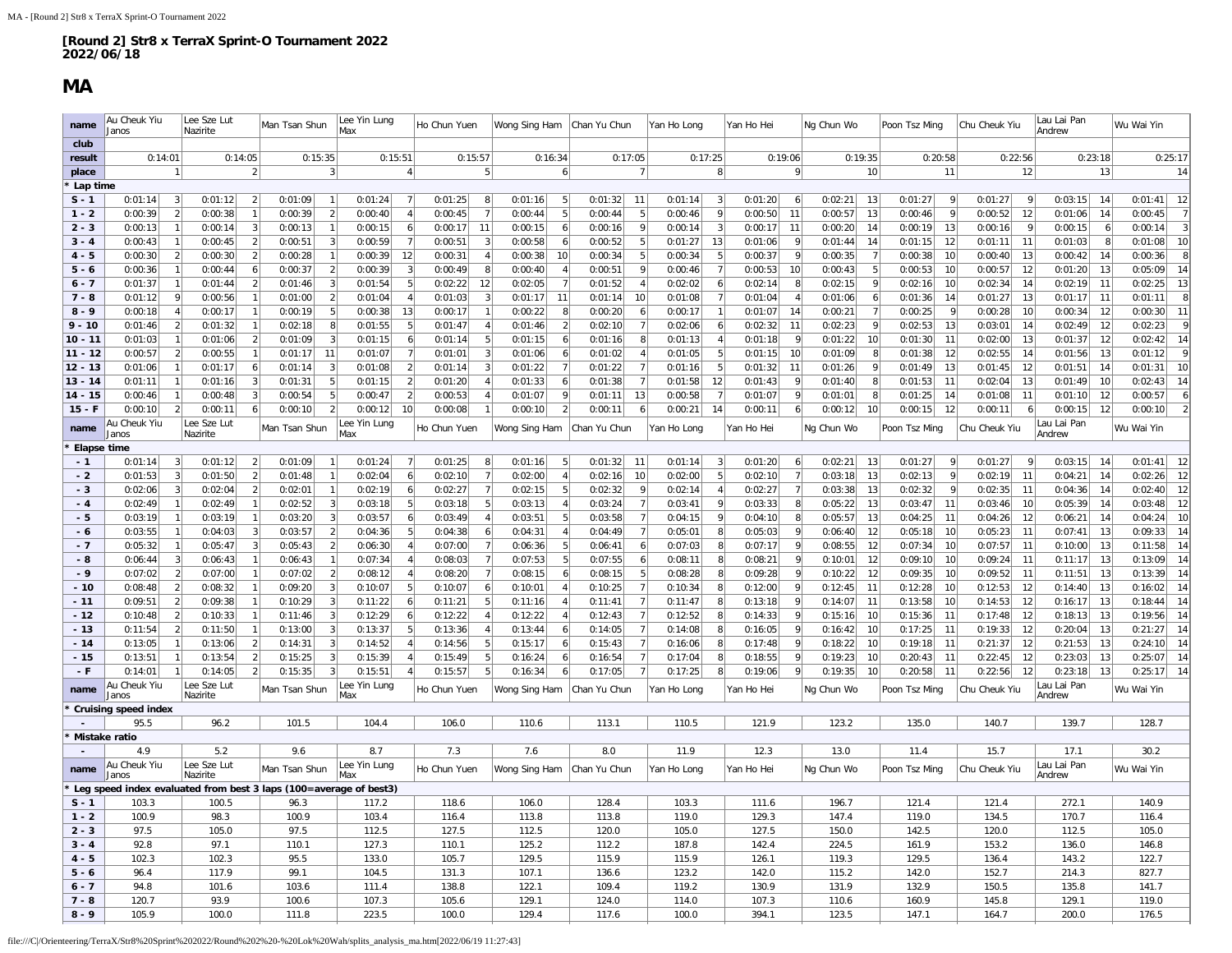### **MA**

÷.

<span id="page-12-0"></span>

| name        | Au Cheuk Yiu<br>Janos                                             |                | Lee Sze Lut<br>Nazirite |                | Man Tsan Shun |                  | Lee Yin Lung<br>Max |                  | Ho Chun Yuen |                | Wong Sing Ham |                | Chan Yu Chun |                | Yan Ho Long |                | Yan Ho Hei                | Ng Chun Wo              | Poon Tsz Ming           | Chu Cheuk Yiu             | Lau Lai Pan<br>Andrew      | Wu Wai Yin                |
|-------------|-------------------------------------------------------------------|----------------|-------------------------|----------------|---------------|------------------|---------------------|------------------|--------------|----------------|---------------|----------------|--------------|----------------|-------------|----------------|---------------------------|-------------------------|-------------------------|---------------------------|----------------------------|---------------------------|
| club        |                                                                   |                |                         |                |               |                  |                     |                  |              |                |               |                |              |                |             |                |                           |                         |                         |                           |                            |                           |
| result      | 0:14:01                                                           |                | 0:14:05                 |                | 0:15:35       |                  | 0:15:51             |                  |              | 0:15:57        | 0:16:34       |                |              | 0:17:05        |             | 0:17:25        | 0:19:06                   | 0:19:35                 | 0:20:58                 | 0:22:56                   | 0:23:18                    | 0:25:17                   |
| place       |                                                                   |                |                         |                |               | 3                |                     | $\overline{4}$   |              | 5              |               | 6 <sup>1</sup> |              | $\overline{7}$ |             | 8              | $\mathsf{Q}$              | 10                      | 11                      | 12                        | 13                         | 14                        |
| Lap time    |                                                                   |                |                         |                |               |                  |                     |                  |              |                |               |                |              |                |             |                |                           |                         |                         |                           |                            |                           |
| $S - 1$     | 0:01:14                                                           | -3             | 0:01:12                 | $\overline{2}$ | 0:01:09       | $\overline{1}$   | 0:01:24             | 7                | 0:01:25      | 8              | 0:01:16       | 5              | 0:01:32      | 11             | 0:01:14     | $\vert$ 3      | 0:01:20<br>6              | 0:02:21<br>13           | 0:01:27<br>$\mathbf Q$  | 0:01:27<br>-91            | 0:03:15<br>14              | 0:01:41<br>12             |
| $1 - 2$     | 0:00:39                                                           | $\overline{2}$ | 0:00:38                 |                | 0:00:39       | $\left 2\right $ |                     |                  | 0:00:45      | $\overline{7}$ |               | 5              |              | 5              |             | 9              | 0:00:50<br>11             | 0:00:57                 | 0:00:46<br>$\mathsf{Q}$ | 0:00:52                   |                            | 0:00:45<br>$\overline{7}$ |
|             |                                                                   |                |                         |                |               | $\mathbf{1}$     | 0:00:40             | $\vert$          |              |                | 0:00:44       |                | 0:00:44      |                | 0:00:46     |                |                           | 13                      |                         | 12                        | 0:01:06<br>14              | $\overline{3}$            |
| $2 - 3$     | 0:00:13                                                           |                | 0:00:14                 |                | 0:00:13       |                  | 0:00:15             | 6 <sup>1</sup>   | 0:00:17      | 11             | 0:00:15       | 6 <sup>1</sup> | 0:00:16      | 9              | 0:00:14     | $\vert$ 3      | 11<br>0:00:17             | 0:00:20<br>14           | 0:00:19<br>13           | 0:00:16                   | 6 <sup>1</sup><br>0:00:15  | 0:00:14                   |
| $3 - 4$     | 0:00:43                                                           |                | 0:00:45                 |                | 0:00:51       | $\vert$ 3        | 0:00:59             | 7                | 0:00:51      | 3              | 0:00:58       | 6 <sup>1</sup> | 0:00:52      | 5              | 0:01:27     | 13             | 0:01:06<br>9              | 0:01:44<br>14           | 0:01:15<br>12           | 0:01:11<br>11             | 0:01:03<br>8 <sup>1</sup>  | 10<br>0:01:08             |
| $4 - 5$     | 0:00:30                                                           | 2              | 0:00:30                 |                | 0:00:28       | $\overline{1}$   | 0:00:39             | 12               | 0:00:31      | $\overline{4}$ | 0:00:38       | 10             | 0:00:34      | 5              | 0:00:34     | 5              | 0:00:37<br>9              | 0:00:35                 | 0:00:38<br>10           | 0:00:40<br>13             | 0:00:42<br>14              | 8<br>0:00:36              |
| $5 - 6$     | 0:00:36                                                           |                | 0:00:44                 |                | 0:00:37       | $\overline{2}$   | 0:00:39             | 3                | 0:00:49      | 8              | 0:00:40       | 4 <sup>1</sup> | 0:00:51      | 9              | 0:00:46     | 7              | 0:00:53<br>10             | 0:00:43                 | 0:00:53<br>10           | 0:00:57<br>12             | 0:01:20<br>13              | 14<br>0:05:09             |
| $6 - 7$     | 0:01:37                                                           |                | 0:01:44                 |                | 0:01:46       | $\vert$ 3        | 0:01:54             | 5 <sup>1</sup>   | 0:02:22      | 12             | 0:02:05       | 7              | 0:01:52      | 4              | 0:02:02     | 6              | 0:02:14<br>8              | 0:02:15<br>9            | 0:02:16<br>10           | 0:02:34<br>14             | 11<br>0:02:19              | 13<br>0:02:25             |
| $7 - 8$     | 0:01:12                                                           |                | 0:00:56                 |                | 0:01:00       | $\mathfrak{p}$   | 0:01:04             | $\overline{4}$   | 0:01:03      | 3              | 0:01:17       | 11             | 0:01:14      | 10             | 0:01:08     | $\overline{7}$ | 0:01:04                   | 0:01:06                 | 0:01:36<br>14           | 0:01:27<br>13             | 11<br>0:01:17              | 8<br>0:01:11              |
| $8 - 9$     | 0:00:18                                                           |                | 0:00:17                 |                | 0:00:19       | 5                | 0:00:38             | 13               | 0:00:17      | $\overline{1}$ | 0:00:22       | 8 <sup>1</sup> | 0:00:20      | 6 <sup>1</sup> | 0:00:17     | $\mathbf{1}$   | 0:01:07<br>14             | 0:00:21                 | 0:00:25<br>9            | 0:00:28<br>10             | 0:00:34<br>12              | 11<br>0:00:30             |
| $9 - 10$    | 0:01:46                                                           | $\mathcal{P}$  | 0:01:32                 |                | 0:02:18       | 8 <sup>1</sup>   | 0:01:55             | 5                | 0:01:47      | $\overline{4}$ | 0:01:46       | $\overline{2}$ | 0:02:10      | 7              | 0:02:06     | 6              | 0:02:32<br>11             | 0:02:23<br>$\mathsf{Q}$ | 0:02:53<br>13           | 0:03:01<br>14             | 0:02:49<br>12              | 9<br>0:02:23              |
| $10 - 11$   | 0:01:03                                                           |                | 0:01:06                 |                | 0:01:09       | $\vert$ 3        | 0:01:15             | 6                | 0:01:14      | 5              | 0:01:15       | 6 <sup>1</sup> | 0:01:16      | 8              | 0:01:13     | 4              | 0:01:18<br>9              | 0:01:22<br>10           | 0:01:30<br>11           | 0:02:00<br>13             | 12<br>0:01:37              | 14<br>0:02:42             |
| $11 - 12$   | 0:00:57                                                           |                | 0:00:55                 |                | 0:01:17       | 11               | 0:01:07             | $7\phantom{.0}$  | 0:01:01      | $\overline{3}$ | 0:01:06       | 6              | 0:01:02      | $\overline{4}$ | 0:01:05     | 5              | 0:01:15<br>10             | 0:01:09                 | 0:01:38<br>12           | 0:02:55<br>14             | 0:01:56<br>13              | 9<br>0:01:12              |
| $12 - 13$   | 0:01:06                                                           |                | 0:01:17                 |                | 0:01:14       | 3                | 0:01:08             | $\overline{2}$   | 0:01:14      | 3              | 0:01:22       | 7 <sup>1</sup> | 0:01:22      | 7 <sup>1</sup> | 0:01:16     | 5              | 0:01:32<br>11             | 0:01:26                 | 0:01:49<br>13           | 0:01:45<br>12             | 0:01:51<br>14              | 10<br>0:01:31             |
| $13 - 14$   | 0:01:11                                                           |                | 0:01:16                 |                | 0:01:31       | 5                | 0:01:15             | $\left  \right $ | 0:01:20      | $\overline{4}$ | 0:01:33       | 6 <sup>1</sup> | 0:01:38      | 7 <sup>1</sup> | 0:01:58     | 12             | 0:01:43<br>9              | 0:01:40<br>8            | 0:01:53<br>11           | 0:02:04<br>13             | 0:01:49<br>10 <sup>1</sup> | 14<br>0:02:43             |
| $14 - 15$   | 0:00:46                                                           |                | 0:00:48                 |                | 0:00:54       | 5                | 0:00:47             | $\overline{2}$   | 0:00:53      |                | 0:01:07       | 9              | 0:01:11      | 13             | 0:00:58     |                | 0:01:07<br>9              | 0:01:01<br>8            | 0:01:25<br>14           | 0:01:08<br>11             | 0:01:10<br>12              | 6<br>0:00:57              |
| $15 - F$    | 0:00:10                                                           | $\mathfrak{p}$ | 0:00:11                 |                | 0:00:10       | 2                | 0:00:12             | 10               | 0:00:08      |                | 0:00:10       | 2 <sup>1</sup> | 0:00:11      | 6 <sup>1</sup> | 0:00:21     | 14             | 0:00:11<br>6              | 0:00:12<br>10           | 0:00:15<br>12           | 0:00:11<br>6 <sup>1</sup> | 0:00:15<br>12              | $\overline{2}$<br>0:00:10 |
| name        | Au Cheuk Yiu                                                      |                | Lee Sze Lut             |                | Man Tsan Shun |                  | Lee Yin Lung        |                  | Ho Chun Yuen |                | Wong Sing Ham |                | Chan Yu Chun |                | Yan Ho Long |                | Yan Ho Hei                | Ng Chun Wo              | Poon Tsz Ming           | Chu Cheuk Yiu             | Lau Lai Pan                | Wu Wai Yin                |
|             | Janos                                                             |                | Nazirite                |                |               |                  | lMax                |                  |              |                |               |                |              |                |             |                |                           |                         |                         |                           | Andrew                     |                           |
| Elapse time |                                                                   |                |                         |                |               |                  |                     |                  |              |                |               |                |              |                |             |                |                           |                         |                         |                           |                            |                           |
| $-1$        | 0:01:14                                                           | 3              | 0:01:12                 | $\mathcal{P}$  | 0:01:09       | $\overline{1}$   | 0:01:24             | 7                | 0:01:25      | 8              | 0:01:16       | 5              | 0:01:32      | 11             | 0:01:14     | $\vert$ 3      | 0:01:20<br>6              | 0:02:21<br>13           | 0:01:27<br>$\mathbf{Q}$ | 0:01:27<br> 9             | 0:03:15<br>14              | 0:01:41<br>12             |
| $-2$        | 0:01:53                                                           |                | 0:01:50                 |                | 0:01:48       | $\mathbf{1}$     | 0:02:04             | 6                | 0:02:10      | $\overline{7}$ | 0:02:00       | $\overline{4}$ | 0:02:16      | 10             | 0:02:00     | 5              | 0:02:10<br>$\overline{7}$ | 0:03:18<br>13           | 0:02:13                 | 0:02:19<br>11             | 0:04:21<br>14              | 12<br>0:02:26             |
| $-3$        | 0:02:06                                                           | 3              | 0:02:04                 |                | 0:02:01       | 1                | 0:02:19             | 6 <sup>1</sup>   | 0:02:27      | 7              | 0:02:15       | 5 <sup>2</sup> | 0:02:32      | -91            | 0:02:14     | $\overline{4}$ | 0:02:27<br>$\overline{7}$ | 0:03:38<br>13           | 0:02:32<br>9            | 0:02:35<br>11             | 0:04:36<br> 14             | 12<br>0:02:40             |
| $-4$        | 0:02:49                                                           |                | 0:02:49                 |                | 0:02:52       | 3                | 0:03:18             | 5                | 0:03:18      | 5              | 0:03:13       | $\overline{A}$ | 0:03:24      | 7              | 0:03:41     | 9              | 0:03:33<br>8              | 0:05:22<br>13           | 0:03:47<br>11           | 0:03:46<br>10             | 14<br>0:05:39              | 12<br>0:03:48             |
| $-5$        | 0:03:19                                                           |                | 0:03:19                 |                | 0:03:20       | $\vert$ 3        | 0:03:57             | 6                | 0:03:49      | $\overline{4}$ | 0:03:51       | 5 <sup>1</sup> | 0:03:58      | 7 <sup>1</sup> | 0:04:15     | 9              | 0:04:10<br>8              | 0:05:57<br>13           | 0:04:25<br>11           | 0:04:26<br>12             | 0:06:21<br>14              | 10<br>0:04:24             |
| $-6$        | 0:03:55                                                           |                | 0:04:03                 |                | 0:03:57       | 2                | 0:04:36             | 5                | 0:04:38      | 6              | 0:04:31       | $\overline{4}$ | 0:04:49      | 7              | 0:05:01     | 8              | 0:05:03<br>9              | 0:06:40<br>12           | 0:05:18<br>10           | 0:05:23<br>11             | 0:07:41<br>13              | 14<br>0:09:33             |
| $-7$        | 0:05:32                                                           |                | 0:05:47                 |                | 0:05:43       | $\mathfrak{p}$   | 0:06:30             | $\overline{4}$   | 0:07:00      | $\overline{7}$ | 0:06:36       | 5              | 0:06:41      | 6 <sup>1</sup> | 0:07:03     | 8              | 0:07:17                   | 0:08:55<br>12           | 0:07:34<br>10           | 0:07:57<br>11             | 0:10:00<br>13              | 14<br>0:11:58             |
| $-8$        | 0:06:44                                                           |                | 0:06:43                 |                | 0:06:43       |                  | 0:07:34             | 4 <sup>1</sup>   | 0:08:03      | $\overline{7}$ | 0:07:53       | 5 <sup>1</sup> | 0:07:55      | 6              | 0:08:11     | 8              | 0:08:21<br>9              | 0:10:01<br>12           | 0:09:10<br>10           | 0:09:24<br>11             | 13<br>0:11:17              | 14<br>0:13:09             |
| $-9$        | 0:07:02                                                           |                | 0:07:00                 |                | 0:07:02       | 2                | 0:08:12             | 4                | 0:08:20      |                | 0:08:15       | 6              | 0:08:15      | 5              | 0:08:28     | 8              | 0:09:28<br>9              | 0:10:22<br>12           | 0:09:35<br>10           | 0:09:52<br>11             | 13<br>0:11:51              | 14<br>0:13:39             |
| $-10$       | 0:08:48                                                           | 2              | 0:08:32                 |                | 0:09:20       | $\vert$ 3        | 0:10:07             | 5 <sup>1</sup>   | 0:10:07      | 6              | 0:10:01       | 4 <sup>1</sup> | 0:10:25      | 7 <sup>1</sup> | 0:10:34     | 8 <sup>1</sup> | 9<br>0:12:00              | 0:12:45<br>11           | 0:12:28<br>10           | 0:12:53<br>12             | 13<br>0:14:40              | 14<br>0:16:02             |
| $-11$       | 0:09:51                                                           | 2              | 0:09:38                 |                | 0:10:29       | $\vert$ 3        | 0:11:22             | 6 <sup>1</sup>   | 0:11:21      | $\overline{5}$ | 0:11:16       | 4 <sup>1</sup> | 0:11:41      | 7              | 0:11:47     | 8              | 0:13:18<br>9              | 0:14:07<br>11           | 0:13:58<br>10           | 0:14:53<br>12             | 13<br>0:16:17              | 14<br>0:18:44             |
| $-12$       | 0:10:48                                                           | 2              | 0:10:33                 |                | 0:11:46       | 3                | 0:12:29             | 6                | 0:12:22      | $\overline{4}$ | 0:12:22       | 4 <sup>1</sup> | 0:12:43      | 7 <sup>1</sup> | 0:12:52     | 8              | 0:14:33<br>9              | 0:15:16<br>10           | 0:15:36<br>-11          | 0:17:48<br>12             | 0:18:13<br>13              | 14<br>0:19:56             |
| $-13$       | 0:11:54                                                           | 2              | 0:11:50                 |                | 0:13:00       | 3                | 0:13:37             | 5                | 0:13:36      | $\overline{4}$ | 0:13:44       | 6 <sup>1</sup> | 0:14:05      | $\overline{7}$ | 0:14:08     | 8              | 0:16:05<br>9              | 0:16:42<br>10           | 0:17:25<br>11           | 0:19:33<br>12             | 0:20:04<br>13              | 0:21:27<br>14             |
| $-14$       | 0:13:05                                                           |                | 0:13:06                 |                | 0:14:31       | 3                | 0:14:52             |                  | 0:14:56      | 5              | 0:15:17       | 6              | 0:15:43      | $\overline{7}$ | 0:16:06     | 8              | 0:17:48                   | 0:18:22<br>10           | 11<br>0:19:18           | 0:21:37<br>12             | 13<br>0:21:53              | 14<br>0:24:10             |
| $-15$       | 0:13:51                                                           |                | 0:13:54                 |                | 0:15:25       | 3                | 0:15:39             | $\overline{4}$   | 0:15:49      | 5              | 0:16:24       | 6 <sup>1</sup> | 0:16:54      | 7              | 0:17:04     | 8              | 0:18:55<br>9              | 0:19:23<br>10           | 0:20:43<br>11           | 0:22:45<br>12             | 0:23:03<br>13              | 14<br>0:25:07             |
| $-F$        | 0:14:01                                                           |                | 0:14:05                 |                | 0:15:35       | 3 <sup>1</sup>   | 0:15:51             | $\overline{4}$   | 0:15:57      | 5              | 0:16:34       | 6 <sup>1</sup> | 0:17:05      | 7 <sup>1</sup> | 0:17:25     | 8              | 9<br>0:19:06              | 0:19:35<br>10           | 0:20:58<br>11           | 0:22:56<br>12             | 0:23:18<br>13              | 14<br>0:25:17             |
| name        | Au Cheuk Yiu                                                      |                | Lee Sze Lut             |                | Man Tsan Shun |                  | Lee Yin Lung        |                  | Ho Chun Yuen |                | Wong Sing Ham |                | Chan Yu Chun |                | Yan Ho Long |                | Yan Ho Hei                | Ng Chun Wo              | Poon Tsz Ming           | Chu Cheuk Yiu             | Lau Lai Pan                | Wu Wai Yin                |
|             | Janos                                                             |                | Nazirite                |                |               |                  | Max                 |                  |              |                |               |                |              |                |             |                |                           |                         |                         |                           | Andrew                     |                           |
|             | <b>Cruising speed index</b>                                       |                |                         |                |               |                  |                     |                  |              |                |               |                |              |                |             |                |                           |                         |                         |                           |                            |                           |
|             | 95.5                                                              |                | 96.2                    |                | 101.5         |                  | 104.4               |                  | 106.0        |                | 110.6         |                | 113.1        |                | 110.5       |                | 121.9                     | 123.2                   | 135.0                   | 140.7                     | 139.7                      | 128.7                     |
|             | Mistake ratio                                                     |                |                         |                |               |                  |                     |                  |              |                |               |                |              |                |             |                |                           |                         |                         |                           |                            |                           |
|             | 4.9                                                               |                | 5.2                     |                | 9.6           |                  | 8.7                 |                  | 7.3          |                | 7.6           |                | 8.0          |                | 11.9        |                | 12.3                      | 13.0                    | 11.4                    | 15.7                      | 17.1                       | 30.2                      |
| name        | Au Cheuk Yiu                                                      |                | Lee Sze Lut             |                | Man Tsan Shun |                  | Lee Yin Lung<br>Max |                  | Ho Chun Yuen |                | Wong Sing Ham |                | Chan Yu Chun |                | Yan Ho Long |                | Yan Ho Hei                | Ng Chun Wo              | Poon Tsz Ming           | Chu Cheuk Yiu             | Lau Lai Pan                | Wu Wai Yin                |
|             | Janos                                                             |                | Nazirite                |                |               |                  |                     |                  |              |                |               |                |              |                |             |                |                           |                         |                         |                           | Andrew                     |                           |
|             | Leg speed index evaluated from best 3 laps (100=average of best3) |                |                         |                |               |                  |                     |                  |              |                |               |                |              |                |             |                |                           |                         |                         |                           |                            |                           |
| $S - 1$     | 103.3                                                             |                | 100.5                   |                | 96.3          |                  | 117.2               |                  | 118.6        |                | 106.0         |                | 128.4        |                | 103.3       |                | 111.6                     | 196.7                   | 121.4                   | 121.4                     | 272.1                      | 140.9                     |
| $1 - 2$     | 100.9                                                             |                | 98.3                    |                | 100.9         |                  | 103.4               |                  | 116.4        |                | 113.8         |                | 113.8        |                | 119.0       |                | 129.3                     | 147.4                   | 119.0                   | 134.5                     | 170.7                      | 116.4                     |
| $2 - 3$     | 97.5                                                              |                | 105.0                   |                | 97.5          |                  | 112.5               |                  | 127.5        |                | 112.5         |                | 120.0        |                | 105.0       |                | 127.5                     | 150.0                   | 142.5                   | 120.0                     | 112.5                      | 105.0                     |
| $3 - 4$     | 92.8                                                              |                | 97.1                    |                | 110.1         |                  | 127.3               |                  | 110.1        |                | 125.2         |                | 112.2        |                | 187.8       |                | 142.4                     | 224.5                   | 161.9                   | 153.2                     | 136.0                      | 146.8                     |
| $4 - 5$     | 102.3                                                             |                | 102.3                   |                | 95.5          |                  | 133.0               |                  | 105.7        |                | 129.5         |                | 115.9        |                | 115.9       |                | 126.1                     | 119.3                   | 129.5                   | 136.4                     | 143.2                      | 122.7                     |
| $5 - 6$     | 96.4                                                              |                | 117.9                   |                | 99.1          |                  | 104.5               |                  | 131.3        |                | 107.1         |                | 136.6        |                | 123.2       |                | 142.0                     | 115.2                   | 142.0                   | 152.7                     | 214.3                      | 827.7                     |
| $6 - 7$     | 94.8                                                              |                | 101.6                   |                | 103.6         |                  | 111.4               |                  | 138.8        |                | 122.1         |                | 109.4        |                | 119.2       |                | 130.9                     | 131.9                   | 132.9                   | 150.5                     | 135.8                      | 141.7                     |
| $7 - 8$     | 120.7                                                             |                | 93.9                    |                | 100.6         |                  | 107.3               |                  | 105.6        |                | 129.1         |                | 124.0        |                | 114.0       |                | 107.3                     | 110.6                   | 160.9                   | 145.8                     | 129.1                      | 119.0                     |
| $8 - 9$     | 105.9                                                             |                | 100.0                   |                | 111.8         |                  | 223.5               |                  | 100.0        |                | 129.4         |                | 117.6        |                | 100.0       |                | 394.1                     | 123.5                   | 147.1                   | 164.7                     | 200.0                      | 176.5                     |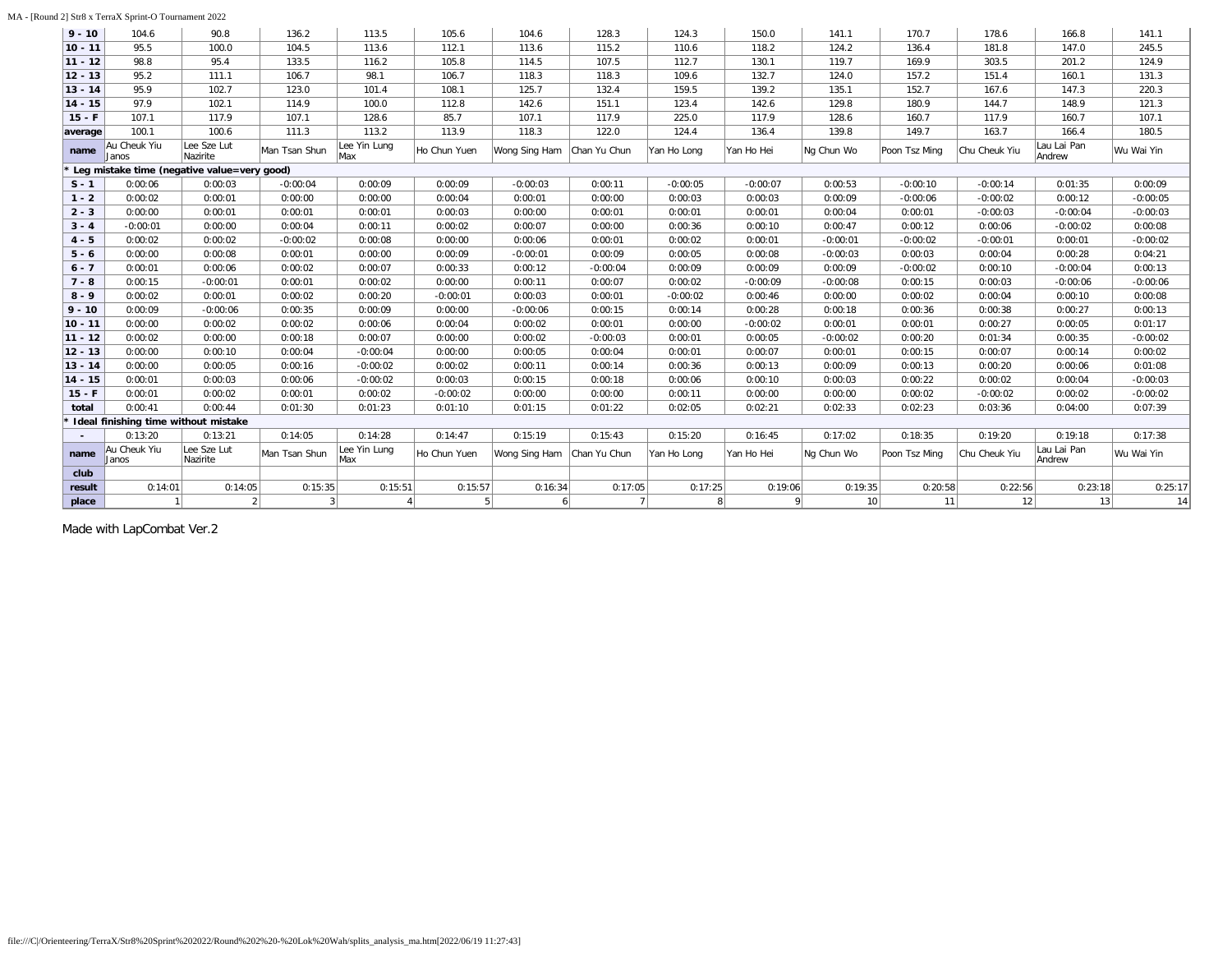| $9 - 10$  | 104.6                                | 90.8                                        | 136.2         | 113.5               | 105.6        | 104.6         | 128.3        | 124.3       | 150.0      | 141.1      | 170.7         | 178.6         | 166.8                 | 141.1      |
|-----------|--------------------------------------|---------------------------------------------|---------------|---------------------|--------------|---------------|--------------|-------------|------------|------------|---------------|---------------|-----------------------|------------|
| $10 - 11$ | 95.5                                 | 100.0                                       | 104.5         | 113.6               | 112.1        | 113.6         | 115.2        | 110.6       | 118.2      | 124.2      | 136.4         | 181.8         | 147.0                 | 245.5      |
| $11 - 12$ | 98.8                                 | 95.4                                        | 133.5         | 116.2               | 105.8        | 114.5         | 107.5        | 112.7       | 130.1      | 119.7      | 169.9         | 303.5         | 201.2                 | 124.9      |
| $12 - 13$ | 95.2                                 | 111.1                                       | 106.7         | 98.1                | 106.7        | 118.3         | 118.3        | 109.6       | 132.7      | 124.0      | 157.2         | 151.4         | 160.1                 | 131.3      |
| $13 - 14$ | 95.9                                 | 102.7                                       | 123.0         | 101.4               | 108.1        | 125.7         | 132.4        | 159.5       | 139.2      | 135.1      | 152.7         | 167.6         | 147.3                 | 220.3      |
| $14 - 15$ | 97.9                                 | 102.1                                       | 114.9         | 100.0               | 112.8        | 142.6         | 151.1        | 123.4       | 142.6      | 129.8      | 180.9         | 144.7         | 148.9                 | 121.3      |
| $15 - F$  | 107.1                                | 117.9                                       | 107.1         | 128.6               | 85.7         | 107.1         | 117.9        | 225.0       | 117.9      | 128.6      | 160.7         | 117.9         | 160.7                 | 107.1      |
| average   | 100.1                                | 100.6                                       | 111.3         | 113.2               | 113.9        | 118.3         | 122.0        | 124.4       | 136.4      | 139.8      | 149.7         | 163.7         | 166.4                 | 180.5      |
| name      | Au Cheuk Yiu<br>Janos                | Lee Sze Lut<br>Nazirite                     | Man Tsan Shun | Lee Yin Lung<br>Max | Ho Chun Yuen | Wong Sing Ham | Chan Yu Chun | Yan Ho Long | Yan Ho Hei | Ng Chun Wo | Poon Tsz Ming | Chu Cheuk Yiu | Lau Lai Pan<br>Andrew | Wu Wai Yin |
|           |                                      | Leg mistake time (negative value=very good) |               |                     |              |               |              |             |            |            |               |               |                       |            |
| $S - 1$   | 0:00:06                              | 0:00:03                                     | $-0:00:04$    | 0:00:09             | 0:00:09      | $-0:00:03$    | 0:00:11      | $-0:00:05$  | $-0:00:07$ | 0:00:53    | $-0:00:10$    | $-0:00:14$    | 0:01:35               | 0:00:09    |
| $1 - 2$   | 0:00:02                              | 0:00:01                                     | 0:00:00       | 0:00:00             | 0:00:04      | 0:00:01       | 0:00:00      | 0:00:03     | 0:00:03    | 0:00:09    | $-0:00:06$    | $-0:00:02$    | 0:00:12               | $-0:00:05$ |
| $2 - 3$   | 0:00:00                              | 0:00:01                                     | 0:00:01       | 0:00:01             | 0:00:03      | 0:00:00       | 0:00:01      | 0:00:01     | 0:00:01    | 0:00:04    | 0:00:01       | $-0:00:03$    | $-0:00:04$            | $-0:00:03$ |
| $3 - 4$   | $-0:00:01$                           | 0:00:00                                     | 0:00:04       | 0:00:11             | 0:00:02      | 0:00:07       | 0:00:00      | 0:00:36     | 0:00:10    | 0:00:47    | 0:00:12       | 0:00:06       | $-0:00:02$            | 0:00:08    |
| $4 - 5$   | 0:00:02                              | 0:00:02                                     | $-0:00:02$    | 0:00:08             | 0:00:00      | 0:00:06       | 0:00:01      | 0:00:02     | 0:00:01    | $-0:00:01$ | $-0:00:02$    | $-0:00:01$    | 0:00:01               | $-0:00:02$ |
| $5 - 6$   | 0:00:00                              | 0:00:08                                     | 0:00:01       | 0:00:00             | 0:00:09      | $-0:00:01$    | 0:00:09      | 0:00:05     | 0:00:08    | $-0:00:03$ | 0:00:03       | 0:00:04       | 0:00:28               | 0:04:21    |
| $6 - 7$   | 0:00:01                              | 0:00:06                                     | 0:00:02       | 0:00:07             | 0:00:33      | 0:00:12       | $-0:00:04$   | 0:00:09     | 0:00:09    | 0:00:09    | $-0:00:02$    | 0:00:10       | $-0:00:04$            | 0:00:13    |
| $7 - 8$   | 0:00:15                              | $-0:00:01$                                  | 0:00:01       | 0:00:02             | 0:00:00      | 0:00:11       | 0:00:07      | 0:00:02     | $-0:00:09$ | $-0:00:08$ | 0:00:15       | 0:00:03       | $-0:00:06$            | $-0:00:06$ |
| $8 - 9$   | 0:00:02                              | 0:00:01                                     | 0:00:02       | 0:00:20             | $-0:00:01$   | 0:00:03       | 0:00:01      | $-0:00:02$  | 0:00:46    | 0:00:00    | 0:00:02       | 0:00:04       | 0:00:10               | 0:00:08    |
| $9 - 10$  | 0:00:09                              | $-0:00:06$                                  | 0:00:35       | 0:00:09             | 0:00:00      | $-0:00:06$    | 0:00:15      | 0:00:14     | 0:00:28    | 0:00:18    | 0:00:36       | 0:00:38       | 0:00:27               | 0:00:13    |
| $10 - 11$ | 0:00:00                              | 0:00:02                                     | 0:00:02       | 0:00:06             | 0:00:04      | 0:00:02       | 0:00:01      | 0:00:00     | $-0:00:02$ | 0:00:01    | 0:00:01       | 0:00:27       | 0:00:05               | 0:01:17    |
| $11 - 12$ | 0:00:02                              | 0:00:00                                     | 0:00:18       | 0:00:07             | 0:00:00      | 0:00:02       | $-0:00:03$   | 0:00:01     | 0:00:05    | $-0:00:02$ | 0:00:20       | 0:01:34       | 0:00:35               | $-0:00:02$ |
| $12 - 13$ | 0:00:00                              | 0:00:10                                     | 0:00:04       | $-0:00:04$          | 0:00:00      | 0:00:05       | 0:00:04      | 0:00:01     | 0:00:07    | 0:00:01    | 0:00:15       | 0:00:07       | 0:00:14               | 0:00:02    |
| $13 - 14$ | 0:00:00                              | 0:00:05                                     | 0:00:16       | $-0:00:02$          | 0:00:02      | 0:00:11       | 0:00:14      | 0:00:36     | 0:00:13    | 0:00:09    | 0:00:13       | 0:00:20       | 0:00:06               | 0:01:08    |
| $14 - 15$ | 0:00:01                              | 0:00:03                                     | 0:00:06       | $-0:00:02$          | 0:00:03      | 0:00:15       | 0:00:18      | 0:00:06     | 0:00:10    | 0:00:03    | 0:00:22       | 0:00:02       | 0:00:04               | $-0:00:03$ |
| $15 - F$  | 0:00:01                              | 0:00:02                                     | 0:00:01       | 0:00:02             | $-0:00:02$   | 0:00:00       | 0:00:00      | 0:00:11     | 0:00:00    | 0:00:00    | 0:00:02       | $-0:00:02$    | 0:00:02               | $-0:00:02$ |
| total     | 0:00:41                              | 0:00:44                                     | 0:01:30       | 0:01:23             | 0:01:10      | 0:01:15       | 0:01:22      | 0:02:05     | 0:02:21    | 0:02:33    | 0:02:23       | 0:03:36       | 0:04:00               | 0:07:39    |
|           | Ideal finishing time without mistake |                                             |               |                     |              |               |              |             |            |            |               |               |                       |            |
|           | 0:13:20                              | 0:13:21                                     | 0:14:05       | 0:14:28             | 0:14:47      | 0:15:19       | 0:15:43      | 0:15:20     | 0:16:45    | 0:17:02    | 0:18:35       | 0:19:20       | 0:19:18               | 0:17:38    |
| name      | Au Cheuk Yiu<br>Janos                | Lee Sze Lut<br>Nazirite                     | Man Tsan Shun | Lee Yin Lung<br>Max | Ho Chun Yuen | Wong Sing Ham | Chan Yu Chun | Yan Ho Long | Yan Ho Hei | Ng Chun Wo | Poon Tsz Mina | Chu Cheuk Yiu | Lau Lai Pan<br>Andrew | Wu Wai Yin |
| club      |                                      |                                             |               |                     |              |               |              |             |            |            |               |               |                       |            |
| result    | 0:14:01                              | 0:14:05                                     | 0:15:35       | 0:15:51             | 0:15:57      | 0:16:34       | 0:17:05      | 0:17:25     | 0:19:06    | 0:19:35    | 0:20:58       | 0:22:56       | 0:23:18               | 0:25:17    |
| place     |                                      |                                             | 3             | $\Delta$            | 5            |               |              | 8           | $\circ$    | 10         | 11            | 12            | 13                    | 14         |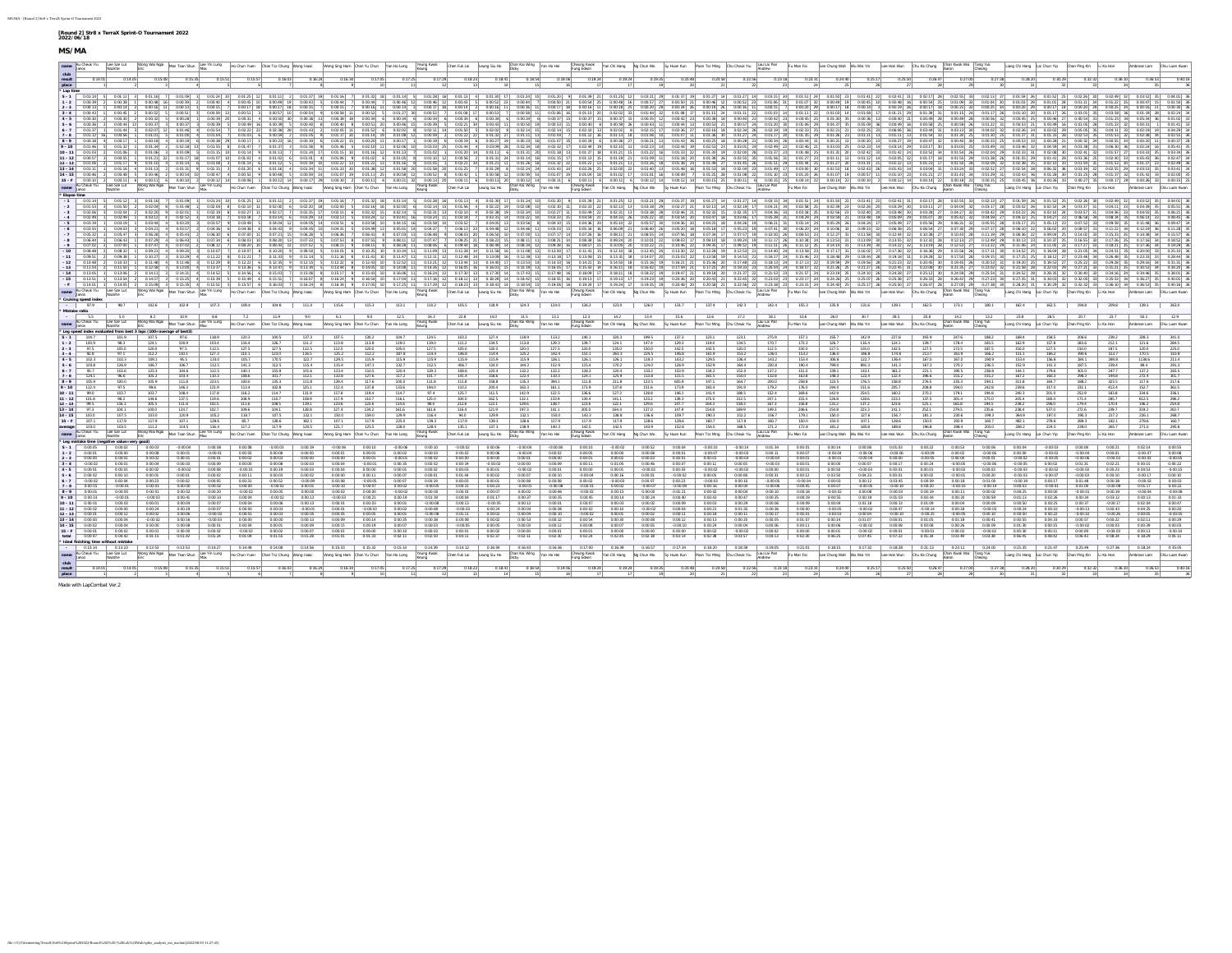|                        |                                        |                                                             |                                                                           |                                       |                           |                         | wayiniking learnes and learnes and plan the four learner particles are plan the state of the state of the state of Den fact it learnes to Dan factor particles the state of the state of the state of the state of the state   |                          |                                          |                        |                      |                           |                        |                                                    |                                                                                    |                           |                                                 |                                                |                                    |                                         |                                  |                    |                          |                             |                                                                                                                          |                            |                                        |                       | Liang Chi Hang Lai Chun Yip Chan Ping Kin Li Ka Hon                                                             |                             |                                                     |         | Ambrose Lam Chiu Luon Kwan |      |
|------------------------|----------------------------------------|-------------------------------------------------------------|---------------------------------------------------------------------------|---------------------------------------|---------------------------|-------------------------|--------------------------------------------------------------------------------------------------------------------------------------------------------------------------------------------------------------------------------|--------------------------|------------------------------------------|------------------------|----------------------|---------------------------|------------------------|----------------------------------------------------|------------------------------------------------------------------------------------|---------------------------|-------------------------------------------------|------------------------------------------------|------------------------------------|-----------------------------------------|----------------------------------|--------------------|--------------------------|-----------------------------|--------------------------------------------------------------------------------------------------------------------------|----------------------------|----------------------------------------|-----------------------|-----------------------------------------------------------------------------------------------------------------|-----------------------------|-----------------------------------------------------|---------|----------------------------|------|
|                        |                                        | 0:14:05                                                     |                                                                           | 0:15:35                               |                           |                         |                                                                                                                                                                                                                                | $0.16 - 24$              |                                          |                        |                      | 0:18:23                   | 0:18:41                | 0:18:54                                            | 0:19:06                                                                            | 0.19.24                   | 0.19.24                                         | 0:19:35<br>0:20:48                             | 0.20:58                            |                                         |                                  | 0:23:31            | 0:24:40                  | 0:25:17                     | 0.25:50                                                                                                                  | 0.26:47                    | 0.27:00                                |                       | 0:28:2                                                                                                          |                             |                                                     |         |                            |      |
| place                  |                                        |                                                             |                                                                           |                                       |                           |                         |                                                                                                                                                                                                                                |                          |                                          |                        |                      |                           |                        |                                                    |                                                                                    |                           |                                                 |                                                |                                    |                                         |                                  |                    |                          |                             |                                                                                                                          |                            |                                        |                       |                                                                                                                 |                             |                                                     |         |                            |      |
|                        | $S - 1$ 0.01:14 5                      |                                                             |                                                                           |                                       |                           |                         | 0.01:12 3 0.01:16 7 0.01:09 1 0.01:24 10 0.01:25 12 0.01:11 2 0.01:37 19 0.01:16 7                                                                                                                                             |                          |                                          | $0.01:32$ 18 $0.01:14$ | $0.01:28$ 16         |                           | 0.01:13 4 0.01:30 17   | $0:01:24$ 10                                       | $0.01:20$ $9$ $0.01:39$ 21                                                         |                           |                                                 | 0.01:25 12 0.02:21 29 0.01:37 19               |                                    |                                         |                                  |                    |                          |                             | 0.01:27 14 0.01:27 14 0.03:15 34 0.01:51 24 0.01:50 23 0.01:41 22 0.02:41 31 0.02:17 28 0.02:55 33 0.02:13 27 0.01:59 26 |                            |                                        |                       |                                                                                                                 |                             | $0:01:52$ 25 $0:02:26$ 30                           | 0:02:49 |                            |      |
|                        | 0.00-39                                |                                                             |                                                                           |                                       |                           |                         | 0.00.38 1 0.00.48 16 0.00.39 2 0.00.40 4 0.00.45 10 0.00.49 19 0.00.43 5 0.00.44 7                                                                                                                                             |                          | $0.00 - 44$ 7                            | $0.00:46$ 12           | 0.00:46 12           |                           | $0.0043$ 5 $0.0052$ 23 | $0.00 - 44$                                        | 0-00-50 21                                                                         |                           | 0.0054 25 0.0048 16 0.0057 27 0.0050 21         |                                                |                                    |                                         | 0:00:46 12 0:00:52 23 0:01:06 31 |                    |                          |                             | 0:01:07 32 0:00:49 19 0:00:45 10 0:00:48 16 0:00:54 25                                                                   |                            |                                        | lor lan-mo ler lon-mo | $0.01 - 0.01 - 29$                                                                                              | 0-01-01 28                  |                                                     |         |                            |      |
|                        |                                        |                                                             |                                                                           |                                       |                           |                         |                                                                                                                                                                                                                                |                          |                                          |                        |                      |                           |                        |                                                    |                                                                                    |                           |                                                 |                                                |                                    |                                         |                                  |                    |                          |                             |                                                                                                                          |                            |                                        |                       |                                                                                                                 |                             |                                                     |         |                            |      |
|                        |                                        |                                                             | 0:00:32                                                                   | 0:00:28                               |                           | 0:00:31                 |                                                                                                                                                                                                                                | $0.00.36$ 13 $0.00.38$   |                                          |                        |                      |                           |                        |                                                    |                                                                                    |                           |                                                 |                                                |                                    |                                         |                                  |                    |                          |                             |                                                                                                                          |                            |                                        |                       |                                                                                                                 |                             |                                                     |         |                            |      |
|                        |                                        | $0.00, 0.0$ 12                                              | $0.00-37$                                                                 |                                       | $0.00.22$ $1$ $0.00.20$ C | 0.00.40 14              | 0.00.30                                                                                                                                                                                                                        | $0.00.101 - 9$           | 0.00-01 201                              |                        |                      |                           |                        |                                                    |                                                                                    |                           | AMAGE NU                                        | 0.00.49<br>0.00-84                             | 0.00-02 21                         | $0.00.57$ $24$                          |                                  |                    |                          |                             |                                                                                                                          |                            |                                        |                       | $0.00.021 - 2$                                                                                                  | 0.00.49                     |                                                     |         |                            |      |
|                        |                                        | 0.01:44<br>0.00:56                                          | $0.02:07$ 12 0:01:46                                                      | 0:01:00                               | 400154                    | 0-02-22                 | $0.02 - 38$ 28                                                                                                                                                                                                                 |                          |                                          |                        |                      |                           |                        |                                                    |                                                                                    |                           |                                                 | $0.02 - 15$<br>0.02-36                         | 0:02:16                            | $0.02 - 34$<br>0:01:27                  |                                  |                    | 0.02-21                  |                             |                                                                                                                          |                            |                                        |                       |                                                                                                                 |                             |                                                     |         |                            |      |
|                        | 0.00:18                                | $0.00:17$ 1                                                 | $0.00:18$ 4                                                               | $0:00:19$ 6                           |                           |                         |                                                                                                                                                                                                                                |                          |                                          |                        |                      |                           |                        |                                                    |                                                                                    |                           |                                                 | 0.01:43                                        | $0.00:25$ 18                       |                                         |                                  |                    |                          |                             |                                                                                                                          |                            |                                        |                       |                                                                                                                 |                             |                                                     |         |                            |      |
|                        |                                        | 0.01:32                                                     | 0.01:34                                                                   | 0:02:18                               |                           |                         | 0.01:37<br>0.01:58                                                                                                                                                                                                             |                          |                                          |                        |                      |                           |                        |                                                    |                                                                                    |                           |                                                 | $0.02 - 44$                                    | 0:02:53                            | $0.03 - 0.1$                            |                                  | 0:02:46            |                          |                             |                                                                                                                          |                            |                                        |                       |                                                                                                                 |                             |                                                     |         |                            |      |
|                        |                                        |                                                             | 0.01:06                                                                   |                                       |                           |                         |                                                                                                                                                                                                                                |                          |                                          |                        |                      |                           |                        |                                                    |                                                                                    |                           |                                                 |                                                |                                    |                                         |                                  |                    |                          |                             |                                                                                                                          |                            |                                        |                       |                                                                                                                 |                             |                                                     |         |                            |      |
|                        |                                        |                                                             |                                                                           |                                       |                           |                         |                                                                                                                                                                                                                                |                          |                                          |                        |                      |                           |                        |                                                    |                                                                                    |                           |                                                 |                                                |                                    |                                         |                                  |                    |                          |                             |                                                                                                                          |                            |                                        |                       |                                                                                                                 |                             |                                                     |         |                            |      |
|                        |                                        |                                                             |                                                                           |                                       |                           |                         |                                                                                                                                                                                                                                |                          |                                          |                        |                      |                           |                        |                                                    |                                                                                    |                           |                                                 |                                                |                                    |                                         |                                  |                    |                          |                             |                                                                                                                          |                            |                                        |                       |                                                                                                                 |                             |                                                     |         | postal 33 pozz             |      |
|                        |                                        |                                                             |                                                                           |                                       |                           |                         | are are and a complexely complexed and result every and a could examplexely could examplexely complexely complexely and a complexely complexely complexely complexely complexely complexely complexely complexely complexely   |                          |                                          |                        |                      |                           |                        |                                                    |                                                                                    |                           |                                                 |                                                |                                    |                                         |                                  |                    |                          |                             |                                                                                                                          |                            |                                        |                       |                                                                                                                 |                             |                                                     |         |                            |      |
|                        |                                        |                                                             |                                                                           |                                       |                           |                         | nume_hunce hunce become become the state of the state of the state of the state of the state of the state of the state of the state of the state of the state of the state of the state of the state of the state of the state |                          |                                          |                        |                      |                           |                        |                                                    |                                                                                    |                           |                                                 |                                                |                                    |                                         |                                  |                    |                          |                             |                                                                                                                          |                            |                                        |                       |                                                                                                                 |                             |                                                     |         | Ambrose Lam Chiu Luen Kwar |      |
|                        | Elapse time                            |                                                             |                                                                           |                                       |                           |                         |                                                                                                                                                                                                                                |                          |                                          |                        |                      |                           |                        |                                                    |                                                                                    |                           |                                                 |                                                |                                    |                                         |                                  |                    |                          |                             |                                                                                                                          |                            |                                        |                       |                                                                                                                 |                             |                                                     |         |                            |      |
|                        |                                        |                                                             |                                                                           |                                       |                           |                         | -1 0-01:14 5 0-01:12 3 0-01:16 7 0:01:09 1 0:01:24 10 0:01:25 12 0:01:11 2 0:01:37 19 0:01:16 7 0:01:22 18 0:01:14 5 0:01:28 16 0:01:13 4 0:01:30 17 0:01:24 10 0:01:20 9 0:01:39 21                                           |                          |                                          |                        |                      |                           |                        |                                                    |                                                                                    |                           |                                                 | 0.01:25 12 0.02:21 29 0.01:37 19               |                                    |                                         |                                  |                    |                          |                             | 0.01:27 14 0.01:27 14 0.03:15 34 0.01:51 24 0.01:50 23 0.01:41 22 0.02:41 31 0.02:17 28 0.02:55 33 0.02:13 27 0.01:59 26 |                            |                                        |                       |                                                                                                                 |                             | 0:01:52 25 0:02:26 30                               |         |                            |      |
|                        |                                        | 0.02:04                                                     | 0.02:20                                                                   | 0.02:01                               | $0.02:19$ 8 $0.02:27$     |                         | 0:02:17                                                                                                                                                                                                                        |                          |                                          |                        |                      |                           |                        |                                                    |                                                                                    |                           |                                                 |                                                |                                    |                                         |                                  |                    |                          |                             |                                                                                                                          |                            |                                        |                       |                                                                                                                 |                             |                                                     |         |                            |      |
|                        | $0.02 - 49$                            | $0.02 - 49$ 1                                               | 0.03-12 4 0.02-52                                                         |                                       |                           | $0-0.5-1.8$             |                                                                                                                                                                                                                                |                          |                                          |                        |                      |                           |                        |                                                    |                                                                                    |                           |                                                 |                                                |                                    |                                         |                                  |                    |                          |                             |                                                                                                                          |                            |                                        |                       |                                                                                                                 |                             |                                                     |         |                            |      |
|                        |                                        |                                                             |                                                                           |                                       |                           | $0.03 - 49$             |                                                                                                                                                                                                                                |                          |                                          |                        |                      |                           |                        |                                                    |                                                                                    |                           |                                                 |                                                |                                    |                                         |                                  |                    |                          |                             |                                                                                                                          |                            |                                        |                       |                                                                                                                 |                             |                                                     |         |                            |      |
|                        |                                        |                                                             |                                                                           |                                       |                           |                         |                                                                                                                                                                                                                                |                          |                                          |                        |                      |                           |                        |                                                    |                                                                                    |                           |                                                 |                                                |                                    |                                         |                                  |                    |                          |                             |                                                                                                                          |                            |                                        |                       |                                                                                                                 |                             |                                                     |         |                            |      |
|                        |                                        | 0.06:43                                                     |                                                                           |                                       |                           |                         |                                                                                                                                                                                                                                |                          |                                          |                        |                      |                           |                        |                                                    |                                                                                    |                           |                                                 |                                                |                                    |                                         |                                  |                    |                          |                             |                                                                                                                          |                            |                                        |                       |                                                                                                                 |                             |                                                     |         |                            |      |
|                        |                                        |                                                             | $0.09 - 21$                                                               | 0-09-20                               |                           |                         |                                                                                                                                                                                                                                |                          |                                          |                        |                      |                           |                        |                                                    |                                                                                    |                           |                                                 |                                                | $0.12 - 28$ 19                     |                                         |                                  |                    |                          |                             |                                                                                                                          |                            |                                        |                       | $0-14-52$                                                                                                       |                             |                                                     |         |                            |      |
|                        |                                        |                                                             |                                                                           |                                       |                           |                         |                                                                                                                                                                                                                                |                          |                                          |                        |                      |                           |                        |                                                    |                                                                                    |                           |                                                 |                                                |                                    |                                         |                                  |                    |                          |                             |                                                                                                                          |                            |                                        |                       |                                                                                                                 |                             |                                                     |         |                            |      |
|                        |                                        |                                                             | $0.12 - 58$                                                               |                                       |                           | $0-13-361$              |                                                                                                                                                                                                                                |                          |                                          |                        |                      |                           |                        |                                                    |                                                                                    |                           |                                                 |                                                |                                    |                                         |                                  |                    |                          |                             |                                                                                                                          |                            |                                        |                       |                                                                                                                 |                             |                                                     |         |                            |      |
|                        |                                        |                                                             |                                                                           |                                       |                           |                         |                                                                                                                                                                                                                                |                          |                                          |                        |                      |                           |                        |                                                    |                                                                                    |                           |                                                 |                                                |                                    |                                         |                                  |                    |                          |                             |                                                                                                                          |                            |                                        |                       |                                                                                                                 |                             |                                                     |         |                            |      |
|                        |                                        | $0.13 - 54$                                                 |                                                                           |                                       |                           |                         |                                                                                                                                                                                                                                |                          |                                          |                        |                      |                           |                        |                                                    |                                                                                    |                           |                                                 |                                                |                                    |                                         |                                  |                    |                          |                             |                                                                                                                          |                            |                                        |                       |                                                                                                                 |                             |                                                     |         |                            |      |
|                        |                                        | name Au Cheuk Ylu Lee Sze Lut                               |                                                                           |                                       |                           |                         |                                                                                                                                                                                                                                |                          |                                          |                        |                      |                           |                        |                                                    |                                                                                    |                           |                                                 |                                                |                                    |                                         |                                  |                    |                          |                             |                                                                                                                          |                            |                                        |                       |                                                                                                                 |                             | Liang Chi Hang Lai Chun Yip Chan Ping Kin Li Ka Hon |         |                            |      |
|                        |                                        |                                                             |                                                                           |                                       |                           |                         |                                                                                                                                                                                                                                |                          |                                          |                        |                      |                           |                        |                                                    |                                                                                    |                           |                                                 |                                                |                                    |                                         |                                  |                    |                          |                             |                                                                                                                          |                            |                                        |                       |                                                                                                                 |                             |                                                     |         |                            |      |
|                        | * Cruising speed index<br>07.0         |                                                             |                                                                           |                                       |                           |                         | 98.7   102.6   102.9   109.4   109.8   11.10   115.6   115.3   11.31   110.2   105.5   118.9   124.3   123.0   123.0   123.1   123.1   142.3   142.4   15.5   13.5   13.1   10.1   10.2.4   16.2.4   16.2.4   16.2.4   16.2.4  |                          |                                          |                        |                      |                           |                        |                                                    |                                                                                    |                           |                                                 |                                                |                                    |                                         |                                  |                    |                          |                             |                                                                                                                          |                            |                                        |                       |                                                                                                                 |                             | 194.8                                               |         |                            |      |
|                        | Mistake ratio<br>5.5                   | 5.0                                                         |                                                                           | 8.2 10.9                              | $88 - 1$                  |                         | $22 \t 119$<br>9.0                                                                                                                                                                                                             | 6.1                      | 9.0                                      |                        | 12.5 16.3            | 22.8                      |                        |                                                    | 14.0 11.5 13.1 12.3 14.2                                                           |                           |                                                 | 13.4 15.6                                      |                                    |                                         |                                  |                    |                          |                             | 126   172   181   106   260   307   285   208                                                                            |                            |                                        | 14.2 13.2             | 23.8                                                                                                            | 28.5                        | 20.7                                                | 23.7    | 50.1                       | 12.9 |
|                        |                                        | name Au Cheuk Yiu Lee Sze Lut                               |                                                                           |                                       |                           |                         | Wong Wai Ngai Man Tsan Shun Lung Ho Chun Yuen Chan Tsz Chung Wong Isaac                                                                                                                                                        |                          | Wong Sing Ham Chan Yu Chun   Yan Ho Long |                        | Young Kwak<br>Koung  |                           |                        | Chan Fuk Lai Leung Siu Ho Dhan Kai Wing Yan Ho Hei |                                                                                    |                           | Cheung Kwok Yan Chi Hang Ng Chun Wo Sy Huan Kun |                                                | Poon Tsz Ming Chu Chouk Ylu Androw |                                         |                                  |                    |                          |                             | Fu Man Fai Loe Chung Wah Wu Wai Yin Loe Hok Wun Chu Ka Chung                                                             |                            | Chan Kwok Wai Tang Yuk<br>Aaron Cheong |                       |                                                                                                                 | Liang Chi Hang Lai Chun Yip | Chan Ping Kin Li Ka Hon                             |         | mbrose Lam Chiu Luen Kwa   |      |
|                        |                                        |                                                             |                                                                           |                                       |                           |                         |                                                                                                                                                                                                                                |                          |                                          |                        |                      |                           |                        |                                                    |                                                                                    |                           |                                                 |                                                |                                    |                                         |                                  |                    |                          |                             |                                                                                                                          |                            |                                        |                       |                                                                                                                 |                             |                                                     |         |                            |      |
|                        |                                        |                                                             |                                                                           |                                       |                           |                         |                                                                                                                                                                                                                                |                          |                                          |                        |                      |                           |                        |                                                    |                                                                                    |                           |                                                 |                                                |                                    |                                         |                                  |                    |                          |                             |                                                                                                                          |                            |                                        |                       |                                                                                                                 |                             |                                                     |         |                            |      |
|                        |                                        | 101.9                                                       | Leg speed index evaluated from best 3 laps (100-average of best)<br>107.5 | 97.6                                  | 118.9                     | 120.3                   | 100.5<br>137.3                                                                                                                                                                                                                 | 107.5                    | 130.2                                    |                        |                      |                           | 127.4                  | 118.9                                              |                                                                                    | 140.1                     | 120.3                                           | 199.5<br>137.3                                 | 123.1                              | 123.1                                   | 275.9                            | 157.1              | 155.7                    | 142.9                       | 227.8                                                                                                                    | 193.9                      | 247.6                                  | 188.2                 | 168.4                                                                                                           | 158.5                       |                                                     |         |                            |      |
|                        |                                        | 98.3<br>105.0                                               | 124 1<br>120.0                                                            | 100.9<br>97.5                         | 103.4<br>112.5            | 116.4<br>127.5          | 126.7<br>1112<br>127.5<br>112.5                                                                                                                                                                                                | 1138<br>112.5            | 1138<br>120.0                            | 105.0                  | 1275                 | 105.0                     | 120.0                  | 120.0                                              | 1275                                                                               | 120.0                     | 124.1<br>135.0                                  | 147.4<br>129.3<br>150.0<br>142.5               | 119.0<br>142.5                     | 1345<br>120.0                           | 120.7<br>112.5                   | 1233<br>150.0      | 126.7<br>127.5           | 116.4<br>105.0              | 1241<br>142.5                                                                                                            | 1397<br>127.5              | 178.4<br>172.5                         | 165.5<br>187.5        | 150.0                                                                                                           | 127.5                       |                                                     |         |                            |      |
|                        | $2 - 3$ $97.5$<br>92.8                 |                                                             |                                                                           | 110.1                                 | 127.3                     | 1101                    | 123.0<br>116.5                                                                                                                                                                                                                 | 125.2                    | 112.2                                    |                        |                      |                           |                        |                                                    | 142.4                                                                              | 1511                      | 263.3                                           | 224.5<br>146.8                                 | 161.9                              | 153.2                                   | 136.0                            | 153.2              | 136.0                    | 146.8                       | 174.8                                                                                                                    | 2137                       | 1619                                   | 166.2                 |                                                                                                                 |                             |                                                     |         |                            |      |
|                        | 102.3                                  | 102.3                                                       | 109.1                                                                     | 95.5                                  | 133.0                     | 105.7                   | 170.5<br>122.7                                                                                                                                                                                                                 | 129.5                    |                                          |                        |                      |                           |                        | 115.9                                              |                                                                                    | 126.1                     | 126.1                                           | 119.3<br>143.2                                 | 129.5                              | 136.4                                   | 143.2                            | 153.4              | 306.8                    | 122.7                       | 136.4                                                                                                                    | 167.0                      | 167.0                                  | 190.9                 |                                                                                                                 |                             |                                                     |         |                            |      |
|                        | 103.8<br>05.7                          | 126.9<br>102.6                                              | 106.7<br>125.3                                                            | 106.7<br>104.6                        | 112.5<br>112.5            | 141.3<br>140.1          | 115.4<br>155.0<br>101.6                                                                                                                                                                                                        | 115.4<br>123.4           |                                          |                        |                      |                           |                        |                                                    | 1322                                                                               | 115.4<br>1283             | 170.2<br>120.4                                  | 124.0<br>126.9<br>133.2<br>153.9               | 152.9<br>134.2                     | 164.4<br>1520                           | 230.8<br>137.2                   | 190.4<br>1510      | 799.0<br>139.1           | 1431                        | 141.3<br>361.2                                                                                                           | 2211                       | 170.2<br>10055                         | 236.5<br>238.8        | 152.9                                                                                                           |                             |                                                     |         |                            |      |
|                        | 124.1                                  | 96.6                                                        | 105.2                                                                     | 103.4                                 | 110.3                     | 108.6                   | 101.7<br>112.1                                                                                                                                                                                                                 | 132.8                    |                                          |                        |                      |                           |                        |                                                    |                                                                                    | 124.1                     | 125.9                                           | 113.8<br>115.5                                 | 165.5                              | 150.0                                   | 132.8                            | 163.8              | 148.3                    | 122.4                       | 122.4                                                                                                                    | 196.6                      | 155.2                                  | 155.2                 |                                                                                                                 |                             |                                                     |         |                            |      |
|                        | 105.9<br>112.4                         | 100.0<br>975                                                | 105.9<br>99.6                                                             | 111.8<br>146.3                        | 223.5<br>1219             | 1000<br>113.4           | 135.3<br>1118<br>102.8                                                                                                                                                                                                         | 129.4<br>112.4           |                                          |                        |                      |                           |                        |                                                    |                                                                                    |                           | 211.8<br>137.8                                  | 123.5<br>605.9<br>1516<br>173.9                | 1471<br>183.4                      | 164.7<br>1010                           | 200.0                            | 258.8<br>176.0     | 123.5<br>1940            | 176.5<br>151 6              | 158.8                                                                                                                    | 276.5<br>208.8             | 235.3<br>1940                          | 10.6<br>242.8         |                                                                                                                 |                             |                                                     |         |                            |      |
| 10.11                  | $-990$                                 | 103.7                                                       | 103.7                                                                     | 108.4                                 | 1178                      | 116.2                   | 131.9                                                                                                                                                                                                                          | 1178                     |                                          |                        |                      |                           |                        |                                                    |                                                                                    | 1366                      | 1272                                            | 128.8<br>146.1                                 | 1414                               | 188.5                                   | 152.4                            | 169.6              | 142.9                    | 2545                        | 160.2                                                                                                                    | 2702                       | 179.1                                  | 194 8                 |                                                                                                                 |                             |                                                     |         |                            |      |
| $11 - 12$              | 101.8<br>99.5                          | 98.2<br>116.1                                               | 1446<br>105.5                                                             | 1375<br>111.6                         | 119.6<br>102.5            | 108.9<br>111.6          | 108.9<br>110.7<br>119.1<br>108.5                                                                                                                                                                                               | 1179<br>123.6            | 123.6                                    |                        |                      |                           |                        | 132.1<br>129.6                                     | 1330<br>138.7                                                                      | 130.4<br>123.6            | 141.1<br>122.1                                  | 123.2<br>130 3<br>129.6<br>1477                | 175.0<br>164.3                     | 3125<br>158.3                           | 207.1<br>167.3                   | 155.4<br>156.8     | 126.8<br>131.2           | 128.6<br>137.2              | 22322<br>123.6                                                                                                           | 1375<br>125.1              | 205.4<br>165.8                         | 175.0<br>194.5        | 205A<br>238.2                                                                                                   |                             |                                                     |         |                            |      |
| $12 - 13$<br>$13 - 14$ | 97.3                                   | 104.1                                                       | 100.0                                                                     | 124.7                                 | 102.7                     | 109.6                   | 104.1<br>128.8                                                                                                                                                                                                                 | 127.4                    | 134.2                                    |                        |                      |                           | 121.9                  |                                                    |                                                                                    | 200.0                     | 164.4                                           | 137.0<br>147.9                                 | 154.8                              | 169.9                                   | 149.3                            | 246.6              | 154.8                    | 223.3                       | 141.1                                                                                                                    | 252.1                      | 279.5                                  | 235.6                 | 238.4                                                                                                           | 537.0                       |                                                     |         |                            |      |
| $14 - 15$              | 103.0                                  | 107.5                                                       | 103.0                                                                     | 120.9                                 | 105.2                     |                         | 107.5<br>132.1                                                                                                                                                                                                                 | 150.0                    |                                          |                        |                      | 1179                      | 129.9                  | 132.1                                              | 150.0                                                                              | 143.3                     | 138.8                                           | 136.6<br>109.7                                 | 190.3                              | 152.2                                   | 156.7                            | 179.1              | 150.0                    | 127.6                       | 156.7                                                                                                                    | 181.3                      | 230.6                                  | 199.3                 | 364.9                                                                                                           |                             |                                                     |         |                            |      |
| $15 - F$<br>average    | 107.1<br>103.0                         | 117.9<br>103.5                                              | 117.9<br>111.2                                                            | 107.1<br>114.5                        | 128.6<br>116.4            | 85.7<br>117.2           | 128.6<br>182.1<br>117.9<br>120.5                                                                                                                                                                                               | 107.1<br>121.7           | 117.9<br>125.5                           | 225.0<br>128.0         | 139.3<br>128.4       | 135.1                     | 139.3<br>137.3         | 128.6<br>138.9                                     | 117.9<br>140.3                                                                     | 117.9<br>142.5            | 117.9<br>142.5                                  | 128.6<br>128.6<br>143.9<br>152.8               | 160.7<br>154.0                     | 117.9<br>168.5                          | 160.7<br>171.2                   | 150.0<br>172.8     | 150.0<br>181.2           | 107.1<br>185.8              | 128.6<br>189.8                                                                                                           | 150.0<br>196.8             | 192.9<br>198.4                         | 160.7<br>203.0        | 482.1<br>208.2                                                                                                  | 278.6<br>224.0              | 239.0                                               |         |                            |      |
|                        | name Au Cheuk Yiu                      | Lee Sze Lut                                                 |                                                                           | Wong Wai Ngai Man Tsan Shun           |                           |                         | Lee Yin Lung   Ho Chun Yuen   Chan Tsz Chung   Wong Isaac                                                                                                                                                                      |                          | Wong Sing Ham Chan Yu Chun Yan Ho Long   |                        | Yeung Kwak           | Chan Fuk Lai              | Leung Siu Ho           | Chan Kai Wing   Yan Ho Hei                         |                                                                                    | Cheung Kwok<br>Funa Edwin | Yan Chi Hang Ng Chun Wo Sy Huan Kun             |                                                |                                    | Poon Tsz Ming Chu Chouk Yiu Lau Lai Pan |                                  | Fu Man Fai         |                          | Lee Chung Wah Wu Wai Yin    | Lee Hok Wun Chu Ka Chung                                                                                                 |                            | han Kwok Wai                           |                       |                                                                                                                 | Liang Chi Hang Lai Chun Yip | Chan Ping Kin                                       |         |                            |      |
|                        |                                        | * Leg mistake time (negative value=very good                |                                                                           |                                       |                           |                         |                                                                                                                                                                                                                                |                          |                                          |                        |                      |                           |                        |                                                    |                                                                                    |                           |                                                 |                                                |                                    |                                         |                                  |                    |                          |                             |                                                                                                                          |                            |                                        |                       |                                                                                                                 |                             |                                                     |         |                            |      |
|                        | $8.1 - 0.0005$                         | 0:00:02                                                     |                                                                           | $-0.00 - 0.4$                         | 0.00.08                   |                         | $0.00 - 19$                                                                                                                                                                                                                    | 0.00-01                  | 0:00:01                                  |                        |                      |                           |                        |                                                    | 0.00.02                                                                            |                           |                                                 |                                                |                                    | $-0.00:14$                              | 0.01-34                          | 0.00.01            | 0.00:14                  | $0.00 - 08$                 |                                                                                                                          |                            | 0:00.53                                | 0:00:06               | 0.00.04                                                                                                         |                             | $-0.0004$                                           |         |                            |      |
|                        |                                        | 0:00:00<br>0:00.01                                          | 0:00:08                                                                   | 0.00.01<br>0.00.01                    | $-0.00.01$<br>0.00.01     |                         | 0.00.08<br>0.00:00<br>0.00.03<br>0.00:00                                                                                                                                                                                       |                          |                                          |                        |                      |                           |                        | $-0.00.04$                                         |                                                                                    |                           | 0.00:00<br>0.00:02                              | 0:00:08<br>0:00:01<br>0:00:03<br>0:00:01       | $-0.00:07$<br>0:00:01              | $-0:00:03$<br>$-0.00:03$                | 0.00:11<br>$-0.00:04$            | 0.00.07<br>0.00.01 | $-0.00.04$<br>$-0.00.01$ | $-0.00.06$<br>0.0004        | $-0.00.06$<br>0.00:00                                                                                                    | $-0.00.09$<br>$-0.00.05$   | 0:00:02<br>0:00:00                     | $-0.00:06$<br>0:00:01 | 0.00.00<br>0.00:0                                                                                               | $-0:00:02$<br>$-0.00.05$    |                                                     |         |                            |      |
|                        | $3 - 4$ 0.0002                         | 0-00-01                                                     | 0:00:04                                                                   | 0:00:03                               | 0.00.09                   | 0.00.00                 | 0.00.08<br>$0.00 - 03$                                                                                                                                                                                                         | $0.00 - 0.4$             |                                          |                        |                      |                           |                        |                                                    | 00:00:0                                                                            | $0.00 - 11$               | 0.01-05                                         | 0:00:46<br>0:00:07                             | 0:00:11                            | 0:00:05                                 | $-0.00 - 03$                     | 0.00.01            | 0.00.00                  | 0.00.07                     | $0.00 - 17$                                                                                                              | $0.00-24$                  | -0.00.05                               | -0.00:06              | $-0.00-05$                                                                                                      | 0.00.02                     |                                                     |         |                            |      |
|                        | $4 - 5$ 0.00:01<br>$5 - 6$ 0.00:02     | 0:00:01<br>0:00:10                                          | 0:00:02<br>0:00:01                                                        | $-0.00:02$<br>0:00:01                 | 0.00.08<br>0.00.02        | $-0:00:01$<br>$0.00-11$ | 0.00:19<br>0.00.03<br>0.00.02                                                                                                                                                                                                  | 0.00:00                  | 0.00-11                                  |                        |                      | 0:01:44                   | 0:00:02                | 0.00.07                                            | 0.00:10                                                                            | $-0.00.04$                | 0.00:16                                         | 0.00.02<br>0:00:03<br>0.00:01<br>$-0.00.02$    | $-0.00:02$<br>0:00:05              | $-0.00:02$<br>0:00:08                   | 0.00.00<br>0:00:31               | 0.00.01<br>0.00:12 | 0.00:50<br>0.03:50       | $-0.00.03$<br>0.04:23       | 0.00-01<br>0.00:01                                                                                                       | 0.00:02                    | 0.0002<br>$-0.00.01$                   | 0:00:03<br>0:00:20    | $-0.00-03$<br>$-0.00:02$                                                                                        |                             |                                                     |         |                            |      |
|                        | $6 - 7$ $-0.0002$                      | 0:00:04                                                     | 0:00:23                                                                   | 0:00:02                               | 0:00.05                   | $0.00 - 31$             | 0.00:52<br>$-0.00.09$                                                                                                                                                                                                          | 0.00:08                  |                                          |                        |                      |                           |                        | 0.00.08                                            |                                                                                    | 0.00.02                   | 0.0003                                          | 0.00:07<br>0:00:23                             | $-0.00.03$                         | 0.00:10                                 | $-0.00.05$                       | $-0.00.04$         | 0:00:03                  | 0:00:12                     | 0:03:45                                                                                                                  | 0:00.59                    | $0.00 - 18$                            | 0.01:00               | $-0.00.19$                                                                                                      |                             |                                                     |         |                            |      |
| $8 - 9$                | 0:00:15<br>0:00:01                     | $-0.00.01$<br>0.00.00                                       | 0.00.01<br>0.00.01                                                        | 0.00.00<br>0.00.02                    | 0.00:02<br>0.00:20        | 0.00:00<br>$-0.00.02$   | $-0.00.02$<br>0:00:01<br>0:00:05<br>0:00:00                                                                                                                                                                                    | 0:00:10<br>$0 - 00 - 02$ | 0:00:07<br>0:00:00                       | 0.00.02                |                      | 0.00:21                   | 0.00:23                | 0.000                                              | $-0.00.08$<br>$0.00 - 46$                                                          | 0.00.07<br>0.00.02        | 0:00:02<br>0:00:15                              | $-0.00:07$<br>$-0:00:09$<br>0:00:00<br>0.01:21 | 0.00:16<br>0.00.02                 | 0.00:04<br>0.00.04                      | $-0.00.06$<br>0.00:10            | 0.00:05<br>0.00:18 | 0:00:07<br>$-0.00.02$    | $-0.00.05$<br>0:00:08       | $-0.00:10$                                                                                                               | 0:00:20<br>0:00:19         | $-0.00 - 10$<br>$0.00 - 11$            | $-0:00:14$<br>0.00.02 | 0.00.03<br>0:00:25                                                                                              | 0.00.0<br>$0.00 - 00$       |                                                     |         |                            |      |
|                        | $9.10 - 0.0014$                        | $-0.00 - 0.1$                                               | $70 - 00 - 0$                                                             | 0.00-41                               | 0.00:14                   | 0.00-04                 | $0:00-13$<br>$-0.00 - 02$                                                                                                                                                                                                      | $-0.00 - 03$             | 0:00:21                                  |                        |                      | 0.00.04                   |                        |                                                    | $0.00-35$                                                                          | 0-00-45                   | 0:00:14                                         | 0:00:24<br>0.00-40                             | 0.00:43                            | 0.00:47                                 | 0.0035                           | 0.00-19            | 0.00-55                  | $0-00-19$                   | 0:01:03                                                                                                                  | 0:00:44                    | 0.00-20                                | 0.00.59               |                                                                                                                 | 0:02:26                     |                                                     |         |                            |      |
|                        |                                        |                                                             |                                                                           |                                       |                           |                         | $-0.00 - 01$                                                                                                                                                                                                                   | 0-00-01                  | $0.00 - 0.$                              | 0:00:02                |                      | $-0.00 - 0.5$             |                        |                                                    |                                                                                    | 0:00:02                   | 0:00:10                                         | 0:00:09                                        | 0.00.03                            | $0.00-29$                               | 0.00.06                          | 0.00:09            |                          |                             |                                                                                                                          |                            |                                        | $-0.00-03$            | 0.00-24                                                                                                         | 0.00:10                     |                                                     |         |                            |      |
|                        | $11 - 12$ 0:00:02<br>$12 - 13$ 0:00:01 | 0:00:00<br>0:00:12                                          | $0.00 - 24$<br>0.00.02                                                    | 0.00:19<br>0.00.06                    | 0.00.07<br>$70.00 - 0.$   | 0.00:00<br>0.00.01      | 0.00:03<br>$0.00 - 03$<br>$0.00 - 05$                                                                                                                                                                                          | 20:00:0                  | 0:00:05                                  | 0:00:01                | 0.00.08<br>$30-00-0$ | $0.01 - 11$               | $0.00 - 24$<br>0.00.02 | 0.00.04                                            | $0.00 - 10$                                                                        | $0000 - 0.$               | $0-00-01$                                       | $-0.00:02$<br>0.00.04<br>0:00:02<br>$0-0.011$  | 0.00.21<br>0.00:18                 | 0.01:35<br>0.00:11                      | 0.00:36<br>0.00:17               | 0.00.00<br>0.00.01 | $-0.00.06$<br>$-0.00.03$ | 0.00-04                     | 0:00:47<br>$01.00 - 0.$                                                                                                  | $-0.00:14$<br>$-0.00 - 25$ | 0:00:18<br>20:00:05                    | 0.00:10               | 0.00.50                                                                                                         | 0.00-22                     |                                                     |         |                            |      |
|                        | 0:00:00                                | 0:00:04                                                     | 0:00:02                                                                   |                                       |                           |                         |                                                                                                                                                                                                                                |                          |                                          |                        |                      |                           |                        |                                                    |                                                                                    |                           |                                                 | 0:00:08<br>0:00:12                             | 0:00:13                            | $0.00 - 20$                             | 0.00.05                          |                    | $0.00 - 14$              |                             |                                                                                                                          |                            |                                        |                       |                                                                                                                 |                             |                                                     |         |                            |      |
| $15 - F$               | $14 - 15$ 0:00:02<br>0:00:01           | 0:00:04<br>0:00:02                                          | 0:00:00                                                                   | 0.00.08<br>0.00.00                    | 0.00.01<br>0.00.02        | 0.00.04<br>$-0.00.02$   | 0.00.01<br>0.00:09<br>0.00.02<br>0.00:07                                                                                                                                                                                       | 0.00:15<br>0.00:01       | $0-00-19$<br>0:00:00                     | 0:00:07                | 0:00:03              | $-0.00 - 0.5$<br>0:00:01  | 0.00.05<br>0.00.02     | 0.00.03<br>0.00.00                                 | 0.00:12<br>0.00.01                                                                 | 0.00:08<br>0.00:01        | 0.00-07                                         | 0:00:05<br>$-0.00:10$<br>0:00:00<br>0:00:00    | 0:00:24<br>0:00:02                 | 0:00:04<br>$-0.00:02$                   | 0.00.06                          | 0.00:11<br>0.00.00 | 0.00.06<br>0.00.01       | $-0.00.02$<br>0.00.02       | 0.00:08<br>0.00:01                                                                                                       | 0:00:08<br>$-0.00.01$      | 0:00:26<br>0:00:02                     | 0:00:09<br>$-0.00:02$ | 0.01-30<br>0:00:30                                                                                              | 0.00:15<br>0.00:11          | $-0.0002$<br>0.00.09                                |         |                            |      |
|                        |                                        |                                                             |                                                                           |                                       |                           |                         | $0.00:47 \qquad 0:00:42 \qquad 0:01:15 \qquad 0:01:42 \qquad 0:01:24 \qquad 0:01:59 \qquad 0:01:55 \qquad 0:01:28 \qquad 0:01:01$                                                                                              |                          |                                          | 0:00:10                |                      |                           |                        |                                                    | $0.01:33$ $0.02:11$ $0.02:50$ $0.04:11$ $0.02:37$ $0.02:11$ $0.02:30$ $0.02:24$ in |                           | 0.02:45                                         | $0.02:38$ $0.03:14$                            | 0:02:38                            |                                         | 0.00.02                          |                    |                          |                             | 0.03:57 0.04:13 0.02:30 0.06:25 0.07:45 0.07:22 0.05:34 0.03:49 0.03:38 0.06:45 0.08:42 0.06:43 0.08:34                  |                            |                                        |                       |                                                                                                                 |                             |                                                     |         |                            |      |
|                        |                                        | Ideal finishing time without mistake<br>$0.13:14$ $0.13:23$ |                                                                           |                                       |                           |                         |                                                                                                                                                                                                                                |                          |                                          |                        |                      |                           | 0:16:04                | 0:16:43                                            |                                                                                    |                           |                                                 | $0:16:57$ 0:17:34                              |                                    |                                         |                                  |                    |                          |                             |                                                                                                                          |                            |                                        |                       |                                                                                                                 |                             |                                                     |         |                            |      |
|                        |                                        |                                                             |                                                                           | 0:13:53   0:13:53   0:14:27   0:14:48 |                           |                         | $0.14.08$ $0.14.56$ $0.15.33$ $0.15.32$ $0.15.14$ $0.14.39$ $0.14.12$                                                                                                                                                          |                          |                                          |                        |                      |                           |                        |                                                    | 0:16:36 0:17:00 0:16:39                                                            |                           |                                                 |                                                | 0:18:20                            |                                         | 0:18:59 0:19:05 0:21:01          |                    |                          | 0:18:15   0:17:32   0:18:28 |                                                                                                                          |                            |                                        |                       | $\vert$ 0.21:13 $\vert$ 0.23:11 $\vert$ 0.24:00 $\vert$ 0.21:35 $\vert$ 0.21:47 $\vert$ 0.25:49 $\vert$ 0.27:36 |                             |                                                     |         |                            |      |
|                        |                                        |                                                             |                                                                           |                                       |                           |                         | Wong Wal Ngal Man Tsan Shun Lole Yin Lung Ho Chun Yuan Chan Tsz Chung Wong Isaac Wong Sing Ham Chan Yu Chun Yan Ho Long Keung Kwok                                                                                             |                          |                                          |                        |                      | Chen Fuk Lai Leung Siu Ho |                        | Chan Kai Wing<br>Dicky                             |                                                                                    |                           | Cheung Kwok Yan Chi Hang Ng Chun Wo Sy Huan Kun |                                                | Poon Tsz Ming Chu Cheuk Yiu Andrew |                                         |                                  | Fu Man Fai         |                          |                             | Loe Chung Wah Wu Wai Yin Loe Hok Wun Ohu Ka Chung Chan Kwok Wai Tang Yuk                                                 |                            |                                        |                       |                                                                                                                 |                             | Liang Chi Hang Lai Chun Yip Chan Ping Kin Li Ka Hon |         |                            |      |
| result                 | 0:14:01                                | 0:14:05                                                     |                                                                           |                                       |                           |                         |                                                                                                                                                                                                                                |                          |                                          |                        |                      |                           |                        |                                                    |                                                                                    |                           |                                                 |                                                |                                    |                                         |                                  |                    |                          |                             |                                                                                                                          |                            |                                        |                       |                                                                                                                 |                             |                                                     |         |                            |      |

Made with LapCombat Ver.2

file:///C|/Orienteering/TerraX/Str8%20Sprint%202022/Round%202%20-%20Lok%20Wah/splits\_analysis\_ms\_ma.htm[2022/06/19 11:27:45]

MS/MA - [Round 2] Str8 x TerraX Spri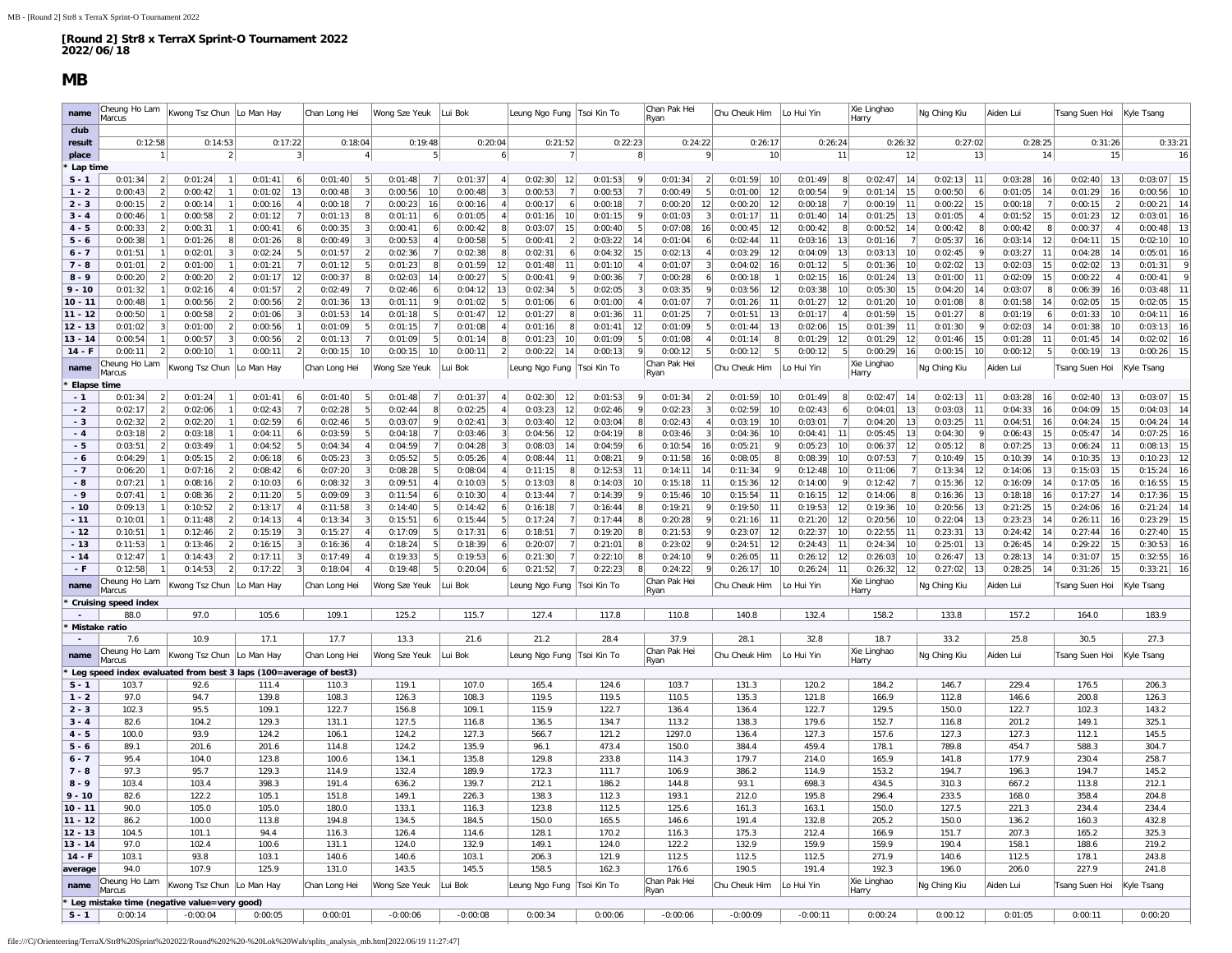### **MB**

Ē.

<span id="page-15-0"></span>

| name                   | Cheung Ho Lam<br>Marcus                                                    | Kwong Tsz Chun                                         | Lo Man Hay               | Chan Long Hei                  | Wong Sze Yeuk            | Lui Bok                   | Leung Ngo Fung           | Tsoi Kin To                    | Chan Pak Hei<br>Ryan            | Chu Cheuk Him                   | Lo Hui Yin               | Xie Linghao<br>Harry                                   | Ng Ching Kiu                   | Aiden Lui                      | Tsang Suen Hoi                 | Kyle Tsang                     |
|------------------------|----------------------------------------------------------------------------|--------------------------------------------------------|--------------------------|--------------------------------|--------------------------|---------------------------|--------------------------|--------------------------------|---------------------------------|---------------------------------|--------------------------|--------------------------------------------------------|--------------------------------|--------------------------------|--------------------------------|--------------------------------|
| club                   |                                                                            |                                                        |                          |                                |                          |                           |                          |                                |                                 |                                 |                          |                                                        |                                |                                |                                |                                |
| result                 | 0:12:58                                                                    | 0:14:53                                                | 0:17:22                  | 0:18:04                        | 0:19:48                  | 0:20:04                   | 0:21:52                  | 0:22:23                        | 0:24:22                         | 0:26:17                         | 0:26:24                  | 0:26:32                                                | 0:27:02                        | 0:28:25                        | 0:31:26                        | 0:33:21                        |
| place                  |                                                                            | $\mathcal{P}$                                          |                          | $\mathbf{A}$                   |                          |                           |                          | 8                              | $\mathbf{Q}$                    | 10                              | 11                       | 12                                                     | 13                             | 14                             | 15                             | 16                             |
| Lap time               |                                                                            |                                                        |                          |                                |                          |                           |                          |                                |                                 |                                 |                          |                                                        |                                |                                |                                |                                |
| $S - 1$<br>$1 - 2$     | 0:01:34<br>2 <br>0:00:43<br>2                                              | 0:01:24<br>$\vert$ 1<br>0:00:42<br>$\overline{1}$      | 0:01:41<br>0:01:02<br>13 | 0:01:40<br>-5<br>0:00:48<br>-3 | 0:01:48<br>0:00:56<br>10 | 0:01:37<br>0:00:48<br>3   | 0:02:30<br>12<br>0:00:53 | 0:01:53<br>9<br>0:00:53<br>-71 | 0:01:34<br>0:00:49              | 0:01:59<br>10<br>0:01:00<br>12  | 0:01:49<br>0:00:54<br>-9 | 0:02:47<br>14<br>0:01:14<br>15                         | 0:02:13<br>11<br>0:00:50<br>-6 | 0:03:28<br>16<br>0:01:05<br>14 | 0:02:40<br>13<br>0:01:29<br>16 | 0:03:07<br>15<br>0:00:56<br>10 |
| $2 - 3$                | 0:00:15<br>2                                                               | 0:00:14<br>1                                           | 0:00:16                  | 0:00:18<br>7                   | 0:00:23<br>16            | 0:00:16<br>$\overline{4}$ | 0:00:17                  | 0:00:18<br><b>71</b>           | 0:00:20<br>12                   | 0:00:20<br>12                   | 0:00:18                  | 0:00:19<br>11                                          | 0:00:22<br>15                  | 0:00:18<br>7                   | 0:00:15<br>$\overline{2}$      | 14<br>0:00:21                  |
| $3 - 4$                | 0:00:46<br>1 <sup>1</sup>                                                  | $\left  \right $<br>0:00:58                            | 0:01:12                  | 0:01:13<br>8                   | 0:01:11                  | 0:01:05                   | 0:01:16<br>10            | -91<br>0:01:15                 | 0:01:03                         | 0:01:17<br>11                   | 0:01:40<br>14            | 13<br>0:01:25                                          | 0:01:05                        | 0:01:52<br>15                  | 0:01:23<br>12                  | 0:03:01<br>16                  |
| $4 - 5$                | 0:00:33<br>2                                                               | 0:00:31<br>$\vert$ 1                                   | 0:00:41                  | 0:00:35                        | 0:00:41                  | 0:00:42                   | 0:03:07<br>15            | 0:00:40<br>- 5                 | 0:07:08<br>16                   | 0:00:45<br>12                   | 0:00:42                  | 0:00:52<br>14                                          | 0:00:42                        | 0:00:42<br>-81                 | 0:00:37                        | 13<br>0:00:48                  |
| $5 - 6$                | 0:00:38                                                                    | 0:01:26<br>8                                           | 0:01:26                  | 0:00:49                        | 0:00:53                  | 0:00:58                   | 0:00:41                  | 0:03:22<br>14                  | 0:01:04                         | 0:02:44<br>11                   | 0:03:16<br>13            | 0:01:16<br>7                                           | 0:05:37<br>16                  | 12<br>0:03:14                  | 0:04:11<br>15                  | 10<br>0:02:10                  |
| $6 - 7$                | 0:01:51                                                                    | 0:02:01<br>3                                           | 0:02:24                  | 0:01:57<br>$\overline{2}$      | 0:02:36                  | 0:02:38<br>8              | 0:02:31                  | 15<br>0:04:32                  | 0:02:13                         | 0:03:29<br>12                   | 0:04:09<br>13            | 0:03:13<br>10                                          | 0:02:45                        | 0:03:27<br>11                  | 0:04:28<br>14                  | 0:05:01<br>16                  |
| $7 - 8$                | 0:01:01<br>$\overline{2}$                                                  | 0:01:00                                                | 0:01:21                  | 0:01:12<br>-5                  | 0:01:23                  | 0:01:59<br>12             | 0:01:48<br>11            | 0:01:10<br>$\overline{4}$      | 0:01:07                         | 0:04:02<br>16                   | 0:01:12                  | 0:01:36<br>10                                          | 0:02:02<br>13                  | 0:02:03<br>15                  | 0:02:02<br>13                  | 0:01:31<br>q                   |
| $8 - 9$                | 0:00:20<br>$\overline{2}$                                                  | $\overline{2}$<br>0:00:20                              | 0:01:17<br>12            | 0:00:37<br>8                   | 0:02:03<br>-14           | 0:00:27                   | 0:00:41                  | 0:00:36<br><b>71</b>           | 0:00:28                         | 0:00:18                         | 0:02:15<br>16            | 0:01:24<br>13                                          | 0:01:00<br>11                  | 15<br>0:02:09                  | 0:00:22                        | ç<br>0:00:41                   |
| $9 - 10$               | 0:01:32                                                                    | 0:02:16<br>$\overline{4}$                              | 0:01:57                  | 0:02:49<br>$\overline{7}$      | 0:02:46                  | 0:04:12<br>13             | 0:02:34                  | 0:02:05<br>3                   | 0:03:35                         | 0:03:56<br>12                   | 0:03:38<br>10            | 15<br>0:05:30                                          | 14<br>0:04:20                  | 0:03:07<br>8                   | 0:06:39<br>16                  | 0:03:48<br>11                  |
| $10 - 11$              | 0:00:48                                                                    | 0:00:56<br>$\vert$ 2                                   | 0:00:56                  | 0:01:36<br>13                  | 0:01:11                  | 0:01:02                   | 0:01:06                  | 0:01:00                        | 0:01:07                         | 0:01:26<br>11                   | 0:01:27<br>12            | 0:01:20<br>10                                          | 0:01:08                        | 0:01:58<br>14                  | 0:02:05<br>15                  | 15<br>0:02:05                  |
| $11 - 12$              | 0:00:50                                                                    | 0:00:58<br>$\overline{2}$                              | 0:01:06                  | 0:01:53<br>14                  | 0:01:18                  | 0:01:47<br>12             | 0:01:27                  | 0:01:36<br>11                  | 0:01:25                         | 0:01:51<br>13                   | 0:01:17                  | 0:01:59<br>15                                          | 0:01:27                        | 0:01:19<br>6                   | 0:01:33<br>10                  | 0:04:11<br>16                  |
| 12 - 13                | 0:01:02<br>$\lceil 3 \rceil$                                               | 0:01:00<br>$\left  \right $                            | 0:00:56                  | 0:01:09<br>-5                  | 0:01:15                  | 0:01:08<br>$\overline{4}$ | 0:01:16                  | 0:01:41<br>12                  | 0:01:09                         | 0:01:44<br>13                   | 0:02:06<br>15            | 0:01:39<br>11                                          | 0:01:30                        | 0:02:03<br>14                  | 0:01:38<br>10                  | 0:03:13<br>16                  |
| $13 - 14$              | 0:00:54<br>$\mathfrak{D}$                                                  | 0:00:57<br>3                                           | 0:00:56                  | 0:01:13                        | 0:01:09                  | 0:01:14                   | 0:01:23<br>10            | 0:01:09<br>$\mathbf{Q}$        | 0:01:08                         | 0:01:14<br>8                    | 0:01:29<br>12            | 12<br>0:01:29                                          | 15<br>0:01:46                  | 0:01:28<br>11                  | 0:01:45<br>14                  | 16<br>0:02:02                  |
| $14 - F$               | 0:00:11                                                                    | 0:00:10                                                | 0:00:11                  | 0:00:15<br>10                  | 0:00:15<br>10            | 0:00:11                   | 0:00:22<br>14            | 0:00:13                        | 0:00:12                         | 0:00:12<br>5                    | 0:00:12                  | 0:00:29<br>16                                          | 0:00:15<br>10                  | 0:00:12<br>5                   | 0:00:19<br>13                  | 15<br>0:00:26                  |
| name                   | Cheung Ho Lam<br>Marcus                                                    | Kwong Tsz Chun                                         | Lo Man Hay               | Chan Long Hei                  | Wong Sze Yeuk            | Lui Bok                   | Leung Ngo Fung           | Tsoi Kin To                    | Chan Pak Hei<br>Ryan            | Chu Cheuk Him                   | Lo Hui Yin               | Xie Linghao<br>Harry                                   | Ng Ching Kiu                   | Aiden Lui                      | Tsang Suen Hoi                 | Kyle Tsang                     |
| Elapse time            |                                                                            |                                                        |                          |                                |                          |                           |                          |                                |                                 |                                 |                          |                                                        |                                |                                |                                |                                |
| $-1$                   | 0:01:34<br>2                                                               | 0:01:24<br>$\overline{1}$                              | 0:01:41<br>6             | 0:01:40<br>-5                  | 0:01:48                  | 0:01:37<br>$\overline{4}$ | 0:02:30<br>12            | 0:01:53<br>-91                 | 0:01:34<br>$\mathcal{P}$        | 0:01:59<br>10                   | 0:01:49                  | 0:02:47<br>14                                          | 0:02:13<br>11                  | 0:03:28<br>16                  | 0:02:40<br>- 13                | 0:03:07<br>15                  |
| $-2$                   | 2 <sup>1</sup><br>0:02:17                                                  | 0:02:06<br>1                                           | 0:02:43                  | 0:02:28<br>-5                  | 0:02:44                  | 0:02:25<br>$\overline{4}$ | 0:03:23<br>12            | -91<br>0:02:46                 | 0:02:23<br>$\mathbf{3}$         | 0:02:59<br>10                   | 0:02:43<br>-6            | 13<br>0:04:01                                          | 0:03:03<br>11                  | 16<br>0:04:33                  | 0:04:09<br>15                  | 0:04:03<br>14                  |
| - 3                    | 0:02:32<br>$\overline{2}$                                                  | 0:02:20<br>1                                           | 0:02:59                  | 0:02:46<br>-5                  | 0:03:07                  | 0:02:41<br>3              | 0:03:40<br>12            | 0:03:04<br>8                   | 0:02:43                         | 0:03:19<br>10                   | 0:03:01                  | 0:04:20<br>13                                          | 0:03:25<br>11                  | 0:04:51<br>16                  | 0:04:24<br>15                  | 0:04:24<br>14                  |
| $-4$                   | 0:03:18<br>2                                                               | 0:03:18<br>-1                                          | 0:04:11                  | 0:03:59                        | 0:04:18                  | 0:03:46                   | 0:04:56<br>-12           | 0:04:19<br>-8                  | 0:03:46                         | 0:04:36<br>10                   | 0:04:41<br>11            | 0:05:45<br>13                                          | 0:04:30                        | 0:06:43<br>15                  | 0:05:47<br>- 14                | 16<br>0:07:25                  |
| - 5                    | 0:03:51<br>$\overline{\mathcal{L}}$                                        | 0:03:49                                                | 0:04:52                  | 0:04:34                        | 0:04:59                  | 0:04:28                   | 0:08:03<br>14            | 0:04:59<br>6                   | 0:10:54<br>16                   | 0:05:21<br>-91                  | 0:05:23<br>10            | 0:06:37<br>12                                          | 0:05:12                        | 0:07:25<br>13                  | 0:06:24<br>-11                 | 15<br>0:08:13                  |
| - 6                    | 0:04:29<br>1                                                               | 0:05:15<br>$\left  \right $                            | 0:06:18                  | 0:05:23<br>3                   | 0:05:52                  | 0:05:26<br>$\overline{4}$ | 0:08:44<br>11            | 0:08:21<br>-91                 | 0:11:58<br>16                   | 0:08:05<br>8                    | 0:08:39<br>10            | 0:07:53<br>7                                           | 15<br>0:10:49                  | 0:10:39<br>14                  | 0:10:35<br>13                  | 0:10:23<br>12                  |
| $-7$<br>- 8            | 0:06:20<br>0:07:21                                                         | 0:07:16<br>$\overline{2}$<br>$\overline{2}$<br>0:08:16 | 0:08:42<br>0:10:03       | 0:07:20<br>0:08:32             | 0:08:28<br>0:09:51       | 0:08:04<br>0:10:03        | 0:11:15<br>0:13:03       | 0:12:53<br>11<br>0:14:03<br>10 | 0:14:11<br>14<br>0:15:18<br>-11 | 0:11:34<br>-91<br>0:15:36<br>12 | 0:12:48<br>10<br>0:14:00 | 0:11:06<br>$\overline{7}$<br>0:12:42<br>$\overline{7}$ | 0:13:34<br>12<br>0:15:36<br>12 | 0:14:06<br>13<br>0:16:09<br>14 | 0:15:03<br>15<br>0:17:05<br>16 | 0:15:24<br>16<br>15<br>0:16:55 |
| $-9$                   | 0:07:41                                                                    | 0:08:36<br>$\overline{2}$                              | 0:11:20                  | 0:09:09<br>3                   | 0:11:54                  | 0:10:30<br>$\overline{4}$ | 0:13:44                  | 0:14:39<br>9                   | 0:15:46<br>10                   | 0:15:54<br>11                   | 0:16:15<br>12            | 0:14:06<br>8                                           | 13<br>0:16:36                  | 16<br>0:18:18                  | 0:17:27<br>14                  | 15<br>0:17:36                  |
| $-10$                  | 0:09:13                                                                    | 0:10:52<br>$\vert$ 2                                   | 0:13:17                  | 0:11:58                        | 0:14:40                  | 0:14:42                   | 0:16:18                  | 0:16:44<br>-8                  | 0:19:21                         | 0:19:50<br>11                   | 0:19:53<br>12            | 0:19:36<br>10                                          | 0:20:56<br>13                  | 0:21:25<br>15                  | 0:24:06<br>16                  | 14<br>0:21:24                  |
| $-11$                  | 0:10:01                                                                    | 0:11:48<br>$\overline{2}$                              | 0:14:13                  | 0:13:34                        | 0:15:51                  | 0:15:44                   | 0:17:24                  | 0:17:44                        | 0:20:28                         | 0:21:16<br>11                   | 0:21:20<br>12            | 0:20:56<br>10                                          | 0:22:04<br>13                  | 0:23:23<br>14                  | 0:26:11<br>16                  | 0:23:29<br>15                  |
| $-12$                  | 0:10:51                                                                    | 0:12:46<br>$\left  \right $                            | 0:15:19                  | 0:15:27                        | 0:17:09                  | 0:17:31<br>6              | 0:18:51                  | 0:19:20<br>-8                  | 0:21:53                         | 0:23:07<br>12                   | 0:22:37<br>10            | 0:22:55<br>11                                          | 13<br>0:23:31                  | 0:24:42<br>14                  | 0:27:44<br>16                  | 0:27:40<br>15                  |
| $-13$                  | 0:11:53                                                                    | 0:13:46<br>$\overline{2}$                              | 0:16:15                  | 0:16:36                        | 0:18:24                  | 0:18:39                   | 0:20:07                  | 0:21:01                        | 0:23:02                         | 0:24:51<br>12                   | 0:24:43<br>11            | 0:24:34<br>10 <sup>1</sup>                             | 0:25:01<br>13                  | 14<br>0:26:45                  | 0:29:22<br>15                  | 16<br>0:30:53                  |
| $-14$                  | 0:12:47                                                                    | 0:14:43<br>$\overline{2}$                              | 0:17:11                  | 0:17:49                        | 0:19:33                  | 0:19:53                   | 0:21:30                  | 0:22:10                        | 0:24:10                         | 0:26:05<br>11                   | 0:26:12<br>12            | 0:26:03<br>10                                          | 0:26:47<br>13                  | 0:28:13<br>14                  | 0:31:07<br>15                  | 0:32:55<br>16                  |
| - F                    | 0:12:58                                                                    | 0:14:53<br>$\overline{2}$                              | 0:17:22                  | 0:18:04                        | 0:19:48                  | 0:20:04                   | 0:21:52                  | 0:22:23                        | 0:24:22                         | 10<br>0:26:17                   | 11<br>0:26:24            | 12<br>0:26:32                                          | 13<br>0:27:02                  | 14<br>0:28:25                  | 0:31:26<br>15                  | 0:33:21<br>16                  |
| name                   | Cheung Ho Lam<br>Marcus                                                    | Kwong Tsz Chun                                         | Lo Man Hay               | Chan Long Hei                  | Wong Sze Yeuk            | ui Bok                    | Leung Ngo Fung           | Tsoi Kin To                    | Chan Pak Hei                    | Chu Cheuk Him                   | Lo Hui Yin               | Xie Linghao                                            | Ng Ching Kiu                   | Aiden Lui                      | Tsang Suen Hoi                 | Kyle Tsang                     |
|                        | <b>Cruising speed index</b>                                                |                                                        |                          |                                |                          |                           |                          |                                | Ryan                            |                                 |                          | Harry                                                  |                                |                                |                                |                                |
|                        | 88.0                                                                       | 97.0                                                   | 105.6                    | 109.1                          | 125.2                    | 115.7                     | 127.4                    | 117.8                          | 110.8                           | 140.8                           | 132.4                    | 158.2                                                  | 133.8                          | 157.2                          | 164.0                          | 183.9                          |
|                        | Mistake ratio                                                              |                                                        |                          |                                |                          |                           |                          |                                |                                 |                                 |                          |                                                        |                                |                                |                                |                                |
|                        | 7.6                                                                        | 10.9                                                   | 17.1                     | 17.7                           | 13.3                     | 21.6                      | 21.2                     | 28.4                           | 37.9                            | 28.1                            | 32.8                     | 18.7                                                   | 33.2                           | 25.8                           | 30.5                           | 27.3                           |
| name                   | Cheung Ho Lam                                                              | Kwong Tsz Chun                                         | Lo Man Hay               | Chan Long Hei                  | Wong Sze Yeuk            | ui Bok                    | Leung Ngo Fung           | Tsoi Kin To                    | Chan Pak Hei                    | Chu Cheuk Him                   | Lo Hui Yin               | Xie Linghao                                            | Ng Ching Kiu                   | Aiden Lui                      | Tsang Suen Hoi                 | Kyle Tsang                     |
|                        | Marcus                                                                     |                                                        |                          |                                |                          |                           |                          |                                | Ryan                            |                                 |                          | Harry                                                  |                                |                                |                                |                                |
| $S - 1$                | Leg speed index evaluated from best 3 laps (100=average of best3)<br>103.7 | 92.6                                                   | 111.4                    | 110.3                          | 119.1                    | 107.0                     | 165.4                    | 124.6                          | 103.7                           | 131.3                           | 120.2                    | 184.2                                                  | 146.7                          | 229.4                          | 176.5                          | 206.3                          |
| $1 - 2$                | 97.0                                                                       | 94.7                                                   | 139.8                    | 108.3                          | 126.3                    | 108.3                     | 119.5                    | 119.5                          | 110.5                           | 135.3                           | 121.8                    | 166.9                                                  | 112.8                          | 146.6                          | 200.8                          | 126.3                          |
| $2 - 3$                | 102.3                                                                      | 95.5                                                   | 109.1                    | 122.7                          | 156.8                    | 109.1                     | 115.9                    | 122.7                          | 136.4                           | 136.4                           | 122.7                    | 129.5                                                  | 150.0                          | 122.7                          | 102.3                          | 143.2                          |
| $3 - 4$                | 82.6                                                                       | 104.2                                                  | 129.3                    | 131.1                          | 127.5                    | 116.8                     | 136.5                    | 134.7                          | 113.2                           | 138.3                           | 179.6                    | 152.7                                                  | 116.8                          | 201.2                          | 149.1                          | 325.1                          |
| $4 - 5$                | 100.0                                                                      | 93.9                                                   | 124.2                    | 106.1                          | 124.2                    | 127.3                     | 566.7                    | 121.2                          | 1297.0                          | 136.4                           | 127.3                    | 157.6                                                  | 127.3                          | 127.3                          | 112.1                          | 145.5                          |
| $5 - 6$                | 89.1                                                                       | 201.6                                                  | 201.6                    | 114.8                          | 124.2                    | 135.9                     | 96.1                     | 473.4                          | 150.0                           | 384.4                           | 459.4                    | 178.1                                                  | 789.8                          | 454.7                          | 588.3                          | 304.7                          |
| $6 - 7$                | 95.4                                                                       | 104.0                                                  | 123.8                    | 100.6                          | 134.1                    | 135.8                     | 129.8                    | 233.8                          | 114.3                           | 179.7                           | 214.0                    | 165.9                                                  | 141.8                          | 177.9                          | 230.4                          | 258.7                          |
| $7 - 8$                | 97.3                                                                       | 95.7                                                   | 129.3                    | 114.9                          | 132.4                    | 189.9                     | 172.3                    | 111.7                          | 106.9                           | 386.2                           | 114.9                    | 153.2                                                  | 194.7                          | 196.3                          | 194.7                          | 145.2                          |
| $8 - 9$                | 103.4                                                                      | 103.4                                                  | 398.3                    | 191.4                          | 636.2                    | 139.7                     | 212.1                    | 186.2                          | 144.8                           | 93.1                            | 698.3                    | 434.5                                                  | 310.3                          | 667.2                          | 113.8                          | 212.1                          |
| $9 - 10$               | 82.6                                                                       | 122.2                                                  | 105.1                    | 151.8                          | 149.1                    | 226.3                     | 138.3                    | 112.3                          | 193.1                           | 212.0                           | 195.8                    | 296.4                                                  | 233.5                          | 168.0                          | 358.4                          | 204.8                          |
| 10 - 11                | 90.0                                                                       | 105.0                                                  | 105.0                    | 180.0                          | 133.1                    | 116.3                     | 123.8                    | 112.5                          | 125.6                           | 161.3                           | 163.1                    | 150.0                                                  | 127.5                          | 221.3                          | 234.4                          | 234.4                          |
| $11 - 12$<br>$12 - 13$ | 86.2                                                                       | 100.0                                                  | 113.8                    | 194.8                          | 134.5                    | 184.5                     | 150.0                    | 165.5                          | 146.6                           | 191.4                           | 132.8                    | 205.2                                                  | 150.0                          | 136.2                          | 160.3                          | 432.8                          |
| $13 - 14$              | 104.5<br>97.0                                                              | 101.1<br>102.4                                         | 94.4<br>100.6            | 116.3<br>131.1                 | 126.4<br>124.0           | 114.6<br>132.9            | 128.1<br>149.1           | 170.2<br>124.0                 | 116.3<br>122.2                  | 175.3<br>132.9                  | 212.4<br>159.9           | 166.9<br>159.9                                         | 151.7<br>190.4                 | 207.3<br>158.1                 | 165.2<br>188.6                 | 325.3<br>219.2                 |
| $14 - F$               | 103.1                                                                      | 93.8                                                   | 103.1                    | 140.6                          | 140.6                    | 103.1                     | 206.3                    | 121.9                          | 112.5                           | 112.5                           | 112.5                    | 271.9                                                  | 140.6                          | 112.5                          | 178.1                          | 243.8                          |
| average                | 94.0                                                                       | 107.9                                                  | 125.9                    | 131.0                          | 143.5                    | 145.5                     | 158.5                    | 162.3                          | 176.6                           | 190.5                           | 191.4                    | 192.3                                                  | 196.0                          | 206.0                          | 227.9                          | 241.8                          |
|                        | Cheung Ho Lam                                                              | Kwong Tsz Chun Lo Man Hay                              |                          | Chan Long Hei                  | Wong Sze Yeuk            | Lui Bok                   | eung Ngo Fung            | Tsoi Kin To                    | Chan Pak Hei                    | Chu Cheuk Him                   | Lo Hui Yin               | Xie Linghao                                            | Ng Ching Kiu                   | Aiden Lui                      | Tsang Suen Hoi                 | Kyle Tsang                     |
| name                   | Marcus                                                                     |                                                        |                          |                                |                          |                           |                          |                                | Ryan                            |                                 |                          | Harry                                                  |                                |                                |                                |                                |
|                        | Leg mistake time (negative value=very good)                                |                                                        |                          |                                |                          |                           |                          |                                |                                 |                                 |                          |                                                        |                                |                                |                                |                                |
| $S - 1$                | 0:00:14                                                                    | $-0:00:04$                                             | 0:00:05                  | 0:00:01                        | $-0:00:06$               | $-0:00:08$                | 0:00:34                  | 0:00:06                        | $-0:00:06$                      | $-0:00:09$                      | $-0:00:11$               | 0:00:24                                                | 0:00:12                        | 0:01:05                        | 0:00:11                        | 0:00:20                        |

file:///C|/Orienteering/TerraX/Str8%20Sprint%202022/Round%202%20-%20Lok%20Wah/splits\_analysis\_mb.htm[2022/06/19 11:27:47]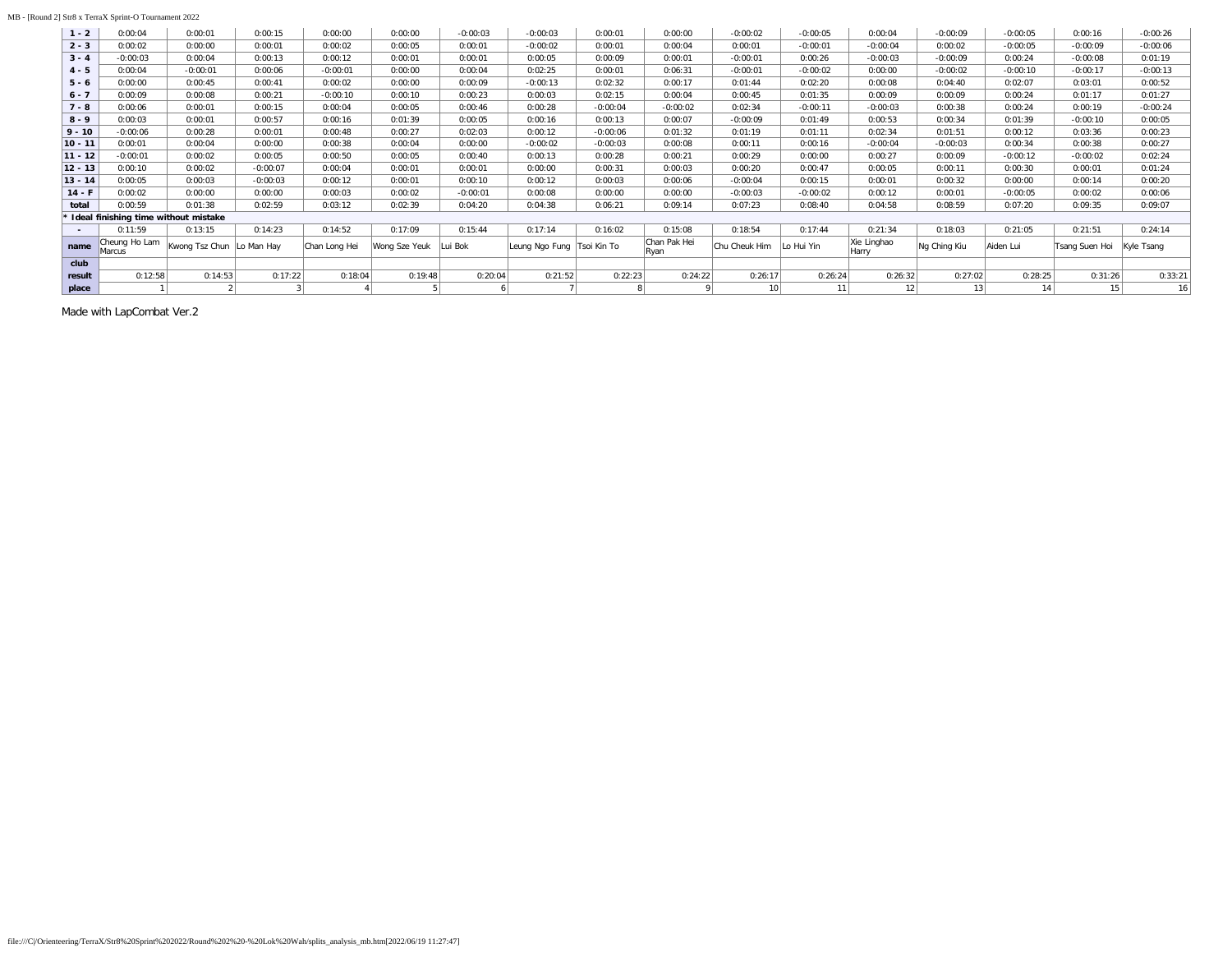#### MB - [Round 2] Str8 x TerraX Sprint-O Tournament 2022

| $1 - 2$   | 0:00:04                                | 0:00:01                   | 0:00:15    | 0:00:00       | 0:00:00       | $-0:00:03$   | $-0:00:03$     | 0:00:01     | 0:00:00              | $-0:00:02$      | $-0:00:05$ | 0:00:04              | $-0:00:09$   | $-0:00:05$ | 0:00:16        | $-0:00:26$ |
|-----------|----------------------------------------|---------------------------|------------|---------------|---------------|--------------|----------------|-------------|----------------------|-----------------|------------|----------------------|--------------|------------|----------------|------------|
| $2 - 3$   | 0:00:02                                | 0:00:00                   | 0:00:01    | 0:00:02       | 0:00:05       | 0:00:01      | $-0:00:02$     | 0:00:01     | 0:00:04              | 0:00:01         | $-0:00:01$ | $-0:00:04$           | 0:00:02      | $-0:00:05$ | $-0:00:09$     | $-0:00:06$ |
| $3 - 4$   | $-0:00:03$                             | 0:00:04                   | 0:00:13    | 0:00:12       | 0:00:01       | 0:00:01      | 0:00:05        | 0:00:09     | 0:00:01              | $-0:00:01$      | 0:00:26    | $-0:00:03$           | $-0:00:09$   | 0:00:24    | $-0:00:08$     | 0:01:19    |
| $4 - 5$   | 0:00:04                                | $-0:00:01$                | 0:00:06    | $-0:00:01$    | 0:00:00       | 0:00:04      | 0:02:25        | 0:00:01     | 0:06:31              | $-0:00:01$      | $-0:00:02$ | 0:00:00              | $-0:00:02$   | $-0:00:10$ | $-0:00:17$     | $-0:00:13$ |
| $5 - 6$   | 0:00:00                                | 0:00:45                   | 0:00:41    | 0:00:02       | 0:00:00       | 0:00:09      | $-0:00:13$     | 0:02:32     | 0:00:17              | 0:01:44         | 0:02:20    | 0:00:08              | 0:04:40      | 0:02:07    | 0:03:01        | 0:00:52    |
| $6 - 7$   | 0:00:09                                | 0:00:08                   | 0:00:21    | $-0:00:10$    | 0:00:10       | 0:00:23      | 0:00:03        | 0:02:15     | 0:00:04              | 0:00:45         | 0:01:35    | 0:00:09              | 0:00:09      | 0:00:24    | 0:01:17        | 0:01:27    |
| $7 - 8$   | 0:00:06                                | 0:00:01                   | 0:00:15    | 0:00:04       | 0:00:05       | 0:00:46      | 0:00:28        | $-0:00:04$  | $-0:00:02$           | 0:02:34         | $-0:00:11$ | $-0:00:03$           | 0:00:38      | 0:00:24    | 0:00:19        | $-0:00:24$ |
| $8 - 9$   | 0:00:03                                | 0:00:01                   | 0:00:57    | 0:00:16       | 0:01:39       | 0:00:05      | 0:00:16        | 0:00:13     | 0:00:07              | $-0:00:09$      | 0:01:49    | 0:00:53              | 0:00:34      | 0:01:39    | $-0:00:10$     | 0:00:05    |
| $9 - 10$  | $-0:00:06$                             | 0:00:28                   | 0:00:01    | 0:00:48       | 0:00:27       | 0:02:03      | 0:00:12        | $-0:00:06$  | 0:01:32              | 0:01:19         | 0:01:11    | 0:02:34              | 0:01:51      | 0:00:12    | 0:03:36        | 0:00:23    |
| $10 - 11$ | 0:00:01                                | 0:00:04                   | 0:00:00    | 0:00:38       | 0:00:04       | 0:00:00      | $-0:00:02$     | $-0:00:03$  | 0:00:08              | 0:00:11         | 0:00:16    | $-0:00:04$           | $-0:00:03$   | 0:00:34    | 0:00:38        | 0:00:27    |
| $11 - 12$ | $-0:00:01$                             | 0:00:02                   | 0:00:05    | 0:00:50       | 0:00:05       | 0:00:40      | 0:00:13        | 0:00:28     | 0:00:21              | 0:00:29         | 0:00:00    | 0:00:27              | 0:00:09      | $-0:00:12$ | $-0:00:02$     | 0:02:24    |
| $12 - 13$ | 0:00:10                                | 0:00:02                   | $-0:00:07$ | 0:00:04       | 0:00:01       | 0:00:01      | 0:00:00        | 0:00:31     | 0:00:03              | 0:00:20         | 0:00:47    | 0:00:05              | 0:00:11      | 0:00:30    | 0:00:01        | 0:01:24    |
| $13 - 14$ | 0:00:05                                | 0:00:03                   | $-0:00:03$ | 0:00:12       | 0:00:01       | 0:00:10      | 0:00:12        | 0:00:03     | 0:00:06              | $-0:00:04$      | 0:00:15    | 0:00:01              | 0:00:32      | 0:00:00    | 0:00:14        | 0:00:20    |
| $14 - F$  | 0:00:02                                | 0:00:00                   | 0:00:00    | 0:00:03       | 0:00:02       | $-0:00:01$   | 0:00:08        | 0:00:00     | 0:00:00              | $-0:00:03$      | $-0:00:02$ | 0:00:12              | 0:00:01      | $-0:00:05$ | 0:00:02        | 0:00:06    |
| total     | 0:00:59                                | 0:01:38                   | 0:02:59    | 0:03:12       | 0:02:39       | 0:04:20      | 0:04:38        | 0:06:21     | 0:09:14              | 0:07:23         | 0:08:40    | 0:04:58              | 0:08:59      | 0:07:20    | 0:09:35        | 0:09:07    |
|           | * Ideal finishing time without mistake |                           |            |               |               |              |                |             |                      |                 |            |                      |              |            |                |            |
| $\sim$    | 0:11:59                                | 0:13:15                   | 0:14:23    | 0:14:52       | 0:17:09       | 0:15:44      | 0:17:14        | 0:16:02     | 0:15:08              | 0:18:54         | 0:17:44    | 0:21:34              | 0:18:03      | 0:21:05    | 0:21:51        | 0:24:14    |
| name      | Cheung Ho Lam<br>Marcus                | Kwong Tsz Chun Lo Man Hay |            | Chan Long Hei | Wong Sze Yeuk | Lui Bok      | Leung Ngo Fung | Tsoi Kin To | Chan Pak Hei<br>Ryan | Chu Cheuk Him   | Lo Hui Yin | Xie Linghao<br>Harry | Ng Ching Kiu | Aiden Lui  | Tsang Suen Hoi | Kyle Tsang |
| club      |                                        |                           |            |               |               |              |                |             |                      |                 |            |                      |              |            |                |            |
| result    | 0:12:58                                | 0:14:53                   | 0:17:22    | 0:18:04       | 0:19:48       | 0:20:04      | 0:21:52        | 0:22:23     | 0:24:22              | 0:26:17         | 0:26:24    | 0:26:32              | 0:27:02      | 0:28:25    | 0:31:26        | 0:33:21    |
| place     |                                        |                           |            |               |               | <sub>n</sub> |                | 8           |                      | 10 <sup>1</sup> | 11         | 12                   |              |            |                | 16         |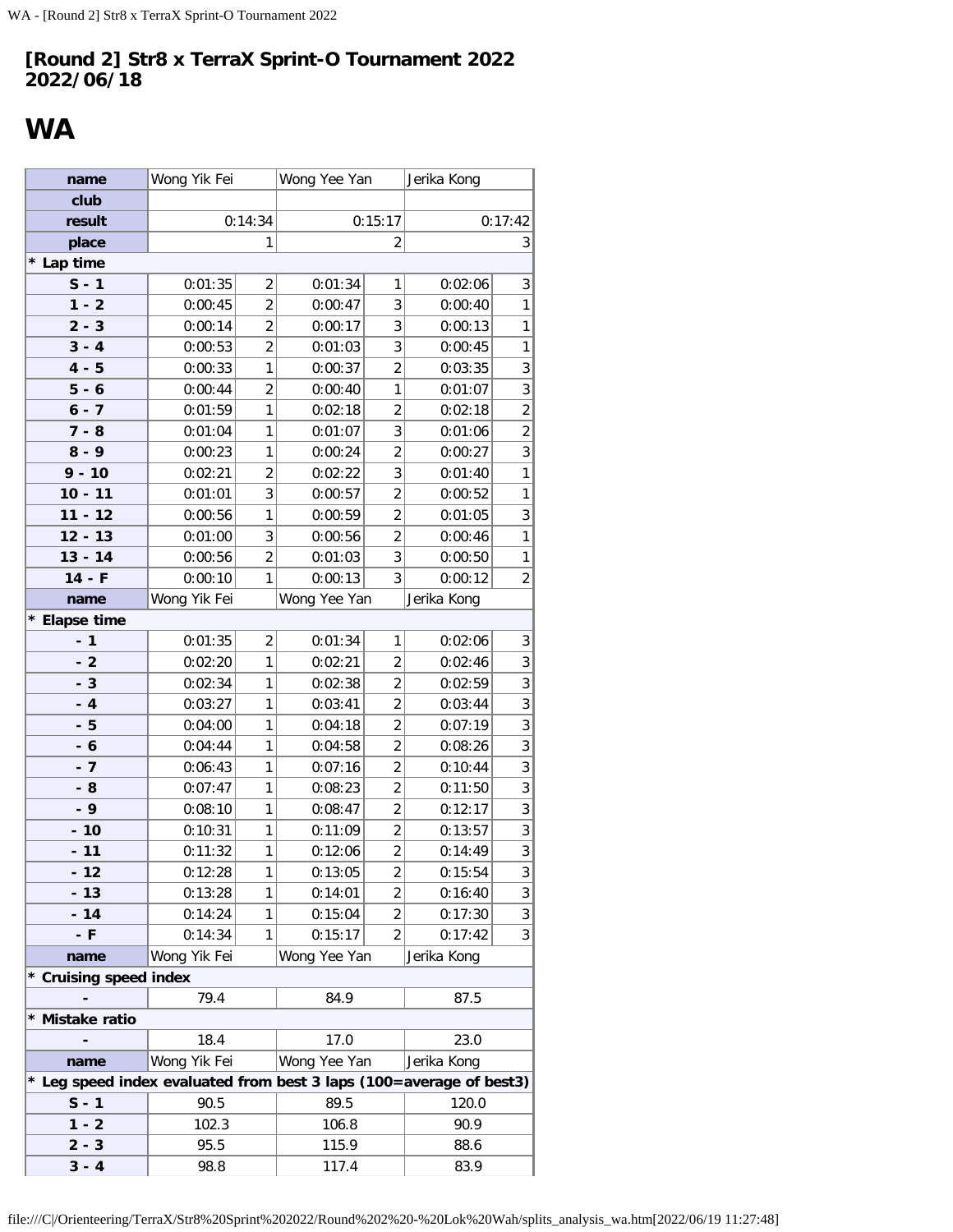# <span id="page-17-0"></span>**WA**

| name                                                              | Wong Yik Fei |                | Wong Yee Yan |                | Jerika Kong |                |
|-------------------------------------------------------------------|--------------|----------------|--------------|----------------|-------------|----------------|
| club                                                              |              |                |              |                |             |                |
| result                                                            |              | 0:14:34        |              | 0:15:17        |             | 0:17:42        |
| place                                                             |              | 1              |              | 2              |             | 3              |
| * Lap time                                                        |              |                |              |                |             |                |
| $S - 1$                                                           | 0:01:35      | 2              | 0:01:34      | 1              | 0:02:06     | 3              |
| $1 - 2$                                                           | 0:00:45      | $\overline{2}$ | 0:00:47      | 3              | 0:00:40     | 1              |
| $2 - 3$                                                           | 0:00:14      | $\overline{2}$ | 0:00:17      | 3              | 0:00:13     | 1              |
| $3 - 4$                                                           | 0:00:53      | $\overline{2}$ | 0:01:03      | 3              | 0:00:45     | $\mathbf{1}$   |
| $4 - 5$                                                           | 0:00:33      | 1              | 0:00:37      | $\overline{2}$ | 0:03:35     | 3              |
| $5 - 6$                                                           | 0:00:44      | $\overline{2}$ | 0:00:40      | 1              | 0:01:07     | 3              |
| $6 - 7$                                                           | 0:01:59      | 1              | 0:02:18      | $\overline{2}$ | 0:02:18     | $\overline{2}$ |
| $7 - 8$                                                           | 0:01:04      | 1              | 0:01:07      | 3              | 0:01:06     | $\overline{2}$ |
| $8 - 9$                                                           | 0:00:23      | 1              | 0:00:24      | $\overline{2}$ | 0:00:27     | 3              |
| $9 - 10$                                                          | 0:02:21      | $\overline{2}$ | 0:02:22      | 3              | 0:01:40     | 1              |
| $10 - 11$                                                         | 0:01:01      | 3              | 0:00:57      | $\overline{2}$ | 0:00:52     | 1              |
| $11 - 12$                                                         | 0:00:56      | 1              | 0:00:59      | $\overline{2}$ | 0:01:05     | 3              |
| $12 - 13$                                                         | 0:01:00      | 3              | 0:00:56      | $\overline{2}$ | 0:00:46     | 1              |
| $13 - 14$                                                         | 0:00:56      | $\overline{2}$ | 0:01:03      | 3              | 0:00:50     | 1              |
| $14 - F$                                                          | 0:00:10      | 1              | 0:00:13      | 3              | 0:00:12     | $\overline{c}$ |
| name                                                              | Wong Yik Fei |                | Wong Yee Yan |                | Jerika Kong |                |
| *<br><b>Elapse time</b>                                           |              |                |              |                |             |                |
| $-1$                                                              | 0:01:35      | $\overline{2}$ | 0:01:34      | 1              | 0:02:06     | 3              |
| $-2$                                                              | 0:02:20      | 1              | 0:02:21      | $\overline{2}$ | 0:02:46     | 3              |
| $-3$                                                              | 0:02:34      | 1              | 0:02:38      | $\overline{2}$ | 0:02:59     | 3              |
| $-4$                                                              | 0:03:27      | 1              | 0:03:41      | $\overline{2}$ | 0:03:44     | 3              |
| - 5                                                               | 0:04:00      | 1              | 0:04:18      | $\overline{2}$ | 0:07:19     | 3              |
| - 6                                                               | 0:04:44      | 1              | 0:04:58      | $\overline{2}$ | 0:08:26     | 3              |
| $-7$                                                              | 0:06:43      | 1              | 0:07:16      | $\overline{2}$ | 0:10:44     | 3              |
| - 8                                                               | 0:07:47      | 1              | 0:08:23      | $\overline{2}$ | 0:11:50     | $\sqrt{3}$     |
| - 9                                                               | 0:08:10      | 1              | 0:08:47      | $\overline{2}$ | 0:12:17     | 3              |
| $-10$                                                             | 0:10:31      | 1              | 0:11:09      | $\overline{2}$ | 0:13:57     | 3              |
| $-11$                                                             | 0:11:32      | 1              | 0:12:06      | $\overline{2}$ | 0:14:49     | 3              |
| $-12$                                                             | 0:12:28      | 1              | 0:13:05      | $\overline{c}$ | 0:15:54     | 3              |
| $-13$                                                             | 0:13:28      | 1              | 0:14:01      | $\overline{2}$ | 0:16:40     | 3              |
| $-14$                                                             | 0:14:24      | 1              | 0:15:04      | $\overline{2}$ | 0:17:30     | 3              |
| - F                                                               | 0:14:34      | 1              | 0:15:17      | 2              | 0:17:42     | 3              |
| name                                                              | Wong Yik Fei |                | Wong Yee Yan |                | Jerika Kong |                |
| * Cruising speed index                                            |              |                |              |                |             |                |
|                                                                   | 79.4         |                | 84.9         |                | 87.5        |                |
| * Mistake ratio                                                   |              |                |              |                |             |                |
|                                                                   | 18.4         |                | 17.0         |                | 23.0        |                |
| name                                                              | Wong Yik Fei |                | Wong Yee Yan |                | Jerika Kong |                |
| Leg speed index evaluated from best 3 laps (100=average of best3) |              |                |              |                |             |                |
| $S - 1$                                                           | 90.5         |                | 89.5         |                | 120.0       |                |
| $1 - 2$                                                           | 102.3        |                | 106.8        |                | 90.9        |                |
| $2 - 3$                                                           | 95.5         |                | 115.9        |                | 88.6        |                |
| $3 - 4$                                                           | 98.8         |                | 117.4        |                | 83.9        |                |

file:///C|/Orienteering/TerraX/Str8%20Sprint%202022/Round%202%20-%20Lok%20Wah/splits\_analysis\_wa.htm[2022/06/19 11:27:48]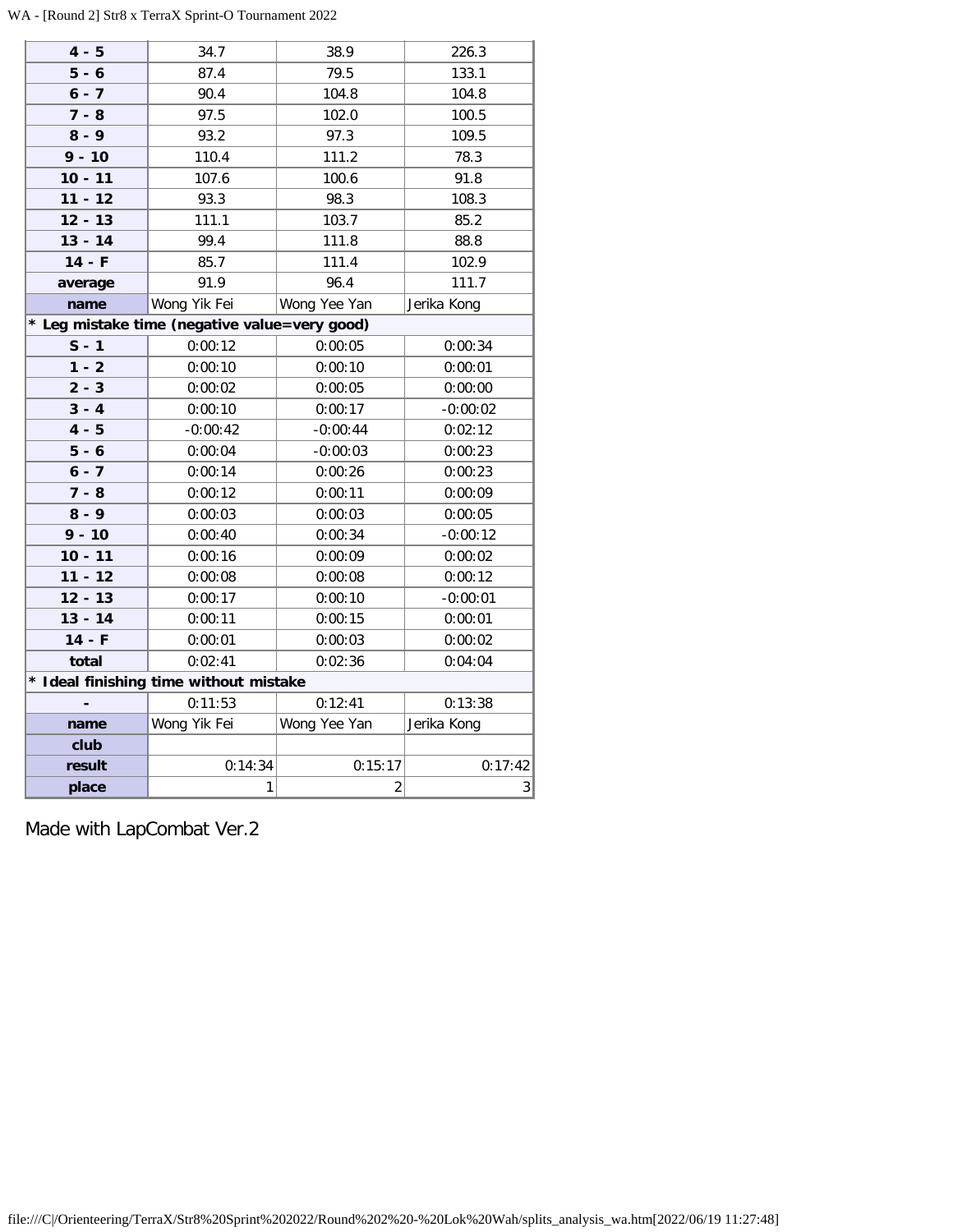WA - [Round 2] Str8 x TerraX Sprint-O Tournament 2022

| $4 - 5$   | 34.7                                        | 38.9           | 226.3          |
|-----------|---------------------------------------------|----------------|----------------|
| $5 - 6$   | 87.4                                        | 79.5           | 133.1          |
| $6 - 7$   | 90.4                                        | 104.8          | 104.8          |
| $7 - 8$   | 97.5                                        | 102.0          | 100.5          |
| $8 - 9$   | 93.2                                        | 97.3           | 109.5          |
| $9 - 10$  | 110.4                                       | 111.2          | 78.3           |
| $10 - 11$ | 107.6                                       | 100.6          | 91.8           |
| $11 - 12$ | 93.3                                        | 98.3           | 108.3          |
| $12 - 13$ | 111.1                                       | 103.7          | 85.2           |
| $13 - 14$ | 99.4                                        | 111.8          | 88.8           |
| $14 - F$  | 85.7                                        | 111.4          | 102.9          |
| average   | 91.9                                        | 96.4           | 111.7          |
| name      | Wong Yik Fei                                | Wong Yee Yan   | Jerika Kong    |
|           | Leg mistake time (negative value=very good) |                |                |
| $S - 1$   | 0:00:12                                     | 0:00:05        | 0:00:34        |
| $1 - 2$   | 0:00:10                                     | 0:00:10        | 0:00:01        |
| $2 - 3$   | 0:00:02                                     | 0:00:05        | 0:00:00        |
| $3 - 4$   | 0:00:10                                     | 0:00:17        | $-0:00:02$     |
| $4 - 5$   | $-0:00:42$                                  | $-0:00:44$     | 0:02:12        |
| $5 - 6$   | 0:00:04                                     | $-0:00:03$     | 0:00:23        |
| $6 - 7$   | 0:00:14                                     | 0:00:26        | 0:00:23        |
| $7 - 8$   | 0:00:12                                     | 0:00:11        | 0:00:09        |
| $8 - 9$   | 0:00:03                                     | 0:00:03        | 0:00:05        |
| $9 - 10$  | 0:00:40                                     | 0:00:34        | $-0:00:12$     |
| $10 - 11$ | 0:00:16                                     | 0:00:09        | 0:00:02        |
| $11 - 12$ | 0:00:08                                     | 0:00:08        | 0:00:12        |
| $12 - 13$ | 0:00:17                                     | 0:00:10        | $-0:00:01$     |
| $13 - 14$ | 0:00:11                                     | 0:00:15        | 0:00:01        |
| $14 - F$  | 0:00:01                                     | 0:00:03        | 0:00:02        |
| total     | 0:02:41                                     | 0:02:36        | 0:04:04        |
|           | * Ideal finishing time without mistake      |                |                |
|           | 0:11:53                                     | 0:12:41        | 0:13:38        |
| name      | Wong Yik Fei                                | Wong Yee Yan   | Jerika Kong    |
| club      |                                             |                |                |
| result    | 0:14:34                                     | 0:15:17        | 0:17:42        |
| place     | 1                                           | $\overline{2}$ | 3 <sup>1</sup> |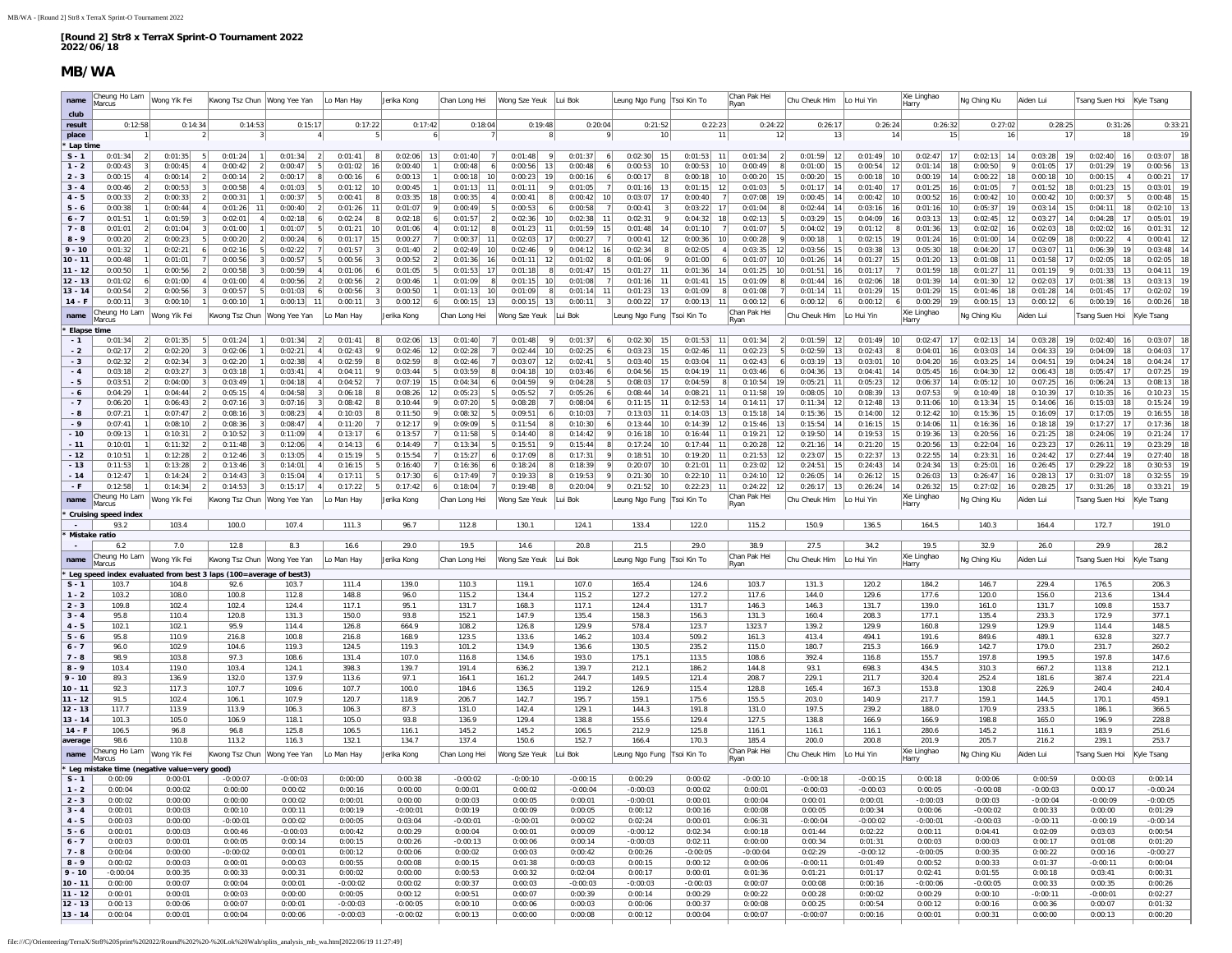### **MB/WA**

| name                   | Cheung Ho Lam<br>Marcus                        | Wong Yik Fei       | Kwong Tsz Chun Wong Yee Yan                                               |                       | Lo Man Hay                                             | Jerika Kong                               | Chan Long Hei                         | Wong Sze Yeuk                              | Lui Bok                                      | Leung Ngo Fung   Tsoi Kin To                    |                                  | Chan Pak Hei<br>Rvan           | Chu Cheuk Him                   | Lo Hui Yin               | Xie Linghao<br>Harry                                    | Ng Ching Kiu                     | Aiden Lui                        | Tsang Suen Hoi Kyle Tsang          |                                       |
|------------------------|------------------------------------------------|--------------------|---------------------------------------------------------------------------|-----------------------|--------------------------------------------------------|-------------------------------------------|---------------------------------------|--------------------------------------------|----------------------------------------------|-------------------------------------------------|----------------------------------|--------------------------------|---------------------------------|--------------------------|---------------------------------------------------------|----------------------------------|----------------------------------|------------------------------------|---------------------------------------|
| club                   |                                                |                    |                                                                           |                       |                                                        |                                           |                                       |                                            |                                              |                                                 |                                  |                                |                                 |                          |                                                         |                                  |                                  |                                    |                                       |
| result<br>place        | 0:12:58                                        | 0:14:34            | 0:14:53<br>3                                                              | 0:15:17               | 0:17:22<br>$\overline{4}$                              | 0:17:42<br>5                              | 0:18:04                               | 0:19:48<br>8                               | 0:20:04                                      | 0:21:52<br>10 <sup>1</sup>                      | 0:22:23<br>11                    | 0:24:22<br>12                  | 0:26:17<br>13                   | 0:26:24                  | 0:26:32<br>14<br>15                                     | 0:27:02<br>16                    | 0:28:25<br>17                    | 0:31:26<br>18                      | 0:33:21<br>19                         |
| Lap time               |                                                |                    |                                                                           |                       |                                                        |                                           |                                       |                                            |                                              |                                                 |                                  |                                |                                 |                          |                                                         |                                  |                                  |                                    |                                       |
| $S - 1$                | 0:01:34<br>$\overline{2}$                      | 0:01:35            | 0:01:24<br>5 <sup>5</sup><br>$\overline{1}$                               | 0:01:34               | 2 <br>0:01:41                                          | 8 <sup>1</sup><br>$0:02:06$ 13            | 0:01:40<br>-7                         | 0:01:48<br>9                               | 0:01:37<br>-6                                | 0:02:30<br>15                                   | $0:01:53$ 11                     | 0:01:34<br>$\overline{2}$      | $0:01:59$ 12                    | 0:01:49                  | 10<br>$0:02:47$ 17                                      | $0:02:13$ 14                     | $0:03:28$ 19                     | $0:02:40$ 16                       | 18<br>0:03:07                         |
| $1 - 2$<br>$2 - 3$     | 0:00:43<br>0:00:15                             | 0:00:45<br>0:00:14 | 0:00:42<br>$\overline{2}$<br>0:00:14<br>$\overline{2}$                    | 0:00:47<br>0:00:17    | 0:01:02<br>0:00:16<br>8                                | 0:00:40<br>16<br>6<br>0:00:13             | 0:00:48<br>0:00:18<br>10              | 0:00:56<br>13<br>19<br>0:00:23             | 0:00:48<br>0:00:16                           | 0:00:53<br>10<br>0:00:17<br>8<br>6 <sup>1</sup> | 0:00:53<br>0:00:18<br>10         | 0:00:49<br>0:00:20<br>15       | 0:01:00<br>15<br>0:00:20<br>15  | 0:00:54<br>0:00:18       | 12<br>0:01:14<br>18<br>0:00:19<br>10<br>14              | 0:00:50<br>0:00:22               | 0:01:05<br>17<br>0:00:18<br>10   | 0:01:29<br>19<br>0:00:15<br>$\sim$ | 0:00:56<br>-13<br>0:00:21<br>17       |
| $3 - 4$                | 0:00:46                                        | 0:00:53            | 0:00:58<br>4 <sup>1</sup>                                                 | 0:01:03               | -5<br>0:01:12                                          | 0:00:45<br>10                             | 0:01:13<br>11                         | 0:01:11<br>9                               | 0:01:05                                      | 0:01:16<br>13                                   | 0:01:15<br>12                    | 0:01:03                        | 0:01:17<br>14                   | 0:01:40                  | 0:01:25<br>17<br>16                                     | 0:01:05                          | 0:01:52<br>18                    | 0:01:23<br>15                      | 0:03:01<br><b>19</b>                  |
| $4 - 5$                | 0:00:33                                        | 0:00:33            | 0:00:31<br>2<br>11                                                        | 0:00:37               | 0:00:41<br>-5                                          | 8 <sup>1</sup><br>0:03:35<br>18           | 0:00:35                               | 0:00:41<br>8 <sup>1</sup>                  | 0:00:42<br>10 <sup>1</sup><br>$\overline{7}$ | 0:03:07<br>17                                   | 0:00:40                          | 0:07:08<br>19                  | 0:00:45<br>14                   | 0:00:42                  | 10 <sup>1</sup><br>0:00:52<br>16                        | 0:00:42<br>10<br>19              | 0:00:42<br>10                    | 0:00:37<br>5 <sup>1</sup>          | 0:00:48<br>15                         |
| $5 - 6$<br>$6 - 7$     | 0:00:38<br>0:01:51                             | 0:00:44<br>0:01:59 | 0:01:26<br>11<br>0:02:01                                                  | 0:00:40<br>0:02:18    | $\overline{2}$<br>0:01:26<br>0:02:24<br>6 <sup>1</sup> | 11<br>0:01:07<br>0:02:18<br>8             | 0:00:49<br>0:01:57                    | 0:00:53<br>6 <sup>1</sup><br>0:02:36<br>10 | 0:00:58<br>0:02:38<br>11                     | 0:00:41<br>$\vert$ 3<br>0:02:31<br>9            | 0:03:22<br>0:04:32               | 0:01:04<br>0:02:13             | 0:02:44<br>14<br>0:03:29<br>15  | 0:03:16<br>0:04:09       | 16<br>0:01:16<br>10<br>0:03:13<br>13<br>16              | 0:05:37<br>0:02:45               | 0:03:14<br>-15<br>0:03:27<br>-14 | 0:04:11<br>18<br>0:04:28<br>17     | 0:02:10<br>13<br>0:05:01<br>19        |
| $7 - 8$                | 0:01:01                                        | 0:01:04            | 0:01:00                                                                   | 0:01:07               | 5 <sup>1</sup><br>0:01:21                              | 10<br>0:01:06                             | 0:01:12                               | 0:01:23<br>11                              | 0:01:59<br>15                                | 0:01:48<br>14                                   | 0:01:10                          | 0:01:07                        | 0:04:02<br>19                   | 0:01:12                  | 0:01:36<br>13<br>8                                      | 0:02:02                          | 0:02:03<br>18                    | 0:02:02<br>16                      | 0:01:31<br>12                         |
| $8 - 9$                | 0:00:20                                        | 0:00:23            | 0:00:20<br>5<br>$\overline{2}$                                            | 0:00:24               | 0:01:17<br>6                                           | 15<br>0:00:27                             | 0:00:37<br>11                         | 0:02:03<br><b>17</b>                       | 0:00:27<br>7                                 | 12<br>0:00:41                                   | 0:00:36<br>10                    | 0:00:28                        | 0:00:18<br>-1                   | 0:02:15                  | 19<br>0:01:24<br>16                                     | 0:01:00<br>-14                   | 0:02:09<br><b>18</b>             | 0:00:22<br>$\vert$ 4               | 0:00:41<br>12                         |
| $9 - 10$<br>$10 - 11$  | 0:01:32<br>0:00:48                             | 0:02:21<br>0:01:01 | 0:02:16<br>5 <sup>1</sup><br>0:00:56<br>$\vert$ 3                         | 0:02:22<br>0:00:57    | 7<br>0:01:57<br>5 <sup>1</sup><br>0:00:56              | 3 <sup>1</sup><br>0:01:40<br>3<br>0:00:52 | 0:02:49<br>10<br>-21<br>0:01:36<br>16 | 0:02:46<br>-9<br>0:01:11<br>12             | 0:04:12<br>16<br>0:01:02                     | 0:02:34<br>8<br>0:01:06<br>9                    | 0:02:05<br>4<br>0:01:00          | 0:03:35<br>12<br>0:01:07<br>10 | 0:03:56<br>15<br>0:01:26<br>14  | 0:03:38<br>0:01:27       | 13<br>0:05:30<br>18<br>15<br>0:01:20<br>13              | 0:04:20<br>-17<br>0:01:08        | 0:03:07<br>11<br>0:01:58<br>17   | 0:06:39<br>19<br>0:02:05<br>18     | 0:03:48<br>-14<br>0:02:05<br>18       |
| $11 - 12$              | 0:00:50                                        | 0:00:56            | 0:00:58<br>3                                                              | 0:00:59               | 0:01:06<br>$\overline{4}$                              | 0:01:05<br>6                              | 0:01:53<br>-17                        | 0:01:18<br>8                               | 0:01:47<br>15                                | 0:01:27<br>11                                   | 0:01:36<br>-14                   | 0:01:25<br>10                  | 0:01:51<br>16                   | 0:01:17                  | 0:01:59<br>18                                           | 0:01:27                          | 0:01:19                          | 0:01:33<br>13                      | 0:04:11<br>19                         |
| $12 - 13$              | 0:01:02                                        | 0:01:00            | 0:01:00<br>4 <sup>1</sup>                                                 | 0:00:56               | $\vert$ 2<br>0:00:56                                   | $\left  \right $<br>0:00:46               | 0:01:09                               | 0:01:15<br>10 <sup>1</sup>                 | 0:01:08                                      | 0:01:16<br>11                                   | 0:01:41<br>15                    | 0:01:09                        | 0:01:44<br>16                   | 0:02:06                  | 18<br>0:01:39<br>14                                     | 0:01:30<br>-12                   | 0:02:03<br>17                    | 0:01:38<br>13                      | 0:03:13<br><b>19</b>                  |
| $13 - 14$<br>$14 - F$  | 0:00:54<br>0:00:11                             | 0:00:56<br>0:00:10 | 0:00:57<br>5 <sub>1</sub><br>0:00:10                                      | 0:01:03<br>0:00:13    | 0:00:56<br>-61<br>0:00:11<br>11                        | 0:00:50<br>$\frac{3}{3}$<br>0:00:12<br>3  | 0:01:13<br>10<br>0:00:15              | 0:01:09<br>-8<br>0:00:15<br>13             | 0:01:14<br>11<br>0:00:11                     | 0:01:23<br>13<br>$0:00:22$ 17                   | 0:01:09<br>0:00:13               | 0:01:08<br>0:00:12             | 0:01:14<br>11<br>0:00:12<br>-61 | 0:01:29<br>0:00:12       | 15<br>0:01:29<br>15<br>0:00:29<br>19<br>6               | 0:01:46<br>-18<br>0:00:15<br>-13 | 0:01:28<br>-14<br>0:00:12        | 0:01:45<br>17<br>$0:00:19$ 16      | 0:02:02<br>19<br>0:00:26<br>18        |
|                        | Cheung Ho Lam                                  | Wong Yik Fei       |                                                                           |                       | Lo Man Hay                                             |                                           |                                       |                                            |                                              |                                                 |                                  | Chan Pak Hei                   |                                 | Lo Hui Yin               | Xie Linghao                                             |                                  |                                  |                                    |                                       |
| name<br>* Elapse time  | Marcus                                         |                    | wong Tsz Chun                                                             | Wong Yee Yan          |                                                        | Jerika Kong                               | Chan Long Hei                         | Vong Sze Yeuk                              | Lui Bok                                      | Leung Ngo Fung                                  | Tsoi Kin To                      | Ryan                           | hu Cheuk Him                    |                          | Harry                                                   | Ng Ching Kiu                     | Aiden Lui                        | sang Suen Hoi                      | Kyle Tsang                            |
| $-1$                   | 0:01:34                                        | 0:01:35            | 0:01:24                                                                   | 0:01:34               | 0:01:41<br>$\overline{2}$                              | 0:02:06<br>8                              | 0:01:40                               | 0:01:48<br>9                               | 0:01:37<br>-6                                | 0:02:30<br>15                                   | 0:01:53                          | 0:01:34                        | 0:01:59<br>12                   | 0:01:49                  | 0:02:47<br>10 <sup>1</sup><br>17                        | 0:02:13                          | 0:03:28<br>19                    | 0:02:40<br>16                      | 0:03:07                               |
| $-2$                   | 0:02:17                                        | 0:02:20            | 0:02:06                                                                   | 0:02:21               | 4 <sup>1</sup><br>0:02:43                              | 0:02:46<br>9<br>12                        | 0:02:28                               | 0:02:44<br>10                              | 0:02:25<br>6                                 | 15<br>0:03:23                                   | 0:02:46<br>-11                   | 0:02:23                        | 0:02:59<br>13                   | 0:02:43                  | 0:04:01<br>16                                           | 0:03:03                          | 0:04:33<br>-19                   | 0:04:09<br>18                      | 0:04:03<br>$\overline{1}$             |
| $-3$<br>$-4$           | 0:02:32<br>$\overline{\phantom{a}}$<br>0:03:18 | 0:02:34<br>0:03:27 | 3<br>0:02:20<br>11<br>0:03:18                                             | 0:02:38<br>0:03:41    | 0:02:59<br>-41<br>0:04:1'                              | 0:02:59<br>8 <sup>1</sup><br>0:03:44<br>9 | 0:02:46<br>0:03:59                    | 0:03:07<br>12<br>0:04:18<br>10             | 0:02:41<br>- 5<br>0:03:46                    | 15<br>0:03:40<br>0:04:56<br>15                  | 0:03:04<br>-11<br>0:04:19        | 0:02:43<br>0:03:46             | 0:03:19<br>13<br>0:04:36<br>13  | 0:03:01<br>0:04:41       | 10 <sup>1</sup><br>0:04:20<br>16<br>0:05:45<br>14<br>16 | 0:03:25<br>14<br>0:04:30         | 0:04:51<br>19<br>0:06:43<br>18   | 0:04:24<br>18<br>0:05:47<br>17     | 0:04:24<br>17<br>0:07:25<br><b>19</b> |
| $-5$                   | 0:03:51                                        | 0:04:00            | 0:03:49                                                                   | 0:04:18               | 0:04:52                                                | $\overline{7}$<br>0:07:19                 | 0:04:34                               | $\mathsf{q}$<br>0:04:59                    | 0:04:28                                      | 0:08:03<br>17                                   | 0:04:59                          | 0:10:54<br>19                  | 0:05:21<br>11                   | 0:05:23                  | 14<br>12<br>0:06:37                                     | 0:05:12                          | 0:07:25<br>-16                   | 13<br>0:06:24                      | 0:08:13<br>18                         |
| - 6                    | 0:04:29                                        | 0:04:44            | 0:05:15<br>4 <sup>1</sup><br>2                                            | 0:04:58               | 0:06:18<br>$\vert$ 3                                   | 8 <sup>1</sup><br>0:08:26<br>12           | 0:05:23                               | 0:05:52<br>7 <sup>1</sup>                  | 0:05:26                                      | 0:08:44<br>14                                   | 0:08:21<br>11                    | 0:11:58<br>19                  | 0:08:05<br>10 <sup>1</sup>      | 0:08:39                  | 13<br>0:07:53                                           | $\vert$ 9<br>0:10:49             | 0:10:39<br>17                    | 0:10:35<br>16                      | 0:10:23<br>15                         |
| $-7$<br>- 8            | 0:06:20<br>0:07:21                             | 0:06:43<br>0:07:47 | 0:07:16<br>$\overline{2}$<br>$\vert$ 3<br>0:08:16<br>$\mathbf{3}$         | 0:07:16<br>0:08:23    | 0:08:42<br>3 <sup>1</sup><br>0:10:03<br>-41            | 0:10:44<br>8 <sup>1</sup><br>8<br>0:11:50 | 0:07:20<br>0:08:32                    | 0:08:28<br>0:09:51                         | 0:08:04<br>-61<br>0:10:03                    | 0:11:15<br>11<br>0:13:03<br>11                  | 0:12:53<br>-14<br>0:14:03<br>-13 | 0:14:11<br>17<br>0:15:18<br>14 | 0:11:34<br>12<br>0:15:36<br>15  | 0:12:48<br>0:14:00       | 13<br>0:11:06<br>10<br>12<br>0:12:42<br>10              | 0:13:34<br>15<br>0:15:36<br>-15  | 0:14:06<br>16<br>0:16:09<br>-17  | 0:15:03<br>18<br>0:17:05<br>19     | 0:15:24<br>19<br>0:16:55<br><b>18</b> |
| $-9$                   | 0:07:41                                        | 0:08:10            | 0:08:36<br>3                                                              | 0:08:47               | 0:11:20<br>$\vert$ 4                                   | $\overline{7}$<br>0:12:17                 | 0:09:09                               | 0:11:54<br>$\vert$ 8                       | 0:10:30                                      | 0:13:44<br>10                                   | 0:14:39                          | 0:15:46<br>13                  | 0:15:54<br>14                   | 0:16:15                  | 15<br>0:14:06<br>11                                     | 0:16:36                          | 0:18:18<br>19                    | 0:17:27<br>17                      | 0:17:36<br>18                         |
| $-10$                  | 0:09:13                                        | 0:10:31            | 0:10:52<br>$\vert$ 3                                                      | 0:11:09               | 0:13:17<br>4 <sup>1</sup>                              | 6<br>0:13:57                              | 0:11:58                               | 0:14:40<br>8                               | 0:14:42                                      | 0:16:18<br>10 <sup>1</sup>                      | 0:16:44                          | 0:19:21<br>12                  | 0:19:50<br>14                   | 0:19:53                  | 15<br>0:19:36<br>13                                     | 0:20:56                          | $0:21:25$ 18                     | 0:24:06<br>19                      | 0:21:24                               |
| $-11$                  | 0:10:01                                        | 0:11:32            | $\overline{2}$<br>0:11:48<br>3 <sup>1</sup>                               | 0:12:06               | 0:14:13<br>$\sim$                                      | 6 <sup>1</sup><br>0:14:49                 | 0:13:34                               | 0:15:51<br>9                               | 0:15:44<br>$\vert$ 8                         | 0:17:24<br>10                                   | 0:17:44<br>- 11                  | 0:20:28<br>12                  | 0:21:16<br>14                   | 0:21:20                  | 15<br>0:20:56<br>13                                     | 0:22:04                          | 0:23:23<br>17                    | 0:26:11<br>19                      | 0:23:29<br>18                         |
| $-12$<br>$-13$         | 0:10:51<br>0:11:53                             | 0:12:28<br>0:13:28 | 0:12:46<br>$\mathcal{P}$<br>3<br>0:13:46<br>$\vert$ 3                     | 0:13:05<br>0:14:01    | 0:15:19<br>-41<br>0:16:15                              | 5 <sub>1</sub><br>0:15:54<br>5<br>0:16:40 | 0:15:27<br>0:16:36                    | 0:17:09<br>$\vert$ 8<br>0:18:24            | 0:17:31<br>0:18:39                           | 0:18:51<br>10<br>9<br>0:20:07<br>10             | 0:19:20<br>- 11<br>0:21:01       | 0:21:53<br>12<br>0:23:02<br>12 | 0:23:07<br>15<br>0:24:51<br>15  | 0:22:37<br>0:24:43       | 13<br>0:22:55<br>-14<br>14<br>0:24:34<br>13             | 0:23:31<br>-16<br>0:25:01        | 0:24:42<br>- 17<br>0:26:45       | 0:27:44<br>19<br>0:29:22<br>18     | 0:27:40<br>18<br>0:30:53<br>-19       |
| - 14                   | 0:12:47                                        | 0:14:24            | 0:14:43<br>$\overline{3}$                                                 | 0:15:04               | 0:17:11                                                | 5<br>0:17:30                              | 0:17:49                               | 0:19:33<br>8                               | 0:19:53                                      | 0:21:30<br>10<br>9                              | 0:22:10<br>- 11                  | 0:24:10<br>-12                 | 0:26:05<br>14                   | 0:26:12                  | 15<br>0:26:03<br>13                                     | 0:26:47                          | 0:28:13<br>17                    | 0:31:07<br>18                      | 0:32:55<br>19                         |
| - F                    | 0:12:58                                        | 0:14:34            | 0:14:53<br>3<br>-2                                                        | 0:15:17               | 0:17:22<br>4 <sup>1</sup>                              | 5<br>0:17:42                              | 0:18:04                               | 0:19:48<br>8 <sup>1</sup>                  | 0:20:04<br>-91                               | $0:21:52$ 10                                    | $0:22:23$ 11                     | 0:24:22<br>12                  | 0:26:17<br>13                   | 0:26:24                  | 0:26:32<br>14<br>15                                     | 0:27:02<br>- 16                  | $0:28:25$ 17                     | 0:31:26<br>18                      | 0:33:21<br>1 <sup>1</sup>             |
| name                   | Cheung Ho Lam<br>Marcus                        | Wong Yik Fei       | wong Tsz Chun   Wong Yee Yan                                              |                       | Lo Man Hay                                             | Jerika Kong                               | Chan Long Hei                         | Vong Sze Yeuk                              | Lui Bok                                      | Leung Ngo Fung Tsoi Kin To                      |                                  | Chan Pak Hei<br>Ryan           | Chu Cheuk Him                   | Lo Hui Yin               | Xie Linghao<br>Harry                                    | Ng Ching Kiu                     | Aiden Lui                        | lsang Suen Hoi                     | Kyle Tsang                            |
| $\sim$                 | <sup>*</sup> Cruising speed index<br>93.2      | 103.4              | 100.0                                                                     | 107.4                 | 111.3                                                  | 96.7                                      | 112.8                                 | 130.1                                      | 124.1                                        | 133.4                                           | 122.0                            | 115.2                          | 150.9                           | 136.5                    | 164.5                                                   | 140.3                            | 164.4                            | 172.7                              | 191.0                                 |
| Mistake ratio          |                                                |                    |                                                                           |                       |                                                        |                                           |                                       |                                            |                                              |                                                 |                                  |                                |                                 |                          |                                                         |                                  |                                  |                                    |                                       |
|                        | 6.2<br>Cheung Ho Lam                           | 7.0                | 12.8                                                                      | 8.3                   | 16.6                                                   | 29.0                                      | 19.5                                  | 14.6                                       | 20.8                                         | 21.5                                            | 29.0                             | 38.9<br>Chan Pak Hei           | 27.5                            | 34.2                     | 19.5<br>Xie Linghao                                     | 32.9                             | 26.0                             | 29.9                               | 28.2                                  |
| name                   | Marcus                                         | Wong Yik Fei       | Kwong Tsz Chun Wong Yee Yan                                               |                       | Lo Man Hay                                             | Jerika Kong                               | Chan Long Hei                         | Wong Sze Yeuk                              | Lui Bok                                      | Leung Ngo Fung                                  | Tsoi Kin To                      | Rvan                           | Chu Cheuk Him                   | Lo Hui Yin               | Harry                                                   | Ng Ching Kiu                     | Aiden Lui                        | Tsang Suen Hoi                     | Kyle Tsano                            |
| $S - 1$                | 103.7                                          | 104.8              | Leg speed index evaluated from best 3 laps (100=average of best3)<br>92.6 | 103.7                 | 111.4                                                  | 139.0                                     | 110.3                                 | 119.1                                      | 107.0                                        | 165.4                                           | 124.6                            | 103.7                          | 131.3                           | 120.2                    | 184.2                                                   | 146.7                            | 229.4                            | 176.5                              | 206.3                                 |
| $1 - 2$                | 103.2                                          | 108.0              | 100.8                                                                     | 112.8                 | 148.8                                                  | 96.0                                      | 115.2                                 | 134.4                                      | 115.2                                        | 127.2                                           | 127.2                            | 117.6                          | 144.0                           | 129.6                    | 177.6                                                   | 120.0                            | 156.0                            | 213.6                              | 134.4                                 |
| $2 - 3$                | 109.8                                          | 102.4              | 102.4                                                                     | 124.4                 | 117.1                                                  | 95.1                                      | 131.7                                 | 168.3                                      | 117.1                                        | 124.4                                           | 131.7                            | 146.3                          | 146.3                           | 131.7                    | 139.0                                                   | 161.0                            | 131.7                            | 109.8                              | 153.7                                 |
| $3 - 4$<br>$4 - 5$     | 95.8<br>102.1                                  | 110.4<br>102.1     | 120.8<br>95.9                                                             | 131.3<br>114.4        | 150.0<br>126.8                                         | 93.8<br>664.9                             | 152.1<br>108.2                        | 147.9<br>126.8                             | 135.4<br>129.9                               | 158.3<br>578.4                                  | 156.3<br>123.7                   | 131.3<br>1323.7                | 160.4<br>139.2                  | 208.3<br>129.9           | 177.1<br>160.8                                          | 135.4<br>129.9                   | 233.3<br>129.9                   | 172.9<br>114.4                     | 377.1<br>148.5                        |
| $5 - 6$                | 95.8                                           | 110.9              | 216.8                                                                     | 100.8                 | 216.8                                                  | 168.9                                     | 123.5                                 | 133.6                                      | 146.2                                        | 103.4                                           | 509.2                            | 161.3                          | 413.4                           | 494.1                    | 191.6                                                   | 849.6                            | 489.1                            | 632.8                              | 327.7                                 |
| $6 - 7$                | 96.0                                           | 102.9              | 104.6                                                                     | 119.3                 | 124.5                                                  | 119.3                                     | 101.2                                 | 134.9                                      | 136.6                                        | 130.5                                           | 235.2                            | 115.0                          | 180.7                           | 215.3                    | 166.9                                                   | 142.7                            | 179.0                            | 231.7                              | 260.2                                 |
| $7 - 8$<br>$8 - 9$     | 98.9<br>103.4                                  | 103.8<br>119.0     | 97.3<br>103.4                                                             | 108.6<br>124.1        | 131.4<br>398.3                                         | 107.0<br>139.7                            | 116.8<br>191.4                        | 134.6<br>636.2                             | 193.0<br>139.7                               | 175.1<br>212.1                                  | 113.5<br>186.2                   | 108.6<br>144.8                 | 392.4<br>93.1                   | 116.8<br>698.3           | 155.7<br>434.5                                          | 197.8<br>310.3                   | 199.5<br>667.2                   | 197.8<br>113.8                     | 147.6<br>212.1                        |
| $9 - 10$               | 89.3                                           | 136.9              | 132.0                                                                     | 137.9                 | 113.6                                                  | 97.1                                      | 164.1                                 | 161.2                                      | 244.7                                        | 149.5                                           | 121.4                            | 208.7                          | 229.1                           | 211.7                    | 320.4                                                   | 252.4                            | 181.6                            | 387.4                              | 221.4                                 |
| 10 - 11                | 92.3                                           | 117.3              | 107.7                                                                     | 109.6                 | 107.7                                                  | 100.0                                     | 184.6                                 | 136.5                                      | 119.2                                        | 126.9                                           | 115.4                            | 128.8                          | 165.4                           | 167.3                    | 153.8                                                   | 130.8                            | 226.9                            | 240.4                              | 240.4                                 |
| $11 - 12$<br>$12 - 13$ | 91.5<br>117.7                                  | 102.4<br>113.9     | 106.1<br>113.9                                                            | 107.9<br>106.3        | 120.7<br>106.3                                         | 118.9<br>87.3                             | 206.7<br>131.0                        | 142.7<br>142.4                             | 195.7<br>129.1                               | 159.1<br>144.3                                  | 175.6<br>191.8                   | 155.5<br>131.0                 | 203.0<br>197.5                  | 140.9<br>239.2           | 217.7<br>188.0                                          | 159.1<br>170.9                   | 144.5<br>233.5                   | 170.1<br>186.1                     | 459.1<br>366.5                        |
| $13 - 14$              | 101.3                                          | 105.0              | 106.9                                                                     | 118.1                 | 105.0                                                  | 93.8                                      | 136.9                                 | 129.4                                      | 138.8                                        | 155.6                                           | 129.4                            | 127.5                          | 138.8                           | 166.9                    | 166.9                                                   | 198.8                            | 165.0                            | 196.9                              | 228.8                                 |
| $14 - F$               | 106.5                                          | 96.8               | 96.8                                                                      | 125.8                 | 106.5                                                  | 116.1                                     | 145.2                                 | 145.2                                      | 106.5                                        | 212.9                                           | 125.8                            | 116.1                          | 116.1                           | 116.1                    | 280.6                                                   | 145.2                            | 116.1                            | 183.9                              | 251.6                                 |
| average                | 98.6                                           | 110.8              | 113.2                                                                     | 116.3                 | 132.1                                                  | 134.7                                     | 137.4                                 | 150.6                                      | 152.7                                        | 166.4                                           | 170.3                            | 185.4                          | 200.0                           | 200.8                    | 201.9                                                   | 205.7                            | 216.2                            | 239.1                              | 253.7                                 |
| name                   | Cheung Ho Lam<br>Marcus                        | Wong Yik Fei       | (wong Tsz Chun Wong Yee Yan                                               |                       | Lo Man Hay                                             | Jerika Kong                               | Chan Long Hei                         | Wong Sze Yeuk                              | Lui Bok                                      | eung Ngo Fung Tsoi Kin To                       |                                  | Chan Pak Hei<br>Ryan           | Chu Cheuk Him                   | Lo Hui Yin               | Xie Linghao<br>Harry                                    | Ng Ching Kiu                     | Aiden Lui                        | Tsang Suen Hoi Kyle Tsang          |                                       |
|                        | * Leg mistake time (negative value=very good)  |                    |                                                                           |                       |                                                        |                                           |                                       |                                            |                                              |                                                 |                                  |                                |                                 |                          |                                                         |                                  |                                  |                                    |                                       |
| $S - 1$<br>$1 - 2$     | 0:00:09<br>0:00:04                             | 0:00:01<br>0:00:02 | $-0:00:07$<br>0:00:00                                                     | $-0:00:03$<br>0:00:02 | 0:00:00<br>0:00:16                                     | 0:00:38<br>0:00:00                        | $-0:00:02$<br>0:00:01                 | $-0:00:10$<br>0:00:02                      | $-0:00:15$<br>$-0:00:04$                     | 0:00:29<br>$-0:00:03$                           | 0:00:02<br>0:00:02               | $-0:00:10$<br>0:00:01          | $-0:00:18$<br>$-0:00:03$        | $-0:00:15$<br>$-0:00:03$ | 0:00:18<br>0:00:05                                      | 0:00:06<br>$-0:00:08$            | 0:00:59<br>$-0:00:03$            | 0:00:03<br>0:00:17                 | 0:00:14<br>$-0:00:24$                 |
| $2 - 3$                | 0:00:02                                        | 0:00:00            | 0:00:00                                                                   | 0:00:02               | 0:00:01                                                | 0:00:00                                   | 0:00:03                               | 0:00:05                                    | 0:00:01                                      | $-0:00:01$                                      | 0:00:01                          | 0:00:04                        | 0:00:01                         | 0:00:01                  | $-0:00:03$                                              | 0:00:03                          | $-0:00:04$                       | $-0:00:09$                         | $-0:00:05$                            |
| $3 - 4$                | 0:00:01                                        | 0:00:03            | 0:00:10                                                                   | 0:00:11               | 0:00:19                                                | $-0:00:01$                                | 0:00:19                               | 0:00:09                                    | 0:00:05                                      | 0:00:12                                         | 0:00:16                          | 0:00:08                        | 0:00:05                         | 0:00:34                  | 0:00:06                                                 | $-0:00:02$                       | 0:00:33                          | 0:00:00                            | 0:01:29                               |
| $4 - 5$<br>$5 - 6$     | 0:00:03                                        | 0:00:00<br>0:00:03 | $-0:00:01$<br>0:00:46                                                     | 0:00:02<br>$-0:00:03$ | 0:00:05<br>0:00:42                                     | 0:03:04<br>0:00:29                        | $-0:00:01$<br>0:00:04                 | $-0:00:01$<br>0:00:01                      | 0:00:02<br>0:00:09                           | 0:02:24<br>$-0:00:12$                           | 0:00:01<br>0:02:34               | 0:06:31<br>0:00:18             | $-0:00:04$<br>0:01:44           | $-0:00:02$<br>0:02:22    | $-0:00:01$<br>0:00:11                                   | $-0:00:03$<br>0:04:41            | $-0:00:11$<br>0:02:09            | $-0:00:19$<br>0:03:03              | $-0:00:14$<br>0:00:54                 |
| $6 - 7$                |                                                |                    |                                                                           |                       |                                                        |                                           |                                       |                                            |                                              |                                                 |                                  |                                |                                 |                          |                                                         |                                  |                                  |                                    | 0:01:20                               |
|                        | 0:00:01<br>0:00:03                             | 0:00:01            | 0:00:05                                                                   | 0:00:14               | 0:00:15                                                | 0:00:26                                   | $-0:00:13$                            | 0:00:06                                    | 0:00:14                                      | $-0:00:03$                                      | 0:02:11                          | 0:00:00                        | 0:00:34                         | 0:01:31                  | 0:00:03                                                 | 0:00:03                          | 0:00:17                          | 0:01:08                            |                                       |
| $7 - 8$                | 0:00:04                                        | 0:00:00            | $-0:00:02$                                                                | 0:00:01               | 0:00:12                                                | 0:00:06                                   | 0:00:02                               | 0:00:03                                    | 0:00:42                                      | 0:00:26                                         | $-0:00:05$                       | $-0:00:04$                     | 0:02:29                         | $-0:00:12$               | $-0:00:05$                                              | 0:00:35                          | 0:00:22                          | 0:00:16                            | $-0:00:27$                            |
| $8 - 9$                | 0:00:02                                        | 0:00:03            | 0:00:01                                                                   | 0:00:03               | 0:00:55                                                | 0:00:08                                   | 0:00:15                               | 0:01:38                                    | 0:00:03                                      | 0:00:15                                         | 0:00:12                          | 0:00:06                        | $-0:00:11$                      | 0:01:49                  | 0:00:52                                                 | 0:00:33                          | 0:01:37                          | $-0:00:11$                         | 0:00:04                               |
| $9 - 10$               | $-0:00:04$                                     | 0:00:35            | 0:00:33                                                                   | 0:00:31               | 0:00:02                                                | 0:00:00                                   | 0:00:53                               | 0:00:32                                    | 0:02:04                                      | 0:00:17                                         | 0:00:01                          | 0:01:36                        | 0:01:21                         | 0:01:17                  | 0:02:41                                                 | 0:01:55                          | 0:00:18                          | 0:03:41                            | 0:00:31                               |
| $10 - 11$<br>$11 - 12$ | 0:00:00<br>0:00:01                             | 0:00:07<br>0:00:01 | 0:00:04<br>0:00:03                                                        | 0:00:01<br>0:00:00    | $-0:00:02$<br>0:00:05                                  | 0:00:02<br>0:00:12                        | 0:00:37<br>0:00:51                    | 0:00:03<br>0:00:07                         | $-0:00:03$<br>0:00:39                        | $-0:00:03$<br>0:00:14                           | $-0:00:03$<br>0:00:29            | 0:00:07<br>0:00:22             | 0:00:08<br>0:00:28              | 0:00:16<br>0:00:02       | $-0:00:06$<br>0:00:29                                   | $-0:00:05$<br>0:00:10            | 0:00:33<br>$-0:00:11$            | 0:00:35<br>$-0:00:01$              | 0:00:26<br>0:02:27                    |
| $12 - 13$<br>$13 - 14$ | 0:00:13<br>0:00:04                             | 0:00:06<br>0:00:01 | 0:00:07<br>0:00:04                                                        | 0:00:01<br>0:00:06    | $-0:00:03$<br>$-0:00:03$                               | $-0:00:05$<br>$-0:00:02$                  | 0:00:10<br>0:00:13                    | 0:00:06<br>0:00:00                         | 0:00:03<br>0:00:08                           | 0:00:06<br>0:00:12                              | 0:00:37<br>0:00:04               | 0:00:08<br>0:00:07             | 0:00:25<br>$-0:00:07$           | 0:00:54<br>0:00:16       | 0:00:12<br>0:00:01                                      | 0:00:16<br>0:00:31               | 0:00:36<br>0:00:00               | 0:00:07<br>0:00:13                 | 0:01:32<br>0:00:20                    |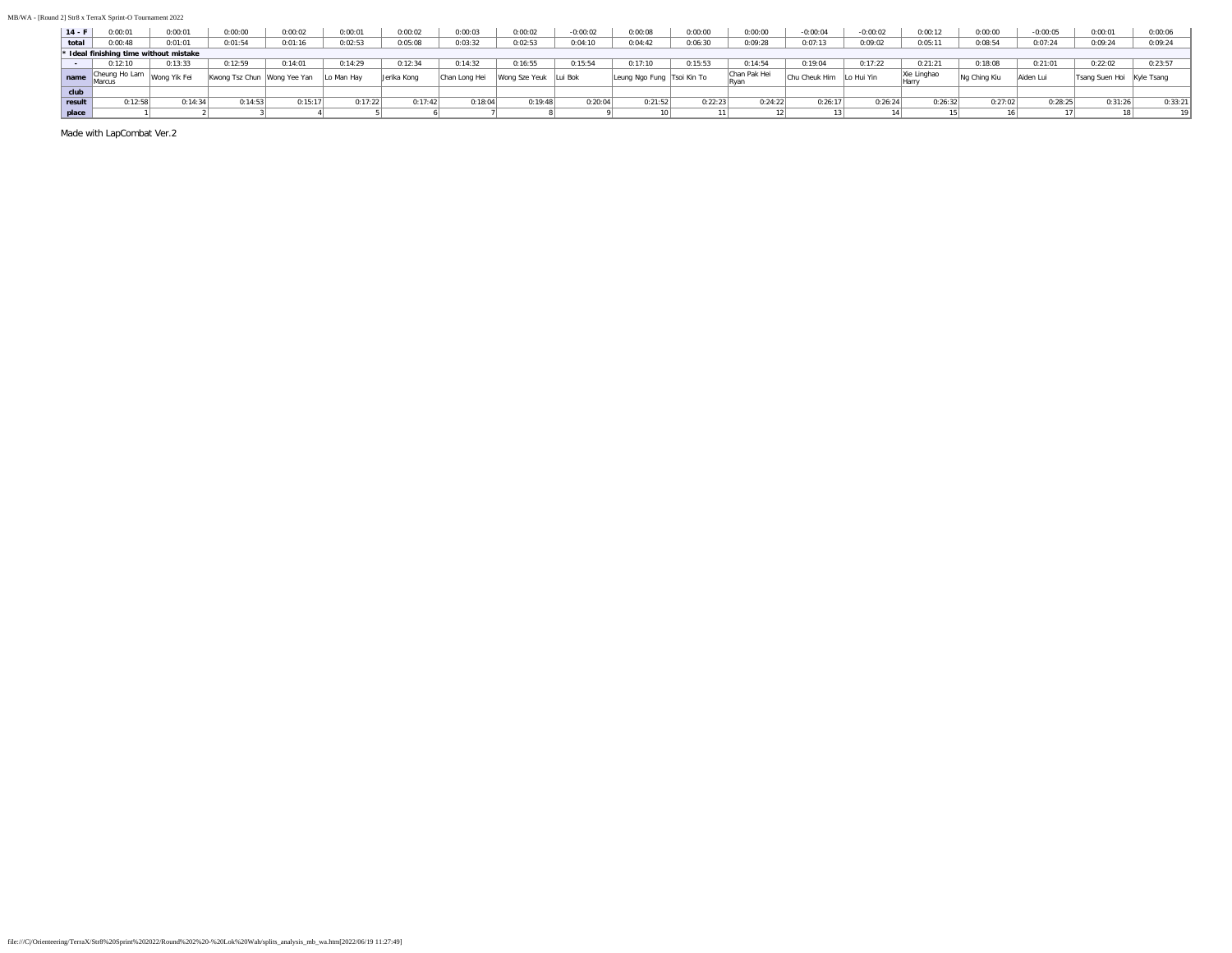| $14 - F$ | 0:00:01                                | 0:00:01      | 0:00:00        | 0:00:02      | 0:00:01    | 0:00:02     | 0:00:03      | 0:00:02               | $-0:00:02$ | 0:00:08                    | 0:00:00 | 0:00:00      | $-0:00:04$    | $-0:00:02$ | 0:00:12     | 0:00:00      | $-0:00:05$ | 0:00:01                   | 0:00:06 |
|----------|----------------------------------------|--------------|----------------|--------------|------------|-------------|--------------|-----------------------|------------|----------------------------|---------|--------------|---------------|------------|-------------|--------------|------------|---------------------------|---------|
| total    | 0:00:48                                | 0:01:01      | 0:01:54        | 0:01:16      | 0:02:53    | 0:05:08     | 0:03:32      | 0:02:53               | 0:04:10    | 0:04:42                    | 0:06:30 | 0:09:28      | 0:07:13       | 0:09:02    | 0:05:11     | 0:08:54      | 0:07:24    | 0:09:24                   | 0:09:24 |
|          | * Ideal finishing time without mistake |              |                |              |            |             |              |                       |            |                            |         |              |               |            |             |              |            |                           |         |
|          | 0:12:10                                | 0:13:33      | 0:12:59        | 0:14:01      | 0:14:29    | 0:12:34     | 0:14:32      | 0:16:55               | 0:15:54    | 0:17:10                    | 0:15:53 | 0:14:54      | 2:19:04       | 0:17:22    | 0:21:21     | 0:18:08      | 0:21:01    | 0:22:02                   | 0:23:57 |
|          | Cheung Ho Lam<br>Marcus                | Wong Yik Fei | Kwong Tsz Chun | Wong Yee Yan | Lo Man Hav | Jerika Kong | Chan Long He | Wong Sze Yeuk Lui Bok |            | Leung Ngo Fung Tsoi Kin To |         | Chan Pak Hei | Chu Cheuk Him | Lo Hui Yin | Xie Linghao | Na China Kiu | Aiden Lui  | Tsang Suen Hoi Kyle Tsang |         |
| club     |                                        |              |                |              |            |             |              |                       |            |                            |         |              |               |            |             |              |            |                           |         |
| result   | 0:12:58                                | 0:14:34      | 0:14:53        | 0:15:17      | 0:17:22    | 0:17:42     | 0:18:04      | 0:19:48               | 0:20:04    | 0:21:52                    | 0:22:23 | 0:24:22      | 0:26:17       | 0:26:24    | 0:26:32     | 0:27:02      | 0:28:25    | 0:31:26                   | 0:33:21 |
| place    |                                        |              |                |              |            |             |              |                       |            |                            |         |              | 13            |            |             |              |            |                           |         |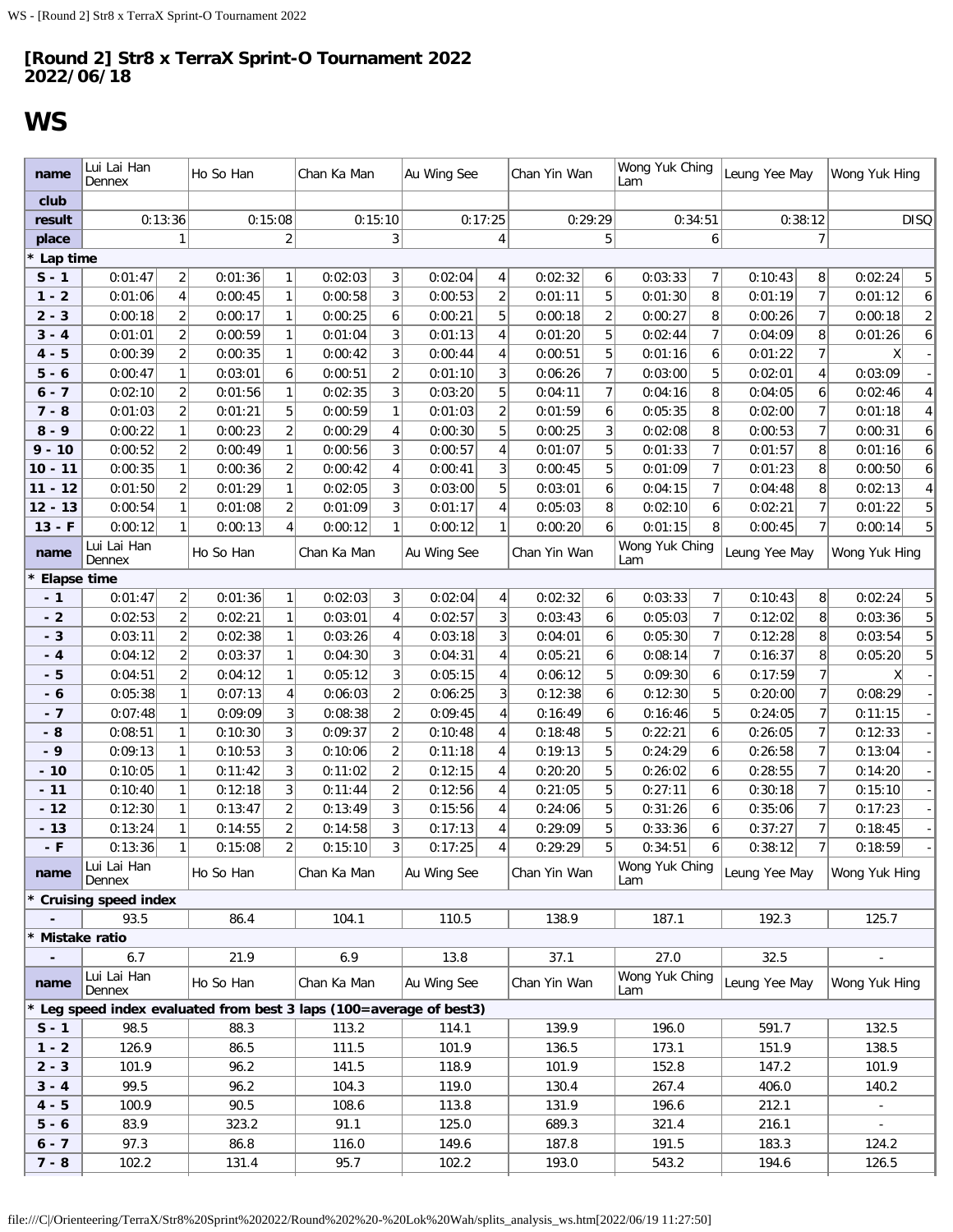# <span id="page-21-0"></span>**WS**

| name               | Lui Lai Han<br>Dennex                                             |                     | Ho So Han          |                     | Chan Ka Man        |                     | Au Wing See        |                     | Chan Yin Wan       |                | Wong Yuk Ching<br>Lam |                | Leung Yee May                |                                  | Wong Yuk Hing             |
|--------------------|-------------------------------------------------------------------|---------------------|--------------------|---------------------|--------------------|---------------------|--------------------|---------------------|--------------------|----------------|-----------------------|----------------|------------------------------|----------------------------------|---------------------------|
| club               |                                                                   |                     |                    |                     |                    |                     |                    |                     |                    |                |                       |                |                              |                                  |                           |
| result             | 0:13:36                                                           |                     |                    | 0:15:08             | 0:15:10            |                     |                    | 0:17:25             |                    | 0:29:29        |                       | 0:34:51        |                              | 0:38:12                          | <b>DISQ</b>               |
| place              |                                                                   | 1                   |                    | 2                   |                    | 3                   |                    | 4                   |                    | 5              |                       | 6              |                              | 7                                |                           |
| Lap time           |                                                                   |                     |                    |                     |                    |                     |                    |                     |                    |                |                       |                |                              |                                  |                           |
| $S - 1$            | 0:01:47                                                           | 2                   | 0:01:36            | 1                   | 0:02:03            | 3                   | 0:02:04            | 4                   | 0:02:32            | 6              | 0:03:33               | 7              | 0:10:43                      | 8                                | 0:02:24<br>5              |
| $1 - 2$            | 0:01:06                                                           | 4                   | 0:00:45            | 1                   | 0:00:58            | 3                   | 0:00:53            | $\overline{2}$      | 0:01:11            | 5              | 0:01:30               | 8              | 0:01:19                      | $\overline{7}$                   | 0:01:12<br>6              |
| $2 - 3$            | 0:00:18                                                           | 2                   | 0:00:17            | 1                   | 0:00:25<br>0:01:04 | 6                   | 0:00:21            | 5                   | 0:00:18            | $\overline{c}$ | 0:00:27               | 8              | 0:00:26                      | $\overline{7}$                   | $\overline{c}$<br>0:00:18 |
| $3 - 4$<br>$4 - 5$ | 0:01:01<br>0:00:39                                                | 2<br>$\overline{2}$ | 0:00:59<br>0:00:35 | 1                   |                    | 3<br>3              | 0:01:13            | 4<br>4              | 0:01:20            | 5<br>5         | 0:02:44               | 7              | 0:04:09                      | 8<br>$\overline{7}$              | 0:01:26<br>6<br>X         |
|                    |                                                                   |                     | 0:03:01            | 1                   | 0:00:42            | $\overline{2}$      | 0:00:44<br>0:01:10 | 3                   | 0:00:51<br>0:06:26 | $\overline{7}$ | 0:01:16<br>0:03:00    | 6<br>5         | 0:01:22                      |                                  | 0:03:09                   |
| $5 - 6$            | 0:00:47                                                           | 1                   |                    | 6<br>1              | 0:00:51            | 3                   |                    | 5                   |                    | 7              |                       | 8              | 0:02:01                      | 4<br>6                           | 4                         |
| 6 - 7<br>$7 - 8$   | 0:02:10<br>0:01:03                                                | 2<br>$\overline{2}$ | 0:01:56<br>0:01:21 | 5                   | 0:02:35<br>0:00:59 | $\mathbf{1}$        | 0:03:20<br>0:01:03 | $\overline{2}$      | 0:04:11<br>0:01:59 | 6              | 0:04:16<br>0:05:35    | 8              | 0:04:05<br>0:02:00           | $\overline{7}$                   | 0:02:46<br>0:01:18<br>4   |
| $8 - 9$            | 0:00:22                                                           | 1                   | 0:00:23            | $\sqrt{2}$          | 0:00:29            | 4                   | 0:00:30            | 5                   | 0:00:25            | 3              | 0:02:08               | 8              | 0:00:53                      | $\overline{7}$                   | 0:00:31<br>6              |
| $9 - 10$           | 0:00:52                                                           | $\overline{2}$      | 0:00:49            | $\mathbf{1}$        | 0:00:56            | 3                   | 0:00:57            | $\overline{4}$      | 0:01:07            | 5              | 0:01:33               | $\overline{7}$ | 0:01:57                      | 8                                | 0:01:16<br>6              |
| $10 - 11$          | 0:00:35                                                           | $\mathbf{1}$        | 0:00:36            | $\sqrt{2}$          | 0:00:42            | 4                   | 0:00:41            | 3                   | 0:00:45            | 5              | 0:01:09               | $\overline{7}$ | 0:01:23                      | 8                                | 0:00:50<br>6              |
| $11 - 12$          | 0:01:50                                                           | 2                   | 0:01:29            | $\mathbf{1}$        | 0:02:05            | 3                   | 0:03:00            | 5                   | 0:03:01            | 6              | 0:04:15               | $\overline{7}$ | 0:04:48                      | 8                                | 0:02:13                   |
| $12 - 13$          | 0:00:54                                                           | 1                   | 0:01:08            | $\overline{2}$      | 0:01:09            | 3 <sup>1</sup>      | 0:01:17            | 4                   | 0:05:03            | 8              | 0:02:10               | 6              | 0:02:21                      | $\overline{7}$                   | 0:01:22                   |
| $13 - F$           | 0:00:12                                                           | 1                   | 0:00:13            | 4                   | 0:00:12            | $\mathbf{1}$        | 0:00:12            | 1                   | 0:00:20            | 6              | 0:01:15               | 8              | 0:00:45                      | $\overline{7}$                   | 0:00:14                   |
| name               | Lui Lai Han<br>Dennex                                             |                     | Ho So Han          |                     | Chan Ka Man        |                     | Au Wing See        |                     | Chan Yin Wan       |                | Wong Yuk Ching<br>Lam |                | Leung Yee May                |                                  | Wong Yuk Hing             |
| <b>Elapse time</b> |                                                                   |                     |                    |                     |                    |                     |                    |                     |                    |                |                       |                |                              |                                  |                           |
| - 1                | 0:01:47                                                           | $\overline{2}$      | 0:01:36            | $\mathbf{1}$        | 0:02:03            | 3 <sup>1</sup>      | 0:02:04            | 4                   | 0:02:32            | 6              | 0:03:33               | $\overline{7}$ | 0:10:43                      | 8 <sup>1</sup>                   | 0:02:24<br>5              |
| $-2$               | 0:02:53                                                           | $\overline{2}$      | 0:02:21            | 1                   | 0:03:01            | 4                   | 0:02:57            | 3                   | 0:03:43            | 6              | 0:05:03               | $\overline{7}$ | 0:12:02                      | 8                                | 5<br>0:03:36              |
| $-3$               | 0:03:11                                                           | $\overline{2}$      | 0:02:38            | 1                   | 0:03:26            | 4                   | 0:03:18            | 3                   | 0:04:01            | 6              | 0:05:30               | $\overline{7}$ | 0:12:28                      | 8                                | 5<br>0:03:54              |
| - 4                | 0:04:12                                                           | $\overline{2}$      | 0:03:37            | $\mathbf{1}$        | 0:04:30            | $\overline{3}$      | 0:04:31            | $\overline{4}$      | 0:05:21            | 6              | 0:08:14               | $\overline{7}$ | 0:16:37                      | 8                                | 5<br>0:05:20              |
| - 5                | 0:04:51                                                           | 2                   | 0:04:12            | $\mathbf{1}$        | 0:05:12            | $\overline{3}$      | 0:05:15            | $\overline{4}$      | 0:06:12            | 5              | 0:09:30               | 6              | 0:17:59                      | $\overline{7}$                   |                           |
| - 6                | 0:05:38                                                           | 1                   | 0:07:13            | 4                   | 0:06:03            | $\overline{2}$      | 0:06:25            | 3                   | 0:12:38            | 6              | 0:12:30               | 5              | 0:20:00                      | $\overline{7}$                   | 0:08:29                   |
| - 7                | 0:07:48                                                           | 1                   | 0:09:09            | 3                   | 0:08:38            | $\overline{2}$      | 0:09:45            | 4                   | 0:16:49            | 6              | 0:16:46               | 5              | 0:24:05                      | $\overline{7}$                   | 0:11:15                   |
| - 8                | 0:08:51                                                           | 1                   | 0:10:30            | 3                   | 0:09:37            | $\overline{2}$      | 0:10:48            | 4                   | 0:18:48            | 5              | 0:22:21               | 6              | 0:26:05                      | $\overline{7}$                   | 0:12:33                   |
| - 9                | 0:09:13                                                           | 1                   | 0:10:53            | 3                   | 0:10:06            | $\overline{2}$      | 0:11:18            | 4                   | 0:19:13            | 5              | 0:24:29               | 6              | 0:26:58                      | $\overline{7}$                   | 0:13:04                   |
| $-10$              | 0:10:05                                                           | $\mathbf{1}$        | 0:11:42            | 3                   | 0:11:02            | $\overline{c}$      | 0:12:15            | 4<br>$\overline{4}$ | 0:20:20            | 5<br>5         | 0:26:02               | 6              | 0:28:55                      | $\overline{7}$<br>$\overline{7}$ | 0:14:20                   |
| $-11$<br>$-12$     | 0:10:40<br>0:12:30                                                | $\mathbf{1}$<br>1   | 0:12:18<br>0:13:47 | 3<br>$\overline{2}$ | 0:11:44<br>0:13:49 | $\overline{c}$<br>3 | 0:12:56<br>0:15:56 | 4                   | 0:21:05<br>0:24:06 | 5              | 0:27:11<br>0:31:26    | 6<br>6         | 0:30:18<br>0:35:06           | $\overline{7}$                   | 0:15:10<br>0:17:23        |
| $-13$              | 0:13:24                                                           | $\mathbf{1}$        | 0:14:55            | $\overline{c}$      | 0:14:58            | 3 <sup>1</sup>      | 0:17:13            | 4                   | 0:29:09            | 5              | 0:33:36               | 6              | 0:37:27                      | $\overline{7}$                   | 0:18:45                   |
| - F                | 0:13:36                                                           | 1                   | 0:15:08            | $\overline{c}$      | $0:15:10$ 3        |                     | 0:17:25            | 4                   | 0:29:29            | 5              | 0:34:51               | $6\vert$       | 0:38:12                      | $\overline{7}$                   | 0:18:59                   |
| name               | Lui Lai Han<br>Dennex                                             |                     | Ho So Han          |                     | Chan Ka Man        |                     | Au Wing See        |                     | Chan Yin Wan       |                | Lam                   |                | Wong Yuk Ching Leung Yee May |                                  | Wong Yuk Hing             |
|                    | <b>Cruising speed index</b>                                       |                     |                    |                     |                    |                     |                    |                     |                    |                |                       |                |                              |                                  |                           |
|                    | 93.5                                                              |                     | 86.4               |                     | 104.1              |                     | 110.5              |                     | 138.9              |                | 187.1                 |                | 192.3                        |                                  | 125.7                     |
|                    | Mistake ratio                                                     |                     |                    |                     |                    |                     |                    |                     |                    |                |                       |                |                              |                                  |                           |
| $\blacksquare$     | 6.7                                                               |                     | 21.9               |                     | 6.9                |                     | 13.8               |                     | 37.1               |                | 27.0                  |                | 32.5                         |                                  |                           |
| name               | Lui Lai Han<br>Dennex                                             |                     | Ho So Han          |                     | Chan Ka Man        |                     | Au Wing See        |                     | Chan Yin Wan       |                | Wong Yuk Ching<br>Lam |                | Leung Yee May                |                                  | Wong Yuk Hing             |
|                    | Leg speed index evaluated from best 3 laps (100=average of best3) |                     |                    |                     |                    |                     |                    |                     |                    |                |                       |                |                              |                                  |                           |
| $S - 1$            | 98.5                                                              |                     | 88.3               |                     | 113.2              |                     | 114.1              |                     | 139.9              |                | 196.0                 |                | 591.7                        |                                  | 132.5                     |
| $1 - 2$            | 126.9                                                             |                     | 86.5               |                     | 111.5              |                     | 101.9              |                     | 136.5              |                | 173.1                 |                | 151.9                        |                                  | 138.5                     |
| $2 - 3$            | 101.9                                                             |                     | 96.2               |                     | 141.5              |                     | 118.9              |                     | 101.9              |                | 152.8                 |                | 147.2                        |                                  | 101.9                     |
| $3 - 4$            | 99.5                                                              |                     | 96.2               |                     | 104.3              |                     | 119.0              |                     | 130.4              |                | 267.4                 |                | 406.0                        |                                  | 140.2                     |
| $4 - 5$            | 100.9                                                             |                     | 90.5               |                     | 108.6              |                     | 113.8              |                     | 131.9              |                | 196.6                 |                | 212.1                        |                                  |                           |
| $5 - 6$            | 83.9                                                              |                     | 323.2              |                     | 91.1               |                     | 125.0              |                     | 689.3              |                | 321.4                 |                | 216.1                        |                                  | $\sim$                    |
| $6 - 7$            | 97.3                                                              |                     | 86.8               |                     | 116.0              |                     | 149.6              |                     | 187.8              |                | 191.5                 |                | 183.3                        |                                  | 124.2                     |
| $7 - 8$            | 102.2                                                             |                     | 131.4              |                     | 95.7               |                     | 102.2              |                     | 193.0              |                | 543.2                 |                | 194.6                        |                                  | 126.5                     |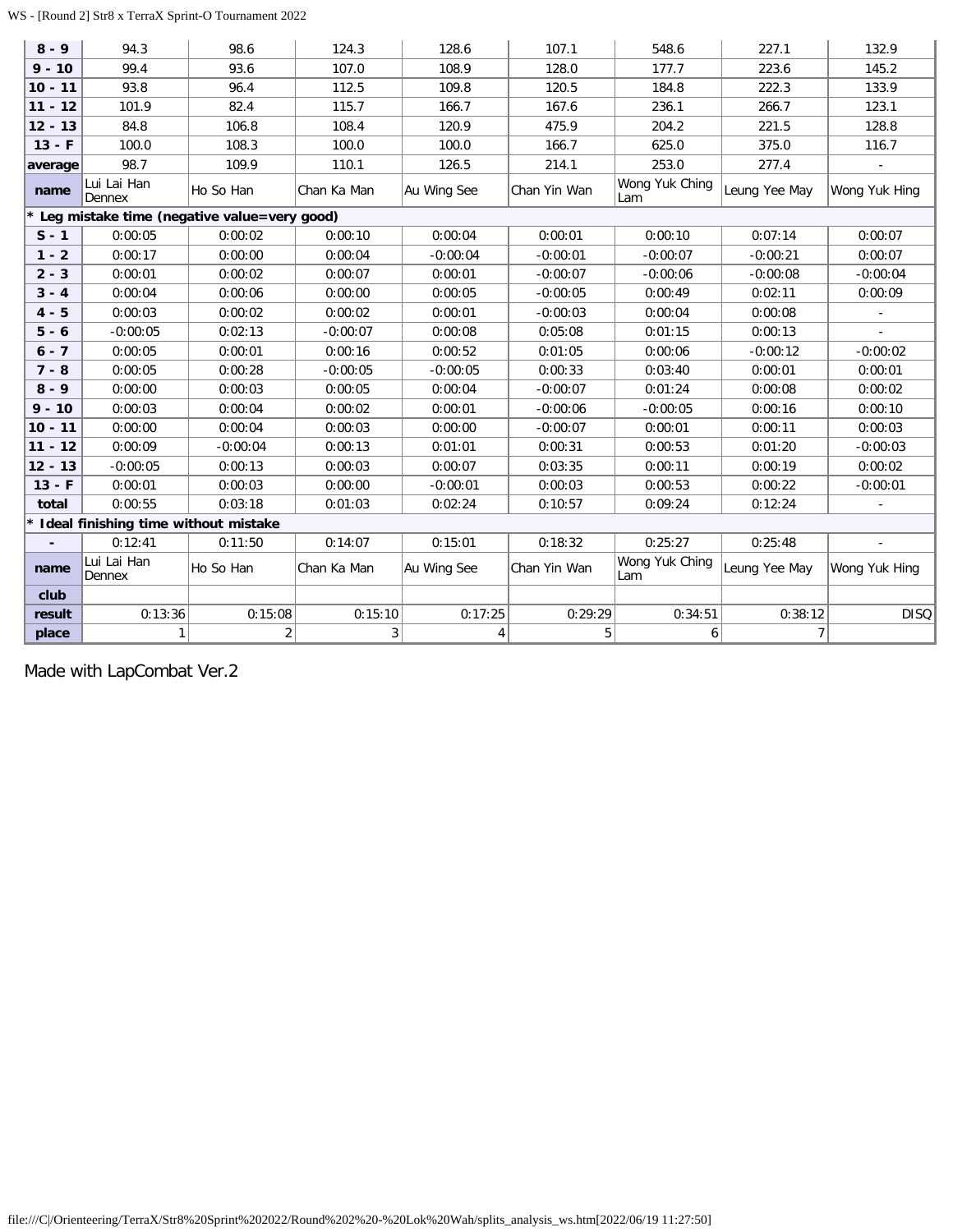### WS - [Round 2] Str8 x TerraX Sprint-O Tournament 2022

| $8 - 9$   | 94.3                                 | 98.6                                        | 124.3       | 128.6       | 107.1        | 548.6                 | 227.1          | 132.9                    |
|-----------|--------------------------------------|---------------------------------------------|-------------|-------------|--------------|-----------------------|----------------|--------------------------|
| $9 - 10$  | 99.4                                 | 93.6                                        | 107.0       | 108.9       | 128.0        | 177.7                 | 223.6          | 145.2                    |
| $10 - 11$ | 93.8                                 | 96.4                                        | 112.5       | 109.8       | 120.5        | 184.8                 | 222.3          | 133.9                    |
| $11 - 12$ | 101.9                                | 82.4                                        | 115.7       | 166.7       | 167.6        | 236.1                 | 266.7          | 123.1                    |
| $12 - 13$ | 84.8                                 | 106.8                                       | 108.4       | 120.9       | 475.9        | 204.2                 | 221.5          | 128.8                    |
| $13 - F$  | 100.0                                | 108.3                                       | 100.0       | 100.0       | 166.7        | 625.0                 | 375.0          | 116.7                    |
| average   | 98.7                                 | 109.9                                       | 110.1       | 126.5       | 214.1        | 253.0                 | 277.4          | $\mathbf{r}$             |
| name      | Lui Lai Han<br>Dennex                | Ho So Han                                   | Chan Ka Man | Au Wing See | Chan Yin Wan | Wong Yuk Ching<br>Lam | Leung Yee May  | Wong Yuk Hing            |
|           |                                      | Leg mistake time (negative value=very good) |             |             |              |                       |                |                          |
| $S - 1$   | 0:00:05                              | 0:00:02                                     | 0:00:10     | 0:00:04     | 0:00:01      | 0:00:10               | 0:07:14        | 0:00:07                  |
| $1 - 2$   | 0:00:17                              | 0:00:00                                     | 0:00:04     | $-0:00:04$  | $-0:00:01$   | $-0:00:07$            | $-0:00:21$     | 0:00:07                  |
| $2 - 3$   | 0:00:01                              | 0:00:02                                     | 0:00:07     | 0:00:01     | $-0:00:07$   | $-0:00:06$            | $-0:00:08$     | $-0:00:04$               |
| $3 - 4$   | 0:00:04                              | 0:00:06                                     | 0:00:00     | 0:00:05     | $-0:00:05$   | 0:00:49               | 0:02:11        | 0:00:09                  |
| $4 - 5$   | 0:00:03                              | 0:00:02                                     | 0:00:02     | 0:00:01     | $-0:00:03$   | 0:00:04               | 0:00:08        |                          |
| $5 - 6$   | $-0:00:05$                           | 0:02:13                                     | $-0:00:07$  | 0:00:08     | 0:05:08      | 0:01:15               | 0:00:13        |                          |
| $6 - 7$   | 0:00:05                              | 0:00:01                                     | 0:00:16     | 0:00:52     | 0:01:05      | 0:00:06               | $-0:00:12$     | $-0:00:02$               |
| $7 - 8$   | 0:00:05                              | 0:00:28                                     | $-0:00:05$  | $-0:00:05$  | 0:00:33      | 0:03:40               | 0:00:01        | 0:00:01                  |
| $8 - 9$   | 0:00:00                              | 0:00:03                                     | 0:00:05     | 0:00:04     | $-0:00:07$   | 0:01:24               | 0:00:08        | 0:00:02                  |
| $9 - 10$  | 0:00:03                              | 0:00:04                                     | 0:00:02     | 0:00:01     | $-0:00:06$   | $-0:00:05$            | 0:00:16        | 0:00:10                  |
| $10 - 11$ | 0:00:00                              | 0:00:04                                     | 0:00:03     | 0:00:00     | $-0:00:07$   | 0:00:01               | 0:00:11        | 0:00:03                  |
| $11 - 12$ | 0:00:09                              | $-0:00:04$                                  | 0:00:13     | 0:01:01     | 0:00:31      | 0:00:53               | 0:01:20        | $-0:00:03$               |
| $12 - 13$ | $-0:00:05$                           | 0:00:13                                     | 0:00:03     | 0:00:07     | 0:03:35      | 0:00:11               | 0:00:19        | 0:00:02                  |
| $13 - F$  | 0:00:01                              | 0:00:03                                     | 0:00:00     | $-0:00:01$  | 0:00:03      | 0:00:53               | 0:00:22        | $-0:00:01$               |
| total     | 0:00:55                              | 0:03:18                                     | 0:01:03     | 0:02:24     | 0:10:57      | 0:09:24               | 0:12:24        | $\overline{\phantom{a}}$ |
|           | Ideal finishing time without mistake |                                             |             |             |              |                       |                |                          |
|           | 0:12:41                              | 0:11:50                                     | 0:14:07     | 0:15:01     | 0:18:32      | 0:25:27               | 0:25:48        |                          |
| name      | Lui Lai Han<br>Dennex                | Ho So Han                                   | Chan Ka Man | Au Wing See | Chan Yin Wan | Wong Yuk Ching<br>Lam | Leung Yee May  | Wong Yuk Hing            |
| club      |                                      |                                             |             |             |              |                       |                |                          |
| result    | 0:13:36                              | 0:15:08                                     | 0:15:10     | 0:17:25     | 0:29:29      | 0:34:51               | 0:38:12        | <b>DISQ</b>              |
| place     | $\mathbf{1}$                         | 2                                           | 3           | 4           | $5\vert$     | 6                     | $\overline{7}$ |                          |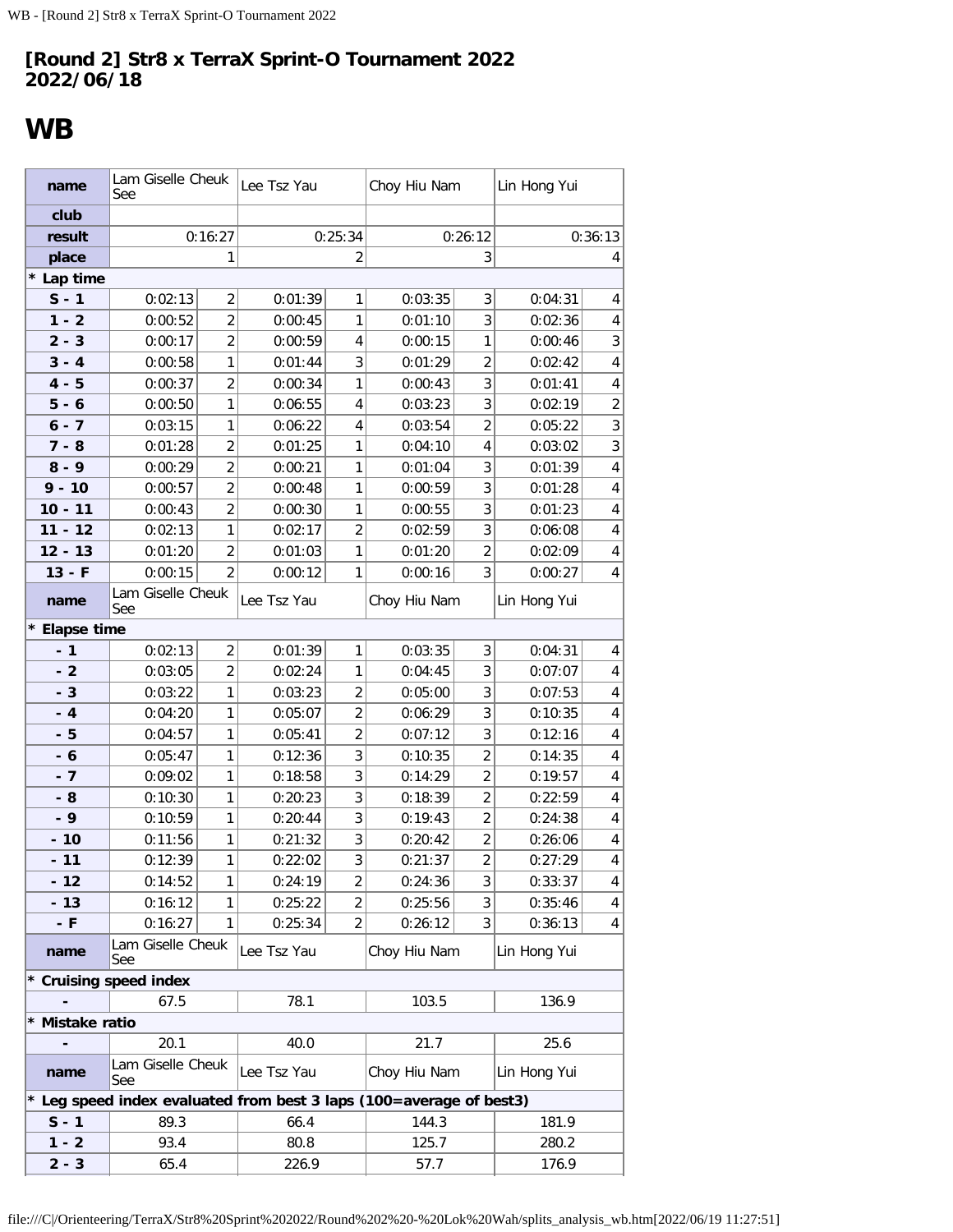# <span id="page-23-0"></span>**WB**

| name            | Lam Giselle Cheuk<br>See                                            |                | Lee Tsz Yau |                | Choy Hiu Nam |                         | Lin Hong Yui |                |
|-----------------|---------------------------------------------------------------------|----------------|-------------|----------------|--------------|-------------------------|--------------|----------------|
| club            |                                                                     |                |             |                |              |                         |              |                |
| result          |                                                                     | 0:16:27        |             | 0:25:34        |              | 0:26:12                 |              | 0:36:13        |
| place           |                                                                     | 1              |             | $\overline{2}$ |              | 3                       |              | 4              |
| * Lap time      |                                                                     |                |             |                |              |                         |              |                |
| $S - 1$         | 0:02:13                                                             | 2              | 0:01:39     | 1              | 0:03:35      | 3                       | 0:04:31      | 4              |
| $1 - 2$         | 0:00:52                                                             | 2              | 0:00:45     | 1              | 0:01:10      | 3                       | 0:02:36      | $\overline{4}$ |
| $2 - 3$         | 0:00:17                                                             | $\overline{2}$ | 0:00:59     | 4              | 0:00:15      | 1                       | 0:00:46      | 3 <sup>1</sup> |
| $3 - 4$         | 0:00:58                                                             | 1              | 0:01:44     | 3              | 0:01:29      | $\overline{2}$          | 0:02:42      | $\overline{4}$ |
| $4 - 5$         | 0:00:37                                                             | $\overline{2}$ | 0:00:34     | 1              | 0:00:43      | 3                       | 0:01:41      | $\overline{4}$ |
| $5 - 6$         | 0:00:50                                                             | 1              | 0:06:55     | 4              | 0:03:23      | 3                       | 0:02:19      | $\overline{2}$ |
| $6 - 7$         | 0:03:15                                                             | 1              | 0:06:22     | 4              | 0:03:54      | $\overline{2}$          | 0:05:22      | 3 <sup>1</sup> |
| $7 - 8$         | 0:01:28                                                             | $\overline{2}$ | 0:01:25     | $\mathbf{1}$   | 0:04:10      | $\overline{\mathbf{4}}$ | 0:03:02      | $\overline{3}$ |
| $8 - 9$         | 0:00:29                                                             | $\overline{2}$ | 0:00:21     | $\mathbf{1}$   | 0:01:04      | 3                       | 0:01:39      | $\overline{4}$ |
| $9 - 10$        | 0:00:57                                                             | $\overline{2}$ | 0:00:48     | $\mathbf{1}$   | 0:00:59      | 3                       | 0:01:28      | $\overline{4}$ |
| $10 - 11$       | 0:00:43                                                             | $\overline{2}$ | 0:00:30     | $\mathbf{1}$   | 0:00:55      | 3                       | 0:01:23      | $\overline{4}$ |
| $11 - 12$       | 0:02:13                                                             | $\mathbf{1}$   | 0:02:17     | $\overline{2}$ | 0:02:59      | 3                       | 0:06:08      | $\overline{4}$ |
| $12 - 13$       | 0:01:20                                                             | $\overline{2}$ | 0:01:03     | 1              | 0:01:20      | $\overline{2}$          | 0:02:09      | $\overline{4}$ |
| $13 - F$        | 0:00:15                                                             | $\overline{2}$ | 0:00:12     | 1              | 0:00:16      | 3                       | 0:00:27      | $\overline{4}$ |
| name            | Lam Giselle Cheuk<br>See                                            |                | Lee Tsz Yau |                | Choy Hiu Nam |                         | Lin Hong Yui |                |
| * Elapse time   |                                                                     |                |             |                |              |                         |              |                |
| $-1$            | 0:02:13                                                             | $\overline{2}$ | 0:01:39     | 1              | 0:03:35      | 3                       | 0:04:31      | 4              |
| $-2$            | 0:03:05                                                             | $\overline{2}$ | 0:02:24     | $\mathbf{1}$   | 0:04:45      | 3                       | 0:07:07      | $\overline{4}$ |
| $-3$            | 0:03:22                                                             | 1              | 0:03:23     | $\overline{2}$ | 0:05:00      | 3                       | 0:07:53      | $\overline{4}$ |
| $-4$            | 0:04:20                                                             | 1              | 0:05:07     | $\overline{2}$ | 0:06:29      | 3                       | 0:10:35      | $\overline{4}$ |
| $-5$            | 0:04:57                                                             | 1              | 0:05:41     | $\overline{2}$ | 0:07:12      | 3                       | 0:12:16      | $\overline{4}$ |
| $-6$            | 0:05:47                                                             | 1              | 0:12:36     | 3              | 0:10:35      | $\overline{2}$          | 0:14:35      | 4              |
| $-7$            | 0:09:02                                                             | 1              | 0:18:58     | 3              | 0:14:29      | $\overline{2}$          | 0:19:57      | $\overline{4}$ |
| $-8$            | 0:10:30                                                             | $\mathbf{1}$   | 0:20:23     | 3              | 0:18:39      | $\overline{2}$          | 0:22:59      | 4              |
| $-9$            | 0:10:59                                                             | $\mathbf{1}$   | 0:20:44     | 3              | 0:19:43      | $\overline{2}$          | 0:24:38      | $\overline{4}$ |
| $-10$           | 0:11:56                                                             | 1              | 0:21:32     | 3              | 0:20:42      | $\overline{2}$          | 0:26:06      | 4              |
| $-11$           | 0:12:39                                                             | 1              | 0:22:02     | $\overline{3}$ | 0:21:37      | $\overline{2}$          | 0:27:29      | $\overline{4}$ |
| $-12$           | 0:14:52                                                             | 1              | 0:24:19     | $\overline{2}$ | 0:24:36      | 3                       | 0:33:37      | 4              |
| $-13$           | 0:16:12                                                             | 1              | 0:25:22     | $\overline{a}$ | 0:25:56      | 3                       | 0:35:46      | 4              |
| - F             | 0:16:27                                                             | 1              | 0:25:34     | $\overline{a}$ | 0:26:12      | 3                       | 0:36:13      | 4              |
| name            | Lam Giselle Cheuk<br>See                                            |                | Lee Tsz Yau |                | Choy Hiu Nam |                         | Lin Hong Yui |                |
|                 | * Cruising speed index                                              |                |             |                |              |                         |              |                |
|                 | 67.5                                                                |                | 78.1        |                | 103.5        |                         | 136.9        |                |
| * Mistake ratio |                                                                     |                |             |                |              |                         |              |                |
|                 | 20.1                                                                |                | 40.0        |                | 21.7         |                         | 25.6         |                |
| name            | Lam Giselle Cheuk<br>See                                            |                | Lee Tsz Yau |                | Choy Hiu Nam |                         | Lin Hong Yui |                |
|                 | * Leg speed index evaluated from best 3 laps (100=average of best3) |                |             |                |              |                         |              |                |
| $S - 1$         | 89.3                                                                |                | 66.4        |                | 144.3        |                         | 181.9        |                |
| $1 - 2$         | 93.4                                                                |                | 80.8        |                | 125.7        |                         | 280.2        |                |
| $2 - 3$         | 65.4                                                                |                | 226.9       |                | 57.7         |                         | 176.9        |                |

file:///C|/Orienteering/TerraX/Str8%20Sprint%202022/Round%202%20-%20Lok%20Wah/splits\_analysis\_wb.htm[2022/06/19 11:27:51]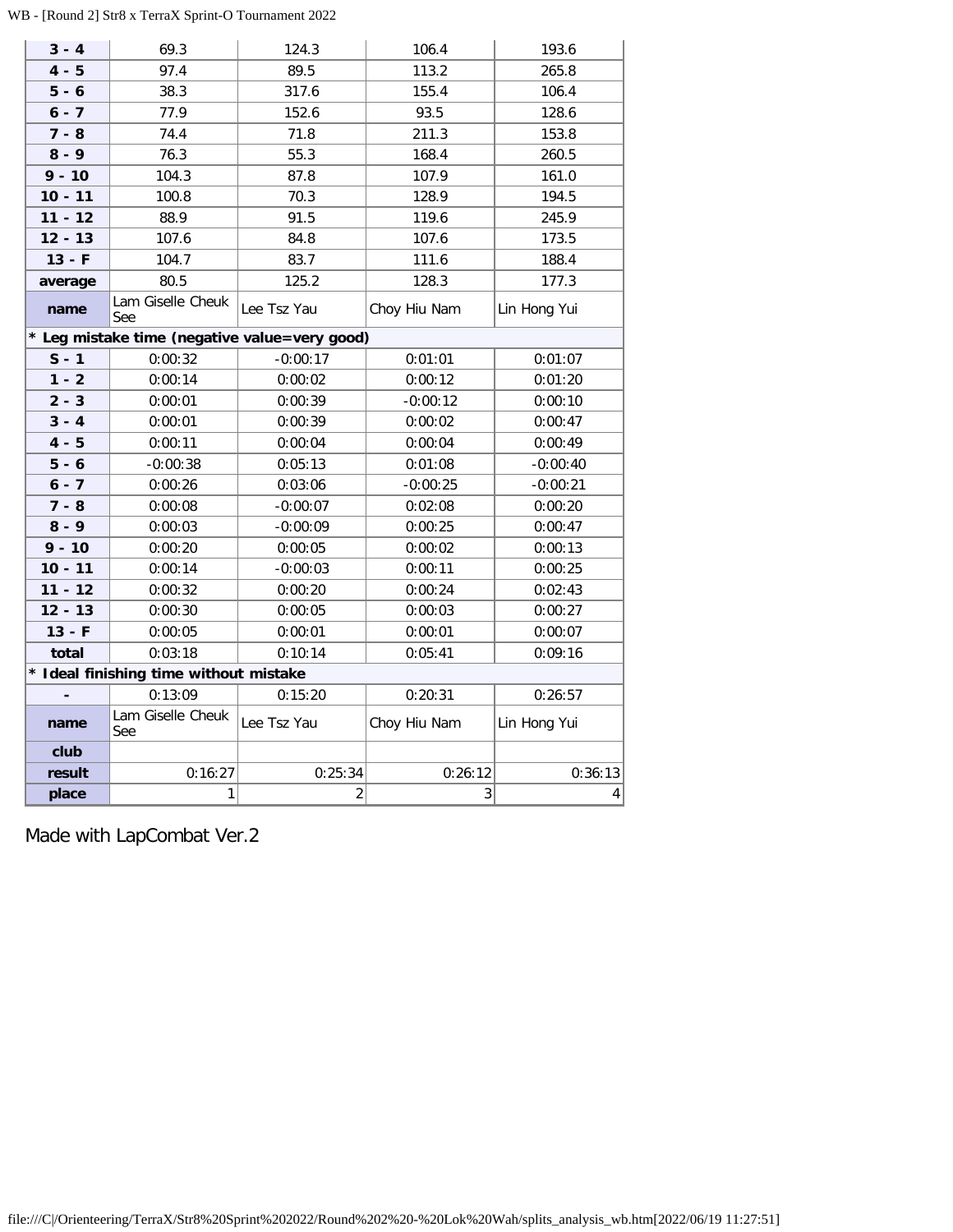# WB - [Round 2] Str8 x TerraX Sprint-O Tournament 2022

| $3 - 4$   | 69.3                                          | 124.3          | 106.4        | 193.6           |
|-----------|-----------------------------------------------|----------------|--------------|-----------------|
| $4 - 5$   | 97.4                                          | 89.5           | 113.2        | 265.8           |
| $5 - 6$   | 38.3                                          | 317.6          | 155.4        | 106.4           |
| $6 - 7$   | 77.9                                          | 152.6          | 93.5         | 128.6           |
| $7 - 8$   | 74.4                                          | 71.8           | 211.3        | 153.8           |
| $8 - 9$   | 76.3                                          | 55.3           | 168.4        | 260.5           |
| $9 - 10$  | 104.3                                         | 87.8           | 107.9        | 161.0           |
| $10 - 11$ | 100.8                                         | 70.3           | 128.9        | 194.5           |
| $11 - 12$ | 88.9                                          | 91.5           | 119.6        | 245.9           |
| $12 - 13$ | 107.6                                         | 84.8           | 107.6        | 173.5           |
| $13 - F$  | 104.7                                         | 83.7           | 111.6        | 188.4           |
| average   | 80.5                                          | 125.2          | 128.3        | 177.3           |
| name      | Lam Giselle Cheuk<br>See                      | Lee Tsz Yau    | Choy Hiu Nam | Lin Hong Yui    |
|           | * Leg mistake time (negative value=very good) |                |              |                 |
| $S - 1$   | 0:00:32                                       | $-0:00:17$     | 0:01:01      | 0:01:07         |
| $1 - 2$   | 0:00:14                                       | 0:00:02        | 0:00:12      | 0:01:20         |
| $2 - 3$   | 0:00:01                                       | 0:00:39        | $-0:00:12$   | 0:00:10         |
| $3 - 4$   | 0:00:01                                       | 0:00:39        | 0:00:02      | 0:00:47         |
| $4 - 5$   | 0:00:11                                       | 0:00:04        | 0:00:04      | 0:00:49         |
| $5 - 6$   | $-0:00:38$                                    | 0:05:13        | 0:01:08      | $-0:00:40$      |
| $6 - 7$   | 0:00:26                                       | 0:03:06        | $-0:00:25$   | $-0:00:21$      |
| $7 - 8$   | 0:00:08                                       | $-0:00:07$     | 0:02:08      | 0:00:20         |
| $8 - 9$   | 0:00:03                                       | $-0:00:09$     | 0:00:25      | 0:00:47         |
| $9 - 10$  | 0:00:20                                       | 0:00:05        | 0:00:02      | 0:00:13         |
| $10 - 11$ | 0:00:14                                       | $-0:00:03$     | 0:00:11      | 0:00:25         |
| $11 - 12$ | 0:00:32                                       | 0:00:20        | 0:00:24      | 0:02:43         |
| $12 - 13$ | 0:00:30                                       | 0:00:05        | 0:00:03      | 0:00:27         |
| $13 - F$  | 0:00:05                                       | 0:00:01        | 0:00:01      | 0:00:07         |
| total     | 0:03:18                                       | 0:10:14        | 0:05:41      | 0:09:16         |
|           | * Ideal finishing time without mistake        |                |              |                 |
|           | 0:13:09                                       | 0:15:20        | 0:20:31      | 0:26:57         |
| name      | Lam Giselle Cheuk<br>See                      | Lee Tsz Yau    | Choy Hiu Nam | Lin Hong Yui    |
| club      |                                               |                |              |                 |
| result    | 0:16:27                                       | 0:25:34        | 0:26:12      | 0:36:13         |
| place     | $\mathbf{1}$                                  | $\overline{2}$ | 3            | $\vert 4 \vert$ |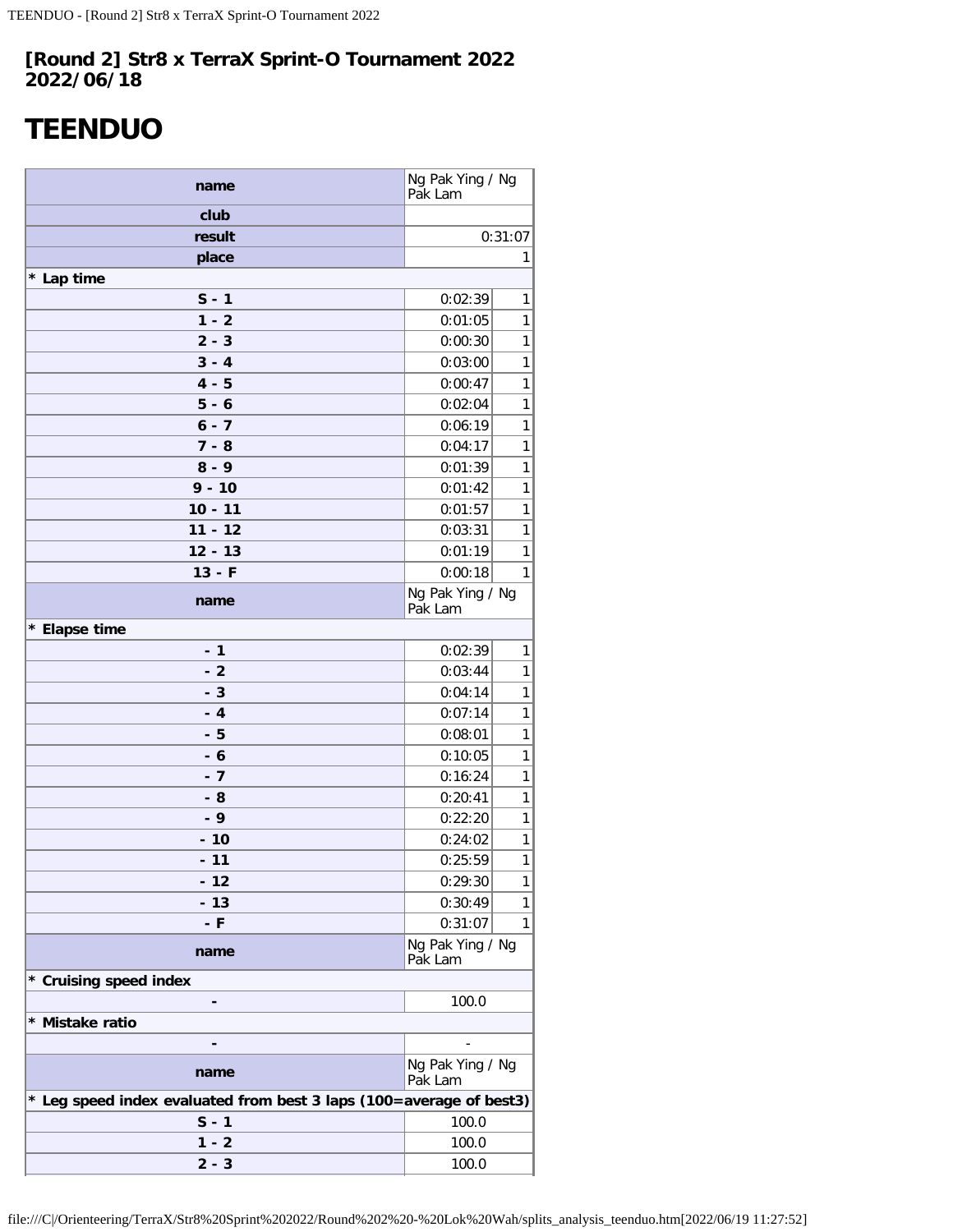# <span id="page-25-0"></span>**TEENDUO**

| name                                                                | Ng Pak Ying / Ng<br>Pak Lam |              |  |  |  |
|---------------------------------------------------------------------|-----------------------------|--------------|--|--|--|
| club                                                                |                             |              |  |  |  |
| result                                                              |                             | 0:31:07      |  |  |  |
| place                                                               |                             | 1            |  |  |  |
| * Lap time                                                          |                             |              |  |  |  |
| $S - 1$                                                             | 0:02:39                     | 1            |  |  |  |
| $1 - 2$                                                             | 0:01:05                     | 1            |  |  |  |
| $2 - 3$                                                             | 0:00:30                     | 1            |  |  |  |
| $3 - 4$                                                             | 0:03:00                     | 1            |  |  |  |
| $4 - 5$                                                             | 0:00:47                     | 1            |  |  |  |
| $5 - 6$                                                             | 0:02:04                     | 1            |  |  |  |
| $6 - 7$                                                             | 0:06:19                     | 1            |  |  |  |
| $7 - 8$                                                             | 0:04:17                     | 1            |  |  |  |
| $8 - 9$                                                             | 0:01:39                     | 1            |  |  |  |
| $9 - 10$                                                            | 0:01:42                     | 1            |  |  |  |
| $10 - 11$                                                           | 0:01:57                     | 1            |  |  |  |
| $11 - 12$                                                           | 0:03:31                     | 1            |  |  |  |
| $12 - 13$                                                           | 0:01:19                     | 1            |  |  |  |
| $13 - F$                                                            | 0:00:18                     | 1            |  |  |  |
| name                                                                | Ng Pak Ying / Ng<br>Pak Lam |              |  |  |  |
| * Elapse time                                                       |                             |              |  |  |  |
| $-1$                                                                | 0:02:39                     | 1            |  |  |  |
| $-2$                                                                | 0:03:44                     | 1            |  |  |  |
| - 3                                                                 | 0:04:14                     | 1            |  |  |  |
| $-4$                                                                | 0:07:14                     | 1            |  |  |  |
| - 5                                                                 | 0:08:01                     | 1            |  |  |  |
| - 6                                                                 | 0:10:05                     | 1            |  |  |  |
| - 7                                                                 | 0:16:24                     | 1            |  |  |  |
| - 8                                                                 | 0:20:41                     | 1            |  |  |  |
| $-9$                                                                | 0:22:20                     | 1            |  |  |  |
| $-10$                                                               | 0:24:02                     | 1            |  |  |  |
| $-11$                                                               | 0:25:59                     | $\mathbf{1}$ |  |  |  |
| $-12$                                                               | 0:29:30                     | 1            |  |  |  |
| $-13$                                                               | 0:30:49                     | 1            |  |  |  |
| - F                                                                 | 0:31:07                     | 1            |  |  |  |
| name                                                                | Ng Pak Ying / Ng<br>Pak Lam |              |  |  |  |
| * Cruising speed index                                              |                             |              |  |  |  |
|                                                                     | 100.0                       |              |  |  |  |
| * Mistake ratio                                                     |                             |              |  |  |  |
|                                                                     |                             |              |  |  |  |
| name                                                                | Ng Pak Ying / Ng<br>Pak Lam |              |  |  |  |
| * Leg speed index evaluated from best 3 laps (100=average of best3) |                             |              |  |  |  |
| $S - 1$                                                             | 100.0                       |              |  |  |  |
| $1 - 2$                                                             | 100.0                       |              |  |  |  |
| $2 - 3$                                                             | 100.0                       |              |  |  |  |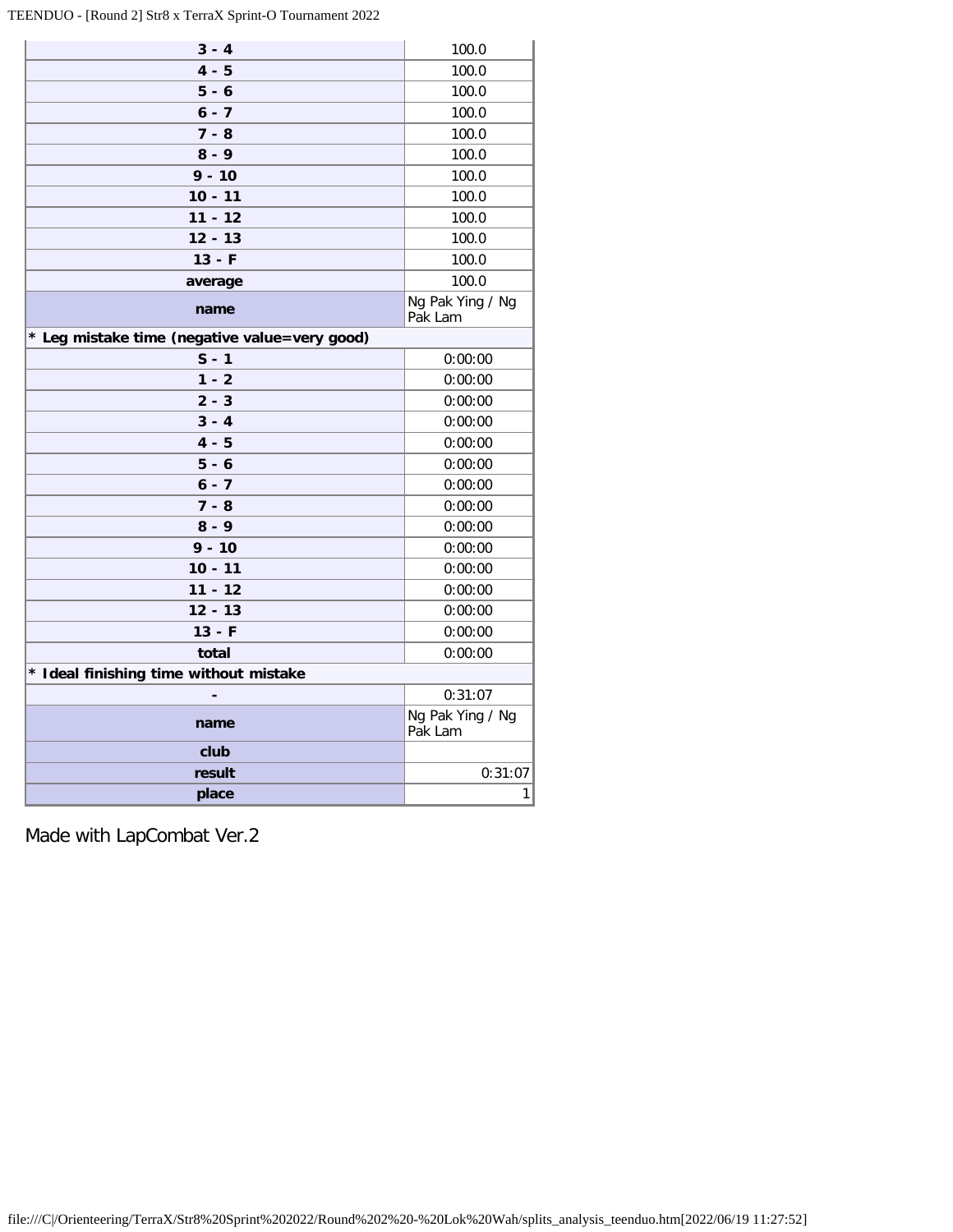TEENDUO - [Round 2] Str8 x TerraX Sprint-O Tournament 2022

| $3 - 4$                                       | 100.0                       |
|-----------------------------------------------|-----------------------------|
| $4 - 5$                                       | 100.0                       |
| $5 - 6$                                       | 100.0                       |
| $6 - 7$                                       | 100.0                       |
| $7 - 8$                                       | 100.0                       |
| $8 - 9$                                       | 100.0                       |
| $9 - 10$                                      | 100.0                       |
| $10 - 11$                                     | 100.0                       |
| $11 - 12$                                     | 100.0                       |
| $12 - 13$                                     | 100.0                       |
| $13 - F$                                      | 100.0                       |
| average                                       | 100.0                       |
| name                                          | Ng Pak Ying / Ng<br>Pak Lam |
| * Leg mistake time (negative value=very good) |                             |
| $S - 1$                                       | 0:00:00                     |
| $1 - 2$                                       | 0:00:00                     |
| $2 - 3$                                       | 0:00:00                     |
| $3 - 4$                                       | 0:00:00                     |
| $4 - 5$                                       | 0:00:00                     |
| $5 - 6$                                       | 0:00:00                     |
| $6 - 7$                                       | 0:00:00                     |
| $7 - 8$                                       | 0:00:00                     |
| $8 - 9$                                       | 0:00:00                     |
| $9 - 10$                                      | 0:00:00                     |
| $10 - 11$                                     | 0:00:00                     |
| $11 - 12$                                     | 0:00:00                     |
| $12 - 13$                                     | 0:00:00                     |
| $13 - F$                                      | 0:00:00                     |
| total                                         | 0:00:00                     |
| * Ideal finishing time without mistake        |                             |
|                                               | 0:31:07                     |
| name                                          | Ng Pak Ying / Ng<br>Pak Lam |
| club                                          |                             |
| result                                        | 0:31:07                     |
| place                                         | 1                           |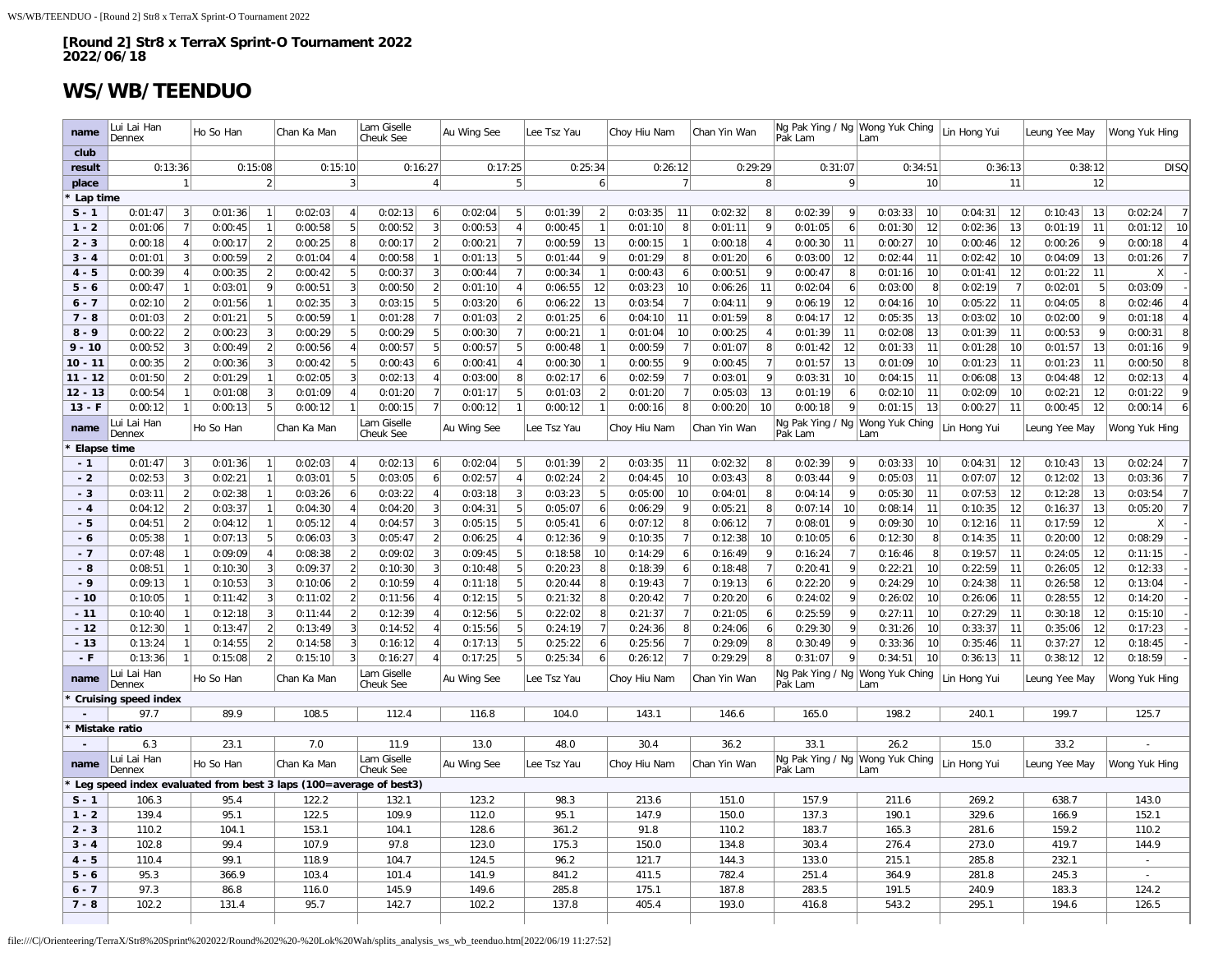# **WS/WB/TEENDUO**

| name               | ui Lai Han<br>Dennex                                              |                  | Ho So Han     |                | Chan Ka Man    |                  | Lam Giselle<br>Cheuk See |                      | Au Wing See    |                | Lee Tsz Yau    |                | Choy Hiu Nam   |                           | Chan Yin Wan   |                        | Ng Pak Ying / Ng   Wong Yuk Ching<br>Pak Lam | Lam            | Lin Hong Yui              | Leung Yee May          | Wong Yuk Hing             |
|--------------------|-------------------------------------------------------------------|------------------|---------------|----------------|----------------|------------------|--------------------------|----------------------|----------------|----------------|----------------|----------------|----------------|---------------------------|----------------|------------------------|----------------------------------------------|----------------|---------------------------|------------------------|---------------------------|
| club               |                                                                   |                  |               |                |                |                  | 0:16:27                  |                      | 0:17:25        |                |                |                |                |                           |                |                        | 0:31:07                                      |                |                           |                        | <b>DISO</b>               |
| result<br>place    | 0:13:36                                                           | $\mathbf{1}$     | 0:15:08       | $\overline{2}$ |                | 0:15:10<br>3     |                          |                      |                | 5              |                | 0:25:34<br>6   |                | 0:26:12<br>$\overline{7}$ | 0:29:29        | 8 <sup>1</sup>         | 9                                            | 0:34:51<br>10  | 0:36:13<br>11             | 0:38:12<br>12          |                           |
| Lap time           |                                                                   |                  |               |                |                |                  |                          |                      |                |                |                |                |                |                           |                |                        |                                              |                |                           |                        |                           |
| $S - 1$            | 0:01:47                                                           | $\vert$ 3        | 0:01:36       | $\overline{1}$ | 0:02:03        | 4                | 0:02:13                  | 6                    | 0:02:04        | 5 <sup>5</sup> | 0:01:39        | $\overline{2}$ | 0:03:35        | 11                        | 0:02:32        | 8                      | 0:02:39<br>9 <sup>1</sup>                    | 0:03:33<br>10  | 0:04:31<br>12             | 0:10:43<br>13          | $\overline{7}$<br>0:02:24 |
| $1 - 2$            | 0:01:06                                                           | 7                | 0:00:45       | $\overline{1}$ | 0:00:58        | 5                | 0:00:52                  | $\overline{3}$       | 0:00:53        | $\overline{4}$ | 0:00:45        | $\overline{1}$ | 0:01:10        | 8                         | 0:01:11        | $\overline{9}$         | 6<br>0:01:05                                 | 0:01:30<br>12  | 13<br>0:02:36             | 0:01:19<br>11          | 0:01:12<br>10             |
| $2 - 3$            | 0:00:18                                                           | $\vert$          | 0:00:17       | $\overline{2}$ | 0:00:25        | 8 <sup>1</sup>   | 0:00:17                  | $\overline{2}$       | 0:00:21        | $\overline{7}$ | 0:00:59        | 13             | 0:00:15        |                           | 0:00:18        | $\boldsymbol{\Lambda}$ | 0:00:30<br>11                                | 0:00:27<br>10  | 12<br>0:00:46             | 0:00:26<br>9           | $\overline{4}$<br>0:00:18 |
| $3 - 4$            | 0:01:01                                                           | 3                | 0:00:59       | $\overline{2}$ | 0:01:04        | $\vert$          | 0:00:58                  | $\overline{1}$       | 0:01:13        | 5              | 0:01:44        | q              | 0:01:29        | 8                         | 0:01:20        | 6                      | 12<br>0:03:00                                | 0:02:44<br>11  | 10<br>0:02:42             | 0:04:09<br>13          | $\overline{7}$<br>0:01:26 |
| $4 - 5$            | 0:00:39                                                           | 4 <sup>1</sup>   | 0:00:35       | $\overline{2}$ | 0:00:42        | 5 <sup>1</sup>   | 0:00:37                  | -3                   | 0:00:44        | $\overline{7}$ | 0:00:34        |                | 0:00:43        | $6 \mid$                  | 0:00:51        | $\mathbf{q}$           | 0:00:47<br>8                                 | 0:01:16<br>10  | 12<br>0:01:41             | 11<br>0:01:22          | X                         |
| $5 - 6$            | 0:00:47                                                           | 1                | 0:03:01       | 9              | 0:00:51        | 3                | 0:00:50                  | $\overline{2}$       | 0:01:10        | $\overline{4}$ | 0:06:55        | 12             | 0:03:23        | 10 <sup>1</sup>           | 0:06:26        | 11                     | 0:02:04<br>6                                 | 0:03:00<br>-8  | $\overline{7}$<br>0:02:19 | 0:02:01<br>5           | 0:03:09                   |
| $6 - 7$            | 0:02:10                                                           | $\left 2\right $ | 0:01:56       |                | 0:02:35        | 3                | 0:03:15                  | 5                    | 0:03:20        | 6              | 0:06:22        | 13             | 0:03:54        | $\overline{7}$            | 0:04:11        | 9                      | 0:06:19<br>12                                | 0:04:16<br>10  | 11<br>0:05:22             | 0:04:05<br>8           | 0:02:46<br>$\overline{4}$ |
| $7 - 8$            | 0:01:03                                                           | $\overline{2}$   | 0:01:21       | 5              | 0:00:59        | $\mathbf{1}$     | 0:01:28                  |                      | 0:01:03        | $\overline{2}$ | 0:01:25        | 6              | 0:04:10        | 11                        | 0:01:59        | 8                      | 0:04:17<br>12                                | 13<br>0:05:35  | 0:03:02<br>10             | 0:02:00<br>9           | 0:01:18<br>$\overline{4}$ |
| $8 - 9$            | 0:00:22                                                           | $\overline{2}$   | 0:00:23       | 3              | 0:00:29        | 5                | 0:00:29                  | 5                    | 0:00:30        | $\overline{7}$ | 0:00:21        |                | 0:01:04        | 10                        | 0:00:25        | $\overline{4}$         | 11<br>0:01:39                                | 0:02:08<br>13  | 11<br>0:01:39             | 0:00:53<br>$\mathbf Q$ | 8<br>0:00:31              |
| $9 - 10$           | 0:00:52                                                           | 3                | 0:00:49       | $\overline{2}$ | 0:00:56        | 4 <sup>1</sup>   | 0:00:57                  | 5                    | 0:00:57        | 5 <sup>1</sup> | 0:00:48        |                | 0:00:59        | $\overline{7}$            | 0:01:07        | 8                      | 0:01:42<br>12                                | 0:01:33<br>11  | 0:01:28<br>10             | 13<br>0:01:57          | 9<br>0:01:16              |
| $10 - 11$          | 0:00:35                                                           | $\overline{2}$   | 0:00:36       | 3              | 0:00:42        | 5 <sup>2</sup>   | 0:00:43                  | 6                    | 0:00:41        | $\overline{4}$ | 0:00:30        |                | 0:00:55        | 9                         | 0:00:45        | $\overline{7}$         | 0:01:57<br>13                                | 0:01:09<br>10  | 0:01:23<br>11             | 0:01:23<br>11          | 0:00:50<br>8              |
| $11 - 12$          | 0:01:50                                                           | $\overline{2}$   | 0:01:29       |                | 0:02:05        | 3                | 0:02:13                  |                      | 0:03:00        | 8              | 0:02:17        | 6              | 0:02:59        | 7                         | 0:03:01        | 9                      | 0:03:31<br>10                                | 0:04:15<br>11  | 13<br>0:06:08             | 12<br>0:04:48          | 0:02:13<br>$\overline{4}$ |
| $12 - 13$          | 0:00:54                                                           | $\mathbf{1}$     | 0:01:08       | -3             | 0:01:09        | $\vert$          | 0:01:20                  | 7                    | 0:01:17        | 5 <sup>1</sup> | 0:01:03        |                | 0:01:20        | $\overline{7}$            | 0:05:03        | 13                     | 0:01:19<br>$6 \mid$                          | 0:02:10<br>11  | 0:02:09<br>10             | 0:02:21<br>12          | 0:01:22<br>9              |
| $13 - F$           | 0:00:12                                                           | $\mathbf{1}$     | 0:00:13       | 5              | 0:00:12        | $\mathbf{1}$     | 0:00:15                  | $\overline{7}$       | 0:00:12        | $\mathbf{1}$   | 0:00:12        |                | 0:00:16        | 8                         | 0:00:20        | 10                     | 0:00:18<br>9                                 | 0:01:15<br>13  | 11<br>0:00:27             | 12<br>0:00:45          | 0:00:14<br>6              |
| name               | ui Lai Han<br>Dennex                                              |                  | Ho So Han     |                | Chan Ka Man    |                  | Lam Giselle<br>Cheuk See |                      | Au Wing See    |                | Lee Tsz Yau    |                | Choy Hiu Nam   |                           | Chan Yin Wan   |                        | Ng Pak Ying / Ng   Wong Yuk Ching<br>Pak Lam | Lam            | Lin Hong Yui              | Leung Yee May          | Wong Yuk Hing             |
| Elapse time        |                                                                   |                  |               |                |                |                  |                          |                      |                |                |                |                |                |                           |                |                        |                                              |                |                           |                        |                           |
| $-1$               | 0:01:47                                                           | $\overline{3}$   | 0:01:36       |                | 0:02:03        | $\overline{4}$   | 0:02:13                  | 6                    | 0:02:04        | 5              | 0:01:39        | $\overline{2}$ | 0:03:35        | 11                        | 0:02:32        | 8                      | $\vert$<br>0:02:39                           | 0:03:33<br>10  | 0:04:31<br>12             | 13<br>0:10:43          | $\overline{7}$<br>0:02:24 |
| $-2$               | 0:02:53                                                           | $\lceil$         | 0:02:21       |                | 0:03:01        | 5                | 0:03:05                  | 6                    | 0:02:57        | $\overline{4}$ | 0:02:24        | $\overline{2}$ | 0:04:45        | 10                        | 0:03:43        | 8                      | 0:03:44<br>$\vert 9 \vert$                   | 0:05:03<br>11  | 12<br>0:07:07             | 0:12:02<br>13          | $\overline{7}$<br>0:03:36 |
| - 3                | 0:03:11                                                           | $\left 2\right $ | 0:02:38       | $\mathbf{1}$   | 0:03:26        | $6 \mid$         | 0:03:22                  | $\overline{4}$       | 0:03:18        | 3              | 0:03:23        | -5             | 0:05:00        | 10                        | 0:04:01        | -8                     | 0:04:14<br>9                                 | 0:05:30<br>11  | 12<br>0:07:53             | 13<br>0:12:28          | $\overline{7}$<br>0:03:54 |
| $-4$               | 0:04:12                                                           | $\left  \right $ | 0:03:37       | $\overline{1}$ | 0:04:30        | 4                | 0:04:20                  | 3                    | 0:04:31        | 5              | 0:05:07        | 6              | 0:06:29        | 9                         | 0:05:21        | 8                      | 0:07:14<br>10                                | 0:08:14<br>11  | 12<br>0:10:35             | 0:16:37<br>13          | $\overline{7}$<br>0:05:20 |
| $-5$               | 0:04:51                                                           | $\overline{2}$   | 0:04:12       |                | 0:05:12        | $\overline{4}$   | 0:04:57                  | 3                    | 0:05:15        | 5              | 0:05:41        | 6              | 0:07:12        | 8                         | 0:06:12        | $\overline{7}$         | 0:08:01<br>9                                 | 0:09:30<br>10  | 11<br>0:12:16             | 12<br>0:17:59          |                           |
| - 6                | 0:05:38                                                           | $\overline{1}$   | 0:07:13       | 5              | 0:06:03        | 3                | 0:05:47                  | $\overline{2}$       | 0:06:25        | $\overline{4}$ | 0:12:36        |                | 0:10:35        | $\overline{7}$            | 0:12:38        | 10                     | 6<br>0:10:05                                 | 0:12:30<br>8   | 11<br>0:14:35             | 0:20:00<br>12          | 0:08:29                   |
| $-7$               | 0:07:48                                                           | 1                | 0:09:09       |                | 0:08:38        | $\left 2\right $ | 0:09:02                  | 3                    | 0:09:45        | 5              | 0:18:58        | 10             | 0:14:29        | 6                         | 0:16:49        | $\mathbf{Q}$           | 0:16:24<br>7                                 | 0:16:46<br>-8  | 0:19:57<br>11             | 12<br>0:24:05          | 0:11:15                   |
| - 8                | 0:08:51                                                           | 1                | 0:10:30       | 3              | 0:09:37        | 2 <sup>1</sup>   | 0:10:30                  | 3                    | 0:10:48        | 5              | 0:20:23        | -8             | 0:18:39        | 6                         | 0:18:48        | $\overline{7}$         | 0:20:41<br>9                                 | 0:22:21<br>10  | 0:22:59<br>11             | 0:26:05<br>12          | 0:12:33                   |
| $-9$               | 0:09:13                                                           | 1                | 0:10:53       | 3              | 0:10:06        | 2                | 0:10:59                  | $\overline{\Lambda}$ | 0:11:18        | 5 <sub>5</sub> | 0:20:44        | -8             | 0:19:43        | 7                         | 0:19:13        | $\vert 6 \vert$        | 0:22:20<br>9                                 | 0:24:29<br>10  | 0:24:38<br>11             | 0:26:58<br>12          | 0:13:04                   |
| $-10$              | 0:10:05                                                           | $\mathbf{1}$     | 0:11:42       | 3              | 0:11:02        | $\overline{2}$   | 0:11:56                  |                      | 0:12:15        | 5              | 0:21:32        | Я              | 0:20:42        | $\overline{7}$            | 0:20:20        | 6                      | 0:24:02<br>9                                 | 0:26:02<br>10  | 0:26:06<br>11             | 0:28:55<br>12          | 0:14:20                   |
| $-11$              | 0:10:40                                                           | $\overline{1}$   | 0:12:18       | 3              | 0:11:44        | $\overline{2}$   | 0:12:39                  |                      | 0:12:56        | 5              | 0:22:02        | Я              | 0:21:37        | $\overline{7}$            | 0:21:05        | 6                      | 0:25:59<br>9                                 | 0:27:11<br>10  | 11<br>0:27:29             | 0:30:18<br>12          | 0:15:10                   |
| $-12$              | 0:12:30                                                           | 1                | 0:13:47       | $\overline{2}$ | 0:13:49        | $\vert$ 3        | 0:14:52                  |                      | 0:15:56        | 5              | 0:24:19        |                | 0:24:36        | 8                         | 0:24:06        | -6                     | 0:29:30<br>9                                 | 0:31:26<br>10  | 0:33:37<br>11             | 0:35:06<br>12          | 0:17:23                   |
| $-13$              | 0:13:24                                                           | $\mathbf{1}$     | 0:14:55       | 2              | 0:14:58        | $\vert$ 3        | 0:16:12                  | 4                    | 0:17:13        | 5              | 0:25:22        | $\epsilon$     | 0:25:56        | $\overline{7}$            | 0:29:09        | 8                      | 0:30:49<br>9                                 | 0:33:36<br>10  | 11<br>0:35:46             | 0:37:27<br>12          | 0:18:45                   |
| $-F$               | 0:13:36                                                           | $\mathbf{1}$     | 0:15:08       | $\overline{2}$ | 0:15:10        | $\vert$ 3        | 0:16:27                  | $\overline{4}$       | 0:17:25        | 5              | 0:25:34        | 6              | 0:26:12        | 7                         | 0:29:29        | 8 <sup>1</sup>         | 9<br>0:31:07                                 | 0:34:51<br>10  | 11<br>0:36:13             | 0:38:12<br>12          | 0:18:59                   |
| name               | ui Lai Han.<br>Dennex                                             |                  | Ho So Han     |                | Chan Ka Man    |                  | Lam Giselle<br>Cheuk See |                      | Au Wing See    |                | Lee Tsz Yau    |                | Choy Hiu Nam   |                           | Chan Yin Wan   |                        | Ng Pak Ying / Ng Wong Yuk Ching<br>Pak Lam   | Lam            | Lin Hong Yui              | Leung Yee May          | Wong Yuk Hing             |
|                    | <b>Cruising speed index</b>                                       |                  |               |                |                |                  |                          |                      |                |                |                |                |                |                           |                |                        |                                              |                |                           |                        |                           |
|                    | 97.7                                                              |                  | 89.9          |                | 108.5          |                  | 112.4                    |                      | 116.8          |                | 104.0          |                | 143.1          |                           | 146.6          |                        | 165.0                                        | 198.2          | 240.1                     | 199.7                  | 125.7                     |
| Mistake ratio      |                                                                   |                  |               |                |                |                  | 11.9                     |                      |                |                |                |                |                |                           |                |                        |                                              | 26.2           |                           |                        |                           |
|                    | 6.3<br>Lui Lai Han                                                |                  | 23.1          |                | 7.0            |                  | Lam Giselle              |                      | 13.0           |                | 48.0           |                | 30.4           |                           | 36.2           |                        | 33.1<br>Ng Pak Ying / Ng   Wong Yuk Ching    |                | 15.0                      | 33.2                   |                           |
| name               | Dennex                                                            |                  | Ho So Han     |                | Chan Ka Man    |                  | Cheuk See                |                      | Au Wing See    |                | Lee Tsz Yau    |                | Choy Hiu Nam   |                           | Chan Yin Wan   |                        | Pak Lam                                      | Lam            | Lin Hong Yui              | Leung Yee May          | Wong Yuk Hing             |
|                    | Leg speed index evaluated from best 3 laps (100=average of best3) |                  |               |                |                |                  |                          |                      |                |                |                |                |                |                           |                |                        |                                              |                |                           |                        |                           |
| $S - 1$            | 106.3                                                             |                  | 95.4          |                | 122.2          |                  | 132.1                    |                      | 123.2          |                | 98.3           |                | 213.6          |                           | 151.0          |                        | 157.9                                        | 211.6          | 269.2                     | 638.7                  | 143.0                     |
| $1 - 2$            | 139.4                                                             |                  | 95.1          |                | 122.5          |                  | 109.9                    |                      | 112.0          |                | 95.1           |                | 147.9          |                           | 150.0          |                        | 137.3                                        | 190.1          | 329.6                     | 166.9                  | 152.1                     |
| $2 - 3$            | 110.2                                                             |                  | 104.1         |                | 153.1          |                  | 104.1                    |                      | 128.6          |                | 361.2          |                | 91.8           |                           | 110.2          |                        | 183.7                                        | 165.3          | 281.6                     | 159.2                  | 110.2                     |
| $3 - 4$            | 102.8                                                             |                  | 99.4          |                | 107.9          |                  | 97.8                     |                      | 123.0          |                | 175.3          |                | 150.0          |                           | 134.8          |                        | 303.4                                        | 276.4          | 273.0                     | 419.7                  | 144.9                     |
| $4 - 5$            | 110.4                                                             |                  | 99.1          |                | 118.9          |                  | 104.7                    |                      | 124.5<br>141.9 |                | 96.2           |                | 121.7          |                           | 144.3          |                        | 133.0<br>251.4                               | 215.1          | 285.8                     | 232.1                  | $\sim$                    |
| $5 - 6$<br>$6 - 7$ | 95.3<br>97.3                                                      |                  | 366.9<br>86.8 |                | 103.4<br>116.0 |                  | 101.4<br>145.9           |                      | 149.6          |                | 841.2<br>285.8 |                | 411.5<br>175.1 |                           | 782.4<br>187.8 |                        | 283.5                                        | 364.9<br>191.5 | 281.8<br>240.9            | 245.3<br>183.3         | 124.2                     |
| $7 - 8$            | 102.2                                                             |                  | 131.4         |                | 95.7           |                  | 142.7                    |                      | 102.2          |                | 137.8          |                | 405.4          |                           | 193.0          |                        | 416.8                                        | 543.2          | 295.1                     | 194.6                  | 126.5                     |
|                    |                                                                   |                  |               |                |                |                  |                          |                      |                |                |                |                |                |                           |                |                        |                                              |                |                           |                        |                           |

file:///C|/Orienteering/TerraX/Str8%20Sprint%202022/Round%202%20-%20Lok%20Wah/splits\_analysis\_ws\_wb\_teenduo.htm[2022/06/19 11:27:52]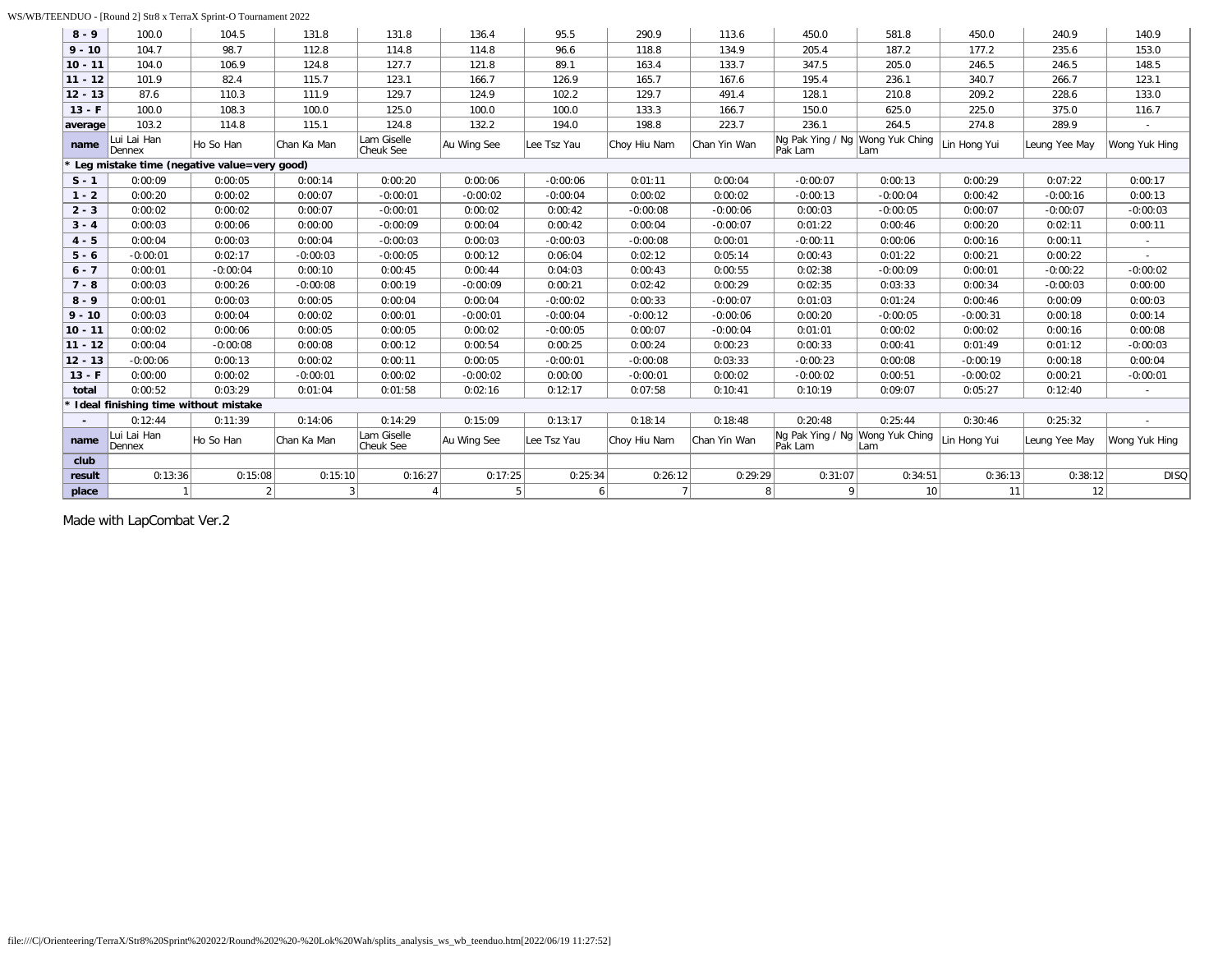### WS/WB/TEENDUO - [Round 2] Str8 x TerraX Sprint-O Tournament 2022

| $8 - 9$   | 100.0                                | 104.5                                       | 131.8       | 131.8                    | 136.4       | 95.5        | 290.9          | 113.6        | 450.0                                      | 581.8      | 450.0        | 240.9         | 140.9         |
|-----------|--------------------------------------|---------------------------------------------|-------------|--------------------------|-------------|-------------|----------------|--------------|--------------------------------------------|------------|--------------|---------------|---------------|
| $9 - 10$  | 104.7                                | 98.7                                        | 112.8       | 114.8                    | 114.8       | 96.6        | 118.8          | 134.9        | 205.4                                      | 187.2      | 177.2        | 235.6         | 153.0         |
| $10 - 11$ | 104.0                                | 106.9                                       | 124.8       | 127.7                    | 121.8       | 89.1        | 163.4          | 133.7        | 347.5                                      | 205.0      | 246.5        | 246.5         | 148.5         |
| $11 - 12$ | 101.9                                | 82.4                                        | 115.7       | 123.1                    | 166.7       | 126.9       | 165.7          | 167.6        | 195.4                                      | 236.1      | 340.7        | 266.7         | 123.1         |
| $12 - 13$ | 87.6                                 | 110.3                                       | 111.9       | 129.7                    | 124.9       | 102.2       | 129.7          | 491.4        | 128.1                                      | 210.8      | 209.2        | 228.6         | 133.0         |
| $13 - F$  | 100.0                                | 108.3                                       | 100.0       | 125.0                    | 100.0       | 100.0       | 133.3          | 166.7        | 150.0                                      | 625.0      | 225.0        | 375.0         | 116.7         |
| average   | 103.2                                | 114.8                                       | 115.1       | 124.8                    | 132.2       | 194.0       | 198.8          | 223.7        | 236.1                                      | 264.5      | 274.8        | 289.9         |               |
| name      | Lui Lai Han<br>Dennex                | Ho So Han                                   | Chan Ka Man | Lam Giselle<br>Cheuk See | Au Wing See | Lee Tsz Yau | Choy Hiu Nam   | Chan Yin Wan | Ng Pak Ying / Ng Wong Yuk Ching<br>Pak Lam | Lam        | Lin Hong Yui | Leung Yee May | Wong Yuk Hing |
|           |                                      | Leg mistake time (negative value=very good) |             |                          |             |             |                |              |                                            |            |              |               |               |
| $S - 1$   | 0:00:09                              | 0:00:05                                     | 0:00:14     | 0:00:20                  | 0:00:06     | $-0:00:06$  | 0:01:11        | 0:00:04      | $-0:00:07$                                 | 0:00:13    | 0:00:29      | 0:07:22       | 0:00:17       |
| $1 - 2$   | 0:00:20                              | 0:00:02                                     | 0:00:07     | $-0:00:01$               | $-0:00:02$  | $-0:00:04$  | 0:00:02        | 0:00:02      | $-0:00:13$                                 | $-0:00:04$ | 0:00:42      | $-0:00:16$    | 0:00:13       |
| $2 - 3$   | 0:00:02                              | 0:00:02                                     | 0:00:07     | $-0:00:01$               | 0:00:02     | 0:00:42     | $-0:00:08$     | $-0:00:06$   | 0:00:03                                    | $-0:00:05$ | 0:00:07      | $-0:00:07$    | $-0:00:03$    |
| $3 - 4$   | 0:00:03                              | 0:00:06                                     | 0:00:00     | $-0:00:09$               | 0:00:04     | 0:00:42     | 0:00:04        | $-0:00:07$   | 0:01:22                                    | 0:00:46    | 0:00:20      | 0:02:11       | 0:00:11       |
| $4 - 5$   | 0:00:04                              | 0:00:03                                     | 0:00:04     | $-0:00:03$               | 0:00:03     | $-0:00:03$  | $-0:00:08$     | 0:00:01      | $-0:00:11$                                 | 0:00:06    | 0:00:16      | 0:00:11       |               |
| $5 - 6$   | $-0:00:01$                           | 0:02:17                                     | $-0:00:03$  | $-0:00:05$               | 0:00:12     | 0:06:04     | 0:02:12        | 0:05:14      | 0:00:43                                    | 0:01:22    | 0:00:21      | 0:00:22       | $\sim$        |
| $6 - 7$   | 0:00:01                              | $-0:00:04$                                  | 0:00:10     | 0:00:45                  | 0:00:44     | 0:04:03     | 0:00:43        | 0:00:55      | 0:02:38                                    | $-0:00:09$ | 0:00:01      | $-0:00:22$    | $-0:00:02$    |
| $7 - 8$   | 0:00:03                              | 0:00:26                                     | $-0:00:08$  | 0:00:19                  | $-0:00:09$  | 0:00:21     | 0:02:42        | 0:00:29      | 0:02:35                                    | 0:03:33    | 0:00:34      | $-0:00:03$    | 0:00:00       |
| $8 - 9$   | 0:00:01                              | 0:00:03                                     | 0:00:05     | 0:00:04                  | 0:00:04     | $-0:00:02$  | 0:00:33        | $-0:00:07$   | 0:01:03                                    | 0:01:24    | 0:00:46      | 0:00:09       | 0:00:03       |
| $9 - 10$  | 0:00:03                              | 0:00:04                                     | 0:00:02     | 0:00:01                  | $-0:00:01$  | $-0:00:04$  | $-0:00:12$     | $-0:00:06$   | 0:00:20                                    | $-0:00:05$ | $-0:00:31$   | 0:00:18       | 0:00:14       |
| $10 - 11$ | 0:00:02                              | 0:00:06                                     | 0:00:05     | 0:00:05                  | 0:00:02     | $-0:00:05$  | 0:00:07        | $-0:00:04$   | 0:01:01                                    | 0:00:02    | 0:00:02      | 0:00:16       | 0:00:08       |
| $11 - 12$ | 0:00:04                              | $-0:00:08$                                  | 0:00:08     | 0:00:12                  | 0:00:54     | 0:00:25     | 0:00:24        | 0:00:23      | 0:00:33                                    | 0:00:41    | 0:01:49      | 0:01:12       | $-0:00:03$    |
| $12 - 13$ | $-0:00:06$                           | 0:00:13                                     | 0:00:02     | 0:00:11                  | 0:00:05     | $-0:00:01$  | $-0:00:08$     | 0:03:33      | $-0:00:23$                                 | 0:00:08    | $-0:00:19$   | 0:00:18       | 0:00:04       |
| $13 - F$  | 0:00:00                              | 0:00:02                                     | $-0:00:01$  | 0:00:02                  | $-0:00:02$  | 0:00:00     | $-0:00:01$     | 0:00:02      | $-0:00:02$                                 | 0:00:51    | $-0:00:02$   | 0:00:21       | $-0:00:01$    |
| total     | 0:00:52                              | 0:03:29                                     | 0:01:04     | 0:01:58                  | 0:02:16     | 0:12:17     | 0:07:58        | 0:10:41      | 0:10:19                                    | 0:09:07    | 0:05:27      | 0:12:40       |               |
|           | Ideal finishing time without mistake |                                             |             |                          |             |             |                |              |                                            |            |              |               |               |
|           | 0:12:44                              | 0:11:39                                     | 0:14:06     | 0:14:29                  | 0:15:09     | 0:13:17     | 0:18:14        | 0:18:48      | 0:20:48                                    | 0:25:44    | 0:30:46      | 0:25:32       | $\sim$        |
| name      | Lui Lai Han<br>Dennex                | Ho So Han                                   | Chan Ka Man | Lam Giselle<br>Cheuk See | Au Wing See | Lee Tsz Yau | Choy Hiu Nam   | Chan Yin Wan | Ng Pak Ying / Ng Wong Yuk Ching<br>Pak Lam | Lam        | Lin Hong Yui | Leung Yee May | Wong Yuk Hing |
| club      |                                      |                                             |             |                          |             |             |                |              |                                            |            |              |               |               |
| result    | 0:13:36                              | 0:15:08                                     | 0:15:10     | 0:16:27                  | 0:17:25     | 0:25:34     | 0:26:12        | 0:29:29      | 0:31:07                                    | 0:34:51    | 0:36:13      | 0:38:12       | <b>DISQ</b>   |
| place     |                                      | $\overline{2}$                              | 3           | $\overline{4}$           | 5           | 6           | 7 <sup>1</sup> | 8            | 9 <sup>1</sup>                             | 10         | 11           | 12            |               |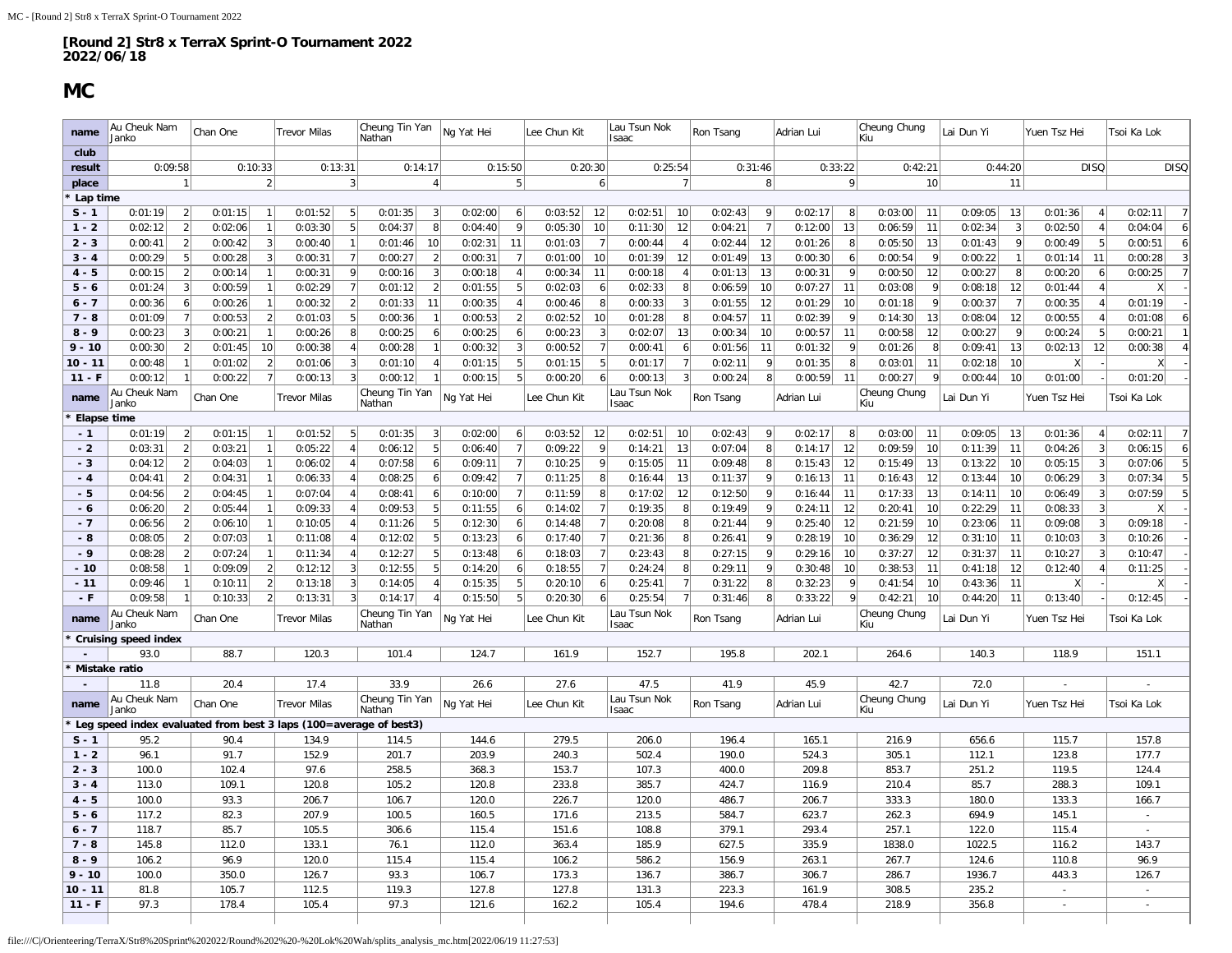### **MC**

<span id="page-29-0"></span>

| name                | Au Cheuk Nam<br>Janko                                                     | Chan One                                    | <b>Trevor Milas</b>                  | Cheung Tin Yan<br>Nathan                  | Ng Yat Hei                                             | Lee Chun Kit                         | Lau Tsun Nok<br>Isaac           | Ron Tsang                          | Adrian Lui                     | Cheung Chung<br>Kiu            | Lai Dun Yi                     | Yuen Tsz Hei                              | Tsoi Ka Lok                            |
|---------------------|---------------------------------------------------------------------------|---------------------------------------------|--------------------------------------|-------------------------------------------|--------------------------------------------------------|--------------------------------------|---------------------------------|------------------------------------|--------------------------------|--------------------------------|--------------------------------|-------------------------------------------|----------------------------------------|
| club                |                                                                           |                                             |                                      |                                           |                                                        |                                      |                                 |                                    |                                |                                |                                |                                           |                                        |
| result              | 0:09:58                                                                   | 0:10:33                                     | 0:13:31                              | 0:14:17                                   | 0:15:50                                                | 0:20:30                              | 0:25:54                         | 0:31:46                            | 0:33:22                        | 0:42:21                        | 0:44:20                        | <b>DISQ</b>                               | <b>DISQ</b>                            |
| place               | 1                                                                         | 2                                           | 3                                    | $\overline{4}$                            | 5                                                      | 6                                    | 7                               | 8                                  | 9                              | 10                             | 11                             |                                           |                                        |
| Lap time            |                                                                           |                                             |                                      |                                           |                                                        |                                      |                                 |                                    |                                |                                |                                |                                           |                                        |
| $S - 1$             | $\left 2\right $<br>0:01:19                                               | 0:01:15<br>$\overline{1}$                   | 5<br>0:01:52                         | 0:01:35<br>3                              | 0:02:00<br>6 <sup>1</sup>                              | 0:03:52<br>-12                       | 0:02:51<br>10                   | 0:02:43<br>9                       | 0:02:17<br>8                   | 0:03:00<br>11                  | 0:09:05<br>13                  | 0:01:36<br>$\overline{4}$                 | 0:02:11<br>$\overline{7}$              |
| $1 - 2$             | $\overline{2}$<br>0:02:12                                                 | $\overline{1}$<br>0:02:06                   | $\overline{5}$<br>0:03:30            | 8<br>0:04:37                              | 9<br>0:04:40                                           | 10<br>0:05:30                        | 12<br>0:11:30                   | 0:04:21<br>$\overline{7}$          | 13<br>0:12:00                  | 0:06:59<br>11                  | $\sqrt{3}$<br>0:02:34          | 0:02:50<br>$\overline{4}$                 | 0:04:04<br>$\vert 6 \vert$             |
| $2 - 3$             | 2 <br>0:00:41                                                             | 0:00:42<br>3                                | 0:00:40<br>$\overline{1}$            | 0:01:46<br>10                             | 0:02:31<br>11                                          | 0:01:03<br>$\overline{7}$            | 0:00:44<br>$\overline{4}$       | 0:02:44<br>12                      | 0:01:26<br>8                   | 0:05:50<br>13                  | 9<br>0:01:43                   | 0:00:49<br>5                              | 0:00:51<br>6 <sup>1</sup>              |
| $3 - 4$             | 5 <sup>2</sup><br>0:00:29                                                 | 0:00:28<br>3                                | 7<br>0:00:31                         | 0:00:27<br>$\overline{2}$                 | 0:00:31<br>$\overline{7}$                              | 0:01:00<br>10                        | 12<br>0:01:39                   | 0:01:49<br>13                      | 0:00:30<br>6                   | 0:00:54<br>9                   | $\mathbf{1}$<br>0:00:22        | 0:01:14<br>11                             | $\overline{3}$<br>0:00:28              |
| $4 - 5$             | $\left 2\right $<br>0:00:15                                               | 0:00:14<br>$\overline{1}$                   | 9 <br>0:00:31                        | 0:00:16<br>3                              | 0:00:18<br>$\overline{4}$                              | 0:00:34<br>11                        | 0:00:18<br>4                    | 0:01:13<br>13                      | 9<br>0:00:31                   | 0:00:50<br>12                  | 8<br>0:00:27                   | 0:00:20<br>6                              | 7<br>0:00:25                           |
| $5 - 6$             | 0:01:24<br>$\vert$ 3                                                      | 0:00:59                                     | 7<br>0:02:29                         | 0:01:12<br>$\overline{2}$                 | 5<br>0:01:55                                           | 0:02:03<br>6                         | 8<br>0:02:33                    | 0:06:59<br>10                      | 0:07:27<br>11                  | 0:03:08<br>9                   | 12<br>0:08:18                  | 0:01:44<br>$\vert$                        | X                                      |
| $6 - 7$             | $6 \mid$<br>0:00:36                                                       | 0:00:26                                     | 2 <br>0:00:32                        | 11<br>0:01:33                             | $\overline{4}$<br>0:00:35                              | 0:00:46<br>8                         | $\vert$ 3<br>0:00:33            | 0:01:55<br>12                      | 0:01:29<br>10                  | 0:01:18<br>9                   | $\overline{7}$<br>0:00:37      | 0:00:35<br>$\overline{4}$                 | 0:01:19                                |
| $7 - 8$             | 7<br>0:01:09                                                              | 0:00:53<br>$\overline{2}$                   | 5 <sup>2</sup><br>0:01:03            | 0:00:36<br>$\mathbf{1}$                   | 2<br>0:00:53                                           | 0:02:52<br>10                        | 0:01:28<br>8                    | 0:04:57<br>11                      | 0:02:39<br> 9                  | 0:14:30<br>13                  | 12<br>0:08:04                  | 0:00:55<br>$\overline{4}$                 | 0:01:08<br>6                           |
| $8 - 9$             | $\overline{3}$<br>0:00:23                                                 | 0:00:21<br>$\overline{1}$                   | 0:00:26<br>8 <sup>1</sup>            | 0:00:25<br>6                              | 0:00:25<br>6                                           | 0:00:23<br>3                         | 13<br>0:02:07                   | 0:00:34<br>10                      | 0:00:57<br>11                  | 0:00:58<br>12                  | 9 <br>0:00:27                  | 5<br>0:00:24                              | 0:00:21<br>$\mathbf{1}$                |
| $9 - 10$            | $\left  \right $<br>0:00:30                                               | 10<br>0:01:45                               | 0:00:38<br>4 <sup>1</sup>            | 0:00:28<br>$\mathbf{1}$                   | $\vert$ 3<br>0:00:32                                   | 0:00:52<br>$\overline{7}$            | 0:00:41<br>$6 \mid$             | 0:01:56<br>11                      | 0:01:32<br>9                   | 0:01:26<br>8                   | 13<br>0:09:41                  | 0:02:13<br>12                             | $\overline{4}$<br>0:00:38              |
| $10 - 11$           | 0:00:48                                                                   | 0:01:02<br>$\overline{2}$                   | 3<br>0:01:06                         | 0:01:10                                   | 5<br>0:01:15                                           | 5<br>0:01:15                         | $\overline{7}$<br>0:01:17       | 0:02:11<br>-9                      | 8<br>0:01:35                   | 0:03:01<br>11                  | 0:02:18<br>10                  | X                                         | X                                      |
| $11 - F$            | 1<br>0:00:12                                                              | 7<br>0:00:22                                | $\overline{3}$<br>0:00:13            | 0:00:12                                   | 5<br>0:00:15                                           | 0:00:20<br>6                         | $\overline{3}$<br>0:00:13       | 8 <sup>1</sup><br>0:00:24          | 11<br>0:00:59                  | 0:00:27<br>$\mathbf{q}$        | 10<br>0:00:44                  | 0:01:00                                   | 0:01:20                                |
| name                | Au Cheuk Nam                                                              | Chan One                                    | <b>Trevor Milas</b>                  | Cheung Tin Yan                            | Ng Yat Hei                                             | Lee Chun Kit                         | Lau Tsun Nok                    | Ron Tsang                          | Adrian Lui                     | Cheung Chung                   | Lai Dun Yi                     | Yuen Tsz Hei                              | Tsoi Ka Lok                            |
|                     | Janko                                                                     |                                             |                                      | Nathan                                    |                                                        |                                      | Isaac                           |                                    |                                | Kiu                            |                                |                                           |                                        |
| Elapse time<br>$-1$ |                                                                           | $\mathbf{1}$                                |                                      |                                           |                                                        |                                      |                                 | 9                                  | 8                              |                                |                                |                                           | $\overline{7}$                         |
| $-2$                | 0:01:19<br>$\left  \right $<br>$\overline{2}$<br>0:03:31                  | 0:01:15<br>0:03:21                          | 0:01:52<br>5<br>0:05:22              | 0:01:35<br>$\overline{3}$<br>0:06:12<br>5 | 0:02:00<br>6 <sup>1</sup><br>0:06:40<br>$\overline{7}$ | 0:03:52<br>12<br>0:09:22<br>9        | 0:02:51<br>10<br>13<br>0:14:21  | 0:02:43<br>0:07:04<br>8            | 0:02:17<br>12<br>0:14:17       | 0:03:00<br>11<br>0:09:59<br>10 | 0:09:05<br>13<br>0:11:39<br>11 | 0:01:36<br>$\overline{4}$<br>3<br>0:04:26 | 0:02:11<br>$\boldsymbol{6}$<br>0:06:15 |
| $-3$                | $\left 2\right $<br>0:04:12                                               |                                             | $\overline{4}$                       |                                           | $\overline{7}$                                         | -9                                   | 11                              |                                    |                                |                                |                                |                                           |                                        |
| $-4$                |                                                                           | 0:04:03                                     | 0:06:02<br>$\vert$                   | 0:07:58<br>6                              | 0:09:11                                                | 0:10:25                              | 0:15:05                         | 0:09:48<br>8<br>9                  | 0:15:43<br>12                  | 0:15:49<br>13                  | 0:13:22<br>10                  | 0:05:15<br>3                              | 5<br>0:07:06<br>$\overline{5}$         |
|                     | 0:04:41<br>$\left 2\right $<br>2                                          | 0:04:31<br>$\overline{1}$<br>$\overline{1}$ | 0:06:33<br>$\overline{4}$            | 0:08:25<br>6                              | 0:09:42<br>7<br>$\overline{7}$                         | 0:11:25<br>8<br>0:11:59              | 0:16:44<br>13                   | 0:11:37<br>9                       | 0:16:13<br>11                  | 0:16:43<br>12<br>0:17:33       | 0:13:44<br>10                  | 0:06:29<br>$\overline{3}$                 | 0:07:34<br>5<br>0:07:59                |
| $-5$                | 0:04:56                                                                   | 0:04:45                                     | 0:07:04<br>$\overline{4}$            | 0:08:41<br>6<br>-5                        | 0:10:00                                                | 8                                    | 0:17:02<br>12                   | 0:12:50<br>9                       | 0:16:44<br>11                  | 13                             | 0:14:11<br>10                  | 0:06:49<br>3                              | X                                      |
| - 6<br>$-7$         | $\left  \right $<br>0:06:20<br>$\overline{2}$                             | 0:05:44<br>0:06:10                          | 0:09:33                              | 0:09:53<br>5                              | 0:11:55<br>$6 \mid$                                    | 0:14:02<br>$\overline{7}$<br>0:14:48 | 8 <br>0:19:35<br>8 <sup>1</sup> | 0:19:49                            | 0:24:11<br>12                  | 0:20:41<br>10<br>0:21:59       | 0:22:29<br>11<br>11            | 0:08:33<br>3<br>3                         | 0:09:18                                |
| - 8                 | 0:06:56<br>0:08:05<br>$\overline{2}$                                      | 0:07:03                                     | 0:10:05<br>0:11:08<br>$\overline{A}$ | 0:11:26<br>0:12:02<br>5                   | 6<br>0:12:30<br>0:13:23<br>6                           | 0:17:40<br>$\overline{7}$            | 0:20:08<br>0:21:36<br>8         | 0:21:44<br>0:26:41<br>$\mathbf{q}$ | 0:25:40<br>12<br>0:28:19<br>10 | 10<br>0:36:29<br>12            | 0:23:06<br>0:31:10<br>11       | 0:09:08<br>0:10:03<br>$\overline{3}$      | 0:10:26                                |
| $-9$                | 0:08:28<br>$\left 2\right $                                               | 0:07:24                                     | 0:11:34<br>$\overline{4}$            | 0:12:27<br>-5                             | 0:13:48<br>$6 \mid$                                    | 0:18:03<br>$\overline{7}$            | 0:23:43<br>8                    | 0:27:15<br><sup>9</sup>            | 0:29:16<br>10                  | 0:37:27<br>12                  | 0:31:37<br>11                  | 0:10:27<br>3                              | 0:10:47                                |
| $-10$               | 0:08:58<br>1                                                              | 0:09:09<br>$\overline{2}$                   | 3<br>0:12:12                         | 0:12:55<br>5                              | 6<br>0:14:20                                           | 0:18:55<br>$\overline{7}$            | 8<br>0:24:24                    | 0:29:11<br>9                       | 0:30:48<br>10 <sup>1</sup>     | 0:38:53<br>11                  | 12<br>0:41:18                  | 0:12:40<br>$\vert$                        | 0:11:25                                |
| $-11$               | 0:09:46<br>$\vert$ 1                                                      | 0:10:11<br>$\overline{2}$                   | 3<br>0:13:18                         | 0:14:05                                   | 5<br>0:15:35                                           | 0:20:10<br>$\vert 6 \vert$           | 0:25:41<br>7                    | 8<br>0:31:22                       | 0:32:23<br> 9                  | 0:41:54<br>10                  | 0:43:36<br>11                  | X                                         | X                                      |
| $-F$                | 0:09:58<br>$\mathbf{1}$                                                   | 0:10:33                                     | 3<br>0:13:31                         | 0:14:17                                   | 5 <sup>1</sup><br>0:15:50                              | 6<br>0:20:30                         | 0:25:54<br>$\overline{7}$       | 0:31:46<br>8                       | 9 <br>0:33:22                  | 0:42:21<br>10                  | 11<br>0:44:20                  | 0:13:40                                   | 0:12:45                                |
|                     | Au Cheuk Nam                                                              |                                             |                                      | Cheung Tin Yan                            |                                                        |                                      | Lau Tsun Nok                    |                                    |                                | Cheung Chung                   |                                |                                           |                                        |
| name                | Janko                                                                     | Chan One                                    | <b>Trevor Milas</b>                  | Nathan                                    | Ng Yat Hei                                             | Lee Chun Kit                         | Isaac                           | Ron Tsang                          | Adrian Lui                     | Kiu                            | Lai Dun Yi                     | Yuen Tsz Hei                              | Tsoi Ka Lok                            |
|                     | <b>Cruising speed index</b>                                               |                                             |                                      |                                           |                                                        |                                      |                                 |                                    |                                |                                |                                |                                           |                                        |
| $\blacksquare$      | 93.0                                                                      | 88.7                                        | 120.3                                | 101.4                                     | 124.7                                                  | 161.9                                | 152.7                           | 195.8                              | 202.1                          | 264.6                          | 140.3                          | 118.9                                     | 151.1                                  |
| Mistake ratio       |                                                                           |                                             |                                      |                                           |                                                        |                                      |                                 |                                    |                                |                                |                                |                                           |                                        |
|                     | 11.8                                                                      | 20.4                                        | 17.4                                 | 33.9                                      | 26.6                                                   | 27.6                                 | 47.5                            | 41.9                               | 45.9                           | 42.7                           | 72.0                           |                                           |                                        |
| name                | Au Cheuk Nam                                                              | Chan One                                    | <b>Trevor Milas</b>                  | Cheung Tin Yan                            | Ng Yat Hei                                             | Lee Chun Kit                         | Lau Tsun Nok                    | Ron Tsang                          | Adrian Lui                     | Cheung Chung                   | Lai Dun Yi                     | Yuen Tsz Hei                              | Tsoi Ka Lok                            |
|                     | Janko                                                                     |                                             |                                      | Nathan                                    |                                                        |                                      | Isaac                           |                                    |                                | Kiu                            |                                |                                           |                                        |
| $S - 1$             | Leg speed index evaluated from best 3 laps (100=average of best3)<br>95.2 | 90.4                                        | 134.9                                | 114.5                                     | 144.6                                                  | 279.5                                | 206.0                           | 196.4                              | 165.1                          | 216.9                          | 656.6                          | 115.7                                     | 157.8                                  |
| $1 - 2$             | 96.1                                                                      | 91.7                                        | 152.9                                | 201.7                                     | 203.9                                                  | 240.3                                | 502.4                           | 190.0                              | 524.3                          | 305.1                          | 112.1                          | 123.8                                     | 177.7                                  |
| $2 - 3$             | 100.0                                                                     | 102.4                                       | 97.6                                 | 258.5                                     | 368.3                                                  | 153.7                                | 107.3                           | 400.0                              | 209.8                          | 853.7                          | 251.2                          | 119.5                                     | 124.4                                  |
| $3 - 4$             | 113.0                                                                     | 109.1                                       | 120.8                                | 105.2                                     | 120.8                                                  | 233.8                                | 385.7                           | 424.7                              | 116.9                          | 210.4                          | 85.7                           | 288.3                                     | 109.1                                  |
|                     |                                                                           |                                             |                                      |                                           |                                                        |                                      |                                 |                                    |                                |                                |                                |                                           |                                        |
| $4 - 5$             | 100.0                                                                     | 93.3                                        | 206.7                                | 106.7                                     | 120.0                                                  | 226.7                                | 120.0                           | 486.7                              | 206.7                          | 333.3                          | 180.0                          | 133.3                                     | 166.7                                  |
| $5 - 6$             | 117.2                                                                     | 82.3                                        | 207.9                                | 100.5                                     | 160.5                                                  | 171.6                                | 213.5                           | 584.7                              | 623.7                          | 262.3                          | 694.9                          | 145.1                                     | $\sim$                                 |
| $6 - 7$             | 118.7                                                                     | 85.7                                        | 105.5                                | 306.6                                     | 115.4                                                  | 151.6                                | 108.8                           | 379.1                              | 293.4                          | 257.1                          | 122.0                          | 115.4                                     |                                        |
| $7 - 8$             | 145.8                                                                     | 112.0                                       | 133.1                                | 76.1                                      | 112.0                                                  | 363.4                                | 185.9                           | 627.5                              | 335.9                          | 1838.0                         | 1022.5                         | 116.2                                     | 143.7                                  |
| $8 - 9$             | 106.2                                                                     | 96.9                                        | 120.0                                | 115.4                                     | 115.4                                                  | 106.2                                | 586.2                           | 156.9                              | 263.1                          | 267.7                          | 124.6                          | 110.8                                     | 96.9                                   |
| $9 - 10$            | 100.0                                                                     | 350.0                                       | 126.7                                | 93.3                                      | 106.7                                                  | 173.3                                | 136.7                           | 386.7                              | 306.7                          | 286.7                          | 1936.7                         | 443.3                                     | 126.7                                  |
| $10 - 11$           | 81.8                                                                      | 105.7                                       | 112.5                                | 119.3                                     | 127.8                                                  | 127.8                                | 131.3                           | 223.3                              | 161.9                          | 308.5                          | 235.2                          | $\sim$                                    | $\sim$                                 |
| $11 - F$            | 97.3                                                                      | 178.4                                       | 105.4                                | 97.3                                      | 121.6                                                  | 162.2                                | 105.4                           | 194.6                              | 478.4                          | 218.9                          | 356.8                          |                                           | $\sim$                                 |
|                     |                                                                           |                                             |                                      |                                           |                                                        |                                      |                                 |                                    |                                |                                |                                |                                           |                                        |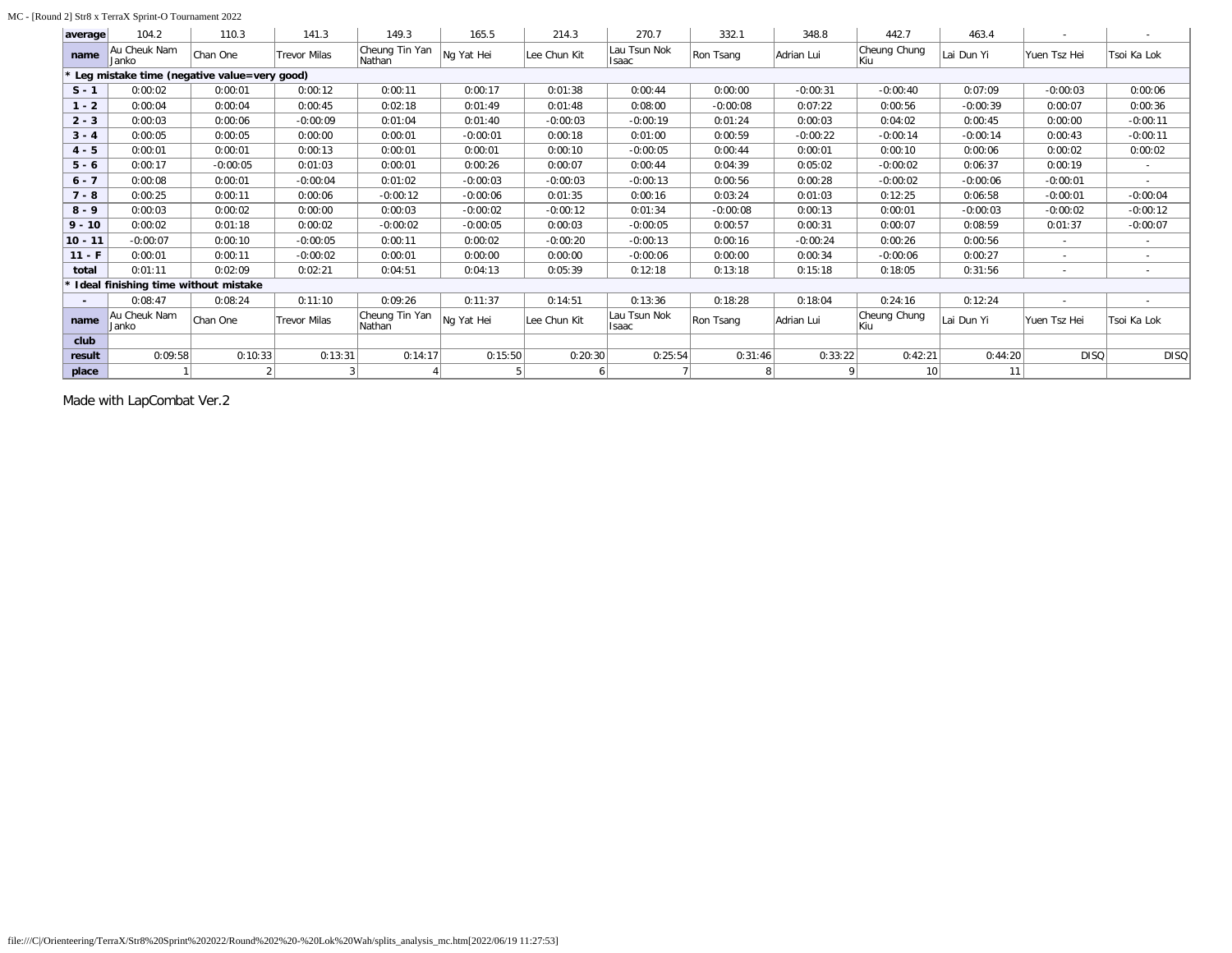### MC - [Round 2] Str8 x TerraX Sprint-O Tournament 2022

| average   | 104.2                                       | 110.3      | 141.3               | 149.3                    | 165.5      | 214.3        | 270.7                        | 332.1      | 348.8      | 442.7                 | 463.4      |              |                          |
|-----------|---------------------------------------------|------------|---------------------|--------------------------|------------|--------------|------------------------------|------------|------------|-----------------------|------------|--------------|--------------------------|
| name      | Au Cheuk Nam<br>Janko                       | Chan One   | <b>Trevor Milas</b> | Cheung Tin Yan<br>Nathan | Ng Yat Hei | Lee Chun Kit | Lau Tsun Nok<br>Isaac        | Ron Tsang  | Adrian Lui | Cheung Chung<br>Kiu   | Lai Dun Yi | Yuen Tsz Hei | Tsoi Ka Lok              |
|           | Leg mistake time (negative value=very good) |            |                     |                          |            |              |                              |            |            |                       |            |              |                          |
| $S - 1$   | 0:00:02                                     | 0:00:01    | 0:00:12             | 0:00:11                  | 0:00:17    | 0:01:38      | 0:00:44                      | 0:00:00    | $-0:00:31$ | $-0:00:40$            | 0:07:09    | $-0:00:03$   | 0:00:06                  |
| $1 - 2$   | 0:00:04                                     | 0:00:04    | 0:00:45             | 0:02:18                  | 0:01:49    | 0:01:48      | 0:08:00                      | $-0:00:08$ | 0:07:22    | 0:00:56               | $-0:00:39$ | 0:00:07      | 0:00:36                  |
| $2 - 3$   | 0:00:03                                     | 0:00:06    | $-0:00:09$          | 0:01:04                  | 0:01:40    | $-0:00:03$   | $-0:00:19$                   | 0:01:24    | 0:00:03    | 0:04:02               | 0:00:45    | 0:00:00      | $-0:00:11$               |
| $3 - 4$   | 0:00:05                                     | 0:00:05    | 0:00:00             | 0:00:01                  | $-0:00:01$ | 0:00:18      | 0:01:00                      | 0:00:59    | $-0:00:22$ | $-0:00:14$            | $-0:00:14$ | 0:00:43      | $-0:00:11$               |
| $4 - 5$   | 0:00:01                                     | 0:00:01    | 0:00:13             | 0:00:01                  | 0:00:01    | 0:00:10      | $-0:00:05$                   | 0:00:44    | 0:00:01    | 0:00:10               | 0:00:06    | 0:00:02      | 0:00:02                  |
| $5 - 6$   | 0:00:17                                     | $-0:00:05$ | 0:01:03             | 0:00:01                  | 0:00:26    | 0:00:07      | 0:00:44                      | 0:04:39    | 0:05:02    | $-0:00:02$            | 0:06:37    | 0:00:19      | $\sim$                   |
| $6 - 7$   | 0:00:08                                     | 0:00:01    | $-0:00:04$          | 0:01:02                  | $-0:00:03$ | $-0:00:03$   | $-0:00:13$                   | 0:00:56    | 0:00:28    | $-0:00:02$            | $-0:00:06$ | $-0:00:01$   | $\sim$                   |
| $7 - 8$   | 0:00:25                                     | 0:00:11    | 0:00:06             | $-0:00:12$               | $-0:00:06$ | 0:01:35      | 0:00:16                      | 0:03:24    | 0:01:03    | 0:12:25               | 0:06:58    | $-0:00:01$   | $-0:00:04$               |
| $8 - 9$   | 0:00:03                                     | 0:00:02    | 0:00:00             | 0:00:03                  | $-0:00:02$ | $-0:00:12$   | 0:01:34                      | $-0:00:08$ | 0:00:13    | 0:00:01               | $-0:00:03$ | $-0:00:02$   | $-0:00:12$               |
| $9 - 10$  | 0:00:02                                     | 0:01:18    | 0:00:02             | $-0:00:02$               | $-0:00:05$ | 0:00:03      | $-0:00:05$                   | 0:00:57    | 0:00:31    | 0:00:07               | 0:08:59    | 0:01:37      | $-0:00:07$               |
| $10 - 11$ | $-0:00:07$                                  | 0:00:10    | $-0:00:05$          | 0:00:11                  | 0:00:02    | $-0:00:20$   | $-0:00:13$                   | 0:00:16    | $-0:00:24$ | 0:00:26               | 0:00:56    | $\sim$       | $\sim$                   |
| $11 - F$  | 0:00:01                                     | 0:00:11    | $-0:00:02$          | 0:00:01                  | 0:00:00    | 0:00:00      | $-0:00:06$                   | 0:00:00    | 0:00:34    | -0:00:06              | 0:00:27    | $\sim$       | $\sim$                   |
| total     | 0:01:11                                     | 0:02:09    | 0:02:21             | 0:04:51                  | 0:04:13    | 0:05:39      | 0:12:18                      | 0:13:18    | 0:15:18    | 0:18:05               | 0:31:56    | $\sim$       | $\overline{\phantom{a}}$ |
|           | Ideal finishing time without mistake        |            |                     |                          |            |              |                              |            |            |                       |            |              |                          |
|           | 0:08:47                                     | 0:08:24    | 0:11:10             | 0:09:26                  | 0:11:37    | 0:14:51      | 0:13:36                      | 0:18:28    | 0:18:04    | 0:24:16               | 0:12:24    | $\sim$       | $\overline{\phantom{a}}$ |
| name      | Au Cheuk Nam<br>Janko                       | Chan One   | <b>Trevor Milas</b> | Cheung Tin Yan<br>Nathan | Ng Yat Hei | Lee Chun Kit | Lau Tsun Nok<br><b>Isaac</b> | Ron Tsang  | Adrian Lui | Cheung Chung<br>lKiu. | Lai Dun Yi | Yuen Tsz Hei | Tsoi Ka Lok              |
| club      |                                             |            |                     |                          |            |              |                              |            |            |                       |            |              |                          |
| result    | 0:09:58                                     | 0:10:33    | 0:13:31             | 0:14:17                  | 0:15:50    | 0:20:30      | 0:25:54                      | 0:31:46    | 0:33:22    | 0:42:21               | 0:44:20    | <b>DISQ</b>  | <b>DISQ</b>              |
| place     |                                             |            |                     |                          |            |              |                              |            |            | 10                    | 11         |              |                          |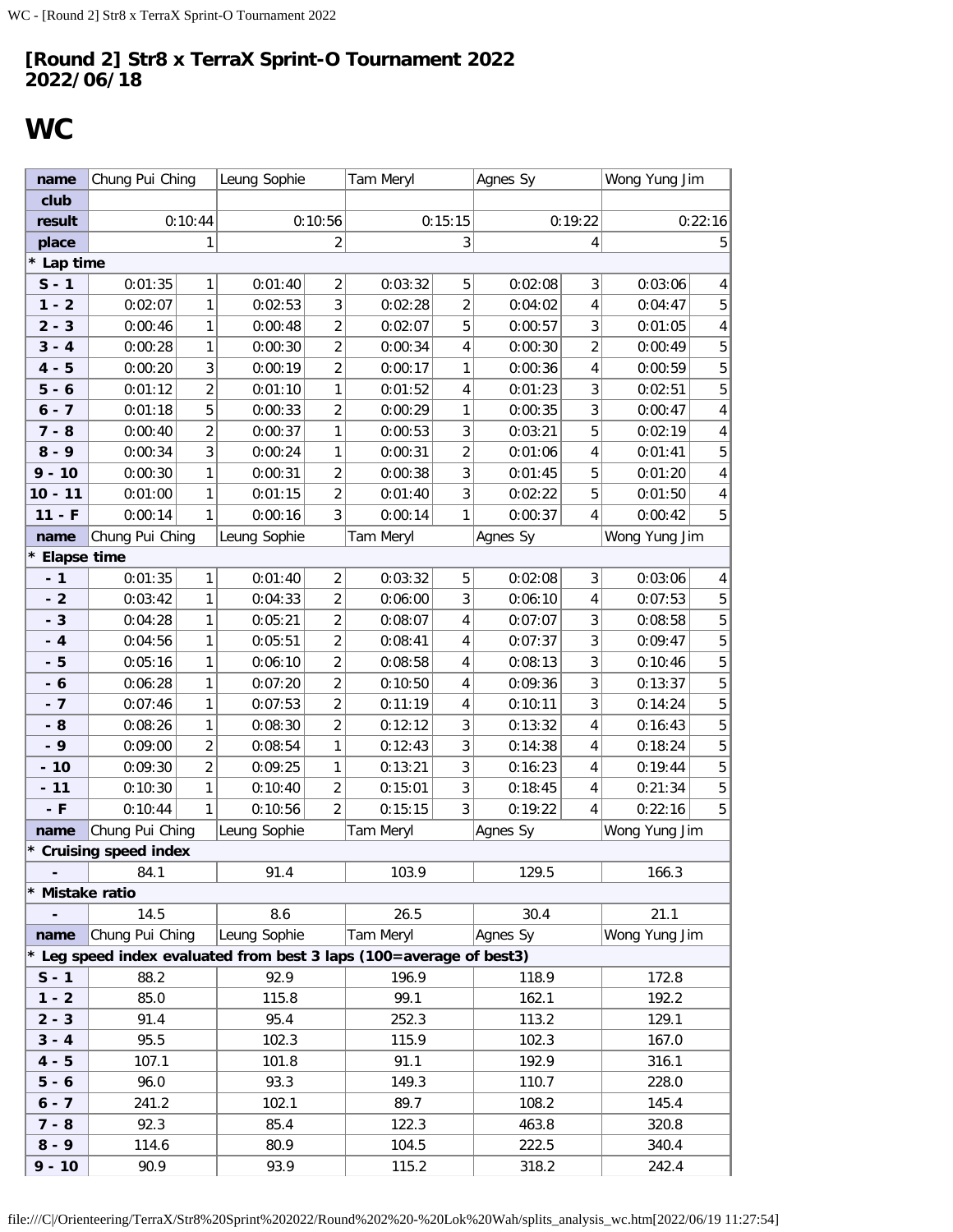# <span id="page-31-0"></span>**WC**

| name                     | Chung Pui Ching        |                | Leung Sophie                                                        |                         | Tam Meryl |                  | Agnes Sy     |                         | Wong Yung Jim |                         |
|--------------------------|------------------------|----------------|---------------------------------------------------------------------|-------------------------|-----------|------------------|--------------|-------------------------|---------------|-------------------------|
| club                     |                        |                |                                                                     |                         |           |                  |              |                         |               |                         |
| result                   |                        | 0:10:44        |                                                                     | 0:10:56                 |           | 0:15:15          |              | 0:19:22                 |               | 0:22:16                 |
| place                    |                        | 1              | $\overline{2}$                                                      |                         | 3         |                  |              | 4                       | 5             |                         |
| * Lap time               |                        |                |                                                                     |                         |           |                  |              |                         |               |                         |
| $S - 1$                  | 0:01:35                | 1              | 0:01:40                                                             | $\overline{c}$          | 0:03:32   | 5                | 0:02:08      | 3                       | 0:03:06       | 4                       |
| $1 - 2$                  | 0:02:07                | $\mathbf{1}$   | 0:02:53                                                             | 3                       | 0:02:28   | $\overline{2}$   | 0:04:02      | 4                       | 0:04:47       | 5                       |
| $2 - 3$                  | 0:00:46                | 1              | 0:00:48                                                             | $\overline{2}$          | 0:02:07   | 5                | 0:00:57      | 3                       | 0:01:05       | $\overline{\mathbf{4}}$ |
| $3 - 4$                  | 0:00:28                | 1              | 0:00:30                                                             | $\overline{c}$          | 0:00:34   | 4                | 0:00:30      | $\overline{\mathbf{c}}$ | 0:00:49       | 5                       |
| $4 - 5$                  | 0:00:20                | 3              | 0:00:19                                                             | $\overline{2}$          | 0:00:17   | 1                | 0:00:36<br>4 |                         | 0:00:59       | 5                       |
| $5 - 6$                  | 0:01:12                | $\overline{2}$ | 0:01:10                                                             | $\mathbf{1}$            | 0:01:52   | 4                | 0:01:23      | 3                       | 0:02:51       | 5                       |
| $6 - 7$                  | 5<br>0:01:18           |                | 0:00:33                                                             | $\overline{\mathbf{c}}$ | 0:00:29   | 1                | 0:00:35      | 3                       | 0:00:47       | $\overline{4}$          |
| $7 - 8$                  | 0:00:40                | $\overline{c}$ | 0:00:37                                                             | 1                       | 0:00:53   | $\sqrt{3}$       | 0:03:21      | 5                       | 0:02:19       | 4                       |
| $8 - 9$                  | 3<br>0:00:34           |                | 0:00:24                                                             | 1                       | 0:00:31   | $\boldsymbol{2}$ | 0:01:06      | 4                       | 0:01:41       | 5                       |
| $9 - 10$                 | 1<br>0:00:30           |                | 0:00:31                                                             | $\overline{c}$          | 0:00:38   | 3                | 0:01:45      | 5                       | 0:01:20       | $\pmb{4}$               |
| $10 - 11$                | 0:01:00                | 1              | 0:01:15                                                             | $\overline{2}$          | 0:01:40   | 3                | 0:02:22      | 5                       | 0:01:50       | $\pmb{4}$               |
| $11 - F$                 | 0:00:14                | 1              | 0:00:16                                                             | 3                       | 0:00:14   | 1                | 0:00:37      | 4                       | 0:00:42       | 5                       |
| name                     | Chung Pui Ching        |                | Leung Sophie                                                        |                         | Tam Meryl |                  | Agnes Sy     |                         | Wong Yung Jim |                         |
| * Elapse time            |                        |                |                                                                     |                         |           |                  |              |                         |               |                         |
| $-1$                     | 0:01:35                | 1              | 0:01:40                                                             | $\overline{2}$          | 0:03:32   | 5                | 0:02:08      | 3                       | 0:03:06       | 4                       |
| $-2$                     | 0:03:42                | $\mathbf{1}$   | 0:04:33                                                             | $\overline{c}$          | 0:06:00   | $\sqrt{3}$       | 0:06:10      | 4                       | 0:07:53       | 5                       |
| $-3$                     | 0:04:28                | 1              | 0:05:21                                                             | $\overline{2}$          | 0:08:07   | 4                | 0:07:07      | 3                       | 0:08:58       | $\mathbf 5$             |
| $-4$                     | 0:04:56                | $\mathbf{1}$   | 0:05:51                                                             | $\overline{2}$          | 0:08:41   | 4                | 0:07:37      | 3                       | 0:09:47       | 5                       |
| $-5$                     | 0:05:16                | 1              | 0:06:10                                                             | $\overline{c}$          | 0:08:58   | 4                | 0:08:13      | 3                       | 0:10:46       | $\mathbf 5$             |
| $-6$                     | 0:06:28                | 1              | 0:07:20                                                             | $\overline{c}$          | 0:10:50   | 4                | 0:09:36      | 3                       | 0:13:37       | 5                       |
| $-7$                     | 0:07:46                | 1              | 0:07:53                                                             | $\overline{2}$          | 0:11:19   | 4                | 0:10:11      | 3                       | 0:14:24       | $\mathbf 5$             |
| $-8$                     | 0:08:26                | 1              | 0:08:30                                                             | $\overline{2}$          | 0:12:12   | $\sqrt{3}$       | 0:13:32      | 4                       | 0:16:43       | 5                       |
| $-9$                     | 0:09:00                | $\overline{c}$ | 0:08:54                                                             | $\mathbf{1}$            | 0:12:43   | 3                | 0:14:38      | 4                       | 0:18:24       | $\mathbf 5$             |
| $-10$                    | 0:09:30                | $\overline{c}$ | 0:09:25                                                             | 1                       | 0:13:21   | 3                | 0:16:23      | 4                       | 0:19:44       | 5                       |
| $-11$                    | 0:10:30                | 1              | 0:10:40                                                             | $\overline{2}$          | 0:15:01   | 3                | 0:18:45      | 4                       | 0:21:34       | $\mathbf 5$             |
| $-$ F                    | 0:10:44                | $\mathbf{1}$   | 0:10:56                                                             | $\overline{2}$          | 0:15:15   | 3                | 0:19:22      | 4                       | 0:22:16       | 5                       |
| name                     | Chung Pui Ching        |                | Leung Sophie                                                        |                         | Tam Meryl |                  | Agnes Sy     |                         | Wong Yung Jim |                         |
|                          | * Cruising speed index |                |                                                                     |                         |           |                  |              |                         |               |                         |
|                          | 84.1                   |                | 91.4                                                                |                         | 103.9     |                  | 129.5        |                         | 166.3         |                         |
| * Mistake ratio          |                        |                |                                                                     |                         |           |                  |              |                         |               |                         |
| $\overline{\phantom{a}}$ | 14.5                   |                | 8.6                                                                 |                         | 26.5      |                  | 30.4         |                         | 21.1          |                         |
| name                     | Chung Pui Ching        |                | Leung Sophie                                                        |                         | Tam Meryl |                  | Agnes Sy     |                         | Wong Yung Jim |                         |
|                          |                        |                | * Leg speed index evaluated from best 3 laps (100=average of best3) |                         |           |                  |              |                         |               |                         |
| $S - 1$                  | 88.2                   |                | 92.9                                                                |                         | 196.9     |                  | 118.9        |                         | 172.8         |                         |
| $1 - 2$                  | 85.0                   |                | 115.8                                                               |                         | 99.1      |                  | 162.1        |                         | 192.2         |                         |
| $2 - 3$                  | 91.4                   |                | 95.4                                                                |                         | 252.3     |                  | 113.2        |                         | 129.1         |                         |
| $3 - 4$                  | 95.5                   |                | 102.3                                                               |                         | 115.9     |                  | 102.3        |                         | 167.0         |                         |
| $4 - 5$                  | 107.1                  |                | 101.8                                                               |                         | 91.1      |                  | 192.9        |                         | 316.1         |                         |
| $5 - 6$                  | 96.0                   |                | 93.3                                                                |                         | 149.3     |                  | 110.7        |                         | 228.0         |                         |
| $6 - 7$                  | 241.2                  |                | 102.1                                                               |                         | 89.7      |                  | 108.2        |                         | 145.4         |                         |
| $7 - 8$                  | 92.3                   |                | 85.4                                                                |                         | 122.3     |                  | 463.8        |                         | 320.8         |                         |
| $8 - 9$                  | 114.6                  |                | 80.9                                                                |                         | 104.5     |                  | 222.5        |                         | 340.4         |                         |
| $9 - 10$                 | 90.9                   |                | 93.9                                                                |                         | 115.2     |                  | 318.2        |                         | 242.4         |                         |

file:///C|/Orienteering/TerraX/Str8%20Sprint%202022/Round%202%20-%20Lok%20Wah/splits\_analysis\_wc.htm[2022/06/19 11:27:54]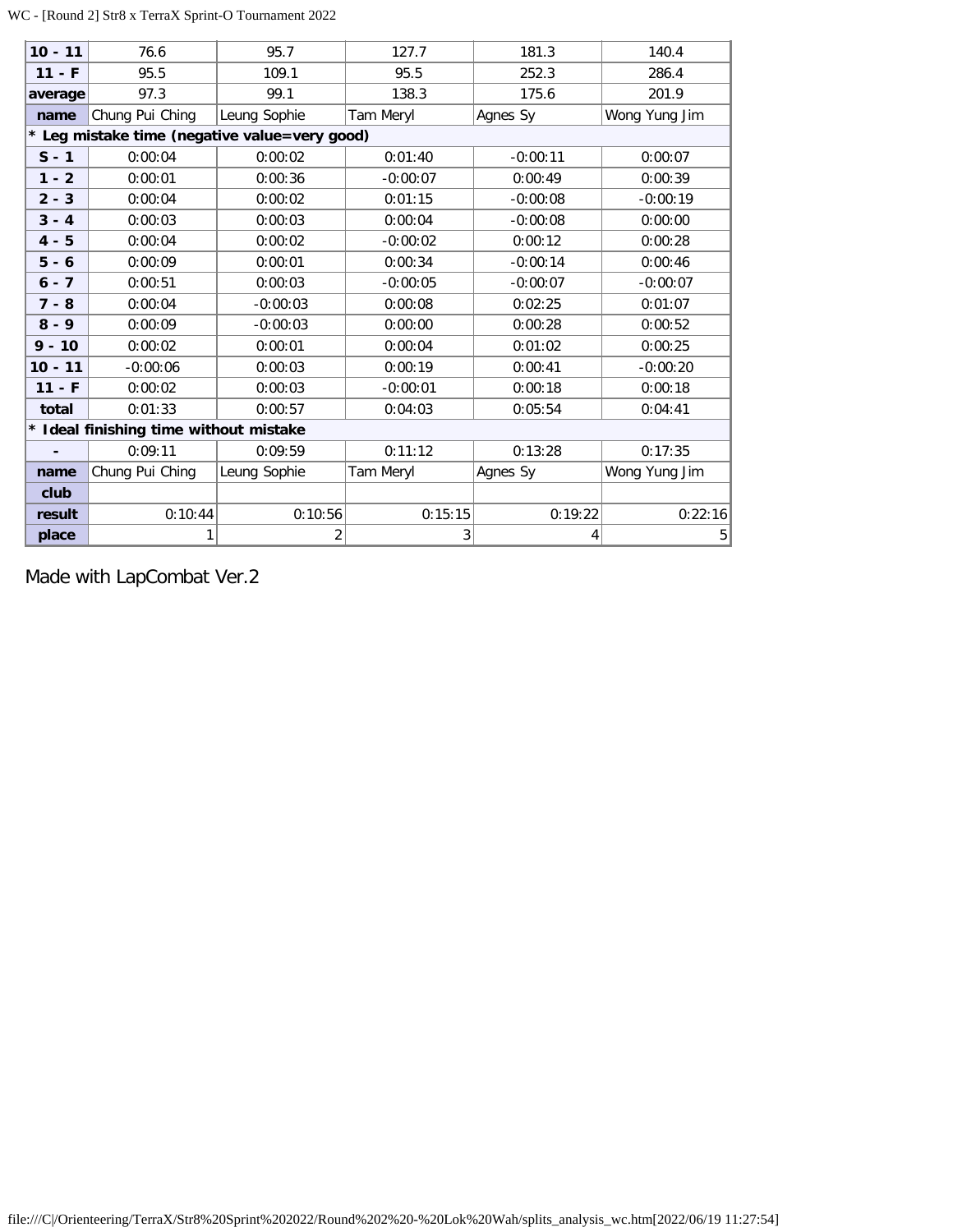## WC - [Round 2] Str8 x TerraX Sprint-O Tournament 2022

| $10 - 11$      | 76.6                                   | 95.7                                          | 127.7      | 181.3      | 140.4         |
|----------------|----------------------------------------|-----------------------------------------------|------------|------------|---------------|
| $11 - F$       | 95.5                                   | 109.1                                         | 95.5       | 252.3      | 286.4         |
| average        | 97.3                                   | 99.1                                          | 138.3      | 175.6      | 201.9         |
| name           | Chung Pui Ching                        | Leung Sophie                                  | Tam Meryl  | Agnes Sy   | Wong Yung Jim |
|                |                                        | * Leg mistake time (negative value=very good) |            |            |               |
| $S - 1$        | 0:00:04                                | 0:00:02                                       | 0:01:40    | $-0:00:11$ | 0:00:07       |
| $1 - 2$        | 0:00:01                                | 0:00:36                                       | $-0:00:07$ | 0:00:49    | 0:00:39       |
| $2 - 3$        | 0:00:04                                | 0:00:02                                       | 0:01:15    | $-0:00:08$ | $-0:00:19$    |
| $3 - 4$        | 0:00:03                                | 0:00:03                                       | 0:00:04    | $-0:00:08$ | 0:00:00       |
| $4 - 5$        | 0:00:04                                | 0:00:02                                       | $-0:00:02$ | 0:00:12    | 0:00:28       |
| $5 - 6$        | 0:00:09                                | 0:00:01                                       | 0:00:34    | $-0:00:14$ | 0:00:46       |
| $6 - 7$        | 0:00:51                                | 0:00:03                                       | $-0:00:05$ | $-0:00:07$ | $-0:00:07$    |
| $7 - 8$        | 0:00:04                                | $-0:00:03$                                    | 0:00:08    | 0:02:25    | 0:01:07       |
| $8 - 9$        | 0:00:09                                | $-0:00:03$                                    | 0:00:00    | 0:00:28    | 0:00:52       |
| $9 - 10$       | 0:00:02                                | 0:00:01                                       | 0:00:04    | 0:01:02    | 0:00:25       |
| $10 - 11$      | $-0:00:06$                             | 0:00:03                                       | 0:00:19    | 0:00:41    | $-0:00:20$    |
| $11 - F$       | 0:00:02                                | 0:00:03                                       | $-0:00:01$ | 0:00:18    | 0:00:18       |
| total          | 0:01:33                                | 0:00:57                                       | 0:04:03    | 0:05:54    | 0:04:41       |
|                | * Ideal finishing time without mistake |                                               |            |            |               |
| $\blacksquare$ | 0:09:11                                | 0:09:59                                       | 0:11:12    | 0:13:28    | 0:17:35       |
| name           | Chung Pui Ching                        | Leung Sophie                                  | Tam Meryl  | Agnes Sy   | Wong Yung Jim |
| club           |                                        |                                               |            |            |               |
| result         | 0:10:44                                | 0:10:56                                       | 0:15:15    | 0:19:22    | 0:22:16       |
| place          | 1                                      | 2                                             | 3          | 4          | 5             |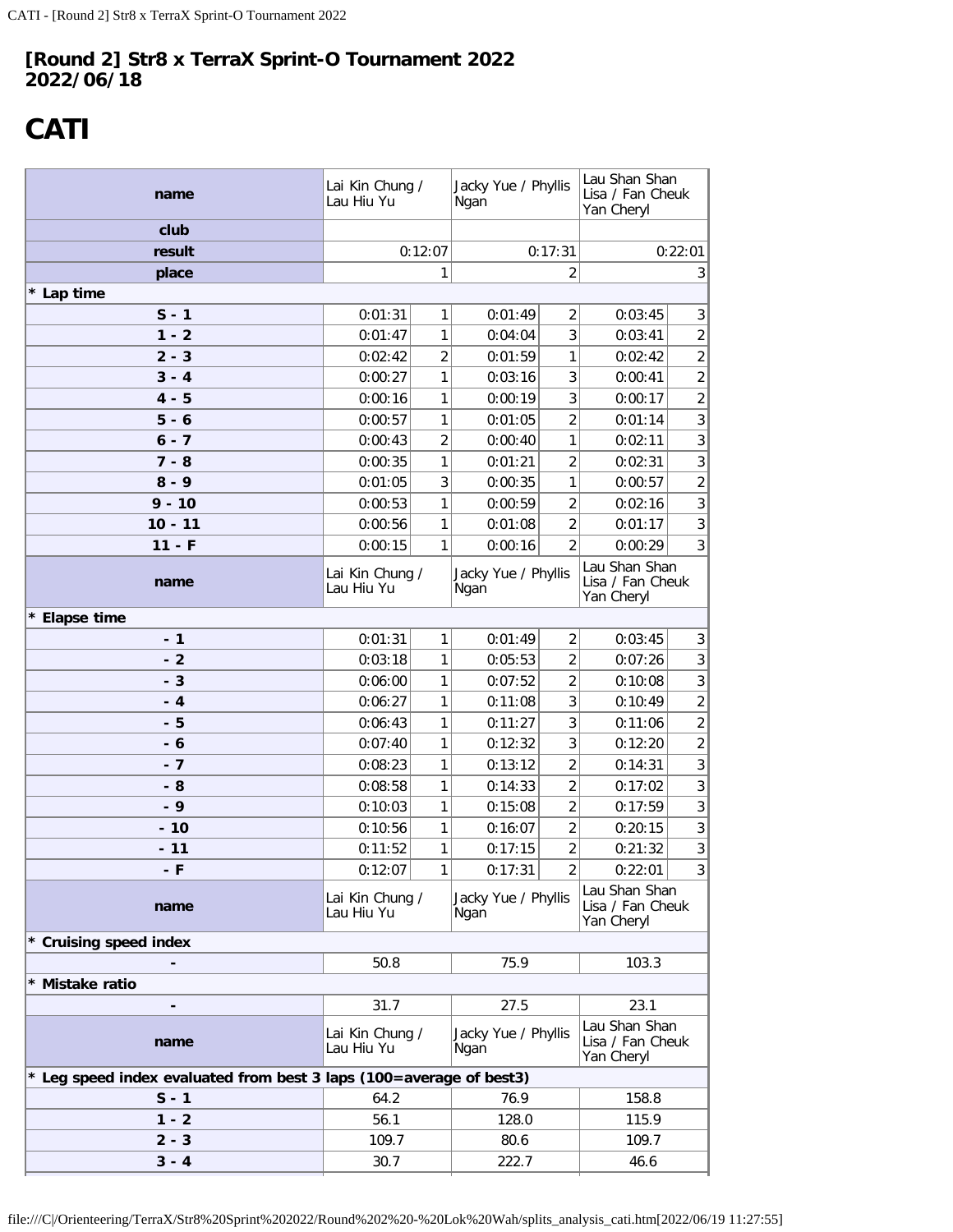# <span id="page-33-0"></span>**CATI**

| name                                                                | Lai Kin Chung /<br>Lau Hiu Yu |                | Jacky Yue / Phyllis<br>Ngan |                | Lau Shan Shan<br>Lisa / Fan Cheuk<br>Yan Cheryl |                |  |
|---------------------------------------------------------------------|-------------------------------|----------------|-----------------------------|----------------|-------------------------------------------------|----------------|--|
| club                                                                |                               |                |                             |                |                                                 |                |  |
| result                                                              |                               | 0:12:07        |                             | 0:17:31        | 0:22:01                                         |                |  |
| place                                                               |                               | 1              |                             | 2              | 3                                               |                |  |
| * Lap time                                                          |                               |                |                             |                |                                                 |                |  |
| $S - 1$                                                             | 0:01:31                       | 1              | 0:01:49                     | $\overline{2}$ | 0:03:45<br>3                                    |                |  |
| $1 - 2$                                                             | 0:01:47                       | 1              | 0:04:04                     | 3              | 0:03:41                                         | $\overline{2}$ |  |
| $2 - 3$                                                             | 0:02:42                       | $\overline{2}$ | 0:01:59                     | 1              | 0:02:42                                         | $\overline{2}$ |  |
| $3 - 4$                                                             | 0:00:27                       | 1              | 0:03:16                     | 3              | 0:00:41                                         | $\overline{2}$ |  |
| $4 - 5$                                                             | 0:00:16                       | 1              | 0:00:19                     | 3              | 0:00:17                                         | $\overline{2}$ |  |
| $5 - 6$                                                             | 0:00:57                       | 1              | 0:01:05                     | 2              | 0:01:14                                         | 3 <sup>1</sup> |  |
| $6 - 7$                                                             | 0:00:43                       | $\overline{2}$ | 0:00:40                     | 1              | 0:02:11                                         | 3 <sup>1</sup> |  |
| $7 - 8$                                                             | 0:00:35                       | 1              | 0:01:21                     | 2              | 0:02:31                                         | 3              |  |
| $8 - 9$                                                             | 0:01:05                       | 3              | 0:00:35                     | 1              | 0:00:57                                         | $\overline{2}$ |  |
| $9 - 10$                                                            | 0:00:53                       | 1              | 0:00:59                     | 2              | 0:02:16                                         | $\overline{3}$ |  |
| $10 - 11$                                                           | 0:00:56                       | 1              | 0:01:08                     | 2              | 0:01:17                                         | $\overline{3}$ |  |
| $11 - F$                                                            | 0:00:15                       | 1              | 0:00:16                     | $\overline{2}$ | 0:00:29                                         | 3 <sup>1</sup> |  |
| name                                                                | Lai Kin Chung /<br>Lau Hiu Yu |                | Jacky Yue / Phyllis<br>Ngan |                | Lau Shan Shan<br>Lisa / Fan Cheuk<br>Yan Cheryl |                |  |
| * Elapse time                                                       |                               |                |                             |                |                                                 |                |  |
| $-1$                                                                | 0:01:31                       | 1              | 0:01:49                     | 2              | 0:03:45                                         | 3              |  |
| $-2$                                                                | 0:03:18                       | 1              | 0:05:53                     | $\overline{2}$ | 0:07:26                                         | 3 <sup>1</sup> |  |
| $-3$                                                                | 0:06:00                       | 1              | 0:07:52                     | $\overline{2}$ | 0:10:08                                         | 3 <sup>1</sup> |  |
| - 4                                                                 | 0:06:27                       | 1              | 0:11:08                     | 3              | 0:10:49                                         | $\overline{2}$ |  |
| - 5                                                                 | 0:06:43                       | 1              | 0:11:27                     | 3              | 0:11:06                                         | $\overline{2}$ |  |
| - 6                                                                 | 0:07:40                       | 1              | 0:12:32                     | 3              | 0:12:20                                         | $\overline{2}$ |  |
| $-7$                                                                | 0:08:23                       | 1              | 0:13:12                     | 2              | 0:14:31                                         | 3 <sup>1</sup> |  |
| - 8                                                                 | 0:08:58                       | 1              | 0:14:33                     | $\overline{2}$ | 0:17:02                                         | 3 <sup>1</sup> |  |
| - 9                                                                 | 0:10:03                       | 1              | 0:15:08                     | 2              | 0:17:59                                         | 3              |  |
| $-10$                                                               | 0:10:56                       | 1              | 0:16:07                     | $\overline{2}$ | 0:20:15                                         | 3              |  |
| $-11$                                                               | 0:11:52                       | 1              | 0:17:15                     | $\overline{2}$ | 0:21:32                                         | 3 <sup>1</sup> |  |
| - F                                                                 | 0:12:07                       | 1              | 0:17:31                     | $2\vert$       | 0:22:01                                         | 3 <sup>1</sup> |  |
| name                                                                | Lai Kin Chung /<br>Lau Hiu Yu |                | Jacky Yue / Phyllis<br>Ngan |                | Lau Shan Shan<br>Lisa / Fan Cheuk<br>Yan Cheryl |                |  |
| * Cruising speed index                                              |                               |                |                             |                |                                                 |                |  |
|                                                                     | 50.8                          |                | 75.9                        |                | 103.3                                           |                |  |
| * Mistake ratio                                                     |                               |                |                             |                |                                                 |                |  |
|                                                                     | 31.7                          |                | 27.5                        |                | 23.1                                            |                |  |
| name                                                                | Lai Kin Chung /<br>Lau Hiu Yu |                | Jacky Yue / Phyllis<br>Ngan |                | Lau Shan Shan<br>Lisa / Fan Cheuk<br>Yan Cheryl |                |  |
| * Leg speed index evaluated from best 3 laps (100=average of best3) |                               |                |                             |                |                                                 |                |  |
| $S - 1$                                                             | 64.2                          |                | 76.9                        |                | 158.8                                           |                |  |
| $1 - 2$                                                             | 56.1                          |                | 128.0                       |                | 115.9                                           |                |  |
| $2 - 3$                                                             | 109.7                         |                | 80.6                        |                | 109.7                                           |                |  |
| $3 - 4$                                                             | 30.7                          |                | 222.7                       |                | 46.6                                            |                |  |

file:///C|/Orienteering/TerraX/Str8%20Sprint%202022/Round%202%20-%20Lok%20Wah/splits\_analysis\_cati.htm[2022/06/19 11:27:55]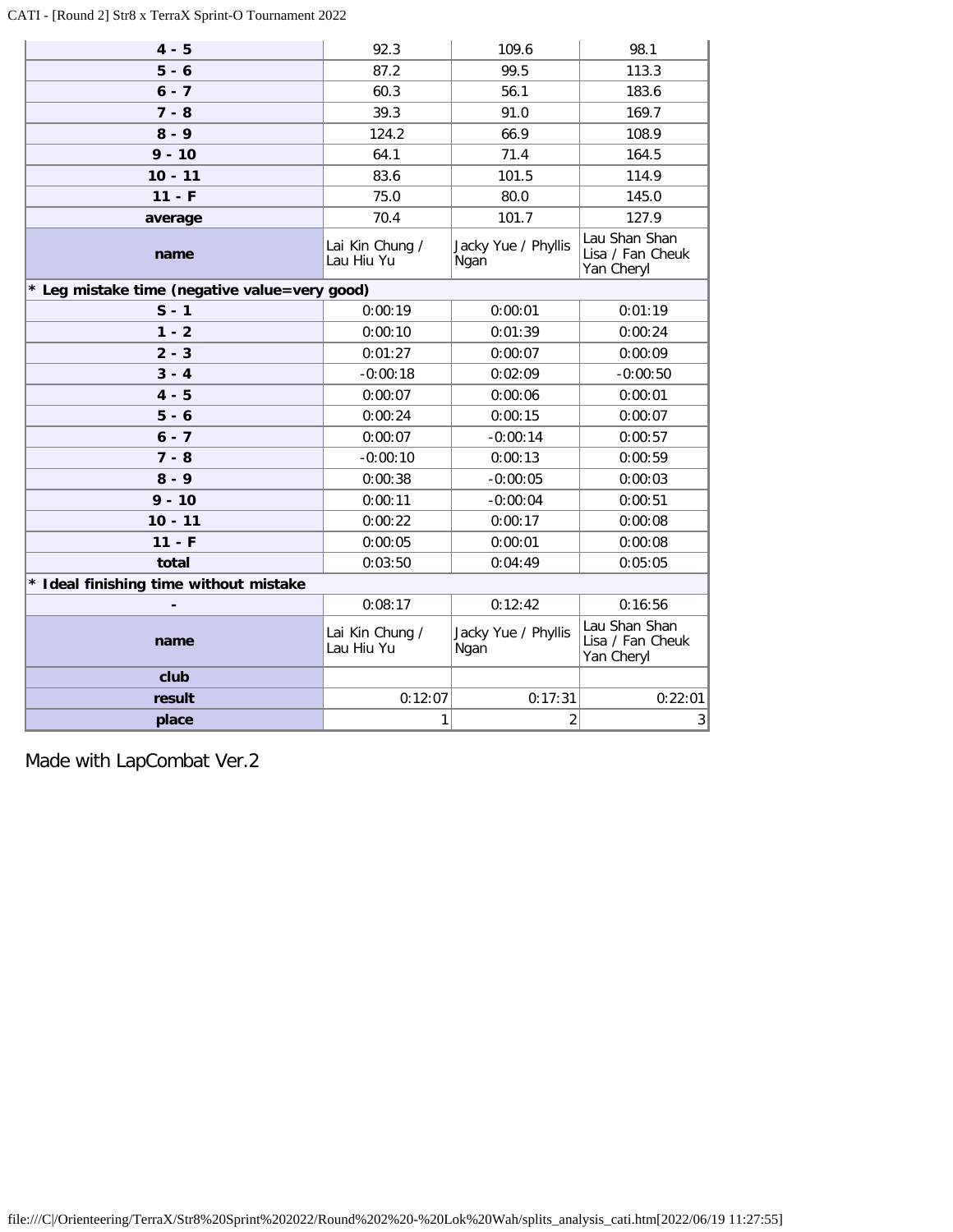### CATI - [Round 2] Str8 x TerraX Sprint-O Tournament 2022

| $4 - 5$                                       | 92.3                          | 109.6                       | 98.1                                            |  |
|-----------------------------------------------|-------------------------------|-----------------------------|-------------------------------------------------|--|
| $5 - 6$                                       | 87.2                          | 99.5                        | 113.3                                           |  |
| $6 - 7$                                       | 60.3                          | 56.1                        | 183.6                                           |  |
| $7 - 8$                                       | 39.3                          | 91.0                        | 169.7                                           |  |
| $8 - 9$                                       | 124.2                         | 66.9                        | 108.9                                           |  |
| $9 - 10$                                      | 64.1                          | 71.4                        | 164.5                                           |  |
| $10 - 11$                                     | 83.6                          | 101.5                       | 114.9                                           |  |
| $11 - F$                                      | 75.0                          | 80.0                        | 145.0                                           |  |
| average                                       | 70.4                          | 101.7                       | 127.9                                           |  |
| name                                          | Lai Kin Chung /<br>Lau Hiu Yu | Jacky Yue / Phyllis<br>Ngan | Lau Shan Shan<br>Lisa / Fan Cheuk<br>Yan Cheryl |  |
| * Leg mistake time (negative value=very good) |                               |                             |                                                 |  |
| $S - 1$                                       | 0:00:19                       | 0:00:01                     | 0:01:19                                         |  |
| $1 - 2$                                       | 0:00:10                       | 0:01:39                     | 0:00:24                                         |  |
| $2 - 3$                                       | 0:01:27                       | 0:00:07                     | 0:00:09                                         |  |
| $3 - 4$                                       | $-0:00:18$                    | 0:02:09                     | $-0:00:50$                                      |  |
| $4 - 5$                                       | 0:00:07                       | 0:00:06                     | 0:00:01                                         |  |
| $5 - 6$                                       | 0:00:24                       | 0:00:15                     | 0:00:07                                         |  |
| $6 - 7$                                       | 0:00:07                       | $-0:00:14$                  | 0:00:57                                         |  |
| $7 - 8$                                       | $-0:00:10$                    | 0:00:13                     | 0:00:59                                         |  |
| $8 - 9$                                       | 0:00:38                       | $-0:00:05$                  | 0:00:03                                         |  |
| $9 - 10$                                      | 0:00:11                       | $-0:00:04$                  | 0:00:51                                         |  |
| $10 - 11$                                     | 0:00:22                       | 0:00:17                     | 0:00:08                                         |  |
| $11 - F$                                      | 0:00:05                       | 0:00:01                     | 0:00:08                                         |  |
| total                                         | 0:03:50                       | 0:04:49                     | 0:05:05                                         |  |
| * Ideal finishing time without mistake        |                               |                             |                                                 |  |
|                                               | 0:08:17                       | 0:12:42                     | 0:16:56                                         |  |
| name                                          | Lai Kin Chung /<br>Lau Hiu Yu | Jacky Yue / Phyllis<br>Ngan | Lau Shan Shan<br>Lisa / Fan Cheuk<br>Yan Cheryl |  |
| club                                          |                               |                             |                                                 |  |
| result                                        | 0:12:07                       | 0:17:31                     | 0:22:01                                         |  |
| place                                         | 1                             | $\overline{2}$              | 3                                               |  |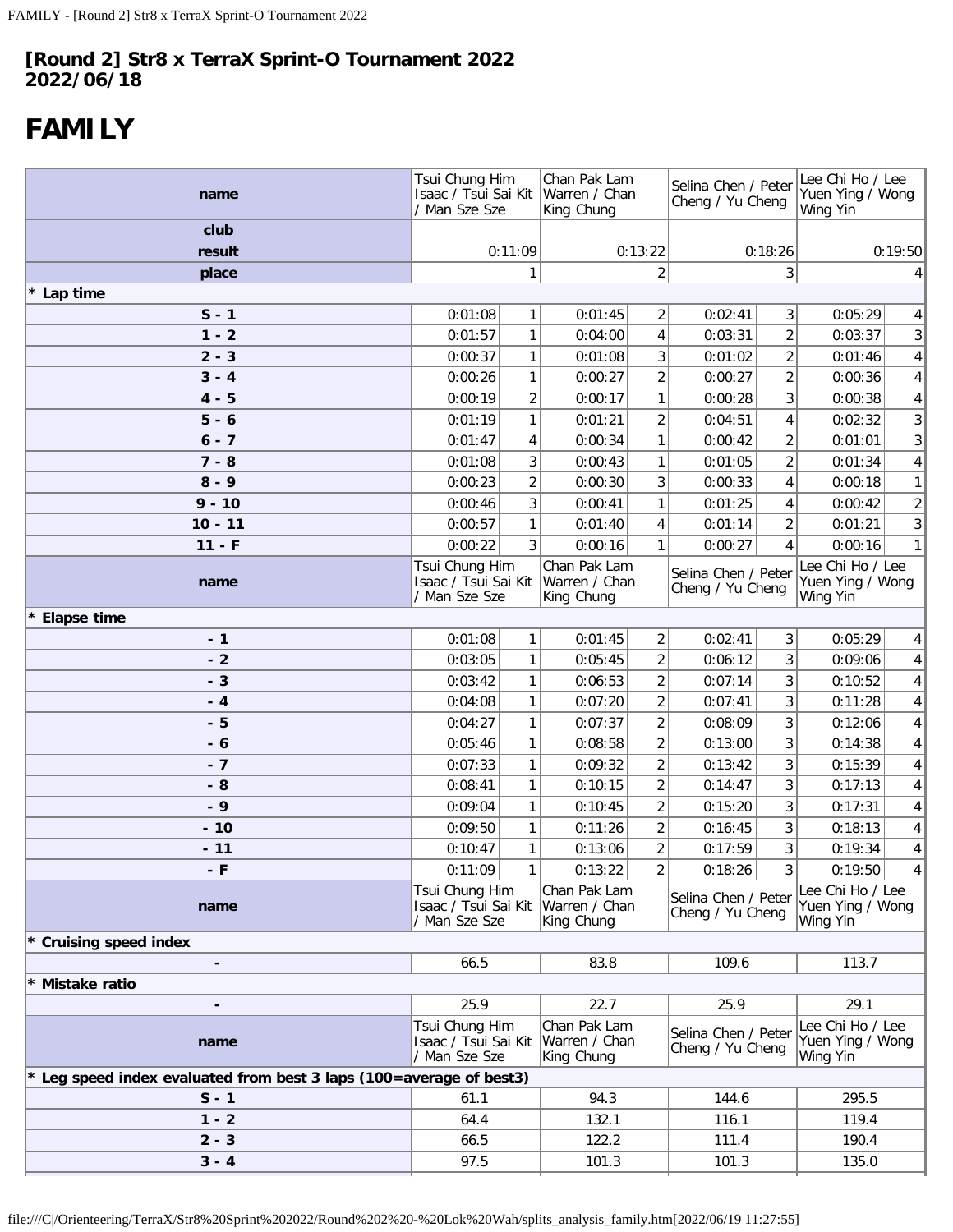# <span id="page-35-0"></span>**FAMILY**

| name                                                                   | Tsui Chung Him<br>/ Man Sze Sze                         |                | Chan Pak Lam<br>Isaac / Tsui Sai Kit   Warren / Chan<br>King Chung |                | Selina Chen / Peter<br>Cheng / Yu Cheng |                         | Lee Chi Ho / Lee<br>Yuen Ying / Wong<br>Wing Yin |                 |
|------------------------------------------------------------------------|---------------------------------------------------------|----------------|--------------------------------------------------------------------|----------------|-----------------------------------------|-------------------------|--------------------------------------------------|-----------------|
| club                                                                   |                                                         |                |                                                                    |                |                                         |                         |                                                  |                 |
| result                                                                 |                                                         | 0:11:09        |                                                                    | 0:13:22        |                                         | 0:18:26                 | 0:19:50                                          |                 |
| place                                                                  |                                                         | 1              |                                                                    | 2              |                                         | 3                       | 4                                                |                 |
| * Lap time                                                             |                                                         |                |                                                                    |                |                                         |                         |                                                  |                 |
| $S - 1$                                                                | 0:01:08                                                 | 1              | 0:01:45                                                            | 2              | 0:02:41                                 | 3                       | 0:05:29                                          | $\vert 4 \vert$ |
| $1 - 2$                                                                | 0:01:57                                                 | 1              | 0:04:00                                                            | 4              | 0:03:31                                 | $\overline{2}$          | 0:03:37                                          | 3               |
| $2 - 3$                                                                | 0:00:37                                                 | 1              | 0:01:08                                                            | 3              | 0:01:02                                 | $\overline{\mathbf{c}}$ | 0:01:46                                          | 4               |
| $3 - 4$                                                                | 0:00:26                                                 | 1              | 0:00:27                                                            | 2              | 0:00:27                                 | $\overline{2}$          | 0:00:36                                          | 4               |
| $4 - 5$                                                                | 0:00:19                                                 | $\overline{2}$ | 0:00:17                                                            | 1              | 0:00:28                                 | 3                       | 0:00:38                                          | $\vert 4 \vert$ |
| $5 - 6$                                                                | 0:01:19                                                 | 1              | 0:01:21                                                            | $\overline{2}$ | 0:04:51                                 | 4                       | 0:02:32                                          | 3 <sup>1</sup>  |
| $6 - 7$                                                                | 0:01:47                                                 | 4              | 0:00:34                                                            | $\mathbf{1}$   | 0:00:42                                 | $\overline{2}$          | 0:01:01                                          | 3 <sup>1</sup>  |
| $7 - 8$                                                                | 0:01:08                                                 | 3              | 0:00:43                                                            | $\mathbf{1}$   | 0:01:05                                 | $\overline{2}$          | 0:01:34                                          | $\vert 4 \vert$ |
| $8 - 9$                                                                | 0:00:23                                                 | $\overline{2}$ | 0:00:30                                                            | 3              | 0:00:33                                 | 4                       | 0:00:18                                          | 1               |
| $9 - 10$                                                               | 0:00:46                                                 | 3              | 0:00:41                                                            | $\mathbf{1}$   | 0:01:25                                 | 4                       | 0:00:42                                          | $\mathbf{2}$    |
| $10 - 11$                                                              | 0:00:57                                                 | $\mathbf{1}$   | 0:01:40                                                            | 4              | 0:01:14                                 | $\overline{2}$          | 0:01:21                                          | 3 <sup>1</sup>  |
| $11 - F$                                                               | 0:00:22                                                 | 3 <sup>1</sup> | 0:00:16                                                            | $\mathbf{1}$   | 0:00:27                                 | 4                       | 0:00:16                                          | 1               |
| name                                                                   | Tsui Chung Him<br>Isaac / Tsui Sai Kit<br>/ Man Sze Sze |                | Chan Pak Lam<br>Warren / Chan<br>King Chung                        |                | Selina Chen / Peter<br>Cheng / Yu Cheng |                         | Lee Chi Ho / Lee<br>Yuen Ying / Wong<br>Wing Yin |                 |
| * Elapse time                                                          |                                                         |                |                                                                    |                |                                         |                         |                                                  |                 |
| $-1$                                                                   | 0:01:08                                                 | 1              | 0:01:45                                                            | $\overline{2}$ | 0:02:41                                 | 3                       | 0:05:29                                          | 4 <sup>1</sup>  |
| $-2$                                                                   | 0:03:05                                                 | 1              | 0:05:45                                                            | $\overline{2}$ | 0:06:12                                 | 3                       | 0:09:06                                          | $\vert 4 \vert$ |
| $-3$                                                                   | 0:03:42                                                 | 1              | 0:06:53                                                            | $\overline{2}$ | 0:07:14                                 | 3                       | 0:10:52                                          | $\vert 4 \vert$ |
| $-4$                                                                   | 0:04:08                                                 | 1              | 0:07:20                                                            | $\overline{2}$ | 0:07:41                                 | 3                       | 0:11:28                                          | $\vert 4 \vert$ |
| - 5                                                                    | 0:04:27                                                 | 1              | 0:07:37                                                            | $\overline{2}$ | 0:08:09                                 | 3                       | 0:12:06                                          | $\vert 4 \vert$ |
| $-6$                                                                   | 0:05:46                                                 | $\mathbf{1}$   | 0:08:58                                                            | $\overline{2}$ | 0:13:00                                 | 3                       | 0:14:38                                          | $\vert 4 \vert$ |
| $-7$                                                                   | 0:07:33                                                 | 1              | 0:09:32                                                            | $\overline{2}$ | 0:13:42                                 | 3                       | 0:15:39                                          | $\vert 4 \vert$ |
| $-8$                                                                   | 0:08:41                                                 | $\mathbf{1}$   | 0:10:15                                                            | $\overline{2}$ | 0:14:47                                 | 3                       | 0:17:13                                          | $\vert 4 \vert$ |
| $-9$                                                                   | 0:09:04                                                 | 1              | 0:10:45                                                            | $\overline{2}$ | 0:15:20                                 | 3                       | 0:17:31                                          | $\vert 4 \vert$ |
| $-10$                                                                  | 0:09:50                                                 | 1              | 0:11:26                                                            | $\overline{2}$ | 0:16:45                                 | 3                       | 0:18:13                                          | 4               |
| $-11$                                                                  | 0:10:47                                                 | 1              | 0:13:06                                                            | $\overline{c}$ | 0:17:59                                 | 3                       | 0:19:34                                          | 4 <sup>1</sup>  |
| - F                                                                    | 0:11:09                                                 | 1              | 0:13:22                                                            | $\overline{2}$ | 0:18:26                                 | $\overline{3}$          | 0:19:50                                          | $\vert 4 \vert$ |
| name                                                                   | Tsui Chung Him<br>Isaac / Tsui Sai Kit<br>/ Man Sze Sze |                | Chan Pak Lam<br>Warren / Chan<br>King Chung                        |                | Selina Chen / Peter<br>Cheng / Yu Cheng |                         | Lee Chi Ho / Lee<br>Yuen Ying / Wong<br>Wing Yin |                 |
| <b>Cruising speed index</b>                                            |                                                         |                |                                                                    |                |                                         |                         |                                                  |                 |
| -                                                                      | 66.5                                                    |                | 83.8                                                               |                | 109.6                                   |                         | 113.7                                            |                 |
| Mistake ratio                                                          |                                                         |                |                                                                    |                |                                         |                         |                                                  |                 |
|                                                                        | 25.9                                                    |                | 22.7                                                               |                | 25.9                                    |                         | 29.1                                             |                 |
| name                                                                   | Tsui Chung Him<br>Isaac / Tsui Sai Kit<br>/ Man Sze Sze |                | Chan Pak Lam<br>Warren / Chan<br>King Chung                        |                | Selina Chen / Peter<br>Cheng / Yu Cheng |                         | Lee Chi Ho / Lee<br>Yuen Ying / Wong<br>Wing Yin |                 |
| Leg speed index evaluated from best 3 laps (100=average of best3)<br>* |                                                         |                |                                                                    |                |                                         |                         |                                                  |                 |
| $S - 1$                                                                | 61.1                                                    |                | 94.3                                                               |                | 144.6                                   |                         | 295.5                                            |                 |
| $1 - 2$                                                                | 64.4                                                    |                | 132.1                                                              |                | 116.1                                   |                         | 119.4                                            |                 |
| $2 - 3$                                                                | 66.5                                                    |                | 122.2                                                              |                | 111.4                                   |                         | 190.4                                            |                 |
| $3 - 4$                                                                | 97.5                                                    |                | 101.3                                                              |                | 101.3                                   |                         | 135.0                                            |                 |
|                                                                        |                                                         |                |                                                                    |                |                                         |                         |                                                  |                 |

file:///C|/Orienteering/TerraX/Str8%20Sprint%202022/Round%202%20-%20Lok%20Wah/splits\_analysis\_family.htm[2022/06/19 11:27:55]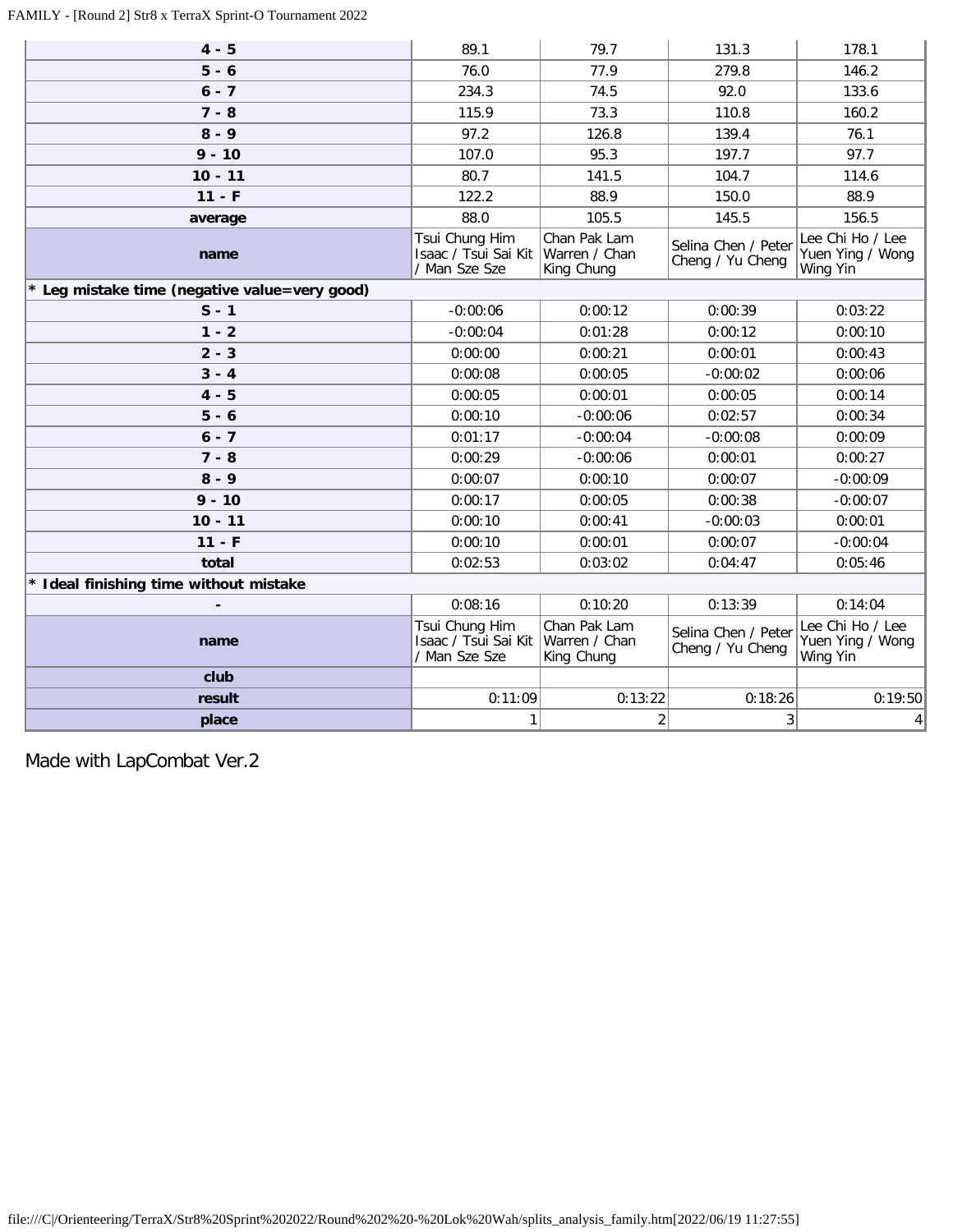### FAMILY - [Round 2] Str8 x TerraX Sprint-O Tournament 2022

| $4 - 5$                                       | 89.1                                                    | 79.7                                        | 131.3                                   | 178.1                                            |  |  |
|-----------------------------------------------|---------------------------------------------------------|---------------------------------------------|-----------------------------------------|--------------------------------------------------|--|--|
| $5 - 6$                                       | 76.0                                                    | 77.9                                        | 279.8                                   | 146.2                                            |  |  |
| $6 - 7$                                       | 234.3                                                   | 74.5                                        | 92.0                                    | 133.6                                            |  |  |
| $7 - 8$                                       | 115.9                                                   | 73.3                                        | 110.8                                   | 160.2                                            |  |  |
| $8 - 9$                                       | 97.2                                                    | 126.8                                       | 139.4                                   | 76.1                                             |  |  |
| $9 - 10$                                      | 107.0                                                   | 95.3                                        | 197.7                                   | 97.7                                             |  |  |
| $10 - 11$                                     | 80.7                                                    | 141.5                                       | 104.7                                   | 114.6                                            |  |  |
| $11 - F$                                      | 122.2                                                   | 88.9                                        | 150.0                                   | 88.9                                             |  |  |
| average                                       | 88.0                                                    | 105.5                                       | 145.5                                   | 156.5                                            |  |  |
| name                                          | Tsui Chung Him<br>Isaac / Tsui Sai Kit<br>/ Man Sze Sze | Chan Pak Lam<br>Warren / Chan<br>King Chung | Selina Chen / Peter<br>Cheng / Yu Cheng | Lee Chi Ho / Lee<br>Yuen Ying / Wong<br>Wing Yin |  |  |
| * Leg mistake time (negative value=very good) |                                                         |                                             |                                         |                                                  |  |  |
| $S - 1$                                       | $-0:00:06$                                              | 0:00:12                                     | 0:00:39                                 | 0:03:22                                          |  |  |
| $1 - 2$                                       | $-0:00:04$                                              | 0:01:28                                     | 0:00:12                                 | 0:00:10                                          |  |  |
| $2 - 3$                                       | 0:00:00                                                 | 0:00:21                                     | 0:00:01                                 | 0:00:43                                          |  |  |
| $3 - 4$                                       | 0:00:08                                                 | 0:00:05                                     | $-0:00:02$                              | 0:00:06                                          |  |  |
| $4 - 5$                                       | 0:00:05                                                 | 0:00:01                                     | 0:00:05                                 | 0:00:14                                          |  |  |
| $5 - 6$                                       | 0:00:10                                                 | $-0:00:06$                                  | 0:02:57                                 | 0:00:34                                          |  |  |
| $6 - 7$                                       | 0:01:17                                                 | $-0:00:04$                                  | $-0:00:08$                              | 0:00:09                                          |  |  |
| $7 - 8$                                       | 0:00:29                                                 | $-0:00:06$                                  | 0:00:01                                 | 0:00:27                                          |  |  |
| $8 - 9$                                       | 0:00:07                                                 | 0:00:10                                     | 0:00:07                                 | $-0:00:09$                                       |  |  |
| $9 - 10$                                      | 0:00:17                                                 | 0:00:05                                     | 0:00:38                                 | $-0:00:07$                                       |  |  |
| $10 - 11$                                     | 0:00:10                                                 | 0:00:41                                     | $-0:00:03$                              | 0:00:01                                          |  |  |
| $11 - F$                                      | 0:00:10                                                 | 0:00:01                                     | 0:00:07                                 | $-0:00:04$                                       |  |  |
| total                                         | 0:02:53                                                 | 0:03:02                                     | 0:04:47                                 | 0:05:46                                          |  |  |
| * Ideal finishing time without mistake        |                                                         |                                             |                                         |                                                  |  |  |
|                                               | 0:08:16                                                 | 0:10:20                                     | 0:13:39                                 | 0:14:04                                          |  |  |
| name                                          | Tsui Chung Him<br>Isaac / Tsui Sai Kit<br>/ Man Sze Sze | Chan Pak Lam<br>Warren / Chan<br>King Chung | Selina Chen / Peter<br>Cheng / Yu Cheng | Lee Chi Ho / Lee<br>Yuen Ying / Wong<br>Wing Yin |  |  |
| club                                          |                                                         |                                             |                                         |                                                  |  |  |
| result                                        | 0:11:09                                                 | 0:13:22                                     | 0:18:26                                 | 0:19:50                                          |  |  |
| place                                         | $\mathbf{1}$                                            | $\overline{2}$                              | $\mathsf 3$                             | $4\vert$                                         |  |  |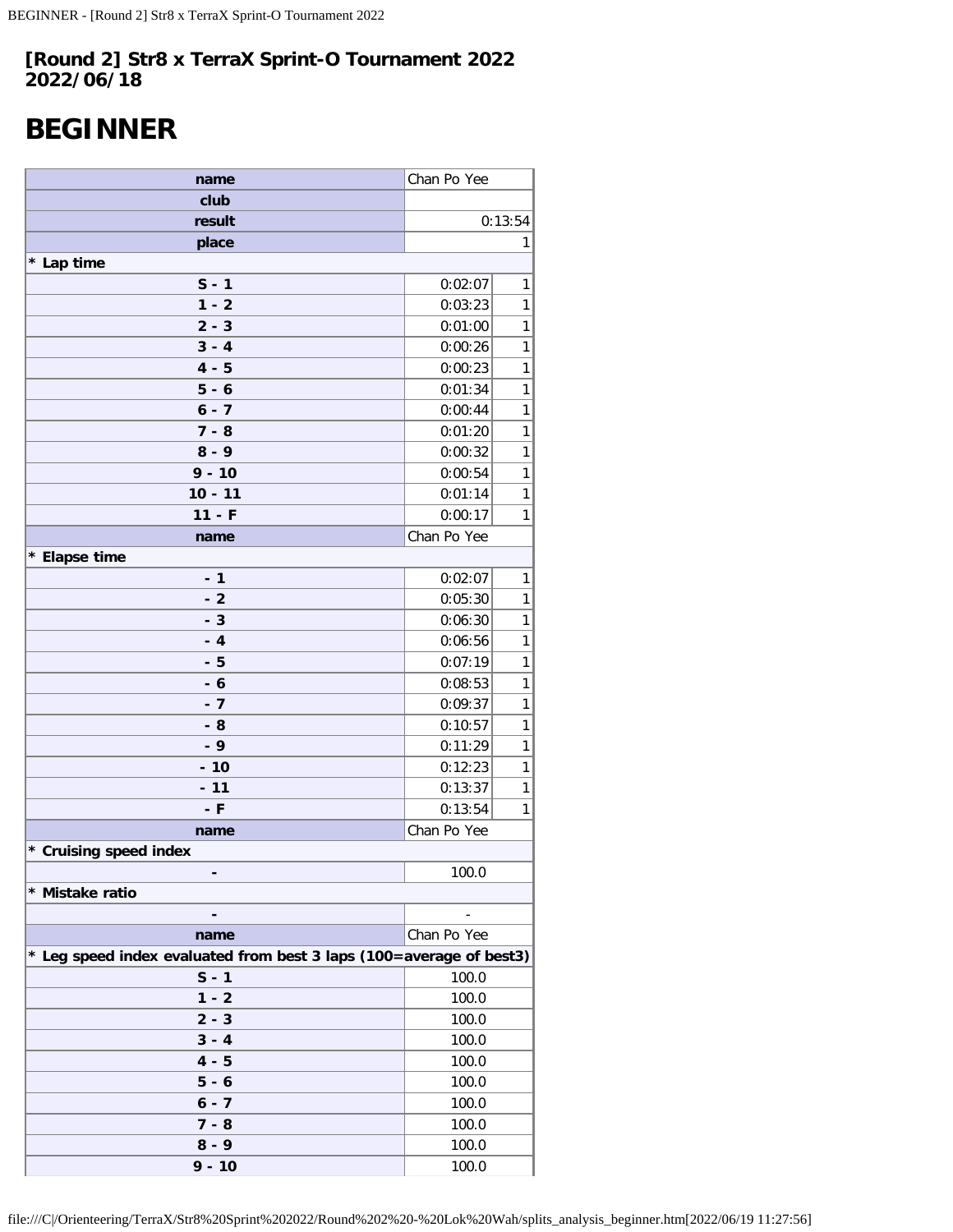# <span id="page-37-0"></span>**BEGINNER**

| name                                                                | Chan Po Yee |         |  |  |
|---------------------------------------------------------------------|-------------|---------|--|--|
| club                                                                |             |         |  |  |
| result                                                              |             | 0:13:54 |  |  |
| place                                                               |             | 1       |  |  |
| * Lap time                                                          |             |         |  |  |
| $S - 1$                                                             | 0:02:07     | 1       |  |  |
| $1 - 2$                                                             | 0:03:23     | 1       |  |  |
| $2 - 3$                                                             | 0:01:00     | 1       |  |  |
| $3 - 4$                                                             | 0:00:26     | 1       |  |  |
| $4 - 5$                                                             | 0:00:23     | 1       |  |  |
| $5 - 6$                                                             | 0:01:34     | 1       |  |  |
| $6 - 7$                                                             | 0:00:44     | 1       |  |  |
| $7 - 8$                                                             | 0:01:20     | 1       |  |  |
| $8 - 9$                                                             | 0:00:32     | 1       |  |  |
| $9 - 10$                                                            | 0:00:54     | 1       |  |  |
| $10 - 11$                                                           | 0:01:14     | 1       |  |  |
| $11 - F$                                                            | 0:00:17     | 1       |  |  |
| name                                                                | Chan Po Yee |         |  |  |
| * Elapse time                                                       |             |         |  |  |
| $-1$                                                                | 0:02:07     | 1       |  |  |
| $-2$                                                                | 0:05:30     | 1       |  |  |
| $-3$                                                                | 0:06:30     | 1       |  |  |
| $-4$                                                                | 0:06:56     | 1       |  |  |
| - 5                                                                 | 0:07:19     | 1       |  |  |
| $-6$                                                                | 0:08:53     | 1       |  |  |
| $-7$                                                                | 0:09:37     | 1       |  |  |
| - 8                                                                 | 0:10:57     | 1       |  |  |
| $-9$                                                                | 0:11:29     | 1       |  |  |
| $-10$                                                               | 0:12:23     | 1       |  |  |
| $-11$                                                               | 0:13:37     | 1       |  |  |
| - F                                                                 | 0:13:54     | 1       |  |  |
| name                                                                | Chan Po Yee |         |  |  |
| * Cruising speed index                                              |             |         |  |  |
|                                                                     | 100.0       |         |  |  |
| * Mistake ratio                                                     |             |         |  |  |
|                                                                     |             |         |  |  |
| name                                                                | Chan Po Yee |         |  |  |
| * Leg speed index evaluated from best 3 laps (100=average of best3) |             |         |  |  |
| $S - 1$                                                             | 100.0       |         |  |  |
| $1 - 2$                                                             | 100.0       |         |  |  |
| $2 - 3$                                                             | 100.0       |         |  |  |
| $3 - 4$                                                             | 100.0       |         |  |  |
| $4 - 5$                                                             | 100.0       |         |  |  |
| $5 - 6$                                                             | 100.0       |         |  |  |
| $6 - 7$                                                             | 100.0       |         |  |  |
| $7 - 8$                                                             | 100.0       |         |  |  |
| $8 - 9$                                                             | 100.0       |         |  |  |
| $9 - 10$                                                            | 100.0       |         |  |  |

file:///C|/Orienteering/TerraX/Str8%20Sprint%202022/Round%202%20-%20Lok%20Wah/splits\_analysis\_beginner.htm[2022/06/19 11:27:56]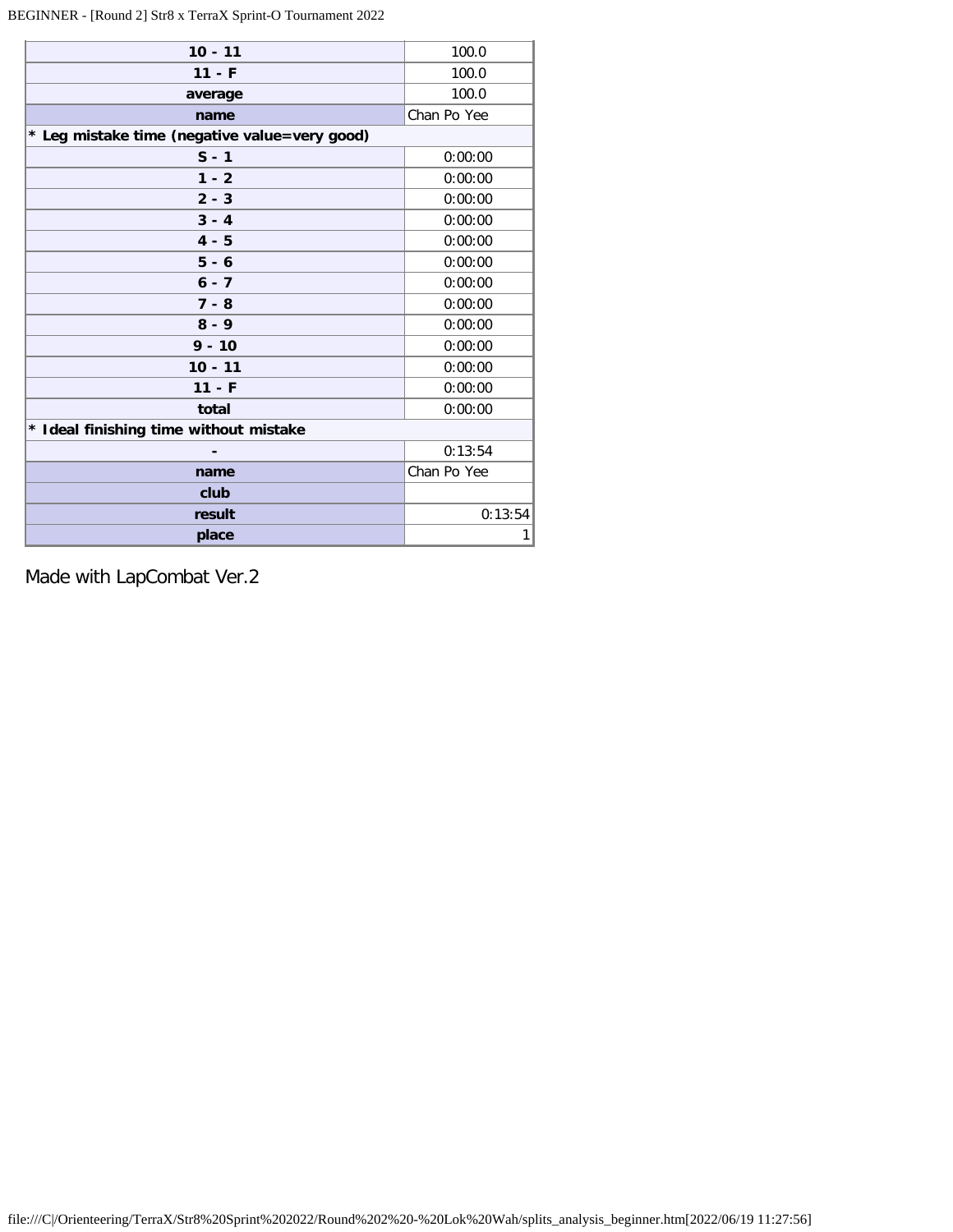# BEGINNER - [Round 2] Str8 x TerraX Sprint-O Tournament 2022

| $10 - 11$                                     | 100.0       |
|-----------------------------------------------|-------------|
| $11 - F$                                      | 100.0       |
| average                                       | 100.0       |
| name                                          | Chan Po Yee |
| * Leg mistake time (negative value=very good) |             |
| $S - 1$                                       | 0:00:00     |
| $1 - 2$                                       | 0:00:00     |
| $2 - 3$                                       | 0:00:00     |
| $3 - 4$                                       | 0:00:00     |
| $4 - 5$                                       | 0:00:00     |
| $5 - 6$                                       | 0:00:00     |
| $6 - 7$                                       | 0:00:00     |
| $7 - 8$                                       | 0:00:00     |
| $8 - 9$                                       | 0:00:00     |
| $9 - 10$                                      | 0:00:00     |
| $10 - 11$                                     | 0:00:00     |
| $11 - F$                                      | 0:00:00     |
| total                                         | 0:00:00     |
| * Ideal finishing time without mistake        |             |
|                                               | 0:13:54     |
| name                                          | Chan Po Yee |
| club                                          |             |
| result                                        | 0:13:54     |
| place                                         | 1           |